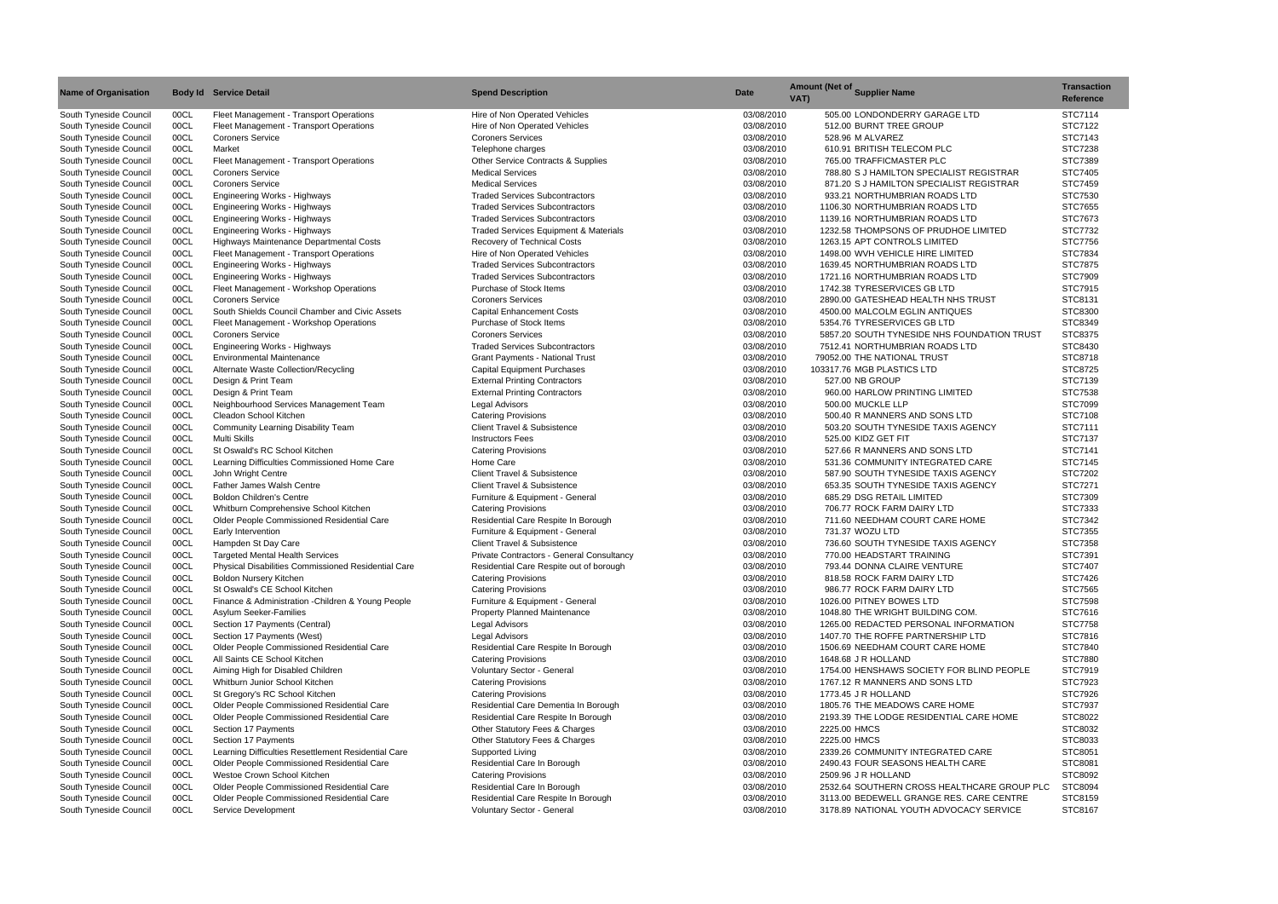| <b>Name of Organisation</b> |      | <b>Body Id Service Detail</b>                       | <b>Spend Description</b>                         | Date       | VAT) | Amount (Net of Supplier Name                | <b>Transaction</b><br><b>Reference</b> |
|-----------------------------|------|-----------------------------------------------------|--------------------------------------------------|------------|------|---------------------------------------------|----------------------------------------|
| South Tyneside Council      | 00CL | Fleet Management - Transport Operations             | Hire of Non Operated Vehicles                    | 03/08/2010 |      | 505.00 LONDONDERRY GARAGE LTD               | STC7114                                |
| South Tyneside Council      | 00CL | Fleet Management - Transport Operations             | Hire of Non Operated Vehicles                    | 03/08/2010 |      | 512.00 BURNT TREE GROUP                     | STC7122                                |
| South Tyneside Council      | 00CL | <b>Coroners Service</b>                             | <b>Coroners Services</b>                         | 03/08/2010 |      | 528.96 M ALVAREZ                            | STC7143                                |
| South Tyneside Council      | 00CL | Market                                              | Telephone charges                                | 03/08/2010 |      | 610.91 BRITISH TELECOM PLC                  | <b>STC7238</b>                         |
| South Tyneside Council      | 00CL | Fleet Management - Transport Operations             | Other Service Contracts & Supplies               | 03/08/2010 |      | 765.00 TRAFFICMASTER PLC                    | STC7389                                |
| South Tyneside Council      | 00CL | <b>Coroners Service</b>                             | <b>Medical Services</b>                          | 03/08/2010 |      | 788.80 S J HAMILTON SPECIALIST REGISTRAR    | STC7405                                |
| South Tyneside Council      | 00CL | <b>Coroners Service</b>                             | <b>Medical Services</b>                          | 03/08/2010 |      | 871.20 S J HAMILTON SPECIALIST REGISTRAR    | STC7459                                |
| South Tyneside Council      | 00CL | Engineering Works - Highways                        | <b>Traded Services Subcontractors</b>            | 03/08/2010 |      | 933.21 NORTHUMBRIAN ROADS LTD               | STC7530                                |
| South Tyneside Council      | 00CL | Engineering Works - Highways                        | <b>Traded Services Subcontractors</b>            | 03/08/2010 |      | 1106.30 NORTHUMBRIAN ROADS LTD              | STC7655                                |
| South Tyneside Council      | 00CL | Engineering Works - Highways                        | <b>Traded Services Subcontractors</b>            | 03/08/2010 |      | 1139.16 NORTHUMBRIAN ROADS LTD              | STC7673                                |
| South Tyneside Council      | 00CL | <b>Engineering Works - Highways</b>                 | <b>Traded Services Equipment &amp; Materials</b> | 03/08/2010 |      | 1232.58 THOMPSONS OF PRUDHOE LIMITED        | STC7732                                |
| South Tyneside Council      | 00CL | Highways Maintenance Departmental Costs             | Recovery of Technical Costs                      | 03/08/2010 |      | 1263.15 APT CONTROLS LIMITED                | STC7756                                |
| South Tyneside Council      | 00CL | Fleet Management - Transport Operations             | Hire of Non Operated Vehicles                    | 03/08/2010 |      | 1498.00 WVH VEHICLE HIRE LIMITED            | STC7834                                |
| South Tyneside Council      | 00CL | Engineering Works - Highways                        | <b>Traded Services Subcontractors</b>            | 03/08/2010 |      | 1639.45 NORTHUMBRIAN ROADS LTD              | STC7875                                |
| South Tyneside Council      | 00CL | Engineering Works - Highways                        | <b>Traded Services Subcontractors</b>            | 03/08/2010 |      | 1721.16 NORTHUMBRIAN ROADS LTD              | STC7909                                |
| South Tyneside Council      | 00CL | Fleet Management - Workshop Operations              | Purchase of Stock Items                          | 03/08/2010 |      | 1742.38 TYRESERVICES GB LTD                 | STC7915                                |
| South Tyneside Council      | 00CL | <b>Coroners Service</b>                             | <b>Coroners Services</b>                         | 03/08/2010 |      | 2890.00 GATESHEAD HEALTH NHS TRUST          | STC8131                                |
| South Tyneside Council      | 00CL | South Shields Council Chamber and Civic Assets      | <b>Capital Enhancement Costs</b>                 | 03/08/2010 |      | 4500.00 MALCOLM EGLIN ANTIQUES              | STC8300                                |
| South Tyneside Council      | 00CL | Fleet Management - Workshop Operations              | Purchase of Stock Items                          | 03/08/2010 |      | 5354.76 TYRESERVICES GB LTD                 | STC8349                                |
| South Tyneside Council      | 00CL | <b>Coroners Service</b>                             | <b>Coroners Services</b>                         | 03/08/2010 |      | 5857.20 SOUTH TYNESIDE NHS FOUNDATION TRUST | STC8375                                |
| South Tyneside Council      | 00CL | Engineering Works - Highways                        | <b>Traded Services Subcontractors</b>            | 03/08/2010 |      | 7512.41 NORTHUMBRIAN ROADS LTD              | STC8430                                |
| South Tyneside Council      | 00CL | <b>Environmental Maintenance</b>                    | <b>Grant Payments - National Trust</b>           | 03/08/2010 |      | 79052.00 THE NATIONAL TRUST                 | STC8718                                |
| South Tyneside Council      | 00CL | Alternate Waste Collection/Recycling                | <b>Capital Equipment Purchases</b>               | 03/08/2010 |      | 103317.76 MGB PLASTICS LTD                  | STC8725                                |
| South Tyneside Council      | 00CL | Design & Print Team                                 | <b>External Printing Contractors</b>             | 03/08/2010 |      | 527.00 NB GROUP                             | STC7139                                |
| South Tyneside Council      | 00CL | Design & Print Team                                 | <b>External Printing Contractors</b>             | 03/08/2010 |      | 960.00 HARLOW PRINTING LIMITED              | STC7538                                |
| South Tyneside Council      | 00CL | Neighbourhood Services Management Team              | <b>Legal Advisors</b>                            | 03/08/2010 |      | 500.00 MUCKLE LLP                           | STC7099                                |
| South Tyneside Council      | 00CL | Cleadon School Kitchen                              | <b>Catering Provisions</b>                       | 03/08/2010 |      | 500.40 R MANNERS AND SONS LTD               | STC7108                                |
| South Tyneside Council      | 00CL | Community Learning Disability Team                  | <b>Client Travel &amp; Subsistence</b>           | 03/08/2010 |      | 503.20 SOUTH TYNESIDE TAXIS AGENCY          | STC7111                                |
| South Tyneside Council      | 00CL | Multi Skills                                        | <b>Instructors Fees</b>                          | 03/08/2010 |      | 525.00 KIDZ GET FIT                         | STC7137                                |
| South Tyneside Council      | 00CL | St Oswald's RC School Kitchen                       | <b>Catering Provisions</b>                       | 03/08/2010 |      | 527.66 R MANNERS AND SONS LTD               | STC7141                                |
| South Tyneside Council      | 00CL | Learning Difficulties Commissioned Home Care        | Home Care                                        | 03/08/2010 |      | 531.36 COMMUNITY INTEGRATED CARE            | STC7145                                |
| South Tyneside Council      | 00CL | John Wright Centre                                  | <b>Client Travel &amp; Subsistence</b>           | 03/08/2010 |      | 587.90 SOUTH TYNESIDE TAXIS AGENCY          | <b>STC7202</b>                         |
| South Tyneside Council      | 00CL | <b>Father James Walsh Centre</b>                    | <b>Client Travel &amp; Subsistence</b>           | 03/08/2010 |      | 653.35 SOUTH TYNESIDE TAXIS AGENCY          | STC7271                                |
| South Tyneside Council      | 00CL | <b>Boldon Children's Centre</b>                     | Furniture & Equipment - General                  | 03/08/2010 |      | 685.29 DSG RETAIL LIMITED                   | STC7309                                |
| South Tyneside Council      | 00CL | Whitburn Comprehensive School Kitchen               | <b>Catering Provisions</b>                       | 03/08/2010 |      | 706.77 ROCK FARM DAIRY LTD                  | STC7333                                |
| South Tyneside Council      | 00CL | Older People Commissioned Residential Care          | Residential Care Respite In Borough              | 03/08/2010 |      | 711.60 NEEDHAM COURT CARE HOME              | STC7342                                |
| South Tyneside Council      | 00CL | Early Intervention                                  | Furniture & Equipment - General                  | 03/08/2010 |      | 731.37 WOZU LTD                             | STC7355                                |
| South Tyneside Council      | 00CL | Hampden St Day Care                                 | Client Travel & Subsistence                      | 03/08/2010 |      | 736.60 SOUTH TYNESIDE TAXIS AGENCY          | STC7358                                |
| South Tyneside Council      | 00CL | <b>Targeted Mental Health Services</b>              | Private Contractors - General Consultancy        | 03/08/2010 |      | 770.00 HEADSTART TRAINING                   | STC7391                                |
| South Tyneside Council      | 00CL | Physical Disabilities Commissioned Residential Care | Residential Care Respite out of borough          | 03/08/2010 |      | 793.44 DONNA CLAIRE VENTURE                 | STC7407                                |
| South Tyneside Council      | 00CL | <b>Boldon Nursery Kitchen</b>                       | <b>Catering Provisions</b>                       | 03/08/2010 |      | 818.58 ROCK FARM DAIRY LTD                  | STC7426                                |
| South Tyneside Council      | 00CL | St Oswald's CE School Kitchen                       | <b>Catering Provisions</b>                       | 03/08/2010 |      | 986.77 ROCK FARM DAIRY LTD                  | STC7565                                |
| South Tyneside Council      | 00CL | Finance & Administration - Children & Young People  | Furniture & Equipment - General                  | 03/08/2010 |      | 1026.00 PITNEY BOWES LTD                    | <b>STC7598</b>                         |
| South Tyneside Council      | 00CL | Asylum Seeker-Families                              | <b>Property Planned Maintenance</b>              | 03/08/2010 |      | 1048.80 THE WRIGHT BUILDING COM.            | STC7616                                |
| South Tyneside Council      | 00CL | Section 17 Payments (Central)                       | Legal Advisors                                   | 03/08/2010 |      | 1265.00 REDACTED PERSONAL INFORMATION       | STC7758                                |
| South Tyneside Council      | 00CL | Section 17 Payments (West)                          | Legal Advisors                                   | 03/08/2010 |      | 1407.70 THE ROFFE PARTNERSHIP LTD           | STC7816                                |
| South Tyneside Council      | 00CL | Older People Commissioned Residential Care          | Residential Care Respite In Borough              | 03/08/2010 |      | 1506.69 NEEDHAM COURT CARE HOME             | STC7840                                |
| South Tyneside Council      | 00CL | All Saints CE School Kitchen                        | <b>Catering Provisions</b>                       | 03/08/2010 |      | 1648.68 J R HOLLAND                         | STC7880                                |
| South Tyneside Council      | 00CL | Aiming High for Disabled Children                   | Voluntary Sector - General                       | 03/08/2010 |      | 1754.00 HENSHAWS SOCIETY FOR BLIND PEOPLE   | STC7919                                |
| South Tyneside Council      | 00CL | Whitburn Junior School Kitchen                      | <b>Catering Provisions</b>                       | 03/08/2010 |      | 1767.12 R MANNERS AND SONS LTD              | STC7923                                |
| South Tyneside Council      | 00CL | St Gregory's RC School Kitchen                      | <b>Catering Provisions</b>                       | 03/08/2010 |      | 1773.45 J R HOLLAND                         | STC7926                                |
| South Tyneside Council      | 00CL | Older People Commissioned Residential Care          | Residential Care Dementia In Borough             | 03/08/2010 |      | 1805.76 THE MEADOWS CARE HOME               | STC7937                                |
| South Tyneside Council      | 00CL | Older People Commissioned Residential Care          | Residential Care Respite In Borough              | 03/08/2010 |      | 2193.39 THE LODGE RESIDENTIAL CARE HOME     | STC8022                                |
| South Tyneside Council      | 00CL | Section 17 Payments                                 | Other Statutory Fees & Charges                   | 03/08/2010 |      | 2225.00 HMCS                                | STC8032                                |
| South Tyneside Council      | 00CL | Section 17 Payments                                 | Other Statutory Fees & Charges                   | 03/08/2010 |      | 2225.00 HMCS                                | STC8033                                |
| South Tyneside Council      | 00CL | Learning Difficulties Resettlement Residential Care | Supported Living                                 | 03/08/2010 |      | 2339.26 COMMUNITY INTEGRATED CARE           | STC8051                                |
| South Tyneside Council      | 00CL | Older People Commissioned Residential Care          | Residential Care In Borough                      | 03/08/2010 |      | 2490.43 FOUR SEASONS HEALTH CARE            | STC8081                                |
| South Tyneside Council      | 00CL | Westoe Crown School Kitchen                         | <b>Catering Provisions</b>                       | 03/08/2010 |      | 2509.96 J R HOLLAND                         | STC8092                                |
| South Tyneside Council      | 00CL | Older People Commissioned Residential Care          | Residential Care In Borough                      | 03/08/2010 |      | 2532.64 SOUTHERN CROSS HEALTHCARE GROUP PLC | STC8094                                |
| South Tyneside Council      | 00CL | Older People Commissioned Residential Care          | Residential Care Respite In Borough              | 03/08/2010 |      | 3113.00 BEDEWELL GRANGE RES. CARE CENTRE    | STC8159                                |
| South Tyneside Council      | 00CL | Service Development                                 | Voluntary Sector - General                       | 03/08/2010 |      | 3178.89 NATIONAL YOUTH ADVOCACY SERVICE     | STC8167                                |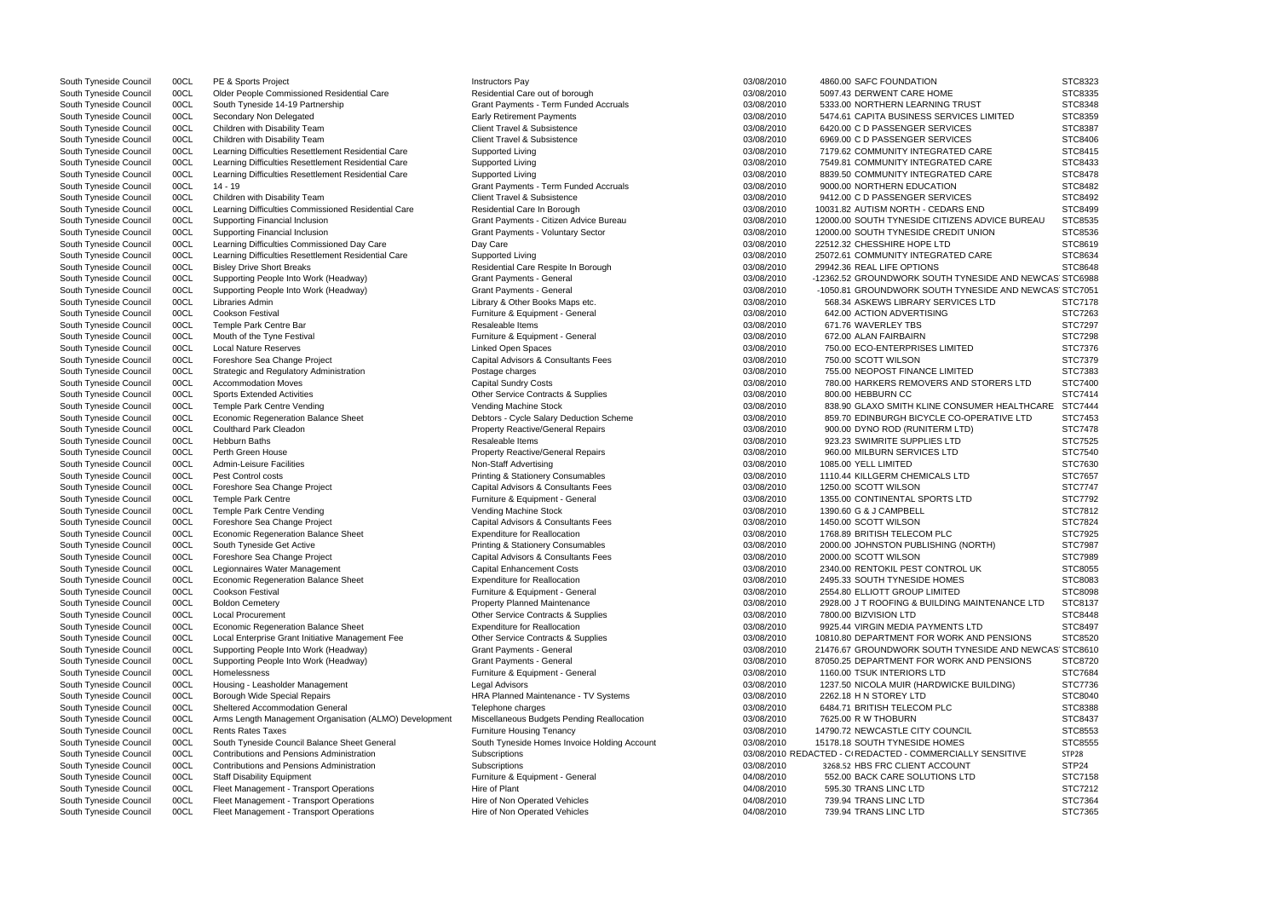| South Tyneside Council | 00CL | PE & Sports Project                                    | <b>Instructors Pay</b>                       | 03/08/2010 | 4860.00 SAFC FOUNDATION                                   | STC8323            |
|------------------------|------|--------------------------------------------------------|----------------------------------------------|------------|-----------------------------------------------------------|--------------------|
| South Tyneside Council | 00CL | Older People Commissioned Residential Care             | Residential Care out of borough              | 03/08/2010 | 5097.43 DERWENT CARE HOME                                 | STC8335            |
| South Tyneside Council | 00CL | South Tyneside 14-19 Partnership                       | Grant Payments - Term Funded Accruals        | 03/08/2010 | 5333.00 NORTHERN LEARNING TRUST                           | STC8348            |
| South Tyneside Council | 00CL | Secondary Non Delegated                                | <b>Early Retirement Payments</b>             | 03/08/2010 | 5474.61 CAPITA BUSINESS SERVICES LIMITED                  | STC8359            |
| South Tyneside Council | 00CL | Children with Disability Team                          | <b>Client Travel &amp; Subsistence</b>       | 03/08/2010 | 6420.00 C D PASSENGER SERVICES                            | STC8387            |
| South Tyneside Council | 00CL | Children with Disability Team                          | <b>Client Travel &amp; Subsistence</b>       | 03/08/2010 | 6969.00 C D PASSENGER SERVICES                            | STC8406            |
| South Tyneside Council | 00CL | Learning Difficulties Resettlement Residential Care    | Supported Living                             | 03/08/2010 | 7179.62 COMMUNITY INTEGRATED CARE                         | STC8415            |
| South Tyneside Council | 00CL | Learning Difficulties Resettlement Residential Care    | Supported Living                             | 03/08/2010 | 7549.81 COMMUNITY INTEGRATED CARE                         | STC8433            |
| South Tyneside Council | 00CL | Learning Difficulties Resettlement Residential Care    | Supported Living                             | 03/08/2010 | 8839.50 COMMUNITY INTEGRATED CARE                         | STC8478            |
| South Tyneside Council | 00CL | $14 - 19$                                              | <b>Grant Payments - Term Funded Accruals</b> | 03/08/2010 | 9000.00 NORTHERN EDUCATION                                | STC8482            |
|                        | 00CL | Children with Disability Team                          | Client Travel & Subsistence                  | 03/08/2010 | 9412.00 C D PASSENGER SERVICES                            | STC8492            |
| South Tyneside Council |      |                                                        |                                              |            |                                                           |                    |
| South Tyneside Council | 00CL | Learning Difficulties Commissioned Residential Care    | Residential Care In Borough                  | 03/08/2010 | 10031.82 AUTISM NORTH - CEDARS END                        | <b>STC8499</b>     |
| South Tyneside Council | 00CL | <b>Supporting Financial Inclusion</b>                  | Grant Payments - Citizen Advice Bureau       | 03/08/2010 | 12000.00 SOUTH TYNESIDE CITIZENS ADVICE BUREAU            | STC8535            |
| South Tyneside Council | 00CL | Supporting Financial Inclusion                         | <b>Grant Payments - Voluntary Sector</b>     | 03/08/2010 | 12000.00 SOUTH TYNESIDE CREDIT UNION                      | STC8536            |
| South Tyneside Council | 00CL | Learning Difficulties Commissioned Day Care            | Day Care                                     | 03/08/2010 | 22512.32 CHESSHIRE HOPE LTD                               | STC8619            |
| South Tyneside Council | 00CL | Learning Difficulties Resettlement Residential Care    | Supported Living                             | 03/08/2010 | 25072.61 COMMUNITY INTEGRATED CARE                        | STC8634            |
| South Tyneside Council | 00CL | <b>Bisley Drive Short Breaks</b>                       | Residential Care Respite In Borough          | 03/08/2010 | 29942.36 REAL LIFE OPTIONS                                | STC8648            |
| South Tyneside Council | 00CL | Supporting People Into Work (Headway)                  | <b>Grant Payments - General</b>              | 03/08/2010 | -12362.52 GROUNDWORK SOUTH TYNESIDE AND NEWCAS STC6988    |                    |
| South Tyneside Council | 00CL | Supporting People Into Work (Headway)                  | <b>Grant Payments - General</b>              | 03/08/2010 | -1050.81 GROUNDWORK SOUTH TYNESIDE AND NEWCAS STC7051     |                    |
| South Tyneside Council | 00CL | Libraries Admin                                        | Library & Other Books Maps etc.              | 03/08/2010 | 568.34 ASKEWS LIBRARY SERVICES LTD                        | STC7178            |
| South Tyneside Council | 00CL | <b>Cookson Festival</b>                                | Furniture & Equipment - General              | 03/08/2010 | 642.00 ACTION ADVERTISING                                 | STC7263            |
| South Tyneside Council | 00CL | Temple Park Centre Bar                                 | Resaleable Items                             | 03/08/2010 | 671.76 WAVERLEY TBS                                       | <b>STC7297</b>     |
| South Tyneside Council | 00CL | Mouth of the Tyne Festival                             | Furniture & Equipment - General              | 03/08/2010 | 672.00 ALAN FAIRBAIRN                                     | STC7298            |
| South Tyneside Council | 00CL | <b>Local Nature Reserves</b>                           | <b>Linked Open Spaces</b>                    | 03/08/2010 | 750.00 ECO-ENTERPRISES LIMITED                            | STC7376            |
| South Tyneside Council | 00CL | Foreshore Sea Change Project                           | Capital Advisors & Consultants Fees          | 03/08/2010 | 750.00 SCOTT WILSON                                       | <b>STC7379</b>     |
| South Tyneside Council | 00CL | Strategic and Regulatory Administration                | Postage charges                              | 03/08/2010 | 755.00 NEOPOST FINANCE LIMITED                            | STC7383            |
| South Tyneside Council | 00CL | <b>Accommodation Moves</b>                             | <b>Capital Sundry Costs</b>                  | 03/08/2010 | 780.00 HARKERS REMOVERS AND STORERS LTD                   | STC7400            |
|                        |      |                                                        |                                              |            |                                                           | STC7414            |
| South Tyneside Council | 00CL | <b>Sports Extended Activities</b>                      | Other Service Contracts & Supplies           | 03/08/2010 | 800.00 HEBBURN CC                                         |                    |
| South Tyneside Council | 00CL | Temple Park Centre Vending                             | Vending Machine Stock                        | 03/08/2010 | 838.90 GLAXO SMITH KLINE CONSUMER HEALTHCARE              | STC7444            |
| South Tyneside Council | 00CL | <b>Economic Regeneration Balance Sheet</b>             | Debtors - Cycle Salary Deduction Scheme      | 03/08/2010 | 859.70 EDINBURGH BICYCLE CO-OPERATIVE LTD                 | STC7453            |
| South Tyneside Council | 00CL | <b>Coulthard Park Cleadon</b>                          | <b>Property Reactive/General Repairs</b>     | 03/08/2010 | 900.00 DYNO ROD (RUNITERM LTD)                            | STC7478            |
| South Tyneside Council | 00CL | <b>Hebburn Baths</b>                                   | Resaleable Items                             | 03/08/2010 | 923.23 SWIMRITE SUPPLIES LTD                              | STC7525            |
| South Tyneside Council | 00CL | Perth Green House                                      | <b>Property Reactive/General Repairs</b>     | 03/08/2010 | 960.00 MILBURN SERVICES LTD                               | STC7540            |
| South Tyneside Council | 00CL | <b>Admin-Leisure Facilities</b>                        | Non-Staff Advertising                        | 03/08/2010 | 1085.00 YELL LIMITED                                      | STC7630            |
| South Tyneside Council | 00CL | Pest Control costs                                     | Printing & Stationery Consumables            | 03/08/2010 | 1110.44 KILLGERM CHEMICALS LTD                            | STC7657            |
| South Tyneside Council | 00CL | Foreshore Sea Change Project                           | Capital Advisors & Consultants Fees          | 03/08/2010 | 1250.00 SCOTT WILSON                                      | <b>STC7747</b>     |
| South Tyneside Council | 00CL | <b>Temple Park Centre</b>                              | Furniture & Equipment - General              | 03/08/2010 | 1355.00 CONTINENTAL SPORTS LTD                            | STC7792            |
| South Tyneside Council | 00CL | Temple Park Centre Vending                             | Vending Machine Stock                        | 03/08/2010 | 1390.60 G & J CAMPBELL                                    | STC7812            |
| South Tyneside Council | 00CL | Foreshore Sea Change Project                           | Capital Advisors & Consultants Fees          | 03/08/2010 | 1450.00 SCOTT WILSON                                      | STC7824            |
| South Tyneside Council | 00CL | <b>Economic Regeneration Balance Sheet</b>             | <b>Expenditure for Reallocation</b>          | 03/08/2010 | 1768.89 BRITISH TELECOM PLC                               | STC7925            |
| South Tyneside Council | 00CL | South Tyneside Get Active                              | <b>Printing &amp; Stationery Consumables</b> | 03/08/2010 | 2000.00 JOHNSTON PUBLISHING (NORTH)                       | <b>STC7987</b>     |
| South Tyneside Council | 00CL | Foreshore Sea Change Project                           | Capital Advisors & Consultants Fees          | 03/08/2010 | 2000.00 SCOTT WILSON                                      | STC7989            |
| South Tyneside Council | 00CL | Legionnaires Water Management                          | <b>Capital Enhancement Costs</b>             | 03/08/2010 | 2340.00 RENTOKIL PEST CONTROL UK                          | STC8055            |
| South Tyneside Council | 00CL | <b>Economic Regeneration Balance Sheet</b>             | <b>Expenditure for Reallocation</b>          | 03/08/2010 | 2495.33 SOUTH TYNESIDE HOMES                              | STC8083            |
| South Tyneside Council | 00CL | <b>Cookson Festival</b>                                | Furniture & Equipment - General              | 03/08/2010 | 2554.80 ELLIOTT GROUP LIMITED                             | STC8098            |
|                        |      |                                                        |                                              |            |                                                           |                    |
| South Tyneside Council | 00CL | <b>Boldon Cemetery</b>                                 | Property Planned Maintenance                 | 03/08/2010 | 2928.00 J T ROOFING & BUILDING MAINTENANCE LTD            | STC8137<br>STC8448 |
| South Tyneside Council | 00CL | <b>Local Procurement</b>                               | Other Service Contracts & Supplies           | 03/08/2010 | 7800.00 BIZVISION LTD                                     |                    |
| South Tyneside Council | 00CL | <b>Economic Regeneration Balance Sheet</b>             | <b>Expenditure for Reallocation</b>          | 03/08/2010 | 9925.44 VIRGIN MEDIA PAYMENTS LTD                         | STC8497            |
| South Tyneside Council | 00CL | Local Enterprise Grant Initiative Management Fee       | Other Service Contracts & Supplies           | 03/08/2010 | 10810.80 DEPARTMENT FOR WORK AND PENSIONS                 | STC8520            |
| South Tyneside Council | 00CL | Supporting People Into Work (Headway)                  | <b>Grant Payments - General</b>              | 03/08/2010 | 21476.67 GROUNDWORK SOUTH TYNESIDE AND NEWCAS STC8610     |                    |
| South Tyneside Council | 00CL | Supporting People Into Work (Headway)                  | <b>Grant Payments - General</b>              | 03/08/2010 | 87050.25 DEPARTMENT FOR WORK AND PENSIONS                 | STC8720            |
| South Tyneside Council | 00CL | Homelessness                                           | Furniture & Equipment - General              | 03/08/2010 | 1160.00 TSUK INTERIORS LTD                                | STC7684            |
| South Tyneside Council | 00CL | Housing - Leasholder Management                        | Legal Advisors                               | 03/08/2010 | 1237.50 NICOLA MUIR (HARDWICKE BUILDING)                  | STC7736            |
| South Tyneside Council | 00CL | Borough Wide Special Repairs                           | HRA Planned Maintenance - TV Systems         | 03/08/2010 | 2262.18 H N STOREY LTD                                    | <b>STC8040</b>     |
| South Tyneside Council | 00CL | Sheltered Accommodation General                        | Telephone charges                            | 03/08/2010 | 6484.71 BRITISH TELECOM PLC                               | STC8388            |
| South Tyneside Council | 00CL | Arms Length Management Organisation (ALMO) Development | Miscellaneous Budgets Pending Reallocation   | 03/08/2010 | 7625.00 R W THOBURN                                       | STC8437            |
| South Tyneside Council | 00CL | <b>Rents Rates Taxes</b>                               | <b>Furniture Housing Tenancy</b>             | 03/08/2010 | 14790.72 NEWCASTLE CITY COUNCIL                           | STC8553            |
| South Tyneside Council | 00CL | South Tyneside Council Balance Sheet General           | South Tyneside Homes Invoice Holding Account | 03/08/2010 | 15178.18 SOUTH TYNESIDE HOMES                             | STC8555            |
| South Tyneside Council | 00CL | <b>Contributions and Pensions Administration</b>       | Subscriptions                                |            | 03/08/2010 REDACTED - C(REDACTED - COMMERCIALLY SENSITIVE | STP28              |
| South Tyneside Council | 00CL | <b>Contributions and Pensions Administration</b>       | Subscriptions                                | 03/08/2010 | 3268.52 HBS FRC CLIENT ACCOUNT                            | STP <sub>24</sub>  |
| South Tyneside Council | 00CL | <b>Staff Disability Equipment</b>                      | Furniture & Equipment - General              | 04/08/2010 | 552.00 BACK CARE SOLUTIONS LTD                            | STC7158            |
| South Tyneside Council | 00CL | Fleet Management - Transport Operations                | Hire of Plant                                | 04/08/2010 | 595.30 TRANS LINC LTD                                     | STC7212            |
| South Tyneside Council |      |                                                        | Hire of Non Operated Vehicles                | 04/08/2010 | 739.94 TRANS LINC LTD                                     | STC7364            |
|                        | 00CL | Fleet Management - Transport Operations                |                                              |            |                                                           |                    |
| South Tyneside Council | 00CL | Fleet Management - Transport Operations                | Hire of Non Operated Vehicles                | 04/08/2010 | 739.94 TRANS LINC LTD                                     | STC7365            |

|                                  | STC8323        |
|----------------------------------|----------------|
|                                  | STC8335        |
| JST                              | STC8348        |
| ES LIMITED                       | STC8359        |
| S                                | STC8387        |
| S                                | STC8406        |
| CARE                             | STC8415        |
| CARE                             | STC8433        |
| CARE                             | STC8478        |
|                                  | STC8482        |
| S                                | STC8492        |
| END                              | STC8499        |
| S ADVICE BUREAU                  | STC8535        |
| <b>UNION</b>                     | STC8536        |
|                                  | STC8619        |
| CARE                             | STC8634        |
|                                  | STC8648        |
| <b>NESIDE AND NEWCAS STC6988</b> |                |
| <b>NESIDE AND NEWCAS STC7051</b> |                |
| ES LTD                           | <b>STC7178</b> |
|                                  |                |
|                                  | STC7263        |
|                                  | <b>STC7297</b> |
|                                  | STC7298        |
| D                                | STC7376        |
|                                  | <b>STC7379</b> |
| D                                | STC7383        |
| STORERS LTD                      | STC7400        |
|                                  | STC7414        |
| UMER HEALTHCARE                  | <b>STC7444</b> |
| <b>DPERATIVE LTD</b>             | STC7453        |
| J)                               | STC7478        |
|                                  | STC7525        |
|                                  | STC7540        |
|                                  | STC7630        |
| $\mathbf{C}$                     | <b>STC7657</b> |
|                                  | <b>STC7747</b> |
| D                                | STC7792        |
|                                  | STC7812        |
|                                  | <b>STC7824</b> |
|                                  | <b>STC7925</b> |
| IORTH)                           | <b>STC7987</b> |
|                                  | STC7989        |
| UK                               | STC8055        |
|                                  | STC8083        |
|                                  | STC8098        |
| <b><i>ANNTENANCE LTD</i></b>     | STC8137        |
|                                  | STC8448        |
|                                  |                |
| LTD                              | STC8497        |
| AND PENSIONS                     | STC8520        |
| <b>NESIDE AND NEWCAS STC8610</b> |                |
| <b>AND PENSIONS</b>              | STC8720        |
|                                  | STC7684        |
| <b>BUILDING)</b>                 | STC7736        |
|                                  | STC8040        |
|                                  | STC8388        |
|                                  | STC8437        |
| L                                | STC8553        |
|                                  | STC8555        |
| LY SENSITIVE                     | STP28          |
| ŗ                                | STP24          |
| D                                | STC7158        |
|                                  | STC7212        |
|                                  | STC7364        |
|                                  | STC7365        |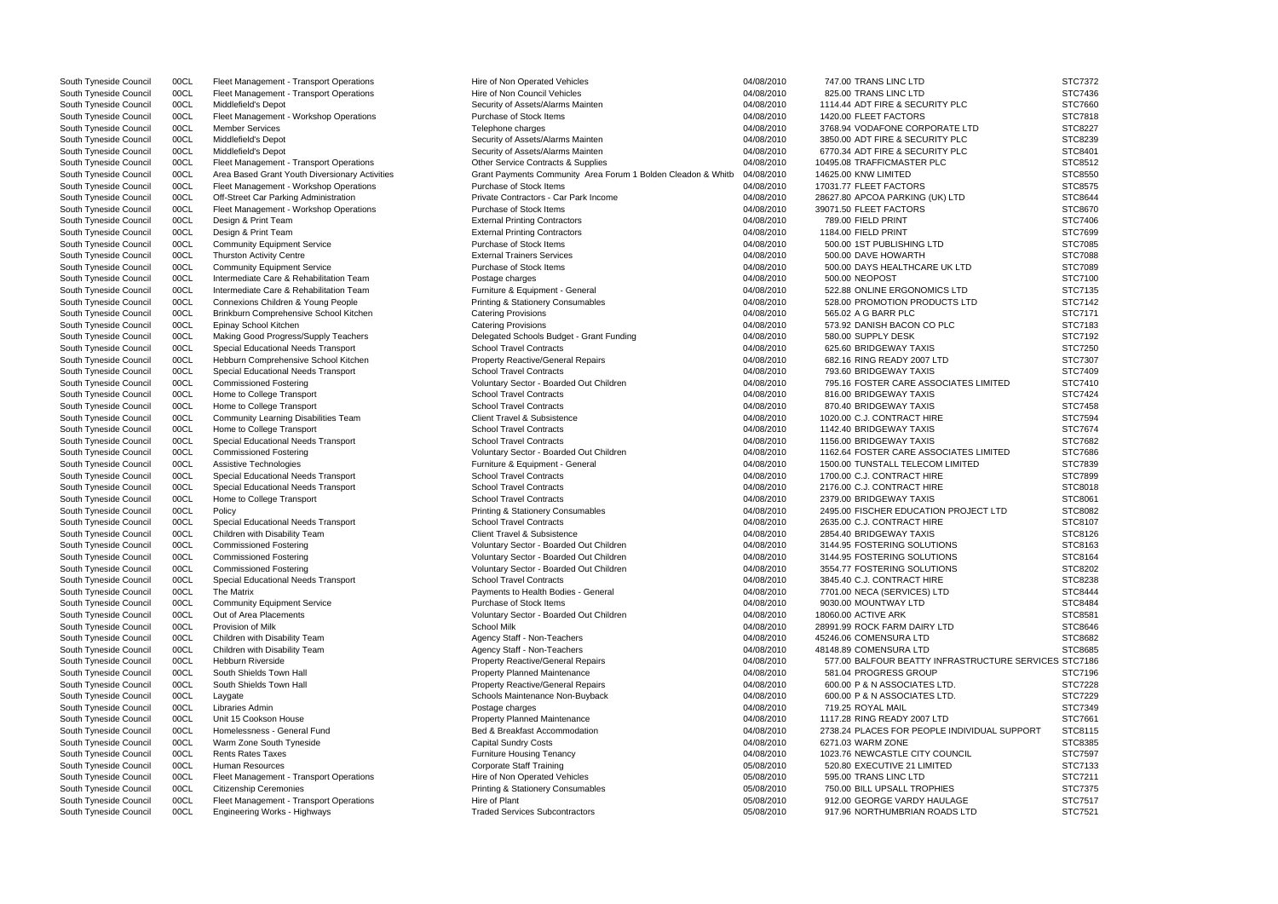|                           | STC7372            |
|---------------------------|--------------------|
|                           | STC7436            |
|                           | STC7660            |
|                           | <b>STC7818</b>     |
| TD.                       | STC8227            |
|                           | STC8239            |
|                           | STC8401            |
|                           | STC8512            |
|                           | STC8550            |
|                           | STC8575            |
|                           | STC8644            |
|                           | STC8670            |
|                           | STC7406            |
|                           | STC7699            |
|                           | STC7085            |
|                           | STC7088            |
| D                         | STC7089            |
|                           | STC7100            |
|                           | STC7135            |
| TD                        | STC7142            |
|                           | STC7171            |
|                           | STC7183            |
|                           | STC7192            |
|                           | STC7250            |
|                           | STC7307            |
|                           | STC7409            |
| S LIMITED                 | STC7410            |
|                           | STC7424            |
|                           | <b>STC7458</b>     |
|                           | <b>STC7594</b>     |
|                           | STC7674            |
|                           | STC7682            |
| S LIMITED                 | STC7686            |
| ΈD                        | STC7839            |
|                           | <b>STC7899</b>     |
|                           | STC8018            |
| <b>JECT LTD</b>           | STC8061<br>STC8082 |
|                           | STC8107            |
|                           | STC8126            |
|                           |                    |
|                           | STC8163            |
|                           | STC8164            |
|                           | STC8202            |
|                           | STC8238            |
|                           | STC8444            |
|                           | STC8484            |
|                           | STC8581            |
|                           | STC8646            |
|                           | STC8682<br>STC8685 |
|                           |                    |
| TRUCTURE SERVICES STC7186 |                    |
|                           | STC7196            |
|                           | STC7228            |
|                           | <b>STC7229</b>     |
|                           | STC7349            |
|                           | STC7661            |
| <b>VIDUAL SUPPORT</b>     | STC8115            |
|                           | STC8385            |
| L                         | STC7597            |
|                           | STC7133            |
|                           | STC7211            |
|                           | STC7375            |
|                           | STC7517            |
| TD                        | STC7521            |

| South Tyneside Council | 00CL | Fleet Management - Transport Operations        | Hire of Non Operated Vehicles                                                  | 04/08/2010 | 747.00 TRANS LINC LTD                                 | STC7372        |
|------------------------|------|------------------------------------------------|--------------------------------------------------------------------------------|------------|-------------------------------------------------------|----------------|
| South Tyneside Council | 00CL | Fleet Management - Transport Operations        | Hire of Non Council Vehicles                                                   | 04/08/2010 | 825.00 TRANS LINC LTD                                 | STC7436        |
| South Tyneside Council | 00CL | Middlefield's Depot                            | Security of Assets/Alarms Mainten                                              | 04/08/2010 | 1114.44 ADT FIRE & SECURITY PLC                       | STC7660        |
| South Tyneside Council | 00CL | Fleet Management - Workshop Operations         | Purchase of Stock Items                                                        | 04/08/2010 | 1420.00 FLEET FACTORS                                 | STC7818        |
| South Tyneside Council | 00CL | <b>Member Services</b>                         | Telephone charges                                                              | 04/08/2010 | 3768.94 VODAFONE CORPORATE LTD                        | STC8227        |
| South Tyneside Council | 00CL | Middlefield's Depot                            | Security of Assets/Alarms Mainten                                              | 04/08/2010 | 3850.00 ADT FIRE & SECURITY PLC                       | STC8239        |
| South Tyneside Council | 00CL | Middlefield's Depot                            | Security of Assets/Alarms Mainten                                              | 04/08/2010 | 6770.34 ADT FIRE & SECURITY PLC                       | STC8401        |
| South Tyneside Council | 00CL | Fleet Management - Transport Operations        | Other Service Contracts & Supplies                                             | 04/08/2010 | 10495.08 TRAFFICMASTER PLC                            | STC8512        |
| South Tyneside Council | 00CL | Area Based Grant Youth Diversionary Activities | Grant Payments Community Area Forum 1 Bolden Cleadon & Whitb                   | 04/08/2010 | 14625.00 KNW LIMITED                                  | STC8550        |
| South Tyneside Council | 00CL | Fleet Management - Workshop Operations         | Purchase of Stock Items                                                        | 04/08/2010 | 17031.77 FLEET FACTORS                                | STC8575        |
| South Tyneside Council | 00CL | Off-Street Car Parking Administration          | Private Contractors - Car Park Income                                          | 04/08/2010 | 28627.80 APCOA PARKING (UK) LTD                       | STC8644        |
| South Tyneside Council | 00CL | Fleet Management - Workshop Operations         | Purchase of Stock Items                                                        | 04/08/2010 | 39071.50 FLEET FACTORS                                | STC8670        |
| South Tyneside Council | 00CL | Design & Print Team                            | <b>External Printing Contractors</b>                                           | 04/08/2010 | 789.00 FIELD PRINT                                    | STC7406        |
| South Tyneside Council | 00CL | Design & Print Team                            | <b>External Printing Contractors</b>                                           | 04/08/2010 | 1184.00 FIELD PRINT                                   | <b>STC7699</b> |
| South Tyneside Council | 00CL | <b>Community Equipment Service</b>             | Purchase of Stock Items                                                        | 04/08/2010 | 500.00 1ST PUBLISHING LTD                             | STC7085        |
|                        | 00CL | <b>Thurston Activity Centre</b>                | <b>External Trainers Services</b>                                              | 04/08/2010 | 500.00 DAVE HOWARTH                                   | <b>STC7088</b> |
| South Tyneside Council |      |                                                |                                                                                |            |                                                       |                |
| South Tyneside Council | 00CL | <b>Community Equipment Service</b>             | Purchase of Stock Items                                                        | 04/08/2010 | 500.00 DAYS HEALTHCARE UK LTD                         | <b>STC7089</b> |
| South Tyneside Council | 00CL | Intermediate Care & Rehabilitation Team        | Postage charges                                                                | 04/08/2010 | 500.00 NEOPOST                                        | STC7100        |
| South Tyneside Council | 00CL | Intermediate Care & Rehabilitation Team        | Furniture & Equipment - General                                                | 04/08/2010 | 522.88 ONLINE ERGONOMICS LTD                          | STC7135        |
| South Tyneside Council | 00CL | Connexions Children & Young People             | <b>Printing &amp; Stationery Consumables</b>                                   | 04/08/2010 | 528.00 PROMOTION PRODUCTS LTD                         | STC7142        |
| South Tyneside Council | 00CL | Brinkburn Comprehensive School Kitchen         | <b>Catering Provisions</b>                                                     | 04/08/2010 | 565.02 A G BARR PLC                                   | STC7171        |
| South Tyneside Council | 00CL | Epinay School Kitchen                          | <b>Catering Provisions</b>                                                     | 04/08/2010 | 573.92 DANISH BACON CO PLC                            | STC7183        |
| South Tyneside Council | 00CL | Making Good Progress/Supply Teachers           | Delegated Schools Budget - Grant Funding                                       | 04/08/2010 | 580.00 SUPPLY DESK                                    | STC7192        |
| South Tyneside Council | 00CL | Special Educational Needs Transport            | <b>School Travel Contracts</b>                                                 | 04/08/2010 | 625.60 BRIDGEWAY TAXIS                                | STC7250        |
| South Tyneside Council | 00CL | Hebburn Comprehensive School Kitchen           | <b>Property Reactive/General Repairs</b>                                       | 04/08/2010 | 682.16 RING READY 2007 LTD                            | STC7307        |
| South Tyneside Council | 00CL | Special Educational Needs Transport            | <b>School Travel Contracts</b>                                                 | 04/08/2010 | 793.60 BRIDGEWAY TAXIS                                | STC7409        |
| South Tyneside Council | 00CL | <b>Commissioned Fostering</b>                  | Voluntary Sector - Boarded Out Children                                        | 04/08/2010 | 795.16 FOSTER CARE ASSOCIATES LIMITED                 | STC7410        |
| South Tyneside Council | 00CL | Home to College Transport                      | <b>School Travel Contracts</b>                                                 | 04/08/2010 | 816.00 BRIDGEWAY TAXIS                                | <b>STC7424</b> |
| South Tyneside Council | 00CL | Home to College Transport                      | <b>School Travel Contracts</b>                                                 | 04/08/2010 | 870.40 BRIDGEWAY TAXIS                                | STC7458        |
| South Tyneside Council | 00CL | Community Learning Disabilities Team           | <b>Client Travel &amp; Subsistence</b>                                         | 04/08/2010 | 1020.00 C.J. CONTRACT HIRE                            | STC7594        |
| South Tyneside Council | 00CL | Home to College Transport                      | <b>School Travel Contracts</b>                                                 | 04/08/2010 | 1142.40 BRIDGEWAY TAXIS                               | STC7674        |
| South Tyneside Council | 00CL | Special Educational Needs Transport            | <b>School Travel Contracts</b>                                                 | 04/08/2010 | 1156.00 BRIDGEWAY TAXIS                               | STC7682        |
| South Tyneside Council | 00CL | <b>Commissioned Fostering</b>                  | Voluntary Sector - Boarded Out Children                                        | 04/08/2010 | 1162.64 FOSTER CARE ASSOCIATES LIMITED                | STC7686        |
| South Tyneside Council | 00CL | Assistive Technologies                         | Furniture & Equipment - General                                                | 04/08/2010 | 1500.00 TUNSTALL TELECOM LIMITED                      | STC7839        |
| South Tyneside Council | 00CL | Special Educational Needs Transport            | <b>School Travel Contracts</b>                                                 | 04/08/2010 | 1700.00 C.J. CONTRACT HIRE                            | <b>STC7899</b> |
| South Tyneside Council | 00CL | Special Educational Needs Transport            | <b>School Travel Contracts</b>                                                 | 04/08/2010 | 2176.00 C.J. CONTRACT HIRE                            | STC8018        |
| South Tyneside Council | 00CL | Home to College Transport                      | <b>School Travel Contracts</b>                                                 | 04/08/2010 | 2379.00 BRIDGEWAY TAXIS                               | STC8061        |
|                        | 00CL | Policy                                         |                                                                                | 04/08/2010 | 2495.00 FISCHER EDUCATION PROJECT LTD                 | STC8082        |
| South Tyneside Council |      |                                                | <b>Printing &amp; Stationery Consumables</b><br><b>School Travel Contracts</b> |            |                                                       | STC8107        |
| South Tyneside Council | 00CL | Special Educational Needs Transport            |                                                                                | 04/08/2010 | 2635.00 C.J. CONTRACT HIRE                            |                |
| South Tyneside Council | 00CL | Children with Disability Team                  | <b>Client Travel &amp; Subsistence</b>                                         | 04/08/2010 | 2854.40 BRIDGEWAY TAXIS                               | STC8126        |
| South Tyneside Council | 00CL | <b>Commissioned Fostering</b>                  | Voluntary Sector - Boarded Out Children                                        | 04/08/2010 | 3144.95 FOSTERING SOLUTIONS                           | STC8163        |
| South Tyneside Council | 00CL | <b>Commissioned Fostering</b>                  | Voluntary Sector - Boarded Out Children                                        | 04/08/2010 | 3144.95 FOSTERING SOLUTIONS                           | STC8164        |
| South Tyneside Council | 00CL | <b>Commissioned Fostering</b>                  | Voluntary Sector - Boarded Out Children                                        | 04/08/2010 | 3554.77 FOSTERING SOLUTIONS                           | STC8202        |
| South Tyneside Council | 00CL | Special Educational Needs Transport            | <b>School Travel Contracts</b>                                                 | 04/08/2010 | 3845.40 C.J. CONTRACT HIRE                            | STC8238        |
| South Tyneside Council | 00CL | The Matrix                                     | Payments to Health Bodies - General                                            | 04/08/2010 | 7701.00 NECA (SERVICES) LTD                           | STC8444        |
| South Tyneside Council | 00CL | <b>Community Equipment Service</b>             | Purchase of Stock Items                                                        | 04/08/2010 | 9030.00 MOUNTWAY LTD                                  | STC8484        |
| South Tyneside Council | 00CL | Out of Area Placements                         | Voluntary Sector - Boarded Out Children                                        | 04/08/2010 | 18060.00 ACTIVE ARK                                   | STC8581        |
| South Tyneside Council | 00CL | Provision of Milk                              | <b>School Milk</b>                                                             | 04/08/2010 | 28991.99 ROCK FARM DAIRY LTD                          | STC8646        |
| South Tyneside Council | 00CL | Children with Disability Team                  | Agency Staff - Non-Teachers                                                    | 04/08/2010 | 45246.06 COMENSURA LTD                                | STC8682        |
| South Tyneside Council | 00CL | Children with Disability Team                  | Agency Staff - Non-Teachers                                                    | 04/08/2010 | 48148.89 COMENSURA LTD                                | STC8685        |
| South Tyneside Council | 00CL | Hebburn Riverside                              | <b>Property Reactive/General Repairs</b>                                       | 04/08/2010 | 577.00 BALFOUR BEATTY INFRASTRUCTURE SERVICES STC7186 |                |
| South Tyneside Council | 00CL | South Shields Town Hall                        | <b>Property Planned Maintenance</b>                                            | 04/08/2010 | 581.04 PROGRESS GROUP                                 | STC7196        |
| South Tyneside Council | 00CL | South Shields Town Hall                        | <b>Property Reactive/General Repairs</b>                                       | 04/08/2010 | 600.00 P & N ASSOCIATES LTD.                          | <b>STC7228</b> |
| South Tyneside Council | 00CL | Laygate                                        | Schools Maintenance Non-Buyback                                                | 04/08/2010 | 600.00 P & N ASSOCIATES LTD.                          | <b>STC7229</b> |
| South Tyneside Council | 00CL | Libraries Admin                                | Postage charges                                                                | 04/08/2010 | 719.25 ROYAL MAIL                                     | STC7349        |
| South Tyneside Council | 00CL | Unit 15 Cookson House                          | <b>Property Planned Maintenance</b>                                            | 04/08/2010 | 1117.28 RING READY 2007 LTD                           | STC7661        |
| South Tyneside Council | 00CL | Homelessness - General Fund                    | Bed & Breakfast Accommodation                                                  | 04/08/2010 | 2738.24 PLACES FOR PEOPLE INDIVIDUAL SUPPORT          | STC8115        |
| South Tyneside Council | 00CL | Warm Zone South Tyneside                       | <b>Capital Sundry Costs</b>                                                    | 04/08/2010 | 6271.03 WARM ZONE                                     | STC8385        |
| South Tyneside Council | 00CL | <b>Rents Rates Taxes</b>                       | <b>Furniture Housing Tenancy</b>                                               | 04/08/2010 | 1023.76 NEWCASTLE CITY COUNCIL                        | STC7597        |
| South Tyneside Council | 00CL | Human Resources                                | <b>Corporate Staff Training</b>                                                | 05/08/2010 | 520.80 EXECUTIVE 21 LIMITED                           | STC7133        |
|                        |      |                                                |                                                                                |            |                                                       | STC7211        |
| South Tyneside Council | 00CL | Fleet Management - Transport Operations        | Hire of Non Operated Vehicles                                                  | 05/08/2010 | 595.00 TRANS LINC LTD                                 |                |
| South Tyneside Council | 00CL | <b>Citizenship Ceremonies</b>                  | <b>Printing &amp; Stationery Consumables</b>                                   | 05/08/2010 | 750.00 BILL UPSALL TROPHIES                           | STC7375        |
| South Tyneside Council | 00CL | Fleet Management - Transport Operations        | Hire of Plant                                                                  | 05/08/2010 | 912.00 GEORGE VARDY HAULAGE                           | STC7517        |
| South Tyneside Council | 00CL | Engineering Works - Highways                   | <b>Traded Services Subcontractors</b>                                          | 05/08/2010 | 917.96 NORTHUMBRIAN ROADS LTD                         | STC7521        |

| Hire of Non Operated Vehicles                                                   |
|---------------------------------------------------------------------------------|
| Hire of Non Council Vehicles                                                    |
| Security of Assets/Alarms Mainten                                               |
| Purchase of Stock Items                                                         |
| Telephone charges                                                               |
| Security of Assets/Alarms Mainten                                               |
| Security of Assets/Alarms Mainten                                               |
| Other Service Contracts & Supplies                                              |
| Grant Payments Community Area Forum 1 Bolden Cleadon & W                        |
| Purchase of Stock Items                                                         |
| Private Contractors - Car Park Income                                           |
| <b>Purchase of Stock Items</b>                                                  |
| <b>External Printing Contractors</b>                                            |
| <b>External Printing Contractors</b>                                            |
| <b>Purchase of Stock Items</b>                                                  |
| <b>External Trainers Services</b>                                               |
| Purchase of Stock Items                                                         |
| Postage charges                                                                 |
| Furniture & Equipment - General<br><b>Printing &amp; Stationery Consumables</b> |
| <b>Catering Provisions</b>                                                      |
| <b>Catering Provisions</b>                                                      |
| Delegated Schools Budget - Grant Funding                                        |
| <b>School Travel Contracts</b>                                                  |
| <b>Property Reactive/General Repairs</b>                                        |
| <b>School Travel Contracts</b>                                                  |
| Voluntary Sector - Boarded Out Children                                         |
| <b>School Travel Contracts</b>                                                  |
| <b>School Travel Contracts</b>                                                  |
| <b>Client Travel &amp; Subsistence</b>                                          |
| <b>School Travel Contracts</b>                                                  |
| <b>School Travel Contracts</b>                                                  |
| Voluntary Sector - Boarded Out Children                                         |
| Furniture & Equipment - General                                                 |
| <b>School Travel Contracts</b>                                                  |
| <b>School Travel Contracts</b>                                                  |
| <b>School Travel Contracts</b>                                                  |
| Printing & Stationery Consumables                                               |
| <b>School Travel Contracts</b>                                                  |
| Client Travel & Subsistence                                                     |
| Voluntary Sector - Boarded Out Children                                         |
| Voluntary Sector - Boarded Out Children                                         |
| Voluntary Sector - Boarded Out Children                                         |
| <b>School Travel Contracts</b>                                                  |
| Payments to Health Bodies - General                                             |
| Purchase of Stock Items                                                         |
| Voluntary Sector - Boarded Out Children                                         |
| <b>School Milk</b>                                                              |
| Agency Staff - Non-Teachers                                                     |
| Agency Staff - Non-Teachers<br><b>Property Reactive/General Repairs</b>         |
| <b>Property Planned Maintenance</b>                                             |
| <b>Property Reactive/General Repairs</b>                                        |
| Schools Maintenance Non-Buyback                                                 |
| Postage charges                                                                 |
| <b>Property Planned Maintenance</b>                                             |
| Bed & Breakfast Accommodation                                                   |
| <b>Capital Sundry Costs</b>                                                     |
| <b>Furniture Housing Tenancy</b>                                                |
| <b>Corporate Staff Training</b>                                                 |
| Hire of Non Operated Vehicles                                                   |
| <b>Printing &amp; Stationery Consumables</b>                                    |
| Hire of Plant                                                                   |
| <b>Traded Services Subcontractors</b>                                           |
|                                                                                 |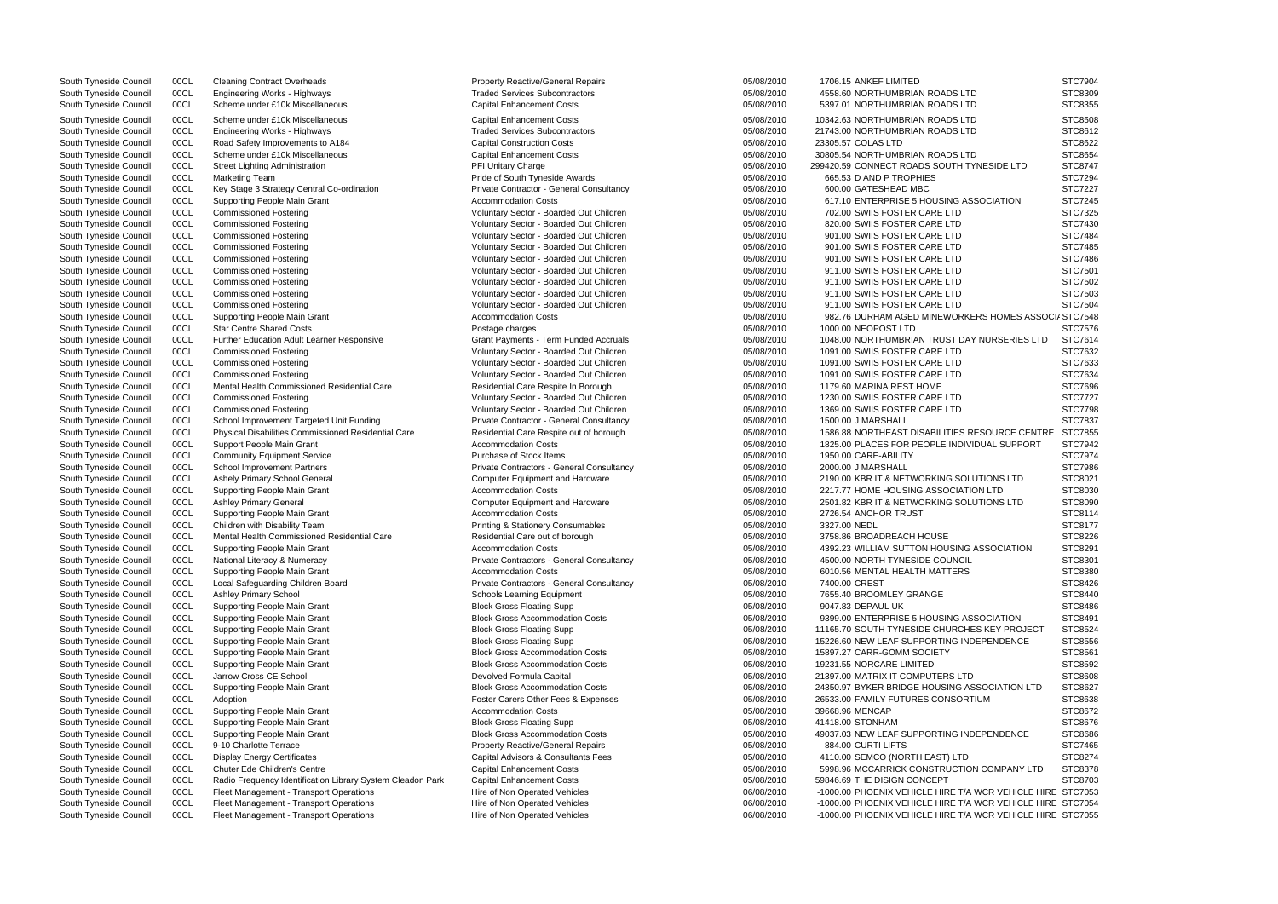South Tyneside Council 00CL Cleaning Contract Overheads **Property Reactive/General Repairs** 05/08/2010 1706.15 ANKEF LIMITED STC7904 South Tyneside Council 00CL Engineering Works - Highways Traded Services Subcontractors 05/08/2010 4558.60 NORTHUMBRIAN ROADS LTD STC8309 South Tyneside Council 00CL Scheme under £10k Miscellaneous Capital Enhancement Costs 05/08/2010 5397.01 NORTHUMBRIAN ROADS LTD STC8355 South Tyneside Council 00CL Scheme under £10k Miscellaneous Capital Enhancement Costs 05/08/2010 10342.63 NORTHUMBRIAN ROADS LTD STC8608 South Tyneside Council 00CL Engineering Works - Highways Traded Services Subcontractors 05/08/2010 21743.00 NORTHUMBRIAN ROADS LT South Tyneside Council 00CL Road Safety Improvements to A184 Capital Construction Costs 05/08/2010 23305.57 COLAS LTD South Tyneside Council 00CL Scheme under £10k Miscellaneous Capital Enhancement Costs 05/08/2010 30805.54 NORTHUMBRIAN ROADS LTD STC86764 NORTHUMBRIAN ROADS LTD STC86764 NORTHUMBRIAN ROADS LTD STC8674 NORTHUMBRIAN ROADS LT South Tyneside Council 00CL Street Lighting Administration **Connect Connect Connect Connect Connect Connect Connect ROADS SOUTH** South Tyneside Council 00CL Marketing Team 
Recording the Marketing Team 
Recording the Marketing Team and the Marketing Team and the Marketing Team and the Marketing Team and the Marketing Team and the Marketing Team and South Tyneside Council 00CL Key Stage 3 Strategy Central Co-ordination Private Contractor - General Consultancy 05/08/2010 600.00 GATESHEAD MBC South Tyneside Council 00CL Supporting People Main Grant Accommodation Costs 05/08/2010 617.10 ENTERPRISE 5 HOUSING A South Tyneside Council 00CL Commissioned Fostering COM COUNTARY Sector - Boarded Out Children 05/08/2010 702.00 SWIIS FOSTER CARE LTD South Tyneside Council 00CL Commissioned Fostering Commissioned Fostering Voluntary Sector - Boarded Out Children 05/08/2010 820.00 SWIIS FOSTER CARE LTD South Tyneside Council 00CL Commissioned Fostering Commissioned Fostering Voluntary Sector - Boarded Out Children 05/08/2010 901.00 SWIIS FOSTER CARE LTD South Tyneside Council 00CL Commissioned Fostering COM COUNTARY Sector - Boarded Out Children 05/08/2010 901.00 SWIIS FOSTER CARE LTD South Tyneside Council 00CL Commissioned Fostering COM COUNTARY Sector - Boarded Out Children 05/08/2010 901.00 SWIIS FOSTER CARE LTD South Tyneside Council 00CL Commissioned Fostering Commissioned Fostering Voluntary Sector - Boarded Out Children 05/08/2010 911.00 SWIIS FOSTER CARE LTD South Tyneside Council 00CL Commissioned Fostering COM COUNTARY Sector - Boarded Out Children 05/08/2010 911.00 SWIIS FOSTER CARE LTD South Tyneside Council 00CL Commissioned Fostering Commissioned Fostering Voluntary Sector - Boarded Out Children 05/08/2010 911.00 SWIIS FOSTER CARE LTD South Tyneside Council 00CL Commissioned Fostering Commissioned Fostering Commissioned Commissioned Fostering Commissioned Fostering Voluntary Sector - Boarded Out Children 05/08/2010 911.00 SWIIS FOSTER CARE LTD South Tyneside Council 00CL Supporting People Main Grant Accommodation Costs 6 and Accommodation Costs 6 and 5008/2010 982.76 DURHAM AGED MINEWORK South Tyneside Council COOL Star Centre Shared Costs 2000 1000.00 Postage charges 2000 1000.00 NEOPOST LTD STC7576 STC7576 South Tyneside Council 00CL Further Education Adult Learner Responsive Grant Payments - Term Funded Accruals 05/08/2010 1048.00 NORTHUMBRIAN TRUST DA South Tyneside Council 00CL Commissioned Fostering Commissioned Fostering Commissioned Fostering Voluntary Sector - Boarded Out Children 05/08/2010 1091.00 SWIIS FOSTER CARE LTD South Tyneside Council 00CL Commissioned Fos South Tyneside Council 00CL Commissioned Fostering Commissioned Fostering Commissioned Commissioned Fostering Commissioned Fostering Voluntary Sector - Boarded Out Children 05/08/2010 1091.00 SWIIS FOSTER CARE LTD South Tyneside Council 00CL Commissioned Fostering COM COUNTARY Sector - Boarded Out Children 05/08/2010 1091.00 SWIIS FOSTER CARE LTD South Tyneside Council 00CL Mental Health Commissioned Residential Care Residential Care Respite In Borough 05/08/2010 1179.60 MARINA REST HOME South Tyneside Council 00CL Commissioned Fostering values of the Voluntary Sector - Boarded Out Children 05/08/2010 1230.00 SWIIS FOSTER CARE LTD South Tyneside Council 00CL Commissioned Fostering Commissioned Fostering Voluntary Sector - Boarded Out Children 05/08/2010 1369.00 SWIIS FOSTER CARE LTD South Tyneside Council 00CL School Improvement Targeted Unit Funding Private Contractor - General Consultancy 05/08/2010 1500.00 J MARSHALL South Tyneside Council 00CL Physical Disabilities Commissioned Residential Care Residential Care Respite out of borough 05/08/2010 1586.88 NORTHEAST DISABILITIES South Tyneside Council 00CL Support People Main Grant 2000 1020 1825.00 PLACES FOR PEOPLE INDIVIDUAL SUPPORT SUPPORT STCR7942010 1825.00 PLACES FOR PEOPLE INDIVIDUAL SUPPORT STCR7942010 South Tyneside Council 00CL Community Equipment Service Purchase of Stock Items 05/08/2010 1950.00 CARE-ABILITY South Tyneside Council 00CL School Improvement Partners example and Private Contractors - General Consultancy 05/08/2010 2000.00 J MARSHALL South Tyneside Council 00CL Ashely Primary School General Computer Equipment and Hardware 05/08/2010 2190.00 KBR IT & NETWORKING SOLUTION South Tyneside Council 00CL Supporting People Main Grant Accommodation Costs 65000 05/08/2010 2217.77 HOME HOUSING ASSOCIATION LTD STC80300 2217.77 HOME HOUSING ASSOCIATION LTD STC8030300 2217.77 HOME HOUSING ASSOCIATION D South Tyneside Council 00CL Ashley Primary General Computer Computer Equipment and Hardware 05/08/2010 2501.82 KBR IT & NETWORKING SO South Tyneside Council 00CL Supporting People Main Grant Accommodation Costs 05/08/2010 2726.54 ANCHOR TRUST STC81 South Tyneside Council 00CL Children with Disability Team Printing & Stationery Consumables 05/08/2010 3327.00 NEDL STC8177 South Tyneside Council 00CL Mental Health Commissioned Residential Care **Residential Care Residential Care** Residential Care out of borough 05/08/2010 3758.86 BROADREACH HOUSE South Tyneside Council 00CL Supporting People Main Grant Accommodation Costs 6 05/08/2010 4392.23 WILLIAM SUTTON HOUSING South Tyneside Council 00CL National Literacy 8 Numeracy **Private Contractors - General Consultancy** 05/08/2010 4500.00 NORTH TYNESIDE COUNCI South Tyneside Council 00CL Supporting People Main Grant Accommodation Costs 05/08/2010 6010.56 MENTAL HEALTH MATTERS South Tyneside Council 00CL Local Safeguarding Children Board Private Contractors - General Consultancy 05/08/2010 7400.00 CREST South Tyneside Council 00CL Ashley Primary School School Schools Learning Equipment 05/08/2010 7655.40 BROOMLEY GRANGE South Tyneside Council 00CL Supporting People Main Grant Block Gross Floating Supp 05/08/2010 9047.83 DEPAUL UK STC8486 South Tyneside Council 00CL Supporting People Main Grant Costs Block Gross Accommodation Costs 6 05/08/2010 9399.00 ENTERPRISE 5 HOUSING A South Tyneside Council 00CL Supporting People Main Grant Channel Block Gross Floating Supp 05/08/2010 11165.70 SOUTH TYNESIDE CHURCH South Tyneside Council 00CL Supporting People Main Grant Council Block Gross Floating Supp 05/08/2010 15226.60 NEW LEAF SUPPORTING IN South Tyneside Council 00CL Supporting People Main Grant Cast Block Gross Accommodation Costs 05/08/2010 15897.27 CARR-GOMM SOCIETY South Tyneside Council 00CL Supporting People Main Grant Costs Block Gross Accommodation Costs 605/08/2010 19231.55 NORCARE LIMITED South Tyneside Council 00CL Jarrow Cross CE School 19231.55 NORCARE LIMITED Devolved Formu oocl Jarrow Cross CE School **Devolved Formula Capital Council 21397.00 MATRIX IT COMPUTERS LT** South Tyneside Council 00CL Supporting People Main Grant Costs Block Gross Accommodation Costs 05/08/2010 24350.97 BYKER BRIDGE HOUSING South Tyneside Council 00CL Adoption **Foster Carers Other Fees & Expenses** 65/08/2010 26533.00 FAMILY FUTURES CONSORTIUM STC8638.00 FAMILY FUTURES CONSORTIUM STC8638.00 FAMILY FUTURES CONSORTIUM STC8638.00 FAMILY FUTURES C South Tyneside Council 00CL Supporting People Main Grant Accommodation Costs 65/08/2010 39668.96 MENCAP STC8672010 STC8672010 STC8672010 STC8672010 STC8672010 STC8672010 STC8672010 STC8672010 STC8672010 STC8672010 STC86720 South Tyneside Council 00CL Supporting People Main Grant Block Gross Floating Supp 05/08/2010 41418.00 STONHAM South Tyneside Council 00CL Supporting People Main Grant Common Block Gross Accommodation Costs 05/08/2010 49037.03 NEW LEAF SUPPORTING IN South Tyneside Council 00CL 9-10 Charlotte Terrace **Property Reactive/General Repairs** 05/08/2010 884.00 CURTI LIFTS South Tyneside Council 00CL Display Energy Certificates Capital Advisors & Consultants Fees 05/08/2010 4110.00 SEMCO (NORTH EAST) LTD South Tyneside Council 00CL Chuter Ede Children's Centre Capital Enhancement Costs 05/08/2010 5998.96 MCCARRICK CONSTRUCTION COMPANY LTD STC837898.96 MCCARRICK CONSTRUCTION COMPANY LTD STC837898.96 MCCARRICK CONSTRUCTION C South Tyneside Council 00CL Radio Frequency Identification Library System Cleadon Park Capital Enhancement Costs 05/08/2010 59846.69 THE DISIGN CONCEPT South Tyneside Council 00CL Fleet Management - Transport Operations Hire of Non Operated Vehicles 06/08/2010 -1000.00 PHOENIX VEHICLE HIRE T/ South Tyneside Council 00CL Fleet Management - Transport Operations Hire of Non Operated Vehicles 06/08/2010 -1000.00 PHOENIX VEHICLE HIRE T/ South Tyneside Council 00CL Fleet Management - Transport Operations Hire of Non Operated Vehicles 06/08/2010 -1000.00 PHOENIX VEHICLE HIRE T/A WCR VEHICLE HIRE STC7055

| TD                                                       | STC8309                    |
|----------------------------------------------------------|----------------------------|
| TD                                                       | STC8355                    |
| TD                                                       | STC8508                    |
| TD                                                       | STC8612                    |
|                                                          | STC8622                    |
| TD                                                       | STC8654                    |
| <b>TYNESIDE LTD</b>                                      | <b>STC8747</b>             |
|                                                          | STC7294                    |
|                                                          | <b>STC7227</b>             |
| <b><i>ASSOCIATION</i></b>                                | <b>STC7245</b>             |
|                                                          | STC7325                    |
|                                                          | STC7430                    |
|                                                          | STC7484                    |
|                                                          | STC7485<br>STC7486         |
|                                                          | STC7501                    |
|                                                          | STC7502                    |
|                                                          | STC7503                    |
|                                                          | STC7504                    |
| KERS HOMES ASSOCI/ STC7548                               |                            |
|                                                          | <b>STC7576</b>             |
| AY NURSERIES LTD                                         | STC7614                    |
|                                                          | STC7632                    |
|                                                          | STC7633                    |
|                                                          | STC7634                    |
|                                                          | <b>STC7696</b>             |
|                                                          | <b>STC7727</b>             |
|                                                          | STC7798                    |
|                                                          | STC7837                    |
| <b>RESOURCE CENTRE</b>                                   | STC7855                    |
| <b>VIDUAL SUPPORT</b>                                    | STC7942                    |
|                                                          | STC7974                    |
|                                                          | <b>STC7986</b>             |
| <b>ILUTIONS LTD</b>                                      | STC8021                    |
| <b>TION LTD</b>                                          | STC8030                    |
| <b>ILUTIONS LTD</b>                                      | STC8090                    |
|                                                          | STC8114                    |
|                                                          | STC8177                    |
|                                                          | STC8226                    |
| <b>G ASSOCIATION</b>                                     | STC8291                    |
| IL                                                       | STC8301                    |
| S                                                        | STC8380                    |
|                                                          | STC8426                    |
|                                                          | STC8440                    |
|                                                          | STC8486                    |
| <b>\SSOCIATION</b>                                       | STC8491                    |
| HES KEY PROJECT                                          | STC8524                    |
| NDEPENDENCE                                              | STC8556                    |
|                                                          | STC8561                    |
|                                                          | STC8592                    |
| D.                                                       | STC8608                    |
| <b>ASSOCIATION LTD</b>                                   | STC8627                    |
| RTIUM                                                    | STC8638                    |
|                                                          | STC8672                    |
|                                                          | STC8676                    |
| NDEPENDENCE                                              | STC8686                    |
|                                                          | STC7465                    |
| ້                                                        | STC8274                    |
| ON COMPANY LTD                                           | STC8378                    |
|                                                          | STC8703                    |
| A WCR VEHICLE HIRE STC7053<br>A WCR VEHICLE HIRE STC7054 |                            |
|                                                          | A MCD VEHICLE HIDE STO7055 |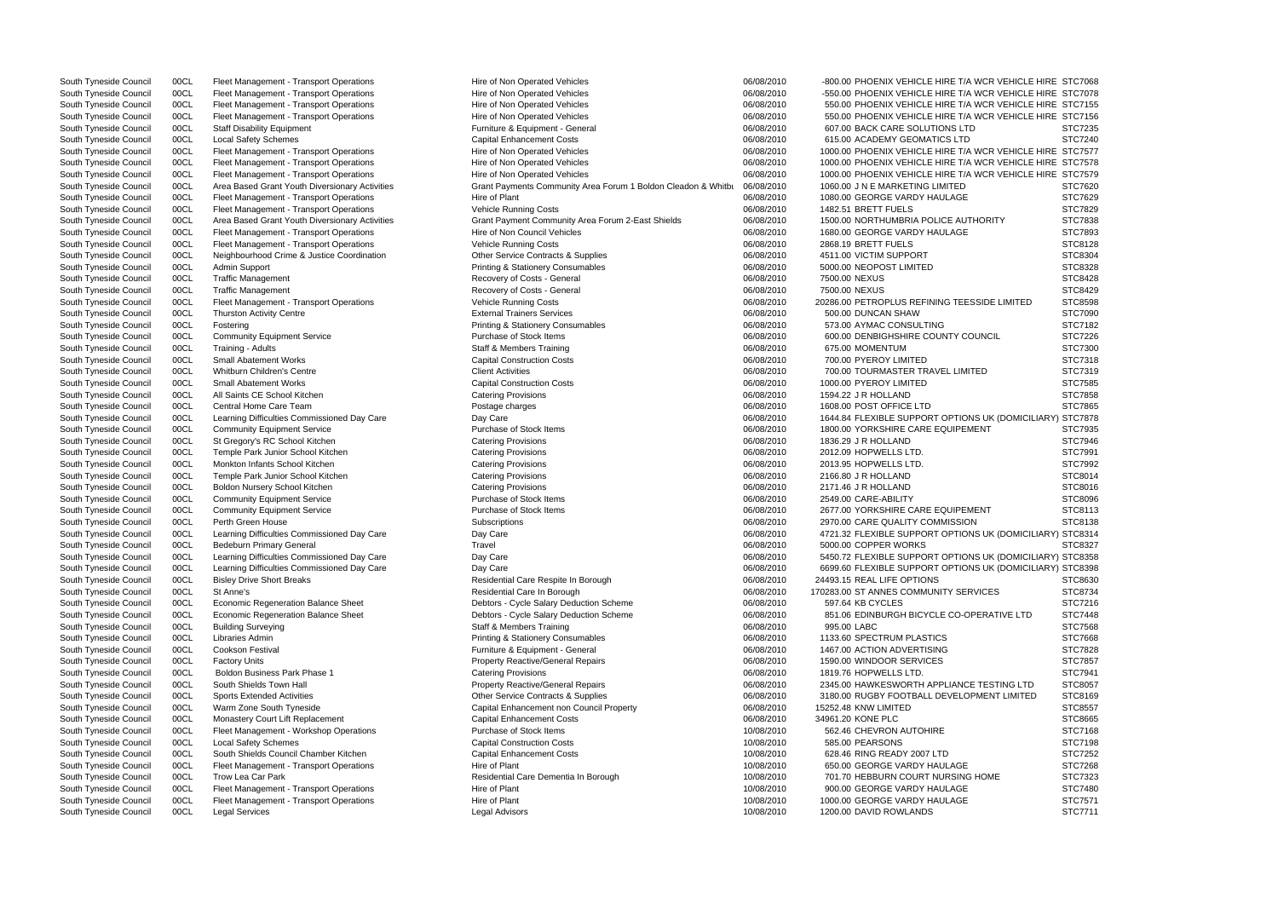South Tyneside Council 00CL Fleet Management - Transport Operations Hire of Non Operated Vehicles 06/08/2010 -550.00 PHOENIX VEHICLE HIRE T/ South Tyneside Council 00CL Fleet Management - Transport Operations Hire of Non Operated Vehicles 06/08/2010 550.00 PHOENIX VEHICLE HIRE T/ South Tyneside Council 00CL Fleet Management - Transport Operations Hire of Non Operated Vehicles 66/08/2010 550.00 PHOENIX VEHICLE HIRE T/A State SCLUTIONS LT COUNCE AND STATE STATE STATE STATE STATE STATE STATE STATE STA South Tyneside Council 00CL Staff Disability Equipment **Furniture & Equipment - General** 06/08/2010 607.00 BACK CARE SOLUTIONS LT South Tyneside Council 00CL Local Safety Schemes Capital Enhancement Costs 06/08/2010 615.00 ACADEMY GEOMATICS LTD STC7240 South Tyneside Council 00CL Fleet Management - Transport Operations Hire of Non Operated Vehicles 06/08/2010 1000.00 PHOENIX VEHICLE HIRE T/ South Tyneside Council 00CL Fleet Management - Transport Operations Hire of Non Operated Vehicles 06/08/2010 1000.00 PHOENIX VEHICLE HIRE T/ South Tyneside Council 00CL Fleet Management - Transport Operations Hire of Non Operated Vehicles 06/08/2010 1000.00 PHOENIX VEHICLE HIRE T/A South Tyneside Council 00CL Area Based Grant Youth Diversionary Activities Grant Payments Community Area Forum 1 Boldon Cleadon & Whitbu 06/08/2010 1060.00 J N E MARKETING LIMITED South Tyneside Council 00CL Fleet Management - Transport Operations Hire of Plant Chart Council and Device of Plant 06/08/2010 1080.00 GEORGE VARDY HAULAGE South Tyneside Council 00CL Fleet Management - Transport Operations Vehicle Running Costs 06/08/2010 1482.51 BRETT FUELS South Tyneside Council 00CL Area Based Grant Youth Diversionary Activities Grant Payment Community Area Forum 2-East Shields 06/08/2010 1500.00 NORTHUMBRIA POLICE AU South Tyneside Council 00CL Fleet Management - Transport Operations Hire of Non Council Vehicles 06/08/2010 1680.00 GEORGE VARDY HAULAGE South Tyneside Council 00CL Fleet Management - Transport Operations Vehicle Running Costs 66/08/2010 2868.19 BRETT FUELS South Tyneside Council 00CL Neighbourhood Crime & Justice Coordination Cher Service Contracts & Supplies 06/08/2010 4511.00 VICTIM SUPPORT South Tyneside Council 00CL Admin Support examples Printing & Stationery Consumables 06/08/2010 5000.00 NEOPOST LIMITED South Tyneside Council COOCL Traffic Management (Casts And Recovery of Costs - General 1990) 86/08/2010 7500.00 NEXUS STC8428 STC8428 South Tyneside Council COOCL Traffic Management Controlled Management Recovery of Costs - General Costs - Controlled Management STC8429 STC8429 STC8429 South Tyneside Council 00CL Fleet Management - Transport Operations Vehicle Running Costs 06/08/2010 20286.00 PETROPLUS REFINING TEE South Tyneside Council COOCL Thurston Activity Centre External Trainers Activity Centre External Trainers Services Comments of the COOS COO DUNCAN SHAW STC7090 South Tyneside Council 00CL Fostering examples Printing & Stationery Consumables 06/08/2010 573.00 AYMAC CONSULTING South Tyneside Council 00CL Community Equipment Service Purchase of Stock Items 06/08/2010 600.00 DENBIGHSHIRE COUNTY COUNCIL STC7226 South Tyneside Council COOCL Training - Adults STC7300 Staff & Members Training Companies of the Content of the STC7300 STC7300 STC7300 STC7300 South Tyneside Council 00CL Small Abatement Works Capital Construction Costs 06/08/2010 700.00 PYEROY LIMITED STC7318 South Tyneside Council 00CL Whitburn Children's Centre Client Activities Client Activities Centre Client Activities 06/08/2010 700.00 TOURMASTER TRAVEL LIMITED STC7319 South Tyneside Council 00CL Small Abatement Works Capital Construction Costs 06/08/2010 1000.00 PYEROY LIMITED STC7585 South Tyneside Council COOCL All Saints CE School Kitchen Catering Provisions Catering Provisions Content Content Content Content Content Content Content Content Content Content Content Content Content Content Content Cont South Tyneside Council 00CL Central Home Care Team Postage charges 06/08/2010 1608.00 POST OFFICE LTD STC7865 South Tyneside Council 00CL Learning Difficulties Commissioned Day Care Day Care Day Care Day Care 06/08/2010 1644.84 FLEXIBLE SUPPORT OPTION South Tyneside Council 00CL Community Equipment Service **Purchase of Stock Items** 06/08/2010 1800.00 YORKSHIRE CARE EQUIPE South Tyneside Council 00CL St Gregory's RC School Kitchen Catering Provisions Catering Provisions 06/08/2010 1836.29 J R HOLLAND South Tyneside Council 00CL Temple Park Junior School Kitchen Catering Provisions Catering Provisions 06/08/2010 2012.09 HOPWELLS LTD. South Tyneside Council 00CL Monkton Infants School Kitchen Catering Provisions Catering Provisions 06/08/2010 2013.95 HOPWELLS LTD. South Tyneside Council 00CL Temple Park Junior School Kitchen Catering Provisions Catering Provisions 06/08/2010 2166.80 J R HOLLAND South Tyneside Council 00CL Boldon Nursery School Kitchen Catering Provisions Catering Provisions 06/08/2010 2171.46 J R HOLLAND South Tyneside Council 00CL Community Equipment Service Purchase of Stock Items 06/08/2010 2549.00 CARE-ABILITY South Tyneside Council 00CL Community Equipment Service Purchase of Stock Items 06/08/2010 2677.00 YORKSHIRE CARE EQUIPE South Tyneside Council 00CL Perth Green House Subscriptions Subscriptions Communications of the COUNCITY COMMISSION State COUNCITY COMMISSION STEED AND TYPE OF STEED STEED STEED STEED STEED STEED SUBSCRIPTION STEED STEED S South Tyneside Council 00CL Learning Difficulties Commissioned Day Care Day Care Day Care Day Care 06/08/2010 4721.32 FLEXIBLE SUPPORT OPTIO South Tyneside Council 00CL Bedeburn Primary General **Travel Travel Travel Contract Contract Contract Contract Contract Contract Contract Contract Contract Control STC8327** South Tyneside Council 00CL Learning Difficulties Commissioned Day Care Day Care Day Care Day Care 06/08/2010 5450.72 FLEXIBLE SUPPORT OPTIO South Tyneside Council 00CL Learning Difficulties Commissioned Day Care Day Care Day Care 06/08/2010 6699.60 FLEXIBLE SUPPORT OPTIO South Tyneside Council 00CL Bisley Drive Short Breaks **Residential Care Respite In Borough** 06/08/2010 24493.15 REAL LIFE OPTIONS South Tyneside Council 00CL St Anne's example and the Steed of Residential Care In Borough 06/08/2010 170283.00 ST ANNES COMMUNITY SE South Tyneside Council 00CL Economic Regeneration Balance Sheet Debtors - Cycle Salary Deduction Scheme 06/08/2010 597.64 KB CYCLES South Tyneside Council 00CL Economic Regeneration Balance Sheet Debtors - Cycle Salary Deduction Scheme 06/08/2010 851.06 EDINBURGH BICYCLE CO-O South Tyneside Council 00CL Building Surveying Staff & Members Training 06/08/2010 995.00 LABC STC7568 South Tyneside Council 00CL Libraries Admin 2000 2010 Printing & Stationery Consumables 06/08/2010 1133.60 SPECTRUM PLASTICS South Tyneside Council 00CL Cookson Festival **Furniture & Equipment - General** 06/08/2010 1467.00 ACTION ADVERTISING South Tyneside Council 00CL Factory Units **Property Reactive/General Repairs** 06/08/2010 1590.00 WINDOOR SERVICES South Tyneside Council 00CL Boldon Business Park Phase 1 Catering Provisions 06/08/2010 1819.76 HOPWELLS LTD. STC7941 South Tyneside Council 00CL South Shields Town Hall **Property Reactive/General Repairs** 06/08/2010 2345.00 HAWKESWORTH APPLIANC South Tyneside Council 00CL Sports Extended Activities Chronic Contracts & Supplies Contracts & Supplies 06/08/2010 3180.00 RUGBY FOOTBALL DEVELC South Tyneside Council 00CL Warm Zone South Tyneside Capital Enhancement non Council Property Capital Enhancement non Council Property 06/08/2010 15252.48 KNW LIMITED South Tyneside Council 00CL Monastery Court Lift Replacement Cost Capital Enhancement Costs 66/08/2010 34961.20 KONE PLC 34961.20 KONE PLC Stuth Tyneside Council 00CL Fleet Management - Workshop Operations Purchase of Stoc South Tyneside Council 00CL Fleet Management - Workshop Operations Purchase of Stock Items 10/08/2010 562.46 CHEVRON AUTOHIRE STERN AUTOHIRE STERN AUTOHIRE STERN AUTOHIRE STERN AUTOHIRE STERN AUTOHIRE STERN AUTOHIRE STERN South Tyneside Council 00CL Local Safety Schemes Capital Construction Costs 10/08/2010 585.00 PEARSONS STC7198 South Tyneside Council 00CL South Shields Council Chamber Kitchen Capital Enhancement Costs 10/08/2010 628.46 RING READY 2007 LTD South Tyneside Council 00CL Fleet Management - Transport Operations Hire of Plant Hire of Plant 10/08/2010 650.00 GEORGE VARDY HAULAGE South Tyneside Council 00CL Trow Lea Car Park **Residential Care Dementia In Borough** 10/08/2010 701.70 HEBBURN COURT NURSING South Tyneside Council 00CL Fleet Management - Transport Operations Hire of Plant Hire of Plant 10/08/2010 900.00 GEORGE VARDY HAULAGE South Tyneside Council 00CL Fleet Management - Transport Operations Hire of Plant 10/08/2010 10/08/2010 1000.00 GEORGE VARDY HAULAGE South Tyneside Council 00CL Legal Services Legal Advisors 10/08/2010 1200.00 DAVID ROWLANDS STC7711

South Tyneside Council 00CL Fleet Management - Transport Operations Hire of Non Operated Vehicles 06/08/2010 -800.00 PHOENIX VEHICLE HIRE T/

| A WCR VEHICLE HIRE STC7068   |                    |
|------------------------------|--------------------|
| A WCR VEHICLE HIRE STC7078   |                    |
| A WCR VEHICLE HIRE STC7155   |                    |
| A WCR VEHICLE HIRE STC7156   |                    |
| ГD                           | STC7235            |
| C                            | STC7240            |
| A WCR VEHICLE HIRE STC7577   |                    |
| A WCR VEHICLE HIRE STC7578   |                    |
| A WCR VEHICLE HIRE STC7579   |                    |
| $\vdots$                     | STC7620<br>STC7629 |
|                              | <b>STC7829</b>     |
| <b>THORITY</b>               | STC7838            |
|                              | STC7893            |
|                              | STC8128            |
|                              | STC8304            |
|                              | STC8328            |
|                              | STC8428            |
|                              | STC8429            |
| <b>ESSIDE LIMITED</b>        | STC8598            |
|                              | STC7090            |
|                              | STC7182            |
| :OUNCIL                      | STC7226            |
|                              | STC7300            |
|                              | STC7318            |
| <b>IITED</b>                 | STC7319            |
|                              | STC7585            |
|                              | <b>STC7858</b>     |
|                              | STC7865            |
| INS UK (DOMICILIARY) STC7878 |                    |
| <b>MENT</b>                  | STC7935            |
|                              | STC7946            |
|                              | STC7991            |
|                              | STC7992<br>STC8014 |
|                              | STC8016            |
|                              | STC8096            |
| MENT                         | STC8113            |
| ЭN                           | STC8138            |
| INS UK (DOMICILIARY) STC8314 |                    |
|                              | STC8327            |
| INS UK (DOMICILIARY) STC8358 |                    |
| INS UK (DOMICILIARY) STC8398 |                    |
|                              | STC8630            |
| <b>RVICES</b>                | STC8734            |
|                              | STC7216            |
| OPERATIVE LTD                | STC7448            |
|                              | STC7568            |
|                              | STC7668            |
|                              | STC7828<br>STC7857 |
|                              | STC7941            |
| CE TESTING LTD               | STC8057            |
| <b>PMENT LIMITED</b>         | STC8169            |
|                              | STC8557            |
|                              | STC8665            |
|                              | STC7168            |
|                              | STC7198            |
|                              | STC7252            |
|                              | STC7268            |
| G HOME                       | STC7323            |
|                              | STC7480            |
| $\vdots$                     | STC7571            |
|                              | <b>CTC7711</b>     |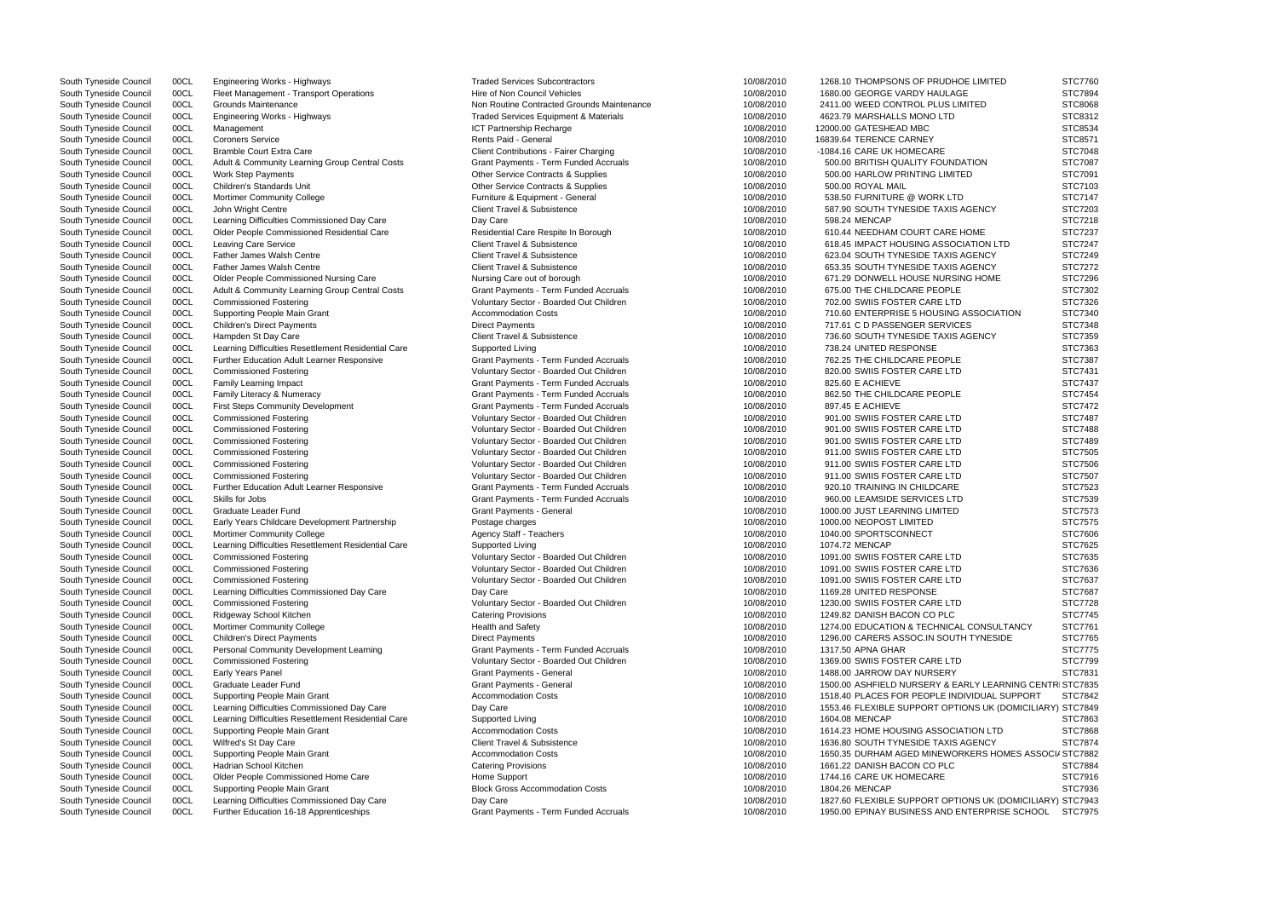| South Tyneside Council | 00CL | <b>Engineering Works - Highways</b>                 | <b>Traded Services Subcontractors</b>            | 10/08/2010 | 1268.10 THOMPSONS OF PRUDHOE LIMITED                      | STC7760        |
|------------------------|------|-----------------------------------------------------|--------------------------------------------------|------------|-----------------------------------------------------------|----------------|
| South Tyneside Council | 00CL | Fleet Management - Transport Operations             | Hire of Non Council Vehicles                     | 10/08/2010 | 1680.00 GEORGE VARDY HAULAGE                              | STC7894        |
| South Tyneside Council | 00CL | Grounds Maintenance                                 | Non Routine Contracted Grounds Maintenance       | 10/08/2010 | 2411.00 WEED CONTROL PLUS LIMITED                         | STC8068        |
| South Tyneside Council | 00CL | <b>Engineering Works - Highways</b>                 | <b>Traded Services Equipment &amp; Materials</b> | 10/08/2010 | 4623.79 MARSHALLS MONO LTD                                | STC8312        |
| South Tyneside Council | 00CL | Management                                          | <b>ICT Partnership Recharge</b>                  | 10/08/2010 | 12000.00 GATESHEAD MBC                                    | STC8534        |
| South Tyneside Council | 00CL | <b>Coroners Service</b>                             | Rents Paid - General                             | 10/08/2010 | 16839.64 TERENCE CARNEY                                   | STC8571        |
| South Tyneside Council | 00CL | <b>Bramble Court Extra Care</b>                     | Client Contributions - Fairer Charging           | 10/08/2010 | -1084.16 CARE UK HOMECARE                                 | STC7048        |
| South Tyneside Council | 00CL | Adult & Community Learning Group Central Costs      | Grant Payments - Term Funded Accruals            | 10/08/2010 | 500.00 BRITISH QUALITY FOUNDATION                         | <b>STC7087</b> |
| South Tyneside Council | 00CL | <b>Work Step Payments</b>                           | Other Service Contracts & Supplies               | 10/08/2010 | 500.00 HARLOW PRINTING LIMITED                            | STC7091        |
| South Tyneside Council | 00CL | Children's Standards Unit                           | Other Service Contracts & Supplies               | 10/08/2010 | 500.00 ROYAL MAIL                                         | STC7103        |
| South Tyneside Council | 00CL | <b>Mortimer Community College</b>                   | Furniture & Equipment - General                  | 10/08/2010 | 538.50 FURNITURE @ WORK LTD                               | STC7147        |
| South Tyneside Council | 00CL | John Wright Centre                                  | <b>Client Travel &amp; Subsistence</b>           | 10/08/2010 | 587.90 SOUTH TYNESIDE TAXIS AGENCY                        | STC7203        |
| South Tyneside Council | 00CL | Learning Difficulties Commissioned Day Care         | Day Care                                         | 10/08/2010 | 598.24 MENCAP                                             | STC7218        |
| South Tyneside Council | 00CL | Older People Commissioned Residential Care          | Residential Care Respite In Borough              | 10/08/2010 | 610.44 NEEDHAM COURT CARE HOME                            | STC7237        |
| South Tyneside Council | 00CL | Leaving Care Service                                | <b>Client Travel &amp; Subsistence</b>           | 10/08/2010 | 618.45 IMPACT HOUSING ASSOCIATION LTD                     | <b>STC7247</b> |
| South Tyneside Council | 00CL | <b>Father James Walsh Centre</b>                    | <b>Client Travel &amp; Subsistence</b>           | 10/08/2010 | 623.04 SOUTH TYNESIDE TAXIS AGENCY                        | <b>STC7249</b> |
| South Tyneside Council | 00CL | <b>Father James Walsh Centre</b>                    | <b>Client Travel &amp; Subsistence</b>           | 10/08/2010 | 653.35 SOUTH TYNESIDE TAXIS AGENCY                        | <b>STC7272</b> |
| South Tyneside Council | 00CL | <b>Older People Commissioned Nursing Care</b>       | Nursing Care out of borough                      | 10/08/2010 | 671.29 DONWELL HOUSE NURSING HOME                         | STC7296        |
| South Tyneside Council | 00CL |                                                     | Grant Payments - Term Funded Accruals            | 10/08/2010 | 675.00 THE CHILDCARE PEOPLE                               | STC7302        |
|                        |      | Adult & Community Learning Group Central Costs      |                                                  |            | 702.00 SWIIS FOSTER CARE LTD                              |                |
| South Tyneside Council | 00CL | <b>Commissioned Fostering</b>                       | Voluntary Sector - Boarded Out Children          | 10/08/2010 |                                                           | STC7326        |
| South Tyneside Council | 00CL | Supporting People Main Grant                        | <b>Accommodation Costs</b>                       | 10/08/2010 | 710.60 ENTERPRISE 5 HOUSING ASSOCIATION                   | STC7340        |
| South Tyneside Council | 00CL | <b>Children's Direct Payments</b>                   | <b>Direct Payments</b>                           | 10/08/2010 | 717.61 C D PASSENGER SERVICES                             | STC7348        |
| South Tyneside Council | 00CL | Hampden St Day Care                                 | <b>Client Travel &amp; Subsistence</b>           | 10/08/2010 | 736.60 SOUTH TYNESIDE TAXIS AGENCY                        | STC7359        |
| South Tyneside Council | 00CL | Learning Difficulties Resettlement Residential Care | Supported Living                                 | 10/08/2010 | 738.24 UNITED RESPONSE                                    | STC7363        |
| South Tyneside Council | 00CL | <b>Further Education Adult Learner Responsive</b>   | Grant Payments - Term Funded Accruals            | 10/08/2010 | 762.25 THE CHILDCARE PEOPLE                               | STC7387        |
| South Tyneside Council | 00CL | <b>Commissioned Fostering</b>                       | Voluntary Sector - Boarded Out Children          | 10/08/2010 | 820.00 SWIIS FOSTER CARE LTD                              | STC7431        |
| South Tyneside Council | 00CL | Family Learning Impact                              | <b>Grant Payments - Term Funded Accruals</b>     | 10/08/2010 | 825.60 E ACHIEVE                                          | STC7437        |
| South Tyneside Council | 00CL | Family Literacy & Numeracy                          | Grant Payments - Term Funded Accruals            | 10/08/2010 | 862.50 THE CHILDCARE PEOPLE                               | STC7454        |
| South Tyneside Council | 00CL | <b>First Steps Community Development</b>            | Grant Payments - Term Funded Accruals            | 10/08/2010 | 897.45 E ACHIEVE                                          | STC7472        |
| South Tyneside Council | 00CL | <b>Commissioned Fostering</b>                       | Voluntary Sector - Boarded Out Children          | 10/08/2010 | 901.00 SWIIS FOSTER CARE LTD                              | <b>STC7487</b> |
| South Tyneside Council | 00CL | <b>Commissioned Fostering</b>                       | Voluntary Sector - Boarded Out Children          | 10/08/2010 | 901.00 SWIIS FOSTER CARE LTD                              | STC7488        |
| South Tyneside Council | 00CL | <b>Commissioned Fostering</b>                       | Voluntary Sector - Boarded Out Children          | 10/08/2010 | 901.00 SWIIS FOSTER CARE LTD                              | STC7489        |
| South Tyneside Council | 00CL | <b>Commissioned Fostering</b>                       | Voluntary Sector - Boarded Out Children          | 10/08/2010 | 911.00 SWIIS FOSTER CARE LTD                              | STC7505        |
| South Tyneside Council | 00CL | <b>Commissioned Fostering</b>                       | Voluntary Sector - Boarded Out Children          | 10/08/2010 | 911.00 SWIIS FOSTER CARE LTD                              | STC7506        |
| South Tyneside Council | 00CL | <b>Commissioned Fostering</b>                       | Voluntary Sector - Boarded Out Children          | 10/08/2010 | 911.00 SWIIS FOSTER CARE LTD                              | STC7507        |
| South Tyneside Council | 00CL | Further Education Adult Learner Responsive          | Grant Payments - Term Funded Accruals            | 10/08/2010 | 920.10 TRAINING IN CHILDCARE                              | STC7523        |
| South Tyneside Council | 00CL | Skills for Jobs                                     | Grant Payments - Term Funded Accruals            | 10/08/2010 | 960.00 LEAMSIDE SERVICES LTD                              | STC7539        |
| South Tyneside Council | 00CL | Graduate Leader Fund                                | <b>Grant Payments - General</b>                  | 10/08/2010 | 1000.00 JUST LEARNING LIMITED                             | STC7573        |
| South Tyneside Council | 00CL | Early Years Childcare Development Partnership       | Postage charges                                  | 10/08/2010 | 1000.00 NEOPOST LIMITED                                   | STC7575        |
| South Tyneside Council | 00CL | <b>Mortimer Community College</b>                   | Agency Staff - Teachers                          | 10/08/2010 | 1040.00 SPORTSCONNECT                                     | STC7606        |
| South Tyneside Council | 00CL | Learning Difficulties Resettlement Residential Care | Supported Living                                 | 10/08/2010 | 1074.72 MENCAP                                            | STC7625        |
| South Tyneside Council | 00CL | <b>Commissioned Fostering</b>                       | Voluntary Sector - Boarded Out Children          | 10/08/2010 | 1091.00 SWIIS FOSTER CARE LTD                             | STC7635        |
| South Tyneside Council | 00CL | <b>Commissioned Fostering</b>                       | Voluntary Sector - Boarded Out Children          | 10/08/2010 | 1091.00 SWIIS FOSTER CARE LTD                             | STC7636        |
| South Tyneside Council | 00CL | <b>Commissioned Fostering</b>                       | Voluntary Sector - Boarded Out Children          | 10/08/2010 | 1091.00 SWIIS FOSTER CARE LTD                             | STC7637        |
| South Tyneside Council | 00CL | Learning Difficulties Commissioned Day Care         | Day Care                                         | 10/08/2010 | 1169.28 UNITED RESPONSE                                   | STC7687        |
| South Tyneside Council | 00CL | <b>Commissioned Fostering</b>                       | Voluntary Sector - Boarded Out Children          | 10/08/2010 | 1230.00 SWIIS FOSTER CARE LTD                             | STC7728        |
| South Tyneside Council | 00CL | Ridgeway School Kitchen                             | <b>Catering Provisions</b>                       | 10/08/2010 | 1249.82 DANISH BACON CO PLC                               | STC7745        |
| South Tyneside Council | 00CL | Mortimer Community College                          | <b>Health and Safety</b>                         | 10/08/2010 | 1274.00 EDUCATION & TECHNICAL CONSULTANCY                 | STC7761        |
| South Tyneside Council | 00CL | <b>Children's Direct Payments</b>                   | <b>Direct Payments</b>                           | 10/08/2010 | 1296.00 CARERS ASSOC.IN SOUTH TYNESIDE                    | STC7765        |
| South Tyneside Council |      | Personal Community Development Learning             |                                                  | 10/08/2010 | 1317.50 APNA GHAR                                         |                |
|                        | 00CL |                                                     | Grant Payments - Term Funded Accruals            |            |                                                           | <b>STC7775</b> |
| South Tyneside Council | 00CL | <b>Commissioned Fostering</b>                       | Voluntary Sector - Boarded Out Children          | 10/08/2010 | 1369.00 SWIIS FOSTER CARE LTD                             | STC7799        |
| South Tyneside Council | 00CL | Early Years Panel                                   | <b>Grant Payments - General</b>                  | 10/08/2010 | 1488.00 JARROW DAY NURSERY                                | STC7831        |
| South Tyneside Council | 00CL | Graduate Leader Fund                                | Grant Payments - General                         | 10/08/2010 | 1500.00 ASHFIELD NURSERY & EARLY LEARNING CENTRISTC7835   |                |
| South Tyneside Council | 00CL | Supporting People Main Grant                        | <b>Accommodation Costs</b>                       | 10/08/2010 | 1518.40 PLACES FOR PEOPLE INDIVIDUAL SUPPORT              | STC7842        |
| South Tyneside Council | 00CL | Learning Difficulties Commissioned Day Care         | Day Care                                         | 10/08/2010 | 1553.46 FLEXIBLE SUPPORT OPTIONS UK (DOMICILIARY) STC7849 |                |
| South Tyneside Council | 00CL | Learning Difficulties Resettlement Residential Care | Supported Living                                 | 10/08/2010 | 1604.08 MENCAP                                            | STC7863        |
| South Tyneside Council | 00CL | Supporting People Main Grant                        | <b>Accommodation Costs</b>                       | 10/08/2010 | 1614.23 HOME HOUSING ASSOCIATION LTD                      | STC7868        |
| South Tyneside Council | 00CL | Wilfred's St Day Care                               | Client Travel & Subsistence                      | 10/08/2010 | 1636.80 SOUTH TYNESIDE TAXIS AGENCY                       | STC7874        |
| South Tyneside Council | 00CL | Supporting People Main Grant                        | <b>Accommodation Costs</b>                       | 10/08/2010 | 1650.35 DURHAM AGED MINEWORKERS HOMES ASSOCI/ STC7882     |                |
| South Tyneside Council | 00CL | Hadrian School Kitchen                              | <b>Catering Provisions</b>                       | 10/08/2010 | 1661.22 DANISH BACON CO PLC                               | STC7884        |
| South Tyneside Council | 00CL | Older People Commissioned Home Care                 | Home Support                                     | 10/08/2010 | 1744.16 CARE UK HOMECARE                                  | STC7916        |
| South Tyneside Council | 00CL | Supporting People Main Grant                        | <b>Block Gross Accommodation Costs</b>           | 10/08/2010 | 1804.26 MENCAP                                            | STC7936        |
| South Tyneside Council | 00CL | Learning Difficulties Commissioned Day Care         | Day Care                                         | 10/08/2010 | 1827.60 FLEXIBLE SUPPORT OPTIONS UK (DOMICILIARY) STC7943 |                |
| South Tyneside Council | 00CL | Further Education 16-18 Apprenticeships             | Grant Payments - Term Funded Accruals            | 10/08/2010 | 1950.00 EPINAY BUSINESS AND ENTERPRISE SCHOOL             | STC7975        |

| E LIMITED                           | 51 U 77 160    |
|-------------------------------------|----------------|
|                                     | STC7894        |
| <b>IITED</b>                        | STC8068        |
|                                     | STC8312        |
|                                     | STC8534        |
|                                     |                |
|                                     | STC8571        |
|                                     | <b>STC7048</b> |
| <b>TION</b>                         | <b>STC7087</b> |
| D                                   | STC7091        |
|                                     | STC7103        |
|                                     |                |
|                                     | STC7147        |
| <b>GENCY</b>                        | STC7203        |
|                                     | STC7218        |
| OME                                 | <b>STC7237</b> |
| ATION LTD                           | STC7247        |
|                                     |                |
| <b>GENCY</b>                        | STC7249        |
| <b>GENCY</b>                        | <b>STC7272</b> |
| <b>G HOME</b>                       | <b>STC7296</b> |
|                                     | STC7302        |
|                                     |                |
|                                     | STC7326        |
| <b>SSOCIATION</b>                   | STC7340        |
| S                                   | STC7348        |
| <b>GENCY</b>                        | STC7359        |
|                                     | STC7363        |
|                                     |                |
|                                     | STC7387        |
|                                     | STC7431        |
|                                     | STC7437        |
|                                     | STC7454        |
|                                     | <b>STC7472</b> |
|                                     |                |
|                                     | <b>STC7487</b> |
|                                     | STC7488        |
|                                     | STC7489        |
|                                     | STC7505        |
|                                     |                |
|                                     | <b>STC7506</b> |
|                                     | STC7507        |
|                                     | STC7523        |
|                                     | STC7539        |
|                                     | STC7573        |
|                                     |                |
|                                     | <b>STC7575</b> |
|                                     | STC7606        |
|                                     | STC7625        |
|                                     | STC7635        |
|                                     |                |
|                                     | STC7636        |
|                                     | STC7637        |
|                                     | STC7687        |
|                                     | STC7728        |
|                                     | <b>STC7745</b> |
|                                     |                |
| CONSULTANCY                         | STC7761        |
| <b>TYNESIDE</b>                     | <b>STC7765</b> |
|                                     | STC7775        |
|                                     | STC7799        |
|                                     |                |
|                                     | STC7831        |
| <b>RLY LEARNING CENTRI STC7835</b>  |                |
| <b>VIDUAL SUPPORT</b>               | STC7842        |
| <b>INS UK (DOMICILIARY) STC7849</b> |                |
|                                     |                |
|                                     | STC7863        |
| <b>FION LTD</b>                     | <b>STC7868</b> |
| <b>GENCY</b>                        | STC7874        |
| KERS HOMES ASSOCI/ STC7882          |                |
|                                     | STC7884        |
|                                     |                |
|                                     | STC7916        |
|                                     | STC7936        |
| <b>INS UK (DOMICILIARY) STC7943</b> |                |
| ITERPRISE SCHOOL STC7975            |                |
|                                     |                |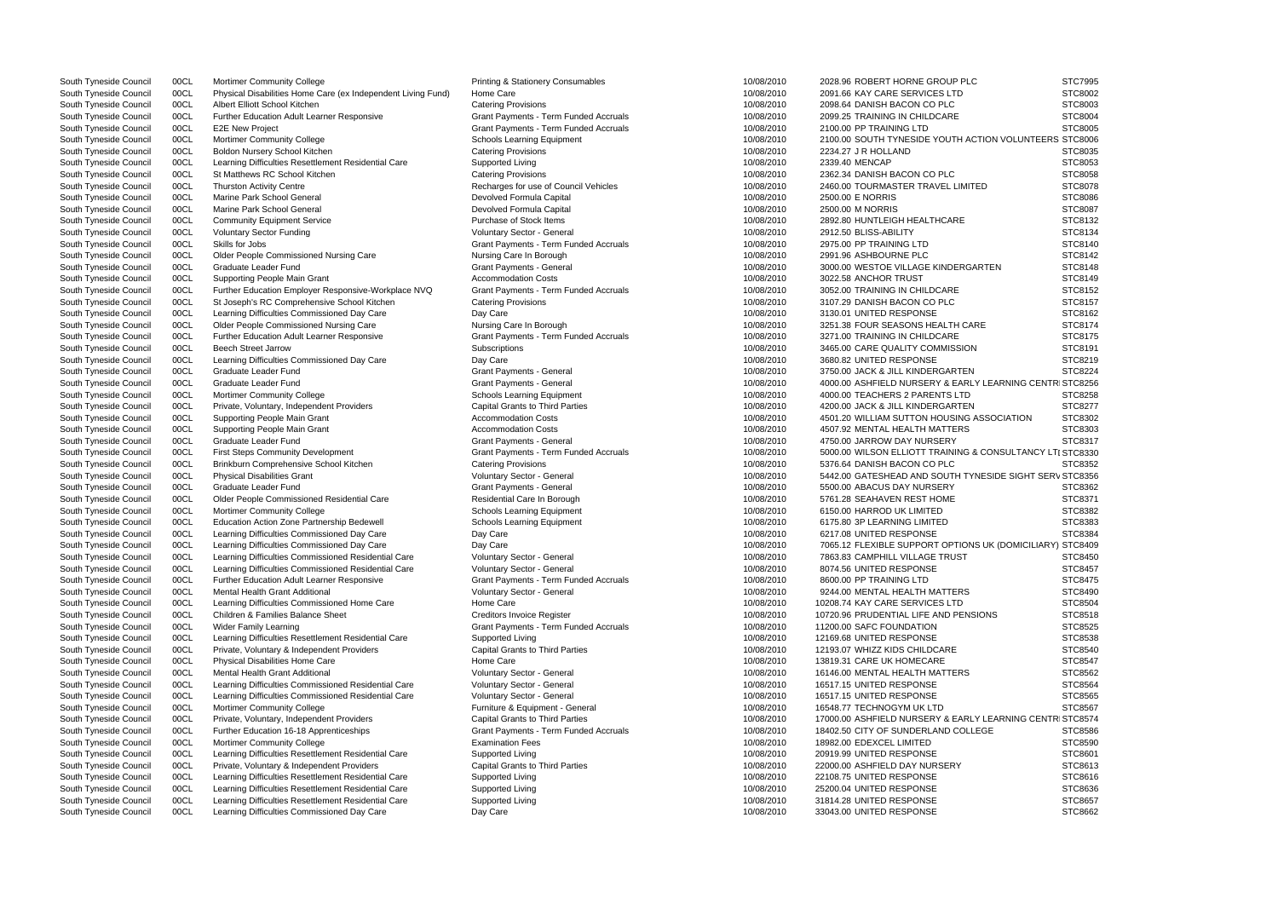| LC                                     | <b>STC7995</b>     |
|----------------------------------------|--------------------|
|                                        |                    |
|                                        | STC8002            |
|                                        |                    |
|                                        | STC8003            |
|                                        | STC8004            |
|                                        |                    |
|                                        | STC8005            |
| <b>ACTION VOLUNTEERS STC8006</b>       |                    |
|                                        |                    |
|                                        | STC8035            |
|                                        |                    |
|                                        | STC8053            |
|                                        | STC8058            |
|                                        |                    |
| <b>IITED</b>                           | STC8078            |
|                                        | STC8086            |
|                                        |                    |
|                                        | STC8087            |
|                                        | STC8132            |
|                                        |                    |
|                                        | STC8134            |
|                                        | STC8140            |
|                                        |                    |
|                                        | STC8142            |
|                                        |                    |
| GARTEN                                 | STC8148            |
|                                        | STC8149            |
|                                        |                    |
|                                        | STC8152            |
|                                        | STC8157            |
|                                        |                    |
|                                        | STC8162            |
| <b>ARE</b>                             | STC8174            |
|                                        |                    |
|                                        | STC8175            |
|                                        |                    |
| ЭN                                     | STC8191            |
|                                        | STC8219            |
|                                        |                    |
| ïΝ                                     | STC8224            |
| RLY LEARNING CENTRI STC8256            |                    |
|                                        |                    |
| C                                      | STC8258            |
|                                        | STC8277            |
| ïΝ                                     |                    |
| <b>GASSOCIATION</b>                    | STC8302            |
|                                        |                    |
| 3                                      | STC8303            |
|                                        | STC8317            |
|                                        |                    |
| <b>6 &amp; CONSULTANCY LTI STC8330</b> |                    |
|                                        | STC8352            |
|                                        |                    |
| YNESIDE SIGHT SERV STC8356             |                    |
|                                        | STC8362            |
|                                        |                    |
|                                        | STC8371            |
|                                        |                    |
|                                        | STC8382            |
|                                        | STC8383            |
|                                        |                    |
|                                        | STC8384            |
| INS UK (DOMICILIARY) STC8409           |                    |
|                                        |                    |
|                                        | STC8450            |
|                                        | STC8457            |
|                                        |                    |
|                                        | <b>STC8475</b>     |
| 3                                      | STC8490            |
|                                        |                    |
|                                        | STC8504            |
| NSIONS                                 | STC8518            |
|                                        |                    |
|                                        | STC8525            |
|                                        | STC8538            |
|                                        |                    |
|                                        |                    |
|                                        |                    |
|                                        | STC8540            |
|                                        | STC8547            |
|                                        |                    |
| ;                                      | STC8562            |
|                                        | STC8564            |
|                                        |                    |
|                                        | STC8565            |
|                                        | STC8567            |
|                                        |                    |
| RLY LEARNING CENTRI STC8574            |                    |
|                                        |                    |
|                                        | STC8586            |
|                                        | STC8590            |
|                                        |                    |
| LLEGE                                  | STC8601            |
|                                        | STC8613            |
|                                        |                    |
|                                        | STC8616            |
|                                        | STC8636            |
|                                        |                    |
|                                        | STC8657<br>STC8662 |

| South Tyneside Council                 |                                                                                                                                                                                                                                                                                                                                                                                                                                                                                                                                                                                                                                                                                                                                                                                                                                                                                                                                                                                                                                                                                                                                                                                                                                                                                                                                                                                        |                                                                                                                                                                                                                                                                                                                                                                                                                                                                                                                                                                                                                                                                                                                                                                                                                                                                                                                                                                                                                                                                                                                                                                                                                                                                                                                                                                                                                                                                                                                                                                                           |                                                                                                                                                                                                                                                                                                                                                                                                                                                                                                                                                                                                                                                                                                                                                                                                                                                                                                                                                                                                                                                                                                                                                                                                                                                                          |                                                                                                                                                                                                                                                                                                                                                                                                                                                                                                        | STC7995                                                                                                                                                                                                                                                                                                                                                                                                                                                                                                                                                                                                                                                                                                                                                                                                                                                                                                                                                                                                                                                                                                                                                                                                                                                                                                                                                                                                           |
|----------------------------------------|----------------------------------------------------------------------------------------------------------------------------------------------------------------------------------------------------------------------------------------------------------------------------------------------------------------------------------------------------------------------------------------------------------------------------------------------------------------------------------------------------------------------------------------------------------------------------------------------------------------------------------------------------------------------------------------------------------------------------------------------------------------------------------------------------------------------------------------------------------------------------------------------------------------------------------------------------------------------------------------------------------------------------------------------------------------------------------------------------------------------------------------------------------------------------------------------------------------------------------------------------------------------------------------------------------------------------------------------------------------------------------------|-------------------------------------------------------------------------------------------------------------------------------------------------------------------------------------------------------------------------------------------------------------------------------------------------------------------------------------------------------------------------------------------------------------------------------------------------------------------------------------------------------------------------------------------------------------------------------------------------------------------------------------------------------------------------------------------------------------------------------------------------------------------------------------------------------------------------------------------------------------------------------------------------------------------------------------------------------------------------------------------------------------------------------------------------------------------------------------------------------------------------------------------------------------------------------------------------------------------------------------------------------------------------------------------------------------------------------------------------------------------------------------------------------------------------------------------------------------------------------------------------------------------------------------------------------------------------------------------|--------------------------------------------------------------------------------------------------------------------------------------------------------------------------------------------------------------------------------------------------------------------------------------------------------------------------------------------------------------------------------------------------------------------------------------------------------------------------------------------------------------------------------------------------------------------------------------------------------------------------------------------------------------------------------------------------------------------------------------------------------------------------------------------------------------------------------------------------------------------------------------------------------------------------------------------------------------------------------------------------------------------------------------------------------------------------------------------------------------------------------------------------------------------------------------------------------------------------------------------------------------------------|--------------------------------------------------------------------------------------------------------------------------------------------------------------------------------------------------------------------------------------------------------------------------------------------------------------------------------------------------------------------------------------------------------------------------------------------------------------------------------------------------------|-------------------------------------------------------------------------------------------------------------------------------------------------------------------------------------------------------------------------------------------------------------------------------------------------------------------------------------------------------------------------------------------------------------------------------------------------------------------------------------------------------------------------------------------------------------------------------------------------------------------------------------------------------------------------------------------------------------------------------------------------------------------------------------------------------------------------------------------------------------------------------------------------------------------------------------------------------------------------------------------------------------------------------------------------------------------------------------------------------------------------------------------------------------------------------------------------------------------------------------------------------------------------------------------------------------------------------------------------------------------------------------------------------------------|
| 00CL<br>South Tyneside Council         | Physical Disabilities Home Care (ex Independent Living Fund)                                                                                                                                                                                                                                                                                                                                                                                                                                                                                                                                                                                                                                                                                                                                                                                                                                                                                                                                                                                                                                                                                                                                                                                                                                                                                                                           | Home Care                                                                                                                                                                                                                                                                                                                                                                                                                                                                                                                                                                                                                                                                                                                                                                                                                                                                                                                                                                                                                                                                                                                                                                                                                                                                                                                                                                                                                                                                                                                                                                                 | 10/08/2010                                                                                                                                                                                                                                                                                                                                                                                                                                                                                                                                                                                                                                                                                                                                                                                                                                                                                                                                                                                                                                                                                                                                                                                                                                                               | 2091.66 KAY CARE SERVICES LTD                                                                                                                                                                                                                                                                                                                                                                                                                                                                          | STC8002                                                                                                                                                                                                                                                                                                                                                                                                                                                                                                                                                                                                                                                                                                                                                                                                                                                                                                                                                                                                                                                                                                                                                                                                                                                                                                                                                                                                           |
| South Tyneside Council                 | Albert Elliott School Kitchen                                                                                                                                                                                                                                                                                                                                                                                                                                                                                                                                                                                                                                                                                                                                                                                                                                                                                                                                                                                                                                                                                                                                                                                                                                                                                                                                                          | <b>Catering Provisions</b>                                                                                                                                                                                                                                                                                                                                                                                                                                                                                                                                                                                                                                                                                                                                                                                                                                                                                                                                                                                                                                                                                                                                                                                                                                                                                                                                                                                                                                                                                                                                                                | 10/08/2010                                                                                                                                                                                                                                                                                                                                                                                                                                                                                                                                                                                                                                                                                                                                                                                                                                                                                                                                                                                                                                                                                                                                                                                                                                                               | 2098.64 DANISH BACON CO PLC                                                                                                                                                                                                                                                                                                                                                                                                                                                                            | STC8003                                                                                                                                                                                                                                                                                                                                                                                                                                                                                                                                                                                                                                                                                                                                                                                                                                                                                                                                                                                                                                                                                                                                                                                                                                                                                                                                                                                                           |
| 00CL<br>South Tyneside Council         | Further Education Adult Learner Responsive                                                                                                                                                                                                                                                                                                                                                                                                                                                                                                                                                                                                                                                                                                                                                                                                                                                                                                                                                                                                                                                                                                                                                                                                                                                                                                                                             | Grant Payments - Term Funded Accruals                                                                                                                                                                                                                                                                                                                                                                                                                                                                                                                                                                                                                                                                                                                                                                                                                                                                                                                                                                                                                                                                                                                                                                                                                                                                                                                                                                                                                                                                                                                                                     | 10/08/2010                                                                                                                                                                                                                                                                                                                                                                                                                                                                                                                                                                                                                                                                                                                                                                                                                                                                                                                                                                                                                                                                                                                                                                                                                                                               | 2099.25 TRAINING IN CHILDCARE                                                                                                                                                                                                                                                                                                                                                                                                                                                                          | STC8004                                                                                                                                                                                                                                                                                                                                                                                                                                                                                                                                                                                                                                                                                                                                                                                                                                                                                                                                                                                                                                                                                                                                                                                                                                                                                                                                                                                                           |
| 00CL<br>South Tyneside Council         | <b>E2E New Project</b>                                                                                                                                                                                                                                                                                                                                                                                                                                                                                                                                                                                                                                                                                                                                                                                                                                                                                                                                                                                                                                                                                                                                                                                                                                                                                                                                                                 | Grant Payments - Term Funded Accruals                                                                                                                                                                                                                                                                                                                                                                                                                                                                                                                                                                                                                                                                                                                                                                                                                                                                                                                                                                                                                                                                                                                                                                                                                                                                                                                                                                                                                                                                                                                                                     | 10/08/2010                                                                                                                                                                                                                                                                                                                                                                                                                                                                                                                                                                                                                                                                                                                                                                                                                                                                                                                                                                                                                                                                                                                                                                                                                                                               | 2100.00 PP TRAINING LTD                                                                                                                                                                                                                                                                                                                                                                                                                                                                                | STC8005                                                                                                                                                                                                                                                                                                                                                                                                                                                                                                                                                                                                                                                                                                                                                                                                                                                                                                                                                                                                                                                                                                                                                                                                                                                                                                                                                                                                           |
| 00CL<br>South Tyneside Council         | Mortimer Community College                                                                                                                                                                                                                                                                                                                                                                                                                                                                                                                                                                                                                                                                                                                                                                                                                                                                                                                                                                                                                                                                                                                                                                                                                                                                                                                                                             | <b>Schools Learning Equipment</b>                                                                                                                                                                                                                                                                                                                                                                                                                                                                                                                                                                                                                                                                                                                                                                                                                                                                                                                                                                                                                                                                                                                                                                                                                                                                                                                                                                                                                                                                                                                                                         | 10/08/2010                                                                                                                                                                                                                                                                                                                                                                                                                                                                                                                                                                                                                                                                                                                                                                                                                                                                                                                                                                                                                                                                                                                                                                                                                                                               | 2100.00 SOUTH TYNESIDE YOUTH ACTION VOLUNTEERS STC8006                                                                                                                                                                                                                                                                                                                                                                                                                                                 |                                                                                                                                                                                                                                                                                                                                                                                                                                                                                                                                                                                                                                                                                                                                                                                                                                                                                                                                                                                                                                                                                                                                                                                                                                                                                                                                                                                                                   |
| 00CL<br>South Tyneside Council         | Boldon Nursery School Kitchen                                                                                                                                                                                                                                                                                                                                                                                                                                                                                                                                                                                                                                                                                                                                                                                                                                                                                                                                                                                                                                                                                                                                                                                                                                                                                                                                                          | <b>Catering Provisions</b>                                                                                                                                                                                                                                                                                                                                                                                                                                                                                                                                                                                                                                                                                                                                                                                                                                                                                                                                                                                                                                                                                                                                                                                                                                                                                                                                                                                                                                                                                                                                                                | 10/08/2010                                                                                                                                                                                                                                                                                                                                                                                                                                                                                                                                                                                                                                                                                                                                                                                                                                                                                                                                                                                                                                                                                                                                                                                                                                                               | 2234.27 J R HOLLAND                                                                                                                                                                                                                                                                                                                                                                                                                                                                                    | STC8035                                                                                                                                                                                                                                                                                                                                                                                                                                                                                                                                                                                                                                                                                                                                                                                                                                                                                                                                                                                                                                                                                                                                                                                                                                                                                                                                                                                                           |
| South Tyneside Council                 | Learning Difficulties Resettlement Residential Care                                                                                                                                                                                                                                                                                                                                                                                                                                                                                                                                                                                                                                                                                                                                                                                                                                                                                                                                                                                                                                                                                                                                                                                                                                                                                                                                    |                                                                                                                                                                                                                                                                                                                                                                                                                                                                                                                                                                                                                                                                                                                                                                                                                                                                                                                                                                                                                                                                                                                                                                                                                                                                                                                                                                                                                                                                                                                                                                                           | 10/08/2010                                                                                                                                                                                                                                                                                                                                                                                                                                                                                                                                                                                                                                                                                                                                                                                                                                                                                                                                                                                                                                                                                                                                                                                                                                                               | 2339.40 MENCAP                                                                                                                                                                                                                                                                                                                                                                                                                                                                                         | STC8053                                                                                                                                                                                                                                                                                                                                                                                                                                                                                                                                                                                                                                                                                                                                                                                                                                                                                                                                                                                                                                                                                                                                                                                                                                                                                                                                                                                                           |
|                                        |                                                                                                                                                                                                                                                                                                                                                                                                                                                                                                                                                                                                                                                                                                                                                                                                                                                                                                                                                                                                                                                                                                                                                                                                                                                                                                                                                                                        |                                                                                                                                                                                                                                                                                                                                                                                                                                                                                                                                                                                                                                                                                                                                                                                                                                                                                                                                                                                                                                                                                                                                                                                                                                                                                                                                                                                                                                                                                                                                                                                           |                                                                                                                                                                                                                                                                                                                                                                                                                                                                                                                                                                                                                                                                                                                                                                                                                                                                                                                                                                                                                                                                                                                                                                                                                                                                          | 2362.34 DANISH BACON CO PLC                                                                                                                                                                                                                                                                                                                                                                                                                                                                            | STC8058                                                                                                                                                                                                                                                                                                                                                                                                                                                                                                                                                                                                                                                                                                                                                                                                                                                                                                                                                                                                                                                                                                                                                                                                                                                                                                                                                                                                           |
|                                        | <b>Thurston Activity Centre</b>                                                                                                                                                                                                                                                                                                                                                                                                                                                                                                                                                                                                                                                                                                                                                                                                                                                                                                                                                                                                                                                                                                                                                                                                                                                                                                                                                        |                                                                                                                                                                                                                                                                                                                                                                                                                                                                                                                                                                                                                                                                                                                                                                                                                                                                                                                                                                                                                                                                                                                                                                                                                                                                                                                                                                                                                                                                                                                                                                                           | 10/08/2010                                                                                                                                                                                                                                                                                                                                                                                                                                                                                                                                                                                                                                                                                                                                                                                                                                                                                                                                                                                                                                                                                                                                                                                                                                                               | 2460.00 TOURMASTER TRAVEL LIMITED                                                                                                                                                                                                                                                                                                                                                                                                                                                                      | STC8078                                                                                                                                                                                                                                                                                                                                                                                                                                                                                                                                                                                                                                                                                                                                                                                                                                                                                                                                                                                                                                                                                                                                                                                                                                                                                                                                                                                                           |
|                                        |                                                                                                                                                                                                                                                                                                                                                                                                                                                                                                                                                                                                                                                                                                                                                                                                                                                                                                                                                                                                                                                                                                                                                                                                                                                                                                                                                                                        |                                                                                                                                                                                                                                                                                                                                                                                                                                                                                                                                                                                                                                                                                                                                                                                                                                                                                                                                                                                                                                                                                                                                                                                                                                                                                                                                                                                                                                                                                                                                                                                           |                                                                                                                                                                                                                                                                                                                                                                                                                                                                                                                                                                                                                                                                                                                                                                                                                                                                                                                                                                                                                                                                                                                                                                                                                                                                          |                                                                                                                                                                                                                                                                                                                                                                                                                                                                                                        | STC8086                                                                                                                                                                                                                                                                                                                                                                                                                                                                                                                                                                                                                                                                                                                                                                                                                                                                                                                                                                                                                                                                                                                                                                                                                                                                                                                                                                                                           |
|                                        |                                                                                                                                                                                                                                                                                                                                                                                                                                                                                                                                                                                                                                                                                                                                                                                                                                                                                                                                                                                                                                                                                                                                                                                                                                                                                                                                                                                        |                                                                                                                                                                                                                                                                                                                                                                                                                                                                                                                                                                                                                                                                                                                                                                                                                                                                                                                                                                                                                                                                                                                                                                                                                                                                                                                                                                                                                                                                                                                                                                                           |                                                                                                                                                                                                                                                                                                                                                                                                                                                                                                                                                                                                                                                                                                                                                                                                                                                                                                                                                                                                                                                                                                                                                                                                                                                                          |                                                                                                                                                                                                                                                                                                                                                                                                                                                                                                        | STC8087                                                                                                                                                                                                                                                                                                                                                                                                                                                                                                                                                                                                                                                                                                                                                                                                                                                                                                                                                                                                                                                                                                                                                                                                                                                                                                                                                                                                           |
|                                        |                                                                                                                                                                                                                                                                                                                                                                                                                                                                                                                                                                                                                                                                                                                                                                                                                                                                                                                                                                                                                                                                                                                                                                                                                                                                                                                                                                                        |                                                                                                                                                                                                                                                                                                                                                                                                                                                                                                                                                                                                                                                                                                                                                                                                                                                                                                                                                                                                                                                                                                                                                                                                                                                                                                                                                                                                                                                                                                                                                                                           |                                                                                                                                                                                                                                                                                                                                                                                                                                                                                                                                                                                                                                                                                                                                                                                                                                                                                                                                                                                                                                                                                                                                                                                                                                                                          |                                                                                                                                                                                                                                                                                                                                                                                                                                                                                                        | STC8132                                                                                                                                                                                                                                                                                                                                                                                                                                                                                                                                                                                                                                                                                                                                                                                                                                                                                                                                                                                                                                                                                                                                                                                                                                                                                                                                                                                                           |
|                                        |                                                                                                                                                                                                                                                                                                                                                                                                                                                                                                                                                                                                                                                                                                                                                                                                                                                                                                                                                                                                                                                                                                                                                                                                                                                                                                                                                                                        |                                                                                                                                                                                                                                                                                                                                                                                                                                                                                                                                                                                                                                                                                                                                                                                                                                                                                                                                                                                                                                                                                                                                                                                                                                                                                                                                                                                                                                                                                                                                                                                           |                                                                                                                                                                                                                                                                                                                                                                                                                                                                                                                                                                                                                                                                                                                                                                                                                                                                                                                                                                                                                                                                                                                                                                                                                                                                          |                                                                                                                                                                                                                                                                                                                                                                                                                                                                                                        | STC8134                                                                                                                                                                                                                                                                                                                                                                                                                                                                                                                                                                                                                                                                                                                                                                                                                                                                                                                                                                                                                                                                                                                                                                                                                                                                                                                                                                                                           |
|                                        |                                                                                                                                                                                                                                                                                                                                                                                                                                                                                                                                                                                                                                                                                                                                                                                                                                                                                                                                                                                                                                                                                                                                                                                                                                                                                                                                                                                        |                                                                                                                                                                                                                                                                                                                                                                                                                                                                                                                                                                                                                                                                                                                                                                                                                                                                                                                                                                                                                                                                                                                                                                                                                                                                                                                                                                                                                                                                                                                                                                                           |                                                                                                                                                                                                                                                                                                                                                                                                                                                                                                                                                                                                                                                                                                                                                                                                                                                                                                                                                                                                                                                                                                                                                                                                                                                                          |                                                                                                                                                                                                                                                                                                                                                                                                                                                                                                        | STC8140                                                                                                                                                                                                                                                                                                                                                                                                                                                                                                                                                                                                                                                                                                                                                                                                                                                                                                                                                                                                                                                                                                                                                                                                                                                                                                                                                                                                           |
|                                        |                                                                                                                                                                                                                                                                                                                                                                                                                                                                                                                                                                                                                                                                                                                                                                                                                                                                                                                                                                                                                                                                                                                                                                                                                                                                                                                                                                                        |                                                                                                                                                                                                                                                                                                                                                                                                                                                                                                                                                                                                                                                                                                                                                                                                                                                                                                                                                                                                                                                                                                                                                                                                                                                                                                                                                                                                                                                                                                                                                                                           |                                                                                                                                                                                                                                                                                                                                                                                                                                                                                                                                                                                                                                                                                                                                                                                                                                                                                                                                                                                                                                                                                                                                                                                                                                                                          |                                                                                                                                                                                                                                                                                                                                                                                                                                                                                                        | STC8142                                                                                                                                                                                                                                                                                                                                                                                                                                                                                                                                                                                                                                                                                                                                                                                                                                                                                                                                                                                                                                                                                                                                                                                                                                                                                                                                                                                                           |
|                                        |                                                                                                                                                                                                                                                                                                                                                                                                                                                                                                                                                                                                                                                                                                                                                                                                                                                                                                                                                                                                                                                                                                                                                                                                                                                                                                                                                                                        |                                                                                                                                                                                                                                                                                                                                                                                                                                                                                                                                                                                                                                                                                                                                                                                                                                                                                                                                                                                                                                                                                                                                                                                                                                                                                                                                                                                                                                                                                                                                                                                           |                                                                                                                                                                                                                                                                                                                                                                                                                                                                                                                                                                                                                                                                                                                                                                                                                                                                                                                                                                                                                                                                                                                                                                                                                                                                          |                                                                                                                                                                                                                                                                                                                                                                                                                                                                                                        | STC8148                                                                                                                                                                                                                                                                                                                                                                                                                                                                                                                                                                                                                                                                                                                                                                                                                                                                                                                                                                                                                                                                                                                                                                                                                                                                                                                                                                                                           |
|                                        |                                                                                                                                                                                                                                                                                                                                                                                                                                                                                                                                                                                                                                                                                                                                                                                                                                                                                                                                                                                                                                                                                                                                                                                                                                                                                                                                                                                        |                                                                                                                                                                                                                                                                                                                                                                                                                                                                                                                                                                                                                                                                                                                                                                                                                                                                                                                                                                                                                                                                                                                                                                                                                                                                                                                                                                                                                                                                                                                                                                                           |                                                                                                                                                                                                                                                                                                                                                                                                                                                                                                                                                                                                                                                                                                                                                                                                                                                                                                                                                                                                                                                                                                                                                                                                                                                                          |                                                                                                                                                                                                                                                                                                                                                                                                                                                                                                        | STC8149                                                                                                                                                                                                                                                                                                                                                                                                                                                                                                                                                                                                                                                                                                                                                                                                                                                                                                                                                                                                                                                                                                                                                                                                                                                                                                                                                                                                           |
|                                        |                                                                                                                                                                                                                                                                                                                                                                                                                                                                                                                                                                                                                                                                                                                                                                                                                                                                                                                                                                                                                                                                                                                                                                                                                                                                                                                                                                                        |                                                                                                                                                                                                                                                                                                                                                                                                                                                                                                                                                                                                                                                                                                                                                                                                                                                                                                                                                                                                                                                                                                                                                                                                                                                                                                                                                                                                                                                                                                                                                                                           |                                                                                                                                                                                                                                                                                                                                                                                                                                                                                                                                                                                                                                                                                                                                                                                                                                                                                                                                                                                                                                                                                                                                                                                                                                                                          |                                                                                                                                                                                                                                                                                                                                                                                                                                                                                                        | STC8152                                                                                                                                                                                                                                                                                                                                                                                                                                                                                                                                                                                                                                                                                                                                                                                                                                                                                                                                                                                                                                                                                                                                                                                                                                                                                                                                                                                                           |
|                                        |                                                                                                                                                                                                                                                                                                                                                                                                                                                                                                                                                                                                                                                                                                                                                                                                                                                                                                                                                                                                                                                                                                                                                                                                                                                                                                                                                                                        |                                                                                                                                                                                                                                                                                                                                                                                                                                                                                                                                                                                                                                                                                                                                                                                                                                                                                                                                                                                                                                                                                                                                                                                                                                                                                                                                                                                                                                                                                                                                                                                           |                                                                                                                                                                                                                                                                                                                                                                                                                                                                                                                                                                                                                                                                                                                                                                                                                                                                                                                                                                                                                                                                                                                                                                                                                                                                          |                                                                                                                                                                                                                                                                                                                                                                                                                                                                                                        | STC8157                                                                                                                                                                                                                                                                                                                                                                                                                                                                                                                                                                                                                                                                                                                                                                                                                                                                                                                                                                                                                                                                                                                                                                                                                                                                                                                                                                                                           |
|                                        |                                                                                                                                                                                                                                                                                                                                                                                                                                                                                                                                                                                                                                                                                                                                                                                                                                                                                                                                                                                                                                                                                                                                                                                                                                                                                                                                                                                        |                                                                                                                                                                                                                                                                                                                                                                                                                                                                                                                                                                                                                                                                                                                                                                                                                                                                                                                                                                                                                                                                                                                                                                                                                                                                                                                                                                                                                                                                                                                                                                                           |                                                                                                                                                                                                                                                                                                                                                                                                                                                                                                                                                                                                                                                                                                                                                                                                                                                                                                                                                                                                                                                                                                                                                                                                                                                                          |                                                                                                                                                                                                                                                                                                                                                                                                                                                                                                        | STC8162                                                                                                                                                                                                                                                                                                                                                                                                                                                                                                                                                                                                                                                                                                                                                                                                                                                                                                                                                                                                                                                                                                                                                                                                                                                                                                                                                                                                           |
|                                        |                                                                                                                                                                                                                                                                                                                                                                                                                                                                                                                                                                                                                                                                                                                                                                                                                                                                                                                                                                                                                                                                                                                                                                                                                                                                                                                                                                                        |                                                                                                                                                                                                                                                                                                                                                                                                                                                                                                                                                                                                                                                                                                                                                                                                                                                                                                                                                                                                                                                                                                                                                                                                                                                                                                                                                                                                                                                                                                                                                                                           |                                                                                                                                                                                                                                                                                                                                                                                                                                                                                                                                                                                                                                                                                                                                                                                                                                                                                                                                                                                                                                                                                                                                                                                                                                                                          |                                                                                                                                                                                                                                                                                                                                                                                                                                                                                                        | STC8174                                                                                                                                                                                                                                                                                                                                                                                                                                                                                                                                                                                                                                                                                                                                                                                                                                                                                                                                                                                                                                                                                                                                                                                                                                                                                                                                                                                                           |
|                                        |                                                                                                                                                                                                                                                                                                                                                                                                                                                                                                                                                                                                                                                                                                                                                                                                                                                                                                                                                                                                                                                                                                                                                                                                                                                                                                                                                                                        |                                                                                                                                                                                                                                                                                                                                                                                                                                                                                                                                                                                                                                                                                                                                                                                                                                                                                                                                                                                                                                                                                                                                                                                                                                                                                                                                                                                                                                                                                                                                                                                           |                                                                                                                                                                                                                                                                                                                                                                                                                                                                                                                                                                                                                                                                                                                                                                                                                                                                                                                                                                                                                                                                                                                                                                                                                                                                          |                                                                                                                                                                                                                                                                                                                                                                                                                                                                                                        |                                                                                                                                                                                                                                                                                                                                                                                                                                                                                                                                                                                                                                                                                                                                                                                                                                                                                                                                                                                                                                                                                                                                                                                                                                                                                                                                                                                                                   |
|                                        |                                                                                                                                                                                                                                                                                                                                                                                                                                                                                                                                                                                                                                                                                                                                                                                                                                                                                                                                                                                                                                                                                                                                                                                                                                                                                                                                                                                        |                                                                                                                                                                                                                                                                                                                                                                                                                                                                                                                                                                                                                                                                                                                                                                                                                                                                                                                                                                                                                                                                                                                                                                                                                                                                                                                                                                                                                                                                                                                                                                                           |                                                                                                                                                                                                                                                                                                                                                                                                                                                                                                                                                                                                                                                                                                                                                                                                                                                                                                                                                                                                                                                                                                                                                                                                                                                                          |                                                                                                                                                                                                                                                                                                                                                                                                                                                                                                        | STC8175                                                                                                                                                                                                                                                                                                                                                                                                                                                                                                                                                                                                                                                                                                                                                                                                                                                                                                                                                                                                                                                                                                                                                                                                                                                                                                                                                                                                           |
|                                        |                                                                                                                                                                                                                                                                                                                                                                                                                                                                                                                                                                                                                                                                                                                                                                                                                                                                                                                                                                                                                                                                                                                                                                                                                                                                                                                                                                                        |                                                                                                                                                                                                                                                                                                                                                                                                                                                                                                                                                                                                                                                                                                                                                                                                                                                                                                                                                                                                                                                                                                                                                                                                                                                                                                                                                                                                                                                                                                                                                                                           |                                                                                                                                                                                                                                                                                                                                                                                                                                                                                                                                                                                                                                                                                                                                                                                                                                                                                                                                                                                                                                                                                                                                                                                                                                                                          |                                                                                                                                                                                                                                                                                                                                                                                                                                                                                                        | STC8191                                                                                                                                                                                                                                                                                                                                                                                                                                                                                                                                                                                                                                                                                                                                                                                                                                                                                                                                                                                                                                                                                                                                                                                                                                                                                                                                                                                                           |
|                                        |                                                                                                                                                                                                                                                                                                                                                                                                                                                                                                                                                                                                                                                                                                                                                                                                                                                                                                                                                                                                                                                                                                                                                                                                                                                                                                                                                                                        |                                                                                                                                                                                                                                                                                                                                                                                                                                                                                                                                                                                                                                                                                                                                                                                                                                                                                                                                                                                                                                                                                                                                                                                                                                                                                                                                                                                                                                                                                                                                                                                           |                                                                                                                                                                                                                                                                                                                                                                                                                                                                                                                                                                                                                                                                                                                                                                                                                                                                                                                                                                                                                                                                                                                                                                                                                                                                          |                                                                                                                                                                                                                                                                                                                                                                                                                                                                                                        | STC8219                                                                                                                                                                                                                                                                                                                                                                                                                                                                                                                                                                                                                                                                                                                                                                                                                                                                                                                                                                                                                                                                                                                                                                                                                                                                                                                                                                                                           |
|                                        |                                                                                                                                                                                                                                                                                                                                                                                                                                                                                                                                                                                                                                                                                                                                                                                                                                                                                                                                                                                                                                                                                                                                                                                                                                                                                                                                                                                        |                                                                                                                                                                                                                                                                                                                                                                                                                                                                                                                                                                                                                                                                                                                                                                                                                                                                                                                                                                                                                                                                                                                                                                                                                                                                                                                                                                                                                                                                                                                                                                                           |                                                                                                                                                                                                                                                                                                                                                                                                                                                                                                                                                                                                                                                                                                                                                                                                                                                                                                                                                                                                                                                                                                                                                                                                                                                                          |                                                                                                                                                                                                                                                                                                                                                                                                                                                                                                        | STC8224                                                                                                                                                                                                                                                                                                                                                                                                                                                                                                                                                                                                                                                                                                                                                                                                                                                                                                                                                                                                                                                                                                                                                                                                                                                                                                                                                                                                           |
|                                        |                                                                                                                                                                                                                                                                                                                                                                                                                                                                                                                                                                                                                                                                                                                                                                                                                                                                                                                                                                                                                                                                                                                                                                                                                                                                                                                                                                                        |                                                                                                                                                                                                                                                                                                                                                                                                                                                                                                                                                                                                                                                                                                                                                                                                                                                                                                                                                                                                                                                                                                                                                                                                                                                                                                                                                                                                                                                                                                                                                                                           |                                                                                                                                                                                                                                                                                                                                                                                                                                                                                                                                                                                                                                                                                                                                                                                                                                                                                                                                                                                                                                                                                                                                                                                                                                                                          |                                                                                                                                                                                                                                                                                                                                                                                                                                                                                                        |                                                                                                                                                                                                                                                                                                                                                                                                                                                                                                                                                                                                                                                                                                                                                                                                                                                                                                                                                                                                                                                                                                                                                                                                                                                                                                                                                                                                                   |
|                                        |                                                                                                                                                                                                                                                                                                                                                                                                                                                                                                                                                                                                                                                                                                                                                                                                                                                                                                                                                                                                                                                                                                                                                                                                                                                                                                                                                                                        |                                                                                                                                                                                                                                                                                                                                                                                                                                                                                                                                                                                                                                                                                                                                                                                                                                                                                                                                                                                                                                                                                                                                                                                                                                                                                                                                                                                                                                                                                                                                                                                           |                                                                                                                                                                                                                                                                                                                                                                                                                                                                                                                                                                                                                                                                                                                                                                                                                                                                                                                                                                                                                                                                                                                                                                                                                                                                          |                                                                                                                                                                                                                                                                                                                                                                                                                                                                                                        | STC8258                                                                                                                                                                                                                                                                                                                                                                                                                                                                                                                                                                                                                                                                                                                                                                                                                                                                                                                                                                                                                                                                                                                                                                                                                                                                                                                                                                                                           |
|                                        |                                                                                                                                                                                                                                                                                                                                                                                                                                                                                                                                                                                                                                                                                                                                                                                                                                                                                                                                                                                                                                                                                                                                                                                                                                                                                                                                                                                        |                                                                                                                                                                                                                                                                                                                                                                                                                                                                                                                                                                                                                                                                                                                                                                                                                                                                                                                                                                                                                                                                                                                                                                                                                                                                                                                                                                                                                                                                                                                                                                                           |                                                                                                                                                                                                                                                                                                                                                                                                                                                                                                                                                                                                                                                                                                                                                                                                                                                                                                                                                                                                                                                                                                                                                                                                                                                                          |                                                                                                                                                                                                                                                                                                                                                                                                                                                                                                        | STC8277                                                                                                                                                                                                                                                                                                                                                                                                                                                                                                                                                                                                                                                                                                                                                                                                                                                                                                                                                                                                                                                                                                                                                                                                                                                                                                                                                                                                           |
| South Tyneside Council                 |                                                                                                                                                                                                                                                                                                                                                                                                                                                                                                                                                                                                                                                                                                                                                                                                                                                                                                                                                                                                                                                                                                                                                                                                                                                                                                                                                                                        |                                                                                                                                                                                                                                                                                                                                                                                                                                                                                                                                                                                                                                                                                                                                                                                                                                                                                                                                                                                                                                                                                                                                                                                                                                                                                                                                                                                                                                                                                                                                                                                           |                                                                                                                                                                                                                                                                                                                                                                                                                                                                                                                                                                                                                                                                                                                                                                                                                                                                                                                                                                                                                                                                                                                                                                                                                                                                          |                                                                                                                                                                                                                                                                                                                                                                                                                                                                                                        | STC8302                                                                                                                                                                                                                                                                                                                                                                                                                                                                                                                                                                                                                                                                                                                                                                                                                                                                                                                                                                                                                                                                                                                                                                                                                                                                                                                                                                                                           |
| South Tyneside Council                 | <b>Supporting People Main Grant</b>                                                                                                                                                                                                                                                                                                                                                                                                                                                                                                                                                                                                                                                                                                                                                                                                                                                                                                                                                                                                                                                                                                                                                                                                                                                                                                                                                    | <b>Accommodation Costs</b>                                                                                                                                                                                                                                                                                                                                                                                                                                                                                                                                                                                                                                                                                                                                                                                                                                                                                                                                                                                                                                                                                                                                                                                                                                                                                                                                                                                                                                                                                                                                                                | 10/08/2010                                                                                                                                                                                                                                                                                                                                                                                                                                                                                                                                                                                                                                                                                                                                                                                                                                                                                                                                                                                                                                                                                                                                                                                                                                                               |                                                                                                                                                                                                                                                                                                                                                                                                                                                                                                        | STC8303                                                                                                                                                                                                                                                                                                                                                                                                                                                                                                                                                                                                                                                                                                                                                                                                                                                                                                                                                                                                                                                                                                                                                                                                                                                                                                                                                                                                           |
| South Tyneside Council                 | Graduate Leader Fund                                                                                                                                                                                                                                                                                                                                                                                                                                                                                                                                                                                                                                                                                                                                                                                                                                                                                                                                                                                                                                                                                                                                                                                                                                                                                                                                                                   | <b>Grant Payments - General</b>                                                                                                                                                                                                                                                                                                                                                                                                                                                                                                                                                                                                                                                                                                                                                                                                                                                                                                                                                                                                                                                                                                                                                                                                                                                                                                                                                                                                                                                                                                                                                           | 10/08/2010                                                                                                                                                                                                                                                                                                                                                                                                                                                                                                                                                                                                                                                                                                                                                                                                                                                                                                                                                                                                                                                                                                                                                                                                                                                               | 4750.00 JARROW DAY NURSERY                                                                                                                                                                                                                                                                                                                                                                                                                                                                             | STC8317                                                                                                                                                                                                                                                                                                                                                                                                                                                                                                                                                                                                                                                                                                                                                                                                                                                                                                                                                                                                                                                                                                                                                                                                                                                                                                                                                                                                           |
| South Tyneside Council                 | First Steps Community Development                                                                                                                                                                                                                                                                                                                                                                                                                                                                                                                                                                                                                                                                                                                                                                                                                                                                                                                                                                                                                                                                                                                                                                                                                                                                                                                                                      | <b>Grant Payments - Term Funded Accruals</b>                                                                                                                                                                                                                                                                                                                                                                                                                                                                                                                                                                                                                                                                                                                                                                                                                                                                                                                                                                                                                                                                                                                                                                                                                                                                                                                                                                                                                                                                                                                                              | 10/08/2010                                                                                                                                                                                                                                                                                                                                                                                                                                                                                                                                                                                                                                                                                                                                                                                                                                                                                                                                                                                                                                                                                                                                                                                                                                                               | 5000.00 WILSON ELLIOTT TRAINING & CONSULTANCY LTI STC8330                                                                                                                                                                                                                                                                                                                                                                                                                                              |                                                                                                                                                                                                                                                                                                                                                                                                                                                                                                                                                                                                                                                                                                                                                                                                                                                                                                                                                                                                                                                                                                                                                                                                                                                                                                                                                                                                                   |
| 00CL<br>South Tyneside Council         | Brinkburn Comprehensive School Kitchen                                                                                                                                                                                                                                                                                                                                                                                                                                                                                                                                                                                                                                                                                                                                                                                                                                                                                                                                                                                                                                                                                                                                                                                                                                                                                                                                                 | <b>Catering Provisions</b>                                                                                                                                                                                                                                                                                                                                                                                                                                                                                                                                                                                                                                                                                                                                                                                                                                                                                                                                                                                                                                                                                                                                                                                                                                                                                                                                                                                                                                                                                                                                                                | 10/08/2010                                                                                                                                                                                                                                                                                                                                                                                                                                                                                                                                                                                                                                                                                                                                                                                                                                                                                                                                                                                                                                                                                                                                                                                                                                                               | 5376.64 DANISH BACON CO PLC                                                                                                                                                                                                                                                                                                                                                                                                                                                                            | STC8352                                                                                                                                                                                                                                                                                                                                                                                                                                                                                                                                                                                                                                                                                                                                                                                                                                                                                                                                                                                                                                                                                                                                                                                                                                                                                                                                                                                                           |
| 00CL<br>South Tyneside Council         | <b>Physical Disabilities Grant</b>                                                                                                                                                                                                                                                                                                                                                                                                                                                                                                                                                                                                                                                                                                                                                                                                                                                                                                                                                                                                                                                                                                                                                                                                                                                                                                                                                     | Voluntary Sector - General                                                                                                                                                                                                                                                                                                                                                                                                                                                                                                                                                                                                                                                                                                                                                                                                                                                                                                                                                                                                                                                                                                                                                                                                                                                                                                                                                                                                                                                                                                                                                                | 10/08/2010                                                                                                                                                                                                                                                                                                                                                                                                                                                                                                                                                                                                                                                                                                                                                                                                                                                                                                                                                                                                                                                                                                                                                                                                                                                               | 5442.00 GATESHEAD AND SOUTH TYNESIDE SIGHT SERV STC8356                                                                                                                                                                                                                                                                                                                                                                                                                                                |                                                                                                                                                                                                                                                                                                                                                                                                                                                                                                                                                                                                                                                                                                                                                                                                                                                                                                                                                                                                                                                                                                                                                                                                                                                                                                                                                                                                                   |
| 00CL<br>South Tyneside Council         | Graduate Leader Fund                                                                                                                                                                                                                                                                                                                                                                                                                                                                                                                                                                                                                                                                                                                                                                                                                                                                                                                                                                                                                                                                                                                                                                                                                                                                                                                                                                   | <b>Grant Payments - General</b>                                                                                                                                                                                                                                                                                                                                                                                                                                                                                                                                                                                                                                                                                                                                                                                                                                                                                                                                                                                                                                                                                                                                                                                                                                                                                                                                                                                                                                                                                                                                                           | 10/08/2010                                                                                                                                                                                                                                                                                                                                                                                                                                                                                                                                                                                                                                                                                                                                                                                                                                                                                                                                                                                                                                                                                                                                                                                                                                                               | 5500.00 ABACUS DAY NURSERY                                                                                                                                                                                                                                                                                                                                                                                                                                                                             | STC8362                                                                                                                                                                                                                                                                                                                                                                                                                                                                                                                                                                                                                                                                                                                                                                                                                                                                                                                                                                                                                                                                                                                                                                                                                                                                                                                                                                                                           |
| 00CL<br>South Tyneside Council         | Older People Commissioned Residential Care                                                                                                                                                                                                                                                                                                                                                                                                                                                                                                                                                                                                                                                                                                                                                                                                                                                                                                                                                                                                                                                                                                                                                                                                                                                                                                                                             | Residential Care In Borough                                                                                                                                                                                                                                                                                                                                                                                                                                                                                                                                                                                                                                                                                                                                                                                                                                                                                                                                                                                                                                                                                                                                                                                                                                                                                                                                                                                                                                                                                                                                                               | 10/08/2010                                                                                                                                                                                                                                                                                                                                                                                                                                                                                                                                                                                                                                                                                                                                                                                                                                                                                                                                                                                                                                                                                                                                                                                                                                                               | 5761.28 SEAHAVEN REST HOME                                                                                                                                                                                                                                                                                                                                                                                                                                                                             | STC8371                                                                                                                                                                                                                                                                                                                                                                                                                                                                                                                                                                                                                                                                                                                                                                                                                                                                                                                                                                                                                                                                                                                                                                                                                                                                                                                                                                                                           |
| 00CL<br>South Tyneside Council         | <b>Mortimer Community College</b>                                                                                                                                                                                                                                                                                                                                                                                                                                                                                                                                                                                                                                                                                                                                                                                                                                                                                                                                                                                                                                                                                                                                                                                                                                                                                                                                                      | Schools Learning Equipment                                                                                                                                                                                                                                                                                                                                                                                                                                                                                                                                                                                                                                                                                                                                                                                                                                                                                                                                                                                                                                                                                                                                                                                                                                                                                                                                                                                                                                                                                                                                                                | 10/08/2010                                                                                                                                                                                                                                                                                                                                                                                                                                                                                                                                                                                                                                                                                                                                                                                                                                                                                                                                                                                                                                                                                                                                                                                                                                                               | 6150.00 HARROD UK LIMITED                                                                                                                                                                                                                                                                                                                                                                                                                                                                              | STC8382                                                                                                                                                                                                                                                                                                                                                                                                                                                                                                                                                                                                                                                                                                                                                                                                                                                                                                                                                                                                                                                                                                                                                                                                                                                                                                                                                                                                           |
| South Tyneside Council                 | Education Action Zone Partnership Bedewell                                                                                                                                                                                                                                                                                                                                                                                                                                                                                                                                                                                                                                                                                                                                                                                                                                                                                                                                                                                                                                                                                                                                                                                                                                                                                                                                             |                                                                                                                                                                                                                                                                                                                                                                                                                                                                                                                                                                                                                                                                                                                                                                                                                                                                                                                                                                                                                                                                                                                                                                                                                                                                                                                                                                                                                                                                                                                                                                                           | 10/08/2010                                                                                                                                                                                                                                                                                                                                                                                                                                                                                                                                                                                                                                                                                                                                                                                                                                                                                                                                                                                                                                                                                                                                                                                                                                                               | 6175.80 3P LEARNING LIMITED                                                                                                                                                                                                                                                                                                                                                                                                                                                                            | STC8383                                                                                                                                                                                                                                                                                                                                                                                                                                                                                                                                                                                                                                                                                                                                                                                                                                                                                                                                                                                                                                                                                                                                                                                                                                                                                                                                                                                                           |
|                                        |                                                                                                                                                                                                                                                                                                                                                                                                                                                                                                                                                                                                                                                                                                                                                                                                                                                                                                                                                                                                                                                                                                                                                                                                                                                                                                                                                                                        |                                                                                                                                                                                                                                                                                                                                                                                                                                                                                                                                                                                                                                                                                                                                                                                                                                                                                                                                                                                                                                                                                                                                                                                                                                                                                                                                                                                                                                                                                                                                                                                           | 10/08/2010                                                                                                                                                                                                                                                                                                                                                                                                                                                                                                                                                                                                                                                                                                                                                                                                                                                                                                                                                                                                                                                                                                                                                                                                                                                               | 6217.08 UNITED RESPONSE                                                                                                                                                                                                                                                                                                                                                                                                                                                                                | STC8384                                                                                                                                                                                                                                                                                                                                                                                                                                                                                                                                                                                                                                                                                                                                                                                                                                                                                                                                                                                                                                                                                                                                                                                                                                                                                                                                                                                                           |
| South Tyneside Council                 |                                                                                                                                                                                                                                                                                                                                                                                                                                                                                                                                                                                                                                                                                                                                                                                                                                                                                                                                                                                                                                                                                                                                                                                                                                                                                                                                                                                        |                                                                                                                                                                                                                                                                                                                                                                                                                                                                                                                                                                                                                                                                                                                                                                                                                                                                                                                                                                                                                                                                                                                                                                                                                                                                                                                                                                                                                                                                                                                                                                                           | 10/08/2010                                                                                                                                                                                                                                                                                                                                                                                                                                                                                                                                                                                                                                                                                                                                                                                                                                                                                                                                                                                                                                                                                                                                                                                                                                                               |                                                                                                                                                                                                                                                                                                                                                                                                                                                                                                        |                                                                                                                                                                                                                                                                                                                                                                                                                                                                                                                                                                                                                                                                                                                                                                                                                                                                                                                                                                                                                                                                                                                                                                                                                                                                                                                                                                                                                   |
| 00CL                                   |                                                                                                                                                                                                                                                                                                                                                                                                                                                                                                                                                                                                                                                                                                                                                                                                                                                                                                                                                                                                                                                                                                                                                                                                                                                                                                                                                                                        |                                                                                                                                                                                                                                                                                                                                                                                                                                                                                                                                                                                                                                                                                                                                                                                                                                                                                                                                                                                                                                                                                                                                                                                                                                                                                                                                                                                                                                                                                                                                                                                           | 10/08/2010                                                                                                                                                                                                                                                                                                                                                                                                                                                                                                                                                                                                                                                                                                                                                                                                                                                                                                                                                                                                                                                                                                                                                                                                                                                               |                                                                                                                                                                                                                                                                                                                                                                                                                                                                                                        | STC8450                                                                                                                                                                                                                                                                                                                                                                                                                                                                                                                                                                                                                                                                                                                                                                                                                                                                                                                                                                                                                                                                                                                                                                                                                                                                                                                                                                                                           |
|                                        |                                                                                                                                                                                                                                                                                                                                                                                                                                                                                                                                                                                                                                                                                                                                                                                                                                                                                                                                                                                                                                                                                                                                                                                                                                                                                                                                                                                        |                                                                                                                                                                                                                                                                                                                                                                                                                                                                                                                                                                                                                                                                                                                                                                                                                                                                                                                                                                                                                                                                                                                                                                                                                                                                                                                                                                                                                                                                                                                                                                                           |                                                                                                                                                                                                                                                                                                                                                                                                                                                                                                                                                                                                                                                                                                                                                                                                                                                                                                                                                                                                                                                                                                                                                                                                                                                                          |                                                                                                                                                                                                                                                                                                                                                                                                                                                                                                        | STC8457                                                                                                                                                                                                                                                                                                                                                                                                                                                                                                                                                                                                                                                                                                                                                                                                                                                                                                                                                                                                                                                                                                                                                                                                                                                                                                                                                                                                           |
|                                        |                                                                                                                                                                                                                                                                                                                                                                                                                                                                                                                                                                                                                                                                                                                                                                                                                                                                                                                                                                                                                                                                                                                                                                                                                                                                                                                                                                                        |                                                                                                                                                                                                                                                                                                                                                                                                                                                                                                                                                                                                                                                                                                                                                                                                                                                                                                                                                                                                                                                                                                                                                                                                                                                                                                                                                                                                                                                                                                                                                                                           |                                                                                                                                                                                                                                                                                                                                                                                                                                                                                                                                                                                                                                                                                                                                                                                                                                                                                                                                                                                                                                                                                                                                                                                                                                                                          |                                                                                                                                                                                                                                                                                                                                                                                                                                                                                                        | <b>STC8475</b>                                                                                                                                                                                                                                                                                                                                                                                                                                                                                                                                                                                                                                                                                                                                                                                                                                                                                                                                                                                                                                                                                                                                                                                                                                                                                                                                                                                                    |
|                                        |                                                                                                                                                                                                                                                                                                                                                                                                                                                                                                                                                                                                                                                                                                                                                                                                                                                                                                                                                                                                                                                                                                                                                                                                                                                                                                                                                                                        |                                                                                                                                                                                                                                                                                                                                                                                                                                                                                                                                                                                                                                                                                                                                                                                                                                                                                                                                                                                                                                                                                                                                                                                                                                                                                                                                                                                                                                                                                                                                                                                           |                                                                                                                                                                                                                                                                                                                                                                                                                                                                                                                                                                                                                                                                                                                                                                                                                                                                                                                                                                                                                                                                                                                                                                                                                                                                          |                                                                                                                                                                                                                                                                                                                                                                                                                                                                                                        | STC8490                                                                                                                                                                                                                                                                                                                                                                                                                                                                                                                                                                                                                                                                                                                                                                                                                                                                                                                                                                                                                                                                                                                                                                                                                                                                                                                                                                                                           |
|                                        |                                                                                                                                                                                                                                                                                                                                                                                                                                                                                                                                                                                                                                                                                                                                                                                                                                                                                                                                                                                                                                                                                                                                                                                                                                                                                                                                                                                        |                                                                                                                                                                                                                                                                                                                                                                                                                                                                                                                                                                                                                                                                                                                                                                                                                                                                                                                                                                                                                                                                                                                                                                                                                                                                                                                                                                                                                                                                                                                                                                                           |                                                                                                                                                                                                                                                                                                                                                                                                                                                                                                                                                                                                                                                                                                                                                                                                                                                                                                                                                                                                                                                                                                                                                                                                                                                                          |                                                                                                                                                                                                                                                                                                                                                                                                                                                                                                        | STC8504                                                                                                                                                                                                                                                                                                                                                                                                                                                                                                                                                                                                                                                                                                                                                                                                                                                                                                                                                                                                                                                                                                                                                                                                                                                                                                                                                                                                           |
|                                        |                                                                                                                                                                                                                                                                                                                                                                                                                                                                                                                                                                                                                                                                                                                                                                                                                                                                                                                                                                                                                                                                                                                                                                                                                                                                                                                                                                                        |                                                                                                                                                                                                                                                                                                                                                                                                                                                                                                                                                                                                                                                                                                                                                                                                                                                                                                                                                                                                                                                                                                                                                                                                                                                                                                                                                                                                                                                                                                                                                                                           |                                                                                                                                                                                                                                                                                                                                                                                                                                                                                                                                                                                                                                                                                                                                                                                                                                                                                                                                                                                                                                                                                                                                                                                                                                                                          |                                                                                                                                                                                                                                                                                                                                                                                                                                                                                                        | STC8518                                                                                                                                                                                                                                                                                                                                                                                                                                                                                                                                                                                                                                                                                                                                                                                                                                                                                                                                                                                                                                                                                                                                                                                                                                                                                                                                                                                                           |
|                                        |                                                                                                                                                                                                                                                                                                                                                                                                                                                                                                                                                                                                                                                                                                                                                                                                                                                                                                                                                                                                                                                                                                                                                                                                                                                                                                                                                                                        |                                                                                                                                                                                                                                                                                                                                                                                                                                                                                                                                                                                                                                                                                                                                                                                                                                                                                                                                                                                                                                                                                                                                                                                                                                                                                                                                                                                                                                                                                                                                                                                           |                                                                                                                                                                                                                                                                                                                                                                                                                                                                                                                                                                                                                                                                                                                                                                                                                                                                                                                                                                                                                                                                                                                                                                                                                                                                          |                                                                                                                                                                                                                                                                                                                                                                                                                                                                                                        | STC8525                                                                                                                                                                                                                                                                                                                                                                                                                                                                                                                                                                                                                                                                                                                                                                                                                                                                                                                                                                                                                                                                                                                                                                                                                                                                                                                                                                                                           |
|                                        |                                                                                                                                                                                                                                                                                                                                                                                                                                                                                                                                                                                                                                                                                                                                                                                                                                                                                                                                                                                                                                                                                                                                                                                                                                                                                                                                                                                        |                                                                                                                                                                                                                                                                                                                                                                                                                                                                                                                                                                                                                                                                                                                                                                                                                                                                                                                                                                                                                                                                                                                                                                                                                                                                                                                                                                                                                                                                                                                                                                                           |                                                                                                                                                                                                                                                                                                                                                                                                                                                                                                                                                                                                                                                                                                                                                                                                                                                                                                                                                                                                                                                                                                                                                                                                                                                                          |                                                                                                                                                                                                                                                                                                                                                                                                                                                                                                        | STC8538                                                                                                                                                                                                                                                                                                                                                                                                                                                                                                                                                                                                                                                                                                                                                                                                                                                                                                                                                                                                                                                                                                                                                                                                                                                                                                                                                                                                           |
|                                        |                                                                                                                                                                                                                                                                                                                                                                                                                                                                                                                                                                                                                                                                                                                                                                                                                                                                                                                                                                                                                                                                                                                                                                                                                                                                                                                                                                                        |                                                                                                                                                                                                                                                                                                                                                                                                                                                                                                                                                                                                                                                                                                                                                                                                                                                                                                                                                                                                                                                                                                                                                                                                                                                                                                                                                                                                                                                                                                                                                                                           |                                                                                                                                                                                                                                                                                                                                                                                                                                                                                                                                                                                                                                                                                                                                                                                                                                                                                                                                                                                                                                                                                                                                                                                                                                                                          |                                                                                                                                                                                                                                                                                                                                                                                                                                                                                                        |                                                                                                                                                                                                                                                                                                                                                                                                                                                                                                                                                                                                                                                                                                                                                                                                                                                                                                                                                                                                                                                                                                                                                                                                                                                                                                                                                                                                                   |
|                                        |                                                                                                                                                                                                                                                                                                                                                                                                                                                                                                                                                                                                                                                                                                                                                                                                                                                                                                                                                                                                                                                                                                                                                                                                                                                                                                                                                                                        |                                                                                                                                                                                                                                                                                                                                                                                                                                                                                                                                                                                                                                                                                                                                                                                                                                                                                                                                                                                                                                                                                                                                                                                                                                                                                                                                                                                                                                                                                                                                                                                           |                                                                                                                                                                                                                                                                                                                                                                                                                                                                                                                                                                                                                                                                                                                                                                                                                                                                                                                                                                                                                                                                                                                                                                                                                                                                          |                                                                                                                                                                                                                                                                                                                                                                                                                                                                                                        | <b>STC8540</b>                                                                                                                                                                                                                                                                                                                                                                                                                                                                                                                                                                                                                                                                                                                                                                                                                                                                                                                                                                                                                                                                                                                                                                                                                                                                                                                                                                                                    |
|                                        |                                                                                                                                                                                                                                                                                                                                                                                                                                                                                                                                                                                                                                                                                                                                                                                                                                                                                                                                                                                                                                                                                                                                                                                                                                                                                                                                                                                        |                                                                                                                                                                                                                                                                                                                                                                                                                                                                                                                                                                                                                                                                                                                                                                                                                                                                                                                                                                                                                                                                                                                                                                                                                                                                                                                                                                                                                                                                                                                                                                                           |                                                                                                                                                                                                                                                                                                                                                                                                                                                                                                                                                                                                                                                                                                                                                                                                                                                                                                                                                                                                                                                                                                                                                                                                                                                                          |                                                                                                                                                                                                                                                                                                                                                                                                                                                                                                        | STC8547                                                                                                                                                                                                                                                                                                                                                                                                                                                                                                                                                                                                                                                                                                                                                                                                                                                                                                                                                                                                                                                                                                                                                                                                                                                                                                                                                                                                           |
|                                        |                                                                                                                                                                                                                                                                                                                                                                                                                                                                                                                                                                                                                                                                                                                                                                                                                                                                                                                                                                                                                                                                                                                                                                                                                                                                                                                                                                                        |                                                                                                                                                                                                                                                                                                                                                                                                                                                                                                                                                                                                                                                                                                                                                                                                                                                                                                                                                                                                                                                                                                                                                                                                                                                                                                                                                                                                                                                                                                                                                                                           |                                                                                                                                                                                                                                                                                                                                                                                                                                                                                                                                                                                                                                                                                                                                                                                                                                                                                                                                                                                                                                                                                                                                                                                                                                                                          |                                                                                                                                                                                                                                                                                                                                                                                                                                                                                                        | STC8562                                                                                                                                                                                                                                                                                                                                                                                                                                                                                                                                                                                                                                                                                                                                                                                                                                                                                                                                                                                                                                                                                                                                                                                                                                                                                                                                                                                                           |
|                                        |                                                                                                                                                                                                                                                                                                                                                                                                                                                                                                                                                                                                                                                                                                                                                                                                                                                                                                                                                                                                                                                                                                                                                                                                                                                                                                                                                                                        |                                                                                                                                                                                                                                                                                                                                                                                                                                                                                                                                                                                                                                                                                                                                                                                                                                                                                                                                                                                                                                                                                                                                                                                                                                                                                                                                                                                                                                                                                                                                                                                           |                                                                                                                                                                                                                                                                                                                                                                                                                                                                                                                                                                                                                                                                                                                                                                                                                                                                                                                                                                                                                                                                                                                                                                                                                                                                          |                                                                                                                                                                                                                                                                                                                                                                                                                                                                                                        | STC8564                                                                                                                                                                                                                                                                                                                                                                                                                                                                                                                                                                                                                                                                                                                                                                                                                                                                                                                                                                                                                                                                                                                                                                                                                                                                                                                                                                                                           |
|                                        |                                                                                                                                                                                                                                                                                                                                                                                                                                                                                                                                                                                                                                                                                                                                                                                                                                                                                                                                                                                                                                                                                                                                                                                                                                                                                                                                                                                        |                                                                                                                                                                                                                                                                                                                                                                                                                                                                                                                                                                                                                                                                                                                                                                                                                                                                                                                                                                                                                                                                                                                                                                                                                                                                                                                                                                                                                                                                                                                                                                                           |                                                                                                                                                                                                                                                                                                                                                                                                                                                                                                                                                                                                                                                                                                                                                                                                                                                                                                                                                                                                                                                                                                                                                                                                                                                                          |                                                                                                                                                                                                                                                                                                                                                                                                                                                                                                        | STC8565                                                                                                                                                                                                                                                                                                                                                                                                                                                                                                                                                                                                                                                                                                                                                                                                                                                                                                                                                                                                                                                                                                                                                                                                                                                                                                                                                                                                           |
|                                        |                                                                                                                                                                                                                                                                                                                                                                                                                                                                                                                                                                                                                                                                                                                                                                                                                                                                                                                                                                                                                                                                                                                                                                                                                                                                                                                                                                                        |                                                                                                                                                                                                                                                                                                                                                                                                                                                                                                                                                                                                                                                                                                                                                                                                                                                                                                                                                                                                                                                                                                                                                                                                                                                                                                                                                                                                                                                                                                                                                                                           |                                                                                                                                                                                                                                                                                                                                                                                                                                                                                                                                                                                                                                                                                                                                                                                                                                                                                                                                                                                                                                                                                                                                                                                                                                                                          |                                                                                                                                                                                                                                                                                                                                                                                                                                                                                                        | STC8567                                                                                                                                                                                                                                                                                                                                                                                                                                                                                                                                                                                                                                                                                                                                                                                                                                                                                                                                                                                                                                                                                                                                                                                                                                                                                                                                                                                                           |
|                                        |                                                                                                                                                                                                                                                                                                                                                                                                                                                                                                                                                                                                                                                                                                                                                                                                                                                                                                                                                                                                                                                                                                                                                                                                                                                                                                                                                                                        |                                                                                                                                                                                                                                                                                                                                                                                                                                                                                                                                                                                                                                                                                                                                                                                                                                                                                                                                                                                                                                                                                                                                                                                                                                                                                                                                                                                                                                                                                                                                                                                           |                                                                                                                                                                                                                                                                                                                                                                                                                                                                                                                                                                                                                                                                                                                                                                                                                                                                                                                                                                                                                                                                                                                                                                                                                                                                          |                                                                                                                                                                                                                                                                                                                                                                                                                                                                                                        |                                                                                                                                                                                                                                                                                                                                                                                                                                                                                                                                                                                                                                                                                                                                                                                                                                                                                                                                                                                                                                                                                                                                                                                                                                                                                                                                                                                                                   |
| South Tyneside Council<br>00CL         | Further Education 16-18 Apprenticeships                                                                                                                                                                                                                                                                                                                                                                                                                                                                                                                                                                                                                                                                                                                                                                                                                                                                                                                                                                                                                                                                                                                                                                                                                                                                                                                                                | <b>Grant Payments - Term Funded Accruals</b>                                                                                                                                                                                                                                                                                                                                                                                                                                                                                                                                                                                                                                                                                                                                                                                                                                                                                                                                                                                                                                                                                                                                                                                                                                                                                                                                                                                                                                                                                                                                              | 10/08/2010                                                                                                                                                                                                                                                                                                                                                                                                                                                                                                                                                                                                                                                                                                                                                                                                                                                                                                                                                                                                                                                                                                                                                                                                                                                               | 18402.50 CITY OF SUNDERLAND COLLEGE                                                                                                                                                                                                                                                                                                                                                                                                                                                                    | STC8586                                                                                                                                                                                                                                                                                                                                                                                                                                                                                                                                                                                                                                                                                                                                                                                                                                                                                                                                                                                                                                                                                                                                                                                                                                                                                                                                                                                                           |
| South Tyneside Council                 | Mortimer Community College                                                                                                                                                                                                                                                                                                                                                                                                                                                                                                                                                                                                                                                                                                                                                                                                                                                                                                                                                                                                                                                                                                                                                                                                                                                                                                                                                             | <b>Examination Fees</b>                                                                                                                                                                                                                                                                                                                                                                                                                                                                                                                                                                                                                                                                                                                                                                                                                                                                                                                                                                                                                                                                                                                                                                                                                                                                                                                                                                                                                                                                                                                                                                   | 10/08/2010                                                                                                                                                                                                                                                                                                                                                                                                                                                                                                                                                                                                                                                                                                                                                                                                                                                                                                                                                                                                                                                                                                                                                                                                                                                               | 18982.00 EDEXCEL LIMITED                                                                                                                                                                                                                                                                                                                                                                                                                                                                               | STC8590                                                                                                                                                                                                                                                                                                                                                                                                                                                                                                                                                                                                                                                                                                                                                                                                                                                                                                                                                                                                                                                                                                                                                                                                                                                                                                                                                                                                           |
| South Tyneside Council                 | Learning Difficulties Resettlement Residential Care                                                                                                                                                                                                                                                                                                                                                                                                                                                                                                                                                                                                                                                                                                                                                                                                                                                                                                                                                                                                                                                                                                                                                                                                                                                                                                                                    | Supported Living                                                                                                                                                                                                                                                                                                                                                                                                                                                                                                                                                                                                                                                                                                                                                                                                                                                                                                                                                                                                                                                                                                                                                                                                                                                                                                                                                                                                                                                                                                                                                                          | 10/08/2010                                                                                                                                                                                                                                                                                                                                                                                                                                                                                                                                                                                                                                                                                                                                                                                                                                                                                                                                                                                                                                                                                                                                                                                                                                                               | 20919.99 UNITED RESPONSE                                                                                                                                                                                                                                                                                                                                                                                                                                                                               | STC8601                                                                                                                                                                                                                                                                                                                                                                                                                                                                                                                                                                                                                                                                                                                                                                                                                                                                                                                                                                                                                                                                                                                                                                                                                                                                                                                                                                                                           |
| 00CL<br>South Tyneside Council         | Private, Voluntary & Independent Providers                                                                                                                                                                                                                                                                                                                                                                                                                                                                                                                                                                                                                                                                                                                                                                                                                                                                                                                                                                                                                                                                                                                                                                                                                                                                                                                                             | <b>Capital Grants to Third Parties</b>                                                                                                                                                                                                                                                                                                                                                                                                                                                                                                                                                                                                                                                                                                                                                                                                                                                                                                                                                                                                                                                                                                                                                                                                                                                                                                                                                                                                                                                                                                                                                    | 10/08/2010                                                                                                                                                                                                                                                                                                                                                                                                                                                                                                                                                                                                                                                                                                                                                                                                                                                                                                                                                                                                                                                                                                                                                                                                                                                               | 22000.00 ASHFIELD DAY NURSERY                                                                                                                                                                                                                                                                                                                                                                                                                                                                          | STC8613                                                                                                                                                                                                                                                                                                                                                                                                                                                                                                                                                                                                                                                                                                                                                                                                                                                                                                                                                                                                                                                                                                                                                                                                                                                                                                                                                                                                           |
| 00CL<br>South Tyneside Council         | Learning Difficulties Resettlement Residential Care                                                                                                                                                                                                                                                                                                                                                                                                                                                                                                                                                                                                                                                                                                                                                                                                                                                                                                                                                                                                                                                                                                                                                                                                                                                                                                                                    | Supported Living                                                                                                                                                                                                                                                                                                                                                                                                                                                                                                                                                                                                                                                                                                                                                                                                                                                                                                                                                                                                                                                                                                                                                                                                                                                                                                                                                                                                                                                                                                                                                                          | 10/08/2010                                                                                                                                                                                                                                                                                                                                                                                                                                                                                                                                                                                                                                                                                                                                                                                                                                                                                                                                                                                                                                                                                                                                                                                                                                                               | 22108.75 UNITED RESPONSE                                                                                                                                                                                                                                                                                                                                                                                                                                                                               | STC8616                                                                                                                                                                                                                                                                                                                                                                                                                                                                                                                                                                                                                                                                                                                                                                                                                                                                                                                                                                                                                                                                                                                                                                                                                                                                                                                                                                                                           |
|                                        |                                                                                                                                                                                                                                                                                                                                                                                                                                                                                                                                                                                                                                                                                                                                                                                                                                                                                                                                                                                                                                                                                                                                                                                                                                                                                                                                                                                        |                                                                                                                                                                                                                                                                                                                                                                                                                                                                                                                                                                                                                                                                                                                                                                                                                                                                                                                                                                                                                                                                                                                                                                                                                                                                                                                                                                                                                                                                                                                                                                                           |                                                                                                                                                                                                                                                                                                                                                                                                                                                                                                                                                                                                                                                                                                                                                                                                                                                                                                                                                                                                                                                                                                                                                                                                                                                                          |                                                                                                                                                                                                                                                                                                                                                                                                                                                                                                        |                                                                                                                                                                                                                                                                                                                                                                                                                                                                                                                                                                                                                                                                                                                                                                                                                                                                                                                                                                                                                                                                                                                                                                                                                                                                                                                                                                                                                   |
| 00CL<br>South Tyneside Council         | Learning Difficulties Resettlement Residential Care                                                                                                                                                                                                                                                                                                                                                                                                                                                                                                                                                                                                                                                                                                                                                                                                                                                                                                                                                                                                                                                                                                                                                                                                                                                                                                                                    | Supported Living                                                                                                                                                                                                                                                                                                                                                                                                                                                                                                                                                                                                                                                                                                                                                                                                                                                                                                                                                                                                                                                                                                                                                                                                                                                                                                                                                                                                                                                                                                                                                                          | 10/08/2010                                                                                                                                                                                                                                                                                                                                                                                                                                                                                                                                                                                                                                                                                                                                                                                                                                                                                                                                                                                                                                                                                                                                                                                                                                                               | 25200.04 UNITED RESPONSE                                                                                                                                                                                                                                                                                                                                                                                                                                                                               | STC8636                                                                                                                                                                                                                                                                                                                                                                                                                                                                                                                                                                                                                                                                                                                                                                                                                                                                                                                                                                                                                                                                                                                                                                                                                                                                                                                                                                                                           |
| 00CL<br>South Tyneside Council<br>00CL | Learning Difficulties Resettlement Residential Care                                                                                                                                                                                                                                                                                                                                                                                                                                                                                                                                                                                                                                                                                                                                                                                                                                                                                                                                                                                                                                                                                                                                                                                                                                                                                                                                    | Supported Living<br>Day Care                                                                                                                                                                                                                                                                                                                                                                                                                                                                                                                                                                                                                                                                                                                                                                                                                                                                                                                                                                                                                                                                                                                                                                                                                                                                                                                                                                                                                                                                                                                                                              | 10/08/2010<br>10/08/2010                                                                                                                                                                                                                                                                                                                                                                                                                                                                                                                                                                                                                                                                                                                                                                                                                                                                                                                                                                                                                                                                                                                                                                                                                                                 | 31814.28 UNITED RESPONSE<br>33043.00 UNITED RESPONSE                                                                                                                                                                                                                                                                                                                                                                                                                                                   | STC8657                                                                                                                                                                                                                                                                                                                                                                                                                                                                                                                                                                                                                                                                                                                                                                                                                                                                                                                                                                                                                                                                                                                                                                                                                                                                                                                                                                                                           |
|                                        | 00CL<br>00CL<br>00CL<br>00CL<br>South Tyneside Council<br>South Tyneside Council<br>00CL<br>00CL<br>South Tyneside Council<br>00CL<br>South Tyneside Council<br>00CL<br>South Tyneside Council<br>00CL<br>South Tyneside Council<br>South Tyneside Council<br>00CL<br>00CL<br>South Tyneside Council<br>00CL<br>South Tyneside Council<br>00CL<br>South Tyneside Council<br>00CL<br>South Tyneside Council<br>00CL<br>South Tyneside Council<br>00CL<br>South Tyneside Council<br>00CL<br>South Tyneside Council<br>00CL<br>South Tyneside Council<br>00CL<br>South Tyneside Council<br>00CL<br>South Tyneside Council<br>00CL<br>South Tyneside Council<br>00CL<br>South Tyneside Council<br>00CL<br>South Tyneside Council<br>00CL<br>South Tyneside Council<br>00CL<br>00CL<br>00CL<br>00CL<br>00CL<br>00CL<br>South Tyneside Council<br>00CL<br>South Tyneside Council<br>South Tyneside Council<br>00CL<br>00CL<br>South Tyneside Council<br>00CL<br>South Tyneside Council<br>South Tyneside Council<br>00CL<br>00CL<br>South Tyneside Council<br>00CL<br>South Tyneside Council<br>00CL<br>South Tyneside Council<br>00CL<br>South Tyneside Council<br>00CL<br>South Tyneside Council<br>00CL<br>South Tyneside Council<br>00CL<br>South Tyneside Council<br>00CL<br>South Tyneside Council<br>00CL<br>South Tyneside Council<br>00CL<br>South Tyneside Council<br>00CL<br>00CL | St Matthews RC School Kitchen<br>Marine Park School General<br>Marine Park School General<br><b>Community Equipment Service</b><br><b>Voluntary Sector Funding</b><br>Skills for Jobs<br>Older People Commissioned Nursing Care<br>Graduate Leader Fund<br>Supporting People Main Grant<br>Further Education Employer Responsive-Workplace NVQ<br>St Joseph's RC Comprehensive School Kitchen<br>Learning Difficulties Commissioned Day Care<br>Older People Commissioned Nursing Care<br>Further Education Adult Learner Responsive<br><b>Beech Street Jarrow</b><br>Learning Difficulties Commissioned Day Care<br>Graduate Leader Fund<br>Graduate Leader Fund<br><b>Mortimer Community College</b><br>Private, Voluntary, Independent Providers<br>Supporting People Main Grant<br>Learning Difficulties Commissioned Day Care<br>Learning Difficulties Commissioned Day Care<br>Learning Difficulties Commissioned Residential Care<br>Learning Difficulties Commissioned Residential Care<br>Further Education Adult Learner Responsive<br>Mental Health Grant Additional<br>Learning Difficulties Commissioned Home Care<br><b>Children &amp; Families Balance Sheet</b><br>Wider Family Learning<br>Learning Difficulties Resettlement Residential Care<br>Private, Voluntary & Independent Providers<br><b>Physical Disabilities Home Care</b><br>Mental Health Grant Additional<br>Learning Difficulties Commissioned Residential Care<br>Learning Difficulties Commissioned Residential Care<br><b>Mortimer Community College</b><br>Private, Voluntary, Independent Providers | Supported Living<br><b>Catering Provisions</b><br>Recharges for use of Council Vehicles<br>Devolved Formula Capital<br>Devolved Formula Capital<br>Purchase of Stock Items<br>Voluntary Sector - General<br>Grant Payments - Term Funded Accruals<br>Nursing Care In Borough<br><b>Grant Payments - General</b><br><b>Accommodation Costs</b><br><b>Grant Payments - Term Funded Accruals</b><br><b>Catering Provisions</b><br>Day Care<br>Nursing Care In Borough<br><b>Grant Payments - Term Funded Accruals</b><br>Subscriptions<br>Day Care<br><b>Grant Payments - General</b><br><b>Grant Payments - General</b><br>Schools Learning Equipment<br><b>Capital Grants to Third Parties</b><br><b>Accommodation Costs</b><br>Schools Learning Equipment<br>Day Care<br>Day Care<br>Voluntary Sector - General<br>Voluntary Sector - General<br>Grant Payments - Term Funded Accruals<br>Voluntary Sector - General<br>Home Care<br><b>Creditors Invoice Register</b><br><b>Grant Payments - Term Funded Accruals</b><br>Supported Living<br><b>Capital Grants to Third Parties</b><br>Home Care<br>Voluntary Sector - General<br>Voluntary Sector - General<br>Voluntary Sector - General<br>Furniture & Equipment - General<br><b>Capital Grants to Third Parties</b> | 10/08/2010<br>10/08/2010<br>10/08/2010<br>10/08/2010<br>10/08/2010<br>10/08/2010<br>10/08/2010<br>10/08/2010<br>10/08/2010<br>10/08/2010<br>10/08/2010<br>10/08/2010<br>10/08/2010<br>10/08/2010<br>10/08/2010<br>10/08/2010<br>10/08/2010<br>10/08/2010<br>10/08/2010<br>10/08/2010<br>10/08/2010<br>10/08/2010<br>10/08/2010<br>10/08/2010<br>10/08/2010<br>10/08/2010<br>10/08/2010<br>10/08/2010<br>10/08/2010<br>10/08/2010<br>10/08/2010<br>10/08/2010<br>10/08/2010<br>10/08/2010<br>10/08/2010 | <b>Mortimer Community College</b><br><b>Printing &amp; Stationery Consumables</b><br>10/08/2010<br>2028.96 ROBERT HORNE GROUP PLC<br>2500.00 E NORRIS<br>2500.00 M NORRIS<br>2892.80 HUNTLEIGH HEALTHCARE<br>2912.50 BLISS-ABILITY<br>2975.00 PP TRAINING LTD<br>2991.96 ASHBOURNE PLC<br>3000.00 WESTOE VILLAGE KINDERGARTEN<br>3022.58 ANCHOR TRUST<br>3052.00 TRAINING IN CHILDCARE<br>3107.29 DANISH BACON CO PLC<br>3130.01 UNITED RESPONSE<br>3251.38 FOUR SEASONS HEALTH CARE<br>3271.00 TRAINING IN CHILDCARE<br>3465.00 CARE QUALITY COMMISSION<br>3680.82 UNITED RESPONSE<br>3750.00 JACK & JILL KINDERGARTEN<br>4000.00 ASHFIELD NURSERY & EARLY LEARNING CENTRISTC8256<br>4000.00 TEACHERS 2 PARENTS LTD<br>4200.00 JACK & JILL KINDERGARTEN<br>4501.20 WILLIAM SUTTON HOUSING ASSOCIATION<br>4507.92 MENTAL HEALTH MATTERS<br>7065.12 FLEXIBLE SUPPORT OPTIONS UK (DOMICILIARY) STC8409<br>7863.83 CAMPHILL VILLAGE TRUST<br>8074.56 UNITED RESPONSE<br>8600.00 PP TRAINING LTD<br>9244.00 MENTAL HEALTH MATTERS<br>10208.74 KAY CARE SERVICES LTD<br>10720.96 PRUDENTIAL LIFE AND PENSIONS<br>11200.00 SAFC FOUNDATION<br>12169.68 UNITED RESPONSE<br>12193.07 WHIZZ KIDS CHILDCARE<br>13819.31 CARE UK HOMECARE<br>16146.00 MENTAL HEALTH MATTERS<br>16517.15 UNITED RESPONSE<br>16517.15 UNITED RESPONSE<br>16548.77 TECHNOGYM UK LTD<br>17000.00 ASHFIELD NURSERY & EARLY LEARNING CENTRISTC8574 |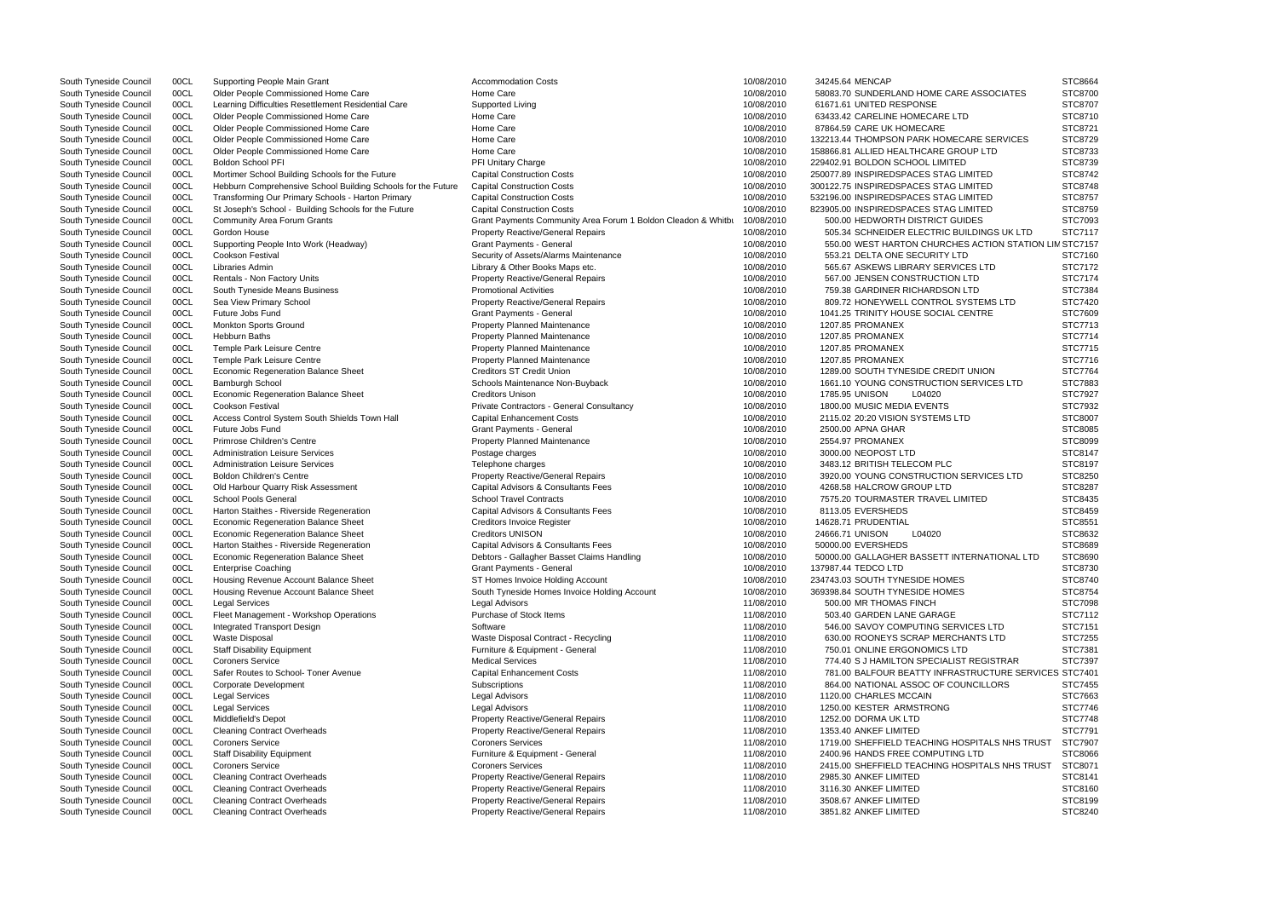| South Tyneside Council | 00CL | Supporting People Main Grant                                 | <b>Accommodation Costs</b>                                    | 10/08/2010 | 34245.64 MENCAP                                        | STC8664        |
|------------------------|------|--------------------------------------------------------------|---------------------------------------------------------------|------------|--------------------------------------------------------|----------------|
| South Tyneside Council | 00CL | Older People Commissioned Home Care                          | Home Care                                                     | 10/08/2010 | 58083.70 SUNDERLAND HOME CARE ASSOCIATES               | STC8700        |
| South Tyneside Council | 00CL | Learning Difficulties Resettlement Residential Care          | Supported Living                                              | 10/08/2010 | 61671.61 UNITED RESPONSE                               | STC8707        |
| South Tyneside Council | 00CL | Older People Commissioned Home Care                          | Home Care                                                     | 10/08/2010 | 63433.42 CARELINE HOMECARE LTD                         | STC8710        |
| South Tyneside Council | 00CL | Older People Commissioned Home Care                          | Home Care                                                     | 10/08/2010 | 87864.59 CARE UK HOMECARE                              | STC8721        |
| South Tyneside Council | 00CL | Older People Commissioned Home Care                          | Home Care                                                     | 10/08/2010 | 132213.44 THOMPSON PARK HOMECARE SERVICES              | STC8729        |
| South Tyneside Council | 00CL | Older People Commissioned Home Care                          | Home Care                                                     | 10/08/2010 | 158866.81 ALLIED HEALTHCARE GROUP LTD                  | STC8733        |
| South Tyneside Council | 00CL | <b>Boldon School PFI</b>                                     | PFI Unitary Charge                                            | 10/08/2010 | 229402.91 BOLDON SCHOOL LIMITED                        | STC8739        |
| South Tyneside Council | 00CL | Mortimer School Building Schools for the Future              | <b>Capital Construction Costs</b>                             | 10/08/2010 | 250077.89 INSPIREDSPACES STAG LIMITED                  | STC8742        |
| South Tyneside Council | 00CL | Hebburn Comprehensive School Building Schools for the Future | <b>Capital Construction Costs</b>                             | 10/08/2010 | 300122.75 INSPIREDSPACES STAG LIMITED                  | STC8748        |
| South Tyneside Council | 00CL | Transforming Our Primary Schools - Harton Primary            | <b>Capital Construction Costs</b>                             | 10/08/2010 | 532196.00 INSPIREDSPACES STAG LIMITED                  | STC8757        |
| South Tyneside Council | 00CL | St Joseph's School - Building Schools for the Future         | <b>Capital Construction Costs</b>                             | 10/08/2010 | 823905.00 INSPIREDSPACES STAG LIMITED                  | STC8759        |
| South Tyneside Council | 00CL | <b>Community Area Forum Grants</b>                           | Grant Payments Community Area Forum 1 Boldon Cleadon & Whitbu | 10/08/2010 | 500.00 HEDWORTH DISTRICT GUIDES                        | STC7093        |
| South Tyneside Council | 00CL | Gordon House                                                 | Property Reactive/General Repairs                             | 10/08/2010 | 505.34 SCHNEIDER ELECTRIC BUILDINGS UK LTD             | STC7117        |
| South Tyneside Council | 00CL | Supporting People Into Work (Headway)                        | <b>Grant Payments - General</b>                               | 10/08/2010 | 550.00 WEST HARTON CHURCHES ACTION STATION LIM STC7157 |                |
| South Tyneside Council | 00CL | <b>Cookson Festival</b>                                      | Security of Assets/Alarms Maintenance                         | 10/08/2010 | 553.21 DELTA ONE SECURITY LTD                          | STC7160        |
| South Tyneside Council | 00CL | Libraries Admin                                              | Library & Other Books Maps etc.                               | 10/08/2010 | 565.67 ASKEWS LIBRARY SERVICES LTD                     | STC7172        |
| South Tyneside Council | 00CL | Rentals - Non Factory Units                                  | <b>Property Reactive/General Repairs</b>                      | 10/08/2010 | 567.00 JENSEN CONSTRUCTION LTD                         | STC7174        |
| South Tyneside Council | 00CL | South Tyneside Means Business                                | <b>Promotional Activities</b>                                 | 10/08/2010 | 759.38 GARDINER RICHARDSON LTD                         | STC7384        |
| South Tyneside Council | 00CL | Sea View Primary School                                      | <b>Property Reactive/General Repairs</b>                      | 10/08/2010 | 809.72 HONEYWELL CONTROL SYSTEMS LTD                   | STC7420        |
| South Tyneside Council | 00CL | Future Jobs Fund                                             | Grant Payments - General                                      | 10/08/2010 | 1041.25 TRINITY HOUSE SOCIAL CENTRE                    | STC7609        |
| South Tyneside Council | 00CL | Monkton Sports Ground                                        | Property Planned Maintenance                                  | 10/08/2010 | 1207.85 PROMANEX                                       | STC7713        |
| South Tyneside Council | 00CL | Hebburn Baths                                                | Property Planned Maintenance                                  | 10/08/2010 | 1207.85 PROMANEX                                       | STC7714        |
| South Tyneside Council | 00CL | Temple Park Leisure Centre                                   | <b>Property Planned Maintenance</b>                           | 10/08/2010 | 1207.85 PROMANEX                                       | STC7715        |
| South Tyneside Council | 00CL | Temple Park Leisure Centre                                   | <b>Property Planned Maintenance</b>                           | 10/08/2010 | 1207.85 PROMANEX                                       | STC7716        |
| South Tyneside Council | 00CL | <b>Economic Regeneration Balance Sheet</b>                   | <b>Creditors ST Credit Union</b>                              | 10/08/2010 | 1289.00 SOUTH TYNESIDE CREDIT UNION                    | STC7764        |
| South Tyneside Council | 00CL | Bamburgh School                                              | Schools Maintenance Non-Buyback                               | 10/08/2010 | 1661.10 YOUNG CONSTRUCTION SERVICES LTD                | STC7883        |
| South Tyneside Council | 00CL | <b>Economic Regeneration Balance Sheet</b>                   | <b>Creditors Unison</b>                                       | 10/08/2010 | 1785.95 UNISON<br>L04020                               | <b>STC7927</b> |
| South Tyneside Council | 00CL | <b>Cookson Festival</b>                                      | Private Contractors - General Consultancy                     | 10/08/2010 | 1800.00 MUSIC MEDIA EVENTS                             | STC7932        |
|                        | 00CL | Access Control System South Shields Town Hall                | <b>Capital Enhancement Costs</b>                              | 10/08/2010 | 2115.02 20:20 VISION SYSTEMS LTD                       | STC8007        |
| South Tyneside Council |      |                                                              |                                                               |            |                                                        | STC8085        |
| South Tyneside Council | 00CL | Future Jobs Fund<br>Primrose Children's Centre               | <b>Grant Payments - General</b>                               | 10/08/2010 | 2500.00 APNA GHAR                                      | STC8099        |
| South Tyneside Council | 00CL |                                                              | Property Planned Maintenance                                  | 10/08/2010 | 2554.97 PROMANEX                                       |                |
| South Tyneside Council | 00CL | <b>Administration Leisure Services</b>                       | Postage charges                                               | 10/08/2010 | 3000.00 NEOPOST LTD                                    | STC8147        |
| South Tyneside Council | 00CL | <b>Administration Leisure Services</b>                       | Telephone charges                                             | 10/08/2010 | 3483.12 BRITISH TELECOM PLC                            | STC8197        |
| South Tyneside Council | 00CL | <b>Boldon Children's Centre</b>                              | <b>Property Reactive/General Repairs</b>                      | 10/08/2010 | 3920.00 YOUNG CONSTRUCTION SERVICES LTD                | STC8250        |
| South Tyneside Council | 00CL | Old Harbour Quarry Risk Assessment                           | Capital Advisors & Consultants Fees                           | 10/08/2010 | 4268.58 HALCROW GROUP LTD                              | STC8287        |
| South Tyneside Council | 00CL | <b>School Pools General</b>                                  | <b>School Travel Contracts</b>                                | 10/08/2010 | 7575.20 TOURMASTER TRAVEL LIMITED                      | STC8435        |
| South Tyneside Council | 00CL | Harton Staithes - Riverside Regeneration                     | Capital Advisors & Consultants Fees                           | 10/08/2010 | 8113.05 EVERSHEDS                                      | STC8459        |
| South Tyneside Council | 00CL | <b>Economic Regeneration Balance Sheet</b>                   | <b>Creditors Invoice Register</b>                             | 10/08/2010 | 14628.71 PRUDENTIAL                                    | STC8551        |
| South Tyneside Council | 00CL | <b>Economic Regeneration Balance Sheet</b>                   | <b>Creditors UNISON</b>                                       | 10/08/2010 | 24666.71 UNISON<br>L04020                              | STC8632        |
| South Tyneside Council | 00CL | Harton Staithes - Riverside Regeneration                     | Capital Advisors & Consultants Fees                           | 10/08/2010 | 50000.00 EVERSHEDS                                     | STC8689        |
| South Tyneside Council | 00CL | <b>Economic Regeneration Balance Sheet</b>                   | Debtors - Gallagher Basset Claims Handling                    | 10/08/2010 | 50000.00 GALLAGHER BASSETT INTERNATIONAL LTD           | STC8690        |
| South Tyneside Council | 00CL | <b>Enterprise Coaching</b>                                   | <b>Grant Payments - General</b>                               | 10/08/2010 | 137987.44 TEDCO LTD                                    | STC8730        |
| South Tyneside Council | 00CL | Housing Revenue Account Balance Sheet                        | ST Homes Invoice Holding Account                              | 10/08/2010 | 234743.03 SOUTH TYNESIDE HOMES                         | STC8740        |
| South Tyneside Council | 00CL | Housing Revenue Account Balance Sheet                        | South Tyneside Homes Invoice Holding Account                  | 10/08/2010 | 369398.84 SOUTH TYNESIDE HOMES                         | STC8754        |
| South Tyneside Council | 00CL | <b>Legal Services</b>                                        | <b>Legal Advisors</b>                                         | 11/08/2010 | 500.00 MR THOMAS FINCH                                 | <b>STC7098</b> |
| South Tyneside Council | 00CL | Fleet Management - Workshop Operations                       | Purchase of Stock Items                                       | 11/08/2010 | 503.40 GARDEN LANE GARAGE                              | STC7112        |
| South Tyneside Council | 00CL | Integrated Transport Design                                  | Software                                                      | 11/08/2010 | 546.00 SAVOY COMPUTING SERVICES LTD                    | STC7151        |
| South Tyneside Council | 00CL | <b>Waste Disposal</b>                                        | Waste Disposal Contract - Recycling                           | 11/08/2010 | 630.00 ROONEYS SCRAP MERCHANTS LTD                     | STC7255        |
| South Tyneside Council | 00CL | <b>Staff Disability Equipment</b>                            | Furniture & Equipment - General                               | 11/08/2010 | 750.01 ONLINE ERGONOMICS LTD                           | STC7381        |
| South Tyneside Council | 00CL | <b>Coroners Service</b>                                      | <b>Medical Services</b>                                       | 11/08/2010 | 774.40 S J HAMILTON SPECIALIST REGISTRAR               | STC7397        |
| South Tyneside Council | 00CL | Safer Routes to School- Toner Avenue                         | <b>Capital Enhancement Costs</b>                              | 11/08/2010 | 781.00 BALFOUR BEATTY INFRASTRUCTURE SERVICES STC7401  |                |
| South Tyneside Council | 00CL | Corporate Development                                        | Subscriptions                                                 | 11/08/2010 | 864.00 NATIONAL ASSOC OF COUNCILLORS                   | STC7455        |
| South Tyneside Council | 00CL | <b>Legal Services</b>                                        | <b>Legal Advisors</b>                                         | 11/08/2010 | 1120.00 CHARLES MCCAIN                                 | STC7663        |
| South Tyneside Council | 00CL | <b>Legal Services</b>                                        | <b>Legal Advisors</b>                                         | 11/08/2010 | 1250.00 KESTER ARMSTRONG                               | STC7746        |
| South Tyneside Council | 00CL | Middlefield's Depot                                          | Property Reactive/General Repairs                             | 11/08/2010 | 1252.00 DORMA UK LTD                                   | STC7748        |
| South Tyneside Council | 00CL | <b>Cleaning Contract Overheads</b>                           | Property Reactive/General Repairs                             | 11/08/2010 | 1353.40 ANKEF LIMITED                                  | STC7791        |
| South Tyneside Council | 00CL | <b>Coroners Service</b>                                      | <b>Coroners Services</b>                                      | 11/08/2010 | 1719.00 SHEFFIELD TEACHING HOSPITALS NHS TRUST         | STC7907        |
| South Tyneside Council | 00CL | <b>Staff Disability Equipment</b>                            | Furniture & Equipment - General                               | 11/08/2010 | 2400.96 HANDS FREE COMPUTING LTD                       | STC8066        |
| South Tyneside Council | 00CL | <b>Coroners Service</b>                                      | <b>Coroners Services</b>                                      | 11/08/2010 | 2415.00 SHEFFIELD TEACHING HOSPITALS NHS TRUST         | STC8071        |
| South Tyneside Council | 00CL | <b>Cleaning Contract Overheads</b>                           | Property Reactive/General Repairs                             | 11/08/2010 | 2985.30 ANKEF LIMITED                                  | STC8141        |
| South Tyneside Council | 00CL | <b>Cleaning Contract Overheads</b>                           | <b>Property Reactive/General Repairs</b>                      | 11/08/2010 | 3116.30 ANKEF LIMITED                                  | STC8160        |
| South Tyneside Council | 00CL | <b>Cleaning Contract Overheads</b>                           | Property Reactive/General Repairs                             | 11/08/2010 | 3508.67 ANKEF LIMITED                                  | STC8199        |
| South Tyneside Council | 00CL | <b>Cleaning Contract Overheads</b>                           | Property Reactive/General Repairs                             | 11/08/2010 | 3851.82 ANKEF LIMITED                                  | STC8240        |
|                        |      |                                                              |                                                               |            |                                                        |                |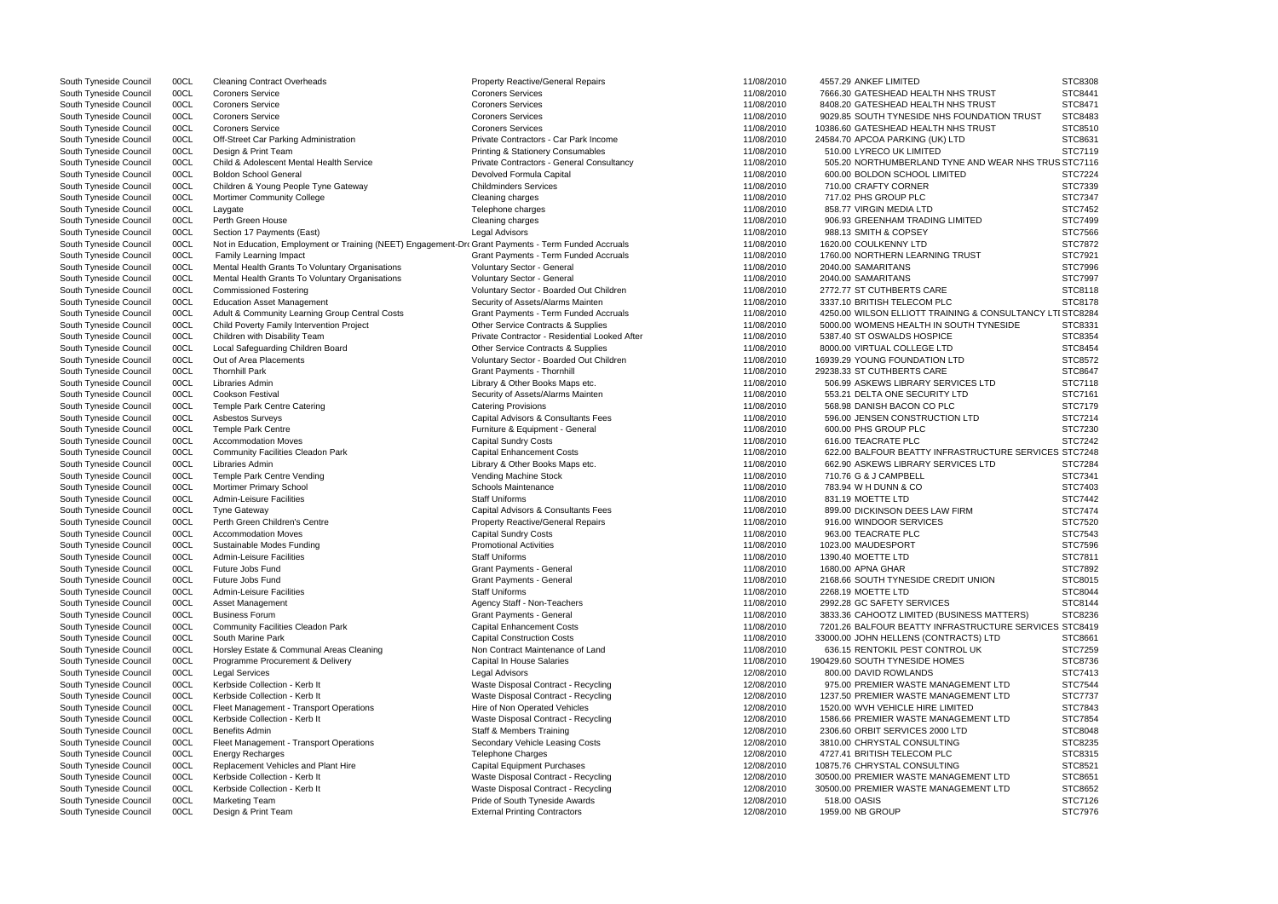| South Tyneside Council | 00CL | <b>Cleaning Contract Overheads</b>                                                                  | Property Reactive/General Repairs             | 11/08/2010 | 4557.29 ANKEF LIMITED                                     | STC8308        |
|------------------------|------|-----------------------------------------------------------------------------------------------------|-----------------------------------------------|------------|-----------------------------------------------------------|----------------|
| South Tyneside Council | 00CL | <b>Coroners Service</b>                                                                             | <b>Coroners Services</b>                      | 11/08/2010 | 7666.30 GATESHEAD HEALTH NHS TRUST                        | STC8441        |
| South Tyneside Council | 00CL | <b>Coroners Service</b>                                                                             | <b>Coroners Services</b>                      | 11/08/2010 | 8408.20 GATESHEAD HEALTH NHS TRUST                        | STC8471        |
| South Tyneside Council | 00CL | <b>Coroners Service</b>                                                                             | <b>Coroners Services</b>                      | 11/08/2010 | 9029.85 SOUTH TYNESIDE NHS FOUNDATION TRUST               | STC8483        |
| South Tyneside Council | 00CL | <b>Coroners Service</b>                                                                             | <b>Coroners Services</b>                      | 11/08/2010 | 10386.60 GATESHEAD HEALTH NHS TRUST                       | STC8510        |
| South Tyneside Council | 00CL | Off-Street Car Parking Administration                                                               | Private Contractors - Car Park Income         | 11/08/2010 | 24584.70 APCOA PARKING (UK) LTD                           | STC8631        |
| South Tyneside Council | 00CL | Design & Print Team                                                                                 | <b>Printing &amp; Stationery Consumables</b>  | 11/08/2010 | 510.00 LYRECO UK LIMITED                                  | STC7119        |
| South Tyneside Council | 00CL | Child & Adolescent Mental Health Service                                                            | Private Contractors - General Consultancy     | 11/08/2010 | 505.20 NORTHUMBERLAND TYNE AND WEAR NHS TRUS STC7116      |                |
| South Tyneside Council | 00CL | <b>Boldon School General</b>                                                                        | Devolved Formula Capital                      | 11/08/2010 | 600.00 BOLDON SCHOOL LIMITED                              | <b>STC7224</b> |
|                        | 00CL |                                                                                                     | <b>Childminders Services</b>                  | 11/08/2010 | 710.00 CRAFTY CORNER                                      | STC7339        |
| South Tyneside Council |      | Children & Young People Tyne Gateway                                                                |                                               |            |                                                           |                |
| South Tyneside Council | 00CL | Mortimer Community College                                                                          | Cleaning charges                              | 11/08/2010 | 717.02 PHS GROUP PLC                                      | STC7347        |
| South Tyneside Council | 00CL | Laygate                                                                                             | Telephone charges                             | 11/08/2010 | 858.77 VIRGIN MEDIA LTD                                   | STC7452        |
| South Tyneside Council | 00CL | Perth Green House                                                                                   | Cleaning charges                              | 11/08/2010 | 906.93 GREENHAM TRADING LIMITED                           | STC7499        |
| South Tyneside Council | 00CL | Section 17 Payments (East)                                                                          | Legal Advisors                                | 11/08/2010 | 988.13 SMITH & COPSEY                                     | STC7566        |
| South Tyneside Council | 00CL | Not in Education, Employment or Training (NEET) Engagement-Dr Grant Payments - Term Funded Accruals |                                               | 11/08/2010 | 1620.00 COULKENNY LTD                                     | STC7872        |
| South Tyneside Council | 00CL | <b>Family Learning Impact</b>                                                                       | Grant Payments - Term Funded Accruals         | 11/08/2010 | 1760.00 NORTHERN LEARNING TRUST                           | STC7921        |
| South Tyneside Council | 00CL | Mental Health Grants To Voluntary Organisations                                                     | Voluntary Sector - General                    | 11/08/2010 | 2040.00 SAMARITANS                                        | <b>STC7996</b> |
| South Tyneside Council | 00CL | Mental Health Grants To Voluntary Organisations                                                     | Voluntary Sector - General                    | 11/08/2010 | 2040.00 SAMARITANS                                        | STC7997        |
| South Tyneside Council | 00CL | <b>Commissioned Fostering</b>                                                                       | Voluntary Sector - Boarded Out Children       | 11/08/2010 | 2772.77 ST CUTHBERTS CARE                                 | STC8118        |
| South Tyneside Council | 00CL | <b>Education Asset Management</b>                                                                   | Security of Assets/Alarms Mainten             | 11/08/2010 | 3337.10 BRITISH TELECOM PLC                               | STC8178        |
| South Tyneside Council | 00CL | Adult & Community Learning Group Central Costs                                                      | Grant Payments - Term Funded Accruals         | 11/08/2010 | 4250.00 WILSON ELLIOTT TRAINING & CONSULTANCY LTI STC8284 |                |
| South Tyneside Council | 00CL | Child Poverty Family Intervention Project                                                           | Other Service Contracts & Supplies            | 11/08/2010 | 5000.00 WOMENS HEALTH IN SOUTH TYNESIDE                   | STC8331        |
|                        |      | Children with Disability Team                                                                       | Private Contractor - Residential Looked After |            |                                                           | STC8354        |
| South Tyneside Council | 00CL |                                                                                                     |                                               | 11/08/2010 | 5387.40 ST OSWALDS HOSPICE                                |                |
| South Tyneside Council | 00CL | Local Safeguarding Children Board                                                                   | Other Service Contracts & Supplies            | 11/08/2010 | 8000.00 VIRTUAL COLLEGE LTD                               | STC8454        |
| South Tyneside Council | 00CL | Out of Area Placements                                                                              | Voluntary Sector - Boarded Out Children       | 11/08/2010 | 16939.29 YOUNG FOUNDATION LTD                             | STC8572        |
| South Tyneside Council | 00CL | <b>Thornhill Park</b>                                                                               | <b>Grant Payments - Thornhill</b>             | 11/08/2010 | 29238.33 ST CUTHBERTS CARE                                | STC8647        |
| South Tyneside Council | 00CL | Libraries Admin                                                                                     | Library & Other Books Maps etc.               | 11/08/2010 | 506.99 ASKEWS LIBRARY SERVICES LTD                        | STC7118        |
| South Tyneside Council | 00CL | <b>Cookson Festival</b>                                                                             | Security of Assets/Alarms Mainten             | 11/08/2010 | 553.21 DELTA ONE SECURITY LTD                             | STC7161        |
| South Tyneside Council | 00CL | <b>Temple Park Centre Catering</b>                                                                  | <b>Catering Provisions</b>                    | 11/08/2010 | 568.98 DANISH BACON CO PLC                                | STC7179        |
| South Tyneside Council | 00CL | <b>Asbestos Surveys</b>                                                                             | Capital Advisors & Consultants Fees           | 11/08/2010 | 596.00 JENSEN CONSTRUCTION LTD                            | STC7214        |
| South Tyneside Council | 00CL | <b>Temple Park Centre</b>                                                                           | Furniture & Equipment - General               | 11/08/2010 | 600.00 PHS GROUP PLC                                      | STC7230        |
| South Tyneside Council | 00CL | <b>Accommodation Moves</b>                                                                          | <b>Capital Sundry Costs</b>                   | 11/08/2010 | 616.00 TEACRATE PLC                                       | <b>STC7242</b> |
| South Tyneside Council | 00CL | <b>Community Facilities Cleadon Park</b>                                                            | <b>Capital Enhancement Costs</b>              | 11/08/2010 | 622.00 BALFOUR BEATTY INFRASTRUCTURE SERVICES STC7248     |                |
| South Tyneside Council | 00CL | Libraries Admin                                                                                     | Library & Other Books Maps etc.               | 11/08/2010 | 662.90 ASKEWS LIBRARY SERVICES LTD                        | <b>STC7284</b> |
| South Tyneside Council | 00CL | Temple Park Centre Vending                                                                          | Vending Machine Stock                         | 11/08/2010 | 710.76 G & J CAMPBELL                                     | STC7341        |
|                        |      |                                                                                                     | Schools Maintenance                           |            |                                                           | STC7403        |
| South Tyneside Council | 00CL | <b>Mortimer Primary School</b>                                                                      |                                               | 11/08/2010 | 783.94 W H DUNN & CO                                      |                |
| South Tyneside Council | 00CL | <b>Admin-Leisure Facilities</b>                                                                     | <b>Staff Uniforms</b>                         | 11/08/2010 | 831.19 MOETTE LTD                                         | STC7442        |
| South Tyneside Council | 00CL | <b>Tyne Gateway</b>                                                                                 | Capital Advisors & Consultants Fees           | 11/08/2010 | 899.00 DICKINSON DEES LAW FIRM                            | STC7474        |
| South Tyneside Council | 00CL | Perth Green Children's Centre                                                                       | Property Reactive/General Repairs             | 11/08/2010 | 916.00 WINDOOR SERVICES                                   | STC7520        |
| South Tyneside Council | 00CL | <b>Accommodation Moves</b>                                                                          | <b>Capital Sundry Costs</b>                   | 11/08/2010 | 963.00 TEACRATE PLC                                       | STC7543        |
| South Tyneside Council | 00CL | Sustainable Modes Funding                                                                           | <b>Promotional Activities</b>                 | 11/08/2010 | 1023.00 MAUDESPORT                                        | <b>STC7596</b> |
| South Tyneside Council | 00CL | <b>Admin-Leisure Facilities</b>                                                                     | <b>Staff Uniforms</b>                         | 11/08/2010 | 1390.40 MOETTE LTD                                        | STC7811        |
| South Tyneside Council | 00CL | Future Jobs Fund                                                                                    | <b>Grant Payments - General</b>               | 11/08/2010 | 1680.00 APNA GHAR                                         | STC7892        |
| South Tyneside Council | 00CL | Future Jobs Fund                                                                                    | Grant Payments - General                      | 11/08/2010 | 2168.66 SOUTH TYNESIDE CREDIT UNION                       | STC8015        |
| South Tyneside Council | 00CL | <b>Admin-Leisure Facilities</b>                                                                     | <b>Staff Uniforms</b>                         | 11/08/2010 | 2268.19 MOETTE LTD                                        | STC8044        |
| South Tyneside Council | 00CL | Asset Management                                                                                    | Agency Staff - Non-Teachers                   | 11/08/2010 | 2992.28 GC SAFETY SERVICES                                | STC8144        |
| South Tyneside Council | 00CL | <b>Business Forum</b>                                                                               | <b>Grant Payments - General</b>               | 11/08/2010 | 3833.36 CAHOOTZ LIMITED (BUSINESS MATTERS)                | STC8236        |
|                        |      |                                                                                                     | <b>Capital Enhancement Costs</b>              | 11/08/2010 | 7201.26 BALFOUR BEATTY INFRASTRUCTURE SERVICES STC8419    |                |
| South Tyneside Council | 00CL | <b>Community Facilities Cleadon Park</b>                                                            |                                               |            |                                                           |                |
| South Tyneside Council | 00CL | South Marine Park                                                                                   | <b>Capital Construction Costs</b>             | 11/08/2010 | 33000.00 JOHN HELLENS (CONTRACTS) LTD                     | STC8661        |
| South Tyneside Council | 00CL | Horsley Estate & Communal Areas Cleaning                                                            | Non Contract Maintenance of Land              | 11/08/2010 | 636.15 RENTOKIL PEST CONTROL UK                           | STC7259        |
| South Tyneside Council | 00CL | Programme Procurement & Delivery                                                                    | Capital In House Salaries                     | 11/08/2010 | 190429.60 SOUTH TYNESIDE HOMES                            | STC8736        |
| South Tyneside Council | 00CL | <b>Legal Services</b>                                                                               | <b>Legal Advisors</b>                         | 12/08/2010 | 800.00 DAVID ROWLANDS                                     | STC7413        |
| South Tyneside Council | 00CL | Kerbside Collection - Kerb It                                                                       | Waste Disposal Contract - Recycling           | 12/08/2010 | 975.00 PREMIER WASTE MANAGEMENT LTD                       | STC7544        |
| South Tyneside Council | 00CL | Kerbside Collection - Kerb It                                                                       | Waste Disposal Contract - Recycling           | 12/08/2010 | 1237.50 PREMIER WASTE MANAGEMENT LTD                      | STC7737        |
| South Tyneside Council | 00CL | Fleet Management - Transport Operations                                                             | Hire of Non Operated Vehicles                 | 12/08/2010 | 1520.00 WVH VEHICLE HIRE LIMITED                          | STC7843        |
| South Tyneside Council | 00CL | Kerbside Collection - Kerb It                                                                       | Waste Disposal Contract - Recycling           | 12/08/2010 | 1586.66 PREMIER WASTE MANAGEMENT LTD                      | STC7854        |
| South Tyneside Council | 00CL | <b>Benefits Admin</b>                                                                               | <b>Staff &amp; Members Training</b>           | 12/08/2010 | 2306.60 ORBIT SERVICES 2000 LTD                           | STC8048        |
| South Tyneside Council | 00CL | Fleet Management - Transport Operations                                                             | Secondary Vehicle Leasing Costs               | 12/08/2010 | 3810.00 CHRYSTAL CONSULTING                               | STC8235        |
| South Tyneside Council | 00CL | <b>Energy Recharges</b>                                                                             | Telephone Charges                             | 12/08/2010 | 4727.41 BRITISH TELECOM PLC                               | STC8315        |
| South Tyneside Council | 00CL | Replacement Vehicles and Plant Hire                                                                 | <b>Capital Equipment Purchases</b>            | 12/08/2010 | 10875.76 CHRYSTAL CONSULTING                              | STC8521        |
|                        |      |                                                                                                     |                                               |            |                                                           |                |
| South Tyneside Council | 00CL | Kerbside Collection - Kerb It                                                                       | Waste Disposal Contract - Recycling           | 12/08/2010 | 30500.00 PREMIER WASTE MANAGEMENT LTD                     | STC8651        |
| South Tyneside Council | 00CL | Kerbside Collection - Kerb It                                                                       | Waste Disposal Contract - Recycling           | 12/08/2010 | 30500.00 PREMIER WASTE MANAGEMENT LTD                     | STC8652        |
| South Tyneside Council | 00CL | <b>Marketing Team</b>                                                                               | Pride of South Tyneside Awards                | 12/08/2010 | 518.00 OASIS                                              | STC7126        |
| South Tyneside Council | 00CL | Design & Print Team                                                                                 | <b>External Printing Contractors</b>          | 12/08/2010 | 1959.00 NB GROUP                                          | STC7976        |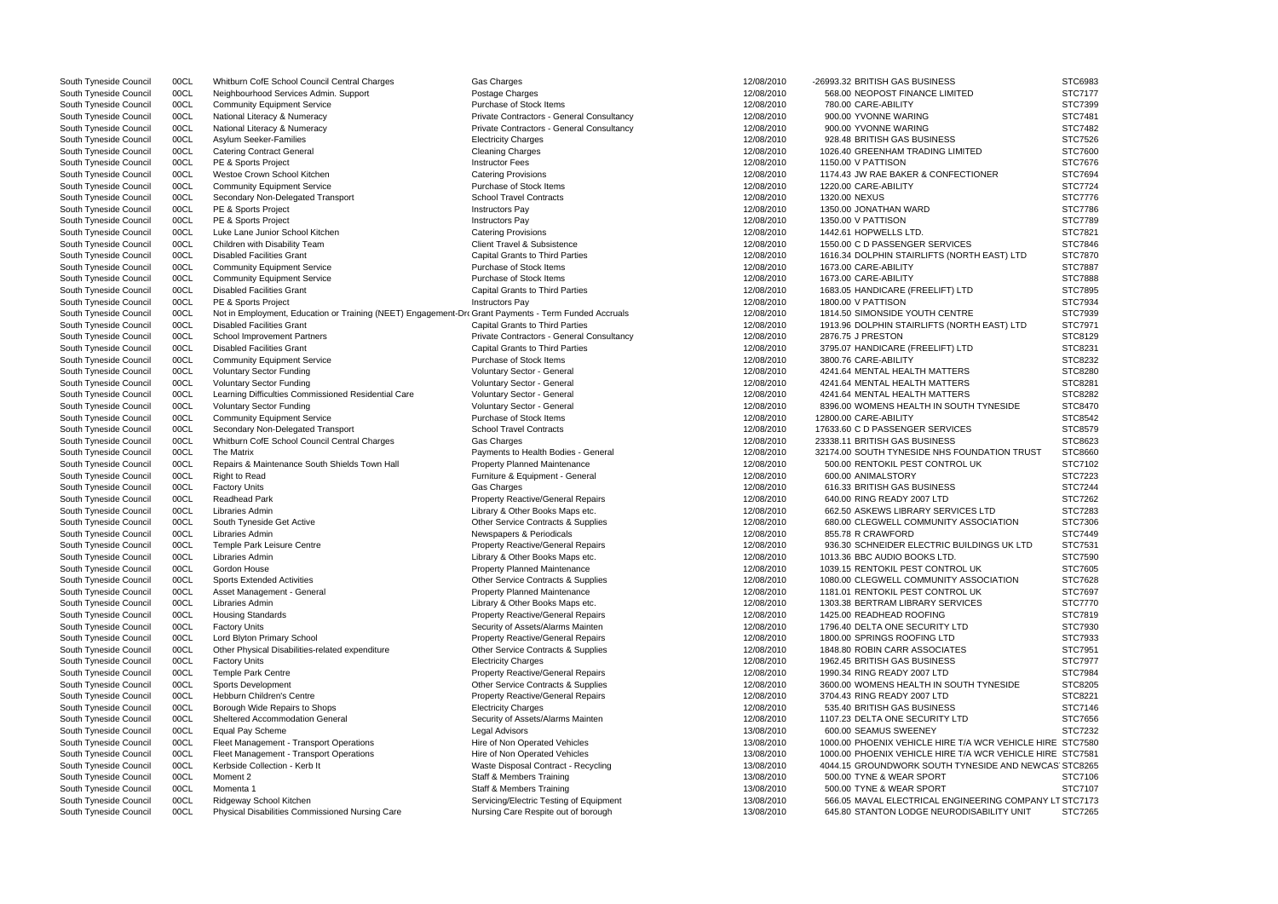|                                   | STC6983        |
|-----------------------------------|----------------|
| D                                 | STC7177        |
|                                   | STC7399        |
|                                   | STC7481        |
|                                   | <b>STC7482</b> |
|                                   | STC7526        |
| TED                               | STC7600        |
|                                   | STC7676        |
| <b>TIONER</b>                     | STC7694        |
|                                   | <b>STC7724</b> |
|                                   | STC7776        |
|                                   | STC7786        |
|                                   | STC7789        |
|                                   | STC7821        |
| S                                 | <b>STC7846</b> |
|                                   |                |
| TH EAST) LTD                      | STC7870        |
|                                   | STC7887        |
|                                   | STC7888        |
| D                                 | <b>STC7895</b> |
|                                   | STC7934        |
| ίE                                | STC7939        |
| <b>TH EAST) LTD</b>               | STC7971        |
|                                   | STC8129        |
| D                                 | STC8231        |
|                                   | STC8232        |
|                                   | STC8280        |
| s<br>s                            | STC8281        |
| $\overline{\phantom{0}}$          | STC8282        |
|                                   |                |
| <b>H TYNESIDE</b>                 | STC8470        |
|                                   | STC8542        |
| S                                 | STC8579        |
|                                   | STC8623        |
| UNDATION TRUST                    | STC8660        |
| . UK                              | STC7102        |
|                                   | <b>STC7223</b> |
|                                   | STC7244        |
|                                   | STC7262        |
| ES LTD                            | STC7283        |
| <b>SSOCIATION</b>                 | STC7306        |
|                                   | <b>STC7449</b> |
| LDINGS UK LTD                     | STC7531        |
|                                   | STC7590        |
| UK.                               | STC7605        |
|                                   | STC7628        |
| <b>SSOCIATION</b>                 |                |
| UK.                               | STC7697        |
| CES                               | STC7770        |
|                                   | STC7819        |
| )                                 | STC7930        |
|                                   | STC7933        |
|                                   | STC7951        |
|                                   | <b>STC7977</b> |
|                                   | <b>STC7984</b> |
| 'H TYNESIDE                       | STC8205        |
|                                   | STC8221        |
|                                   | STC7146        |
|                                   | STC7656        |
|                                   |                |
|                                   | STC7232        |
| A WCR VEHICLE HIRE                | STC7580        |
| A WCR VEHICLE HIRE STC7581        |                |
| <b>NESIDE AND NEWCAS STC8265</b>  |                |
|                                   | STC7106        |
|                                   | STC7107        |
| <b>IEERING COMPANY LT STC7173</b> |                |
| ISABILITY UNIT                    | STC7265        |

| South Tyneside Council | 00CL | Whitburn CofE School Council Central Charges                                                         | Gas Charges                               | 12/08/2010 | -26993.32 BRITISH GAS BUSINESS                            | STC6983        |
|------------------------|------|------------------------------------------------------------------------------------------------------|-------------------------------------------|------------|-----------------------------------------------------------|----------------|
| South Tyneside Council | 00CL | Neighbourhood Services Admin. Support                                                                | Postage Charges                           | 12/08/2010 | 568.00 NEOPOST FINANCE LIMITED                            | STC7177        |
| South Tyneside Council | 00CL | <b>Community Equipment Service</b>                                                                   | Purchase of Stock Items                   | 12/08/2010 | 780.00 CARE-ABILITY                                       | STC7399        |
| South Tyneside Council | 00CL | National Literacy & Numeracy                                                                         | Private Contractors - General Consultancy | 12/08/2010 | 900.00 YVONNE WARING                                      | STC7481        |
| South Tyneside Council | 00CL | National Literacy & Numeracy                                                                         | Private Contractors - General Consultancy | 12/08/2010 | 900.00 YVONNE WARING                                      | STC7482        |
| South Tyneside Council | 00CL | Asylum Seeker-Families                                                                               | <b>Electricity Charges</b>                | 12/08/2010 | 928.48 BRITISH GAS BUSINESS                               | STC7526        |
| South Tyneside Council | 00CL | <b>Catering Contract General</b>                                                                     | <b>Cleaning Charges</b>                   | 12/08/2010 | 1026.40 GREENHAM TRADING LIMITED                          | <b>STC7600</b> |
| South Tyneside Council | 00CL | PE & Sports Project                                                                                  | <b>Instructor Fees</b>                    | 12/08/2010 | 1150.00 V PATTISON                                        | STC7676        |
| South Tyneside Council | 00CL | Westoe Crown School Kitchen                                                                          | <b>Catering Provisions</b>                | 12/08/2010 | 1174.43 JW RAE BAKER & CONFECTIONER                       | STC7694        |
| South Tyneside Council | 00CL | <b>Community Equipment Service</b>                                                                   | Purchase of Stock Items                   | 12/08/2010 | 1220.00 CARE-ABILITY                                      | STC7724        |
| South Tyneside Council | 00CL | Secondary Non-Delegated Transport                                                                    | <b>School Travel Contracts</b>            | 12/08/2010 | 1320.00 NEXUS                                             | STC7776        |
| South Tyneside Council | 00CL | PE & Sports Project                                                                                  | <b>Instructors Pay</b>                    | 12/08/2010 | 1350.00 JONATHAN WARD                                     | STC7786        |
| South Tyneside Council | 00CL | PE & Sports Project                                                                                  | <b>Instructors Pay</b>                    | 12/08/2010 | 1350.00 V PATTISON                                        | STC7789        |
| South Tyneside Council | 00CL | Luke Lane Junior School Kitchen                                                                      | <b>Catering Provisions</b>                | 12/08/2010 | 1442.61 HOPWELLS LTD.                                     | STC7821        |
| South Tyneside Council | 00CL | Children with Disability Team                                                                        | <b>Client Travel &amp; Subsistence</b>    | 12/08/2010 | 1550.00 C D PASSENGER SERVICES                            | STC7846        |
| South Tyneside Council | 00CL | <b>Disabled Facilities Grant</b>                                                                     | <b>Capital Grants to Third Parties</b>    | 12/08/2010 | 1616.34 DOLPHIN STAIRLIFTS (NORTH EAST) LTD               | STC7870        |
| South Tyneside Council | 00CL | <b>Community Equipment Service</b>                                                                   | Purchase of Stock Items                   | 12/08/2010 | 1673.00 CARE-ABILITY                                      | <b>STC7887</b> |
| South Tyneside Council | 00CL | <b>Community Equipment Service</b>                                                                   | Purchase of Stock Items                   | 12/08/2010 | 1673.00 CARE-ABILITY                                      | STC7888        |
| South Tyneside Council | 00CL | <b>Disabled Facilities Grant</b>                                                                     | <b>Capital Grants to Third Parties</b>    | 12/08/2010 | 1683.05 HANDICARE (FREELIFT) LTD                          | STC7895        |
| South Tyneside Council | 00CL | PE & Sports Project                                                                                  | <b>Instructors Pay</b>                    | 12/08/2010 | 1800.00 V PATTISON                                        | STC7934        |
| South Tyneside Council | 00CL | Not in Employment, Education or Training (NEET) Engagement-Drc Grant Payments - Term Funded Accruals |                                           | 12/08/2010 | 1814.50 SIMONSIDE YOUTH CENTRE                            | STC7939        |
| South Tyneside Council | 00CL | <b>Disabled Facilities Grant</b>                                                                     | <b>Capital Grants to Third Parties</b>    | 12/08/2010 | 1913.96 DOLPHIN STAIRLIFTS (NORTH EAST) LTD               | STC7971        |
| South Tyneside Council | 00CL | School Improvement Partners                                                                          | Private Contractors - General Consultancy | 12/08/2010 | 2876.75 J PRESTON                                         | STC8129        |
| South Tyneside Council | 00CL | <b>Disabled Facilities Grant</b>                                                                     | <b>Capital Grants to Third Parties</b>    | 12/08/2010 | 3795.07 HANDICARE (FREELIFT) LTD                          | STC8231        |
| South Tyneside Council | 00CL | <b>Community Equipment Service</b>                                                                   | Purchase of Stock Items                   | 12/08/2010 | 3800.76 CARE-ABILITY                                      | STC8232        |
| South Tyneside Council | 00CL | <b>Voluntary Sector Funding</b>                                                                      | Voluntary Sector - General                | 12/08/2010 | 4241.64 MENTAL HEALTH MATTERS                             | STC8280        |
| South Tyneside Council | 00CL | <b>Voluntary Sector Funding</b>                                                                      | Voluntary Sector - General                | 12/08/2010 | 4241.64 MENTAL HEALTH MATTERS                             | STC8281        |
| South Tyneside Council | 00CL | Learning Difficulties Commissioned Residential Care                                                  | Voluntary Sector - General                | 12/08/2010 | 4241.64 MENTAL HEALTH MATTERS                             | STC8282        |
| South Tyneside Council | 00CL | <b>Voluntary Sector Funding</b>                                                                      | Voluntary Sector - General                | 12/08/2010 | 8396.00 WOMENS HEALTH IN SOUTH TYNESIDE                   | <b>STC8470</b> |
| South Tyneside Council | 00CL | <b>Community Equipment Service</b>                                                                   | Purchase of Stock Items                   | 12/08/2010 | 12800.00 CARE-ABILITY                                     | STC8542        |
| South Tyneside Council | 00CL | Secondary Non-Delegated Transport                                                                    | <b>School Travel Contracts</b>            | 12/08/2010 | 17633.60 C D PASSENGER SERVICES                           | STC8579        |
| South Tyneside Council | 00CL | Whitburn CofE School Council Central Charges                                                         | Gas Charges                               | 12/08/2010 | 23338.11 BRITISH GAS BUSINESS                             | STC8623        |
|                        | 00CL | The Matrix                                                                                           | Payments to Health Bodies - General       | 12/08/2010 | 32174.00 SOUTH TYNESIDE NHS FOUNDATION TRUST              | <b>STC8660</b> |
| South Tyneside Council |      |                                                                                                      |                                           |            |                                                           | STC7102        |
| South Tyneside Council | 00CL | Repairs & Maintenance South Shields Town Hall                                                        | <b>Property Planned Maintenance</b>       | 12/08/2010 | 500.00 RENTOKIL PEST CONTROL UK                           |                |
| South Tyneside Council | 00CL | <b>Right to Read</b>                                                                                 | Furniture & Equipment - General           | 12/08/2010 | 600.00 ANIMALSTORY                                        | STC7223        |
| South Tyneside Council | 00CL | <b>Factory Units</b>                                                                                 | Gas Charges                               | 12/08/2010 | 616.33 BRITISH GAS BUSINESS                               | STC7244        |
| South Tyneside Council | 00CL | <b>Readhead Park</b>                                                                                 | Property Reactive/General Repairs         | 12/08/2010 | 640.00 RING READY 2007 LTD                                | STC7262        |
| South Tyneside Council | 00CL | Libraries Admin                                                                                      | Library & Other Books Maps etc.           | 12/08/2010 | 662.50 ASKEWS LIBRARY SERVICES LTD                        | STC7283        |
| South Tyneside Council | 00CL | South Tyneside Get Active                                                                            | Other Service Contracts & Supplies        | 12/08/2010 | 680.00 CLEGWELL COMMUNITY ASSOCIATION                     | STC7306        |
| South Tyneside Council | 00CL | Libraries Admin                                                                                      | Newspapers & Periodicals                  | 12/08/2010 | 855.78 R CRAWFORD                                         | STC7449        |
| South Tyneside Council | 00CL | Temple Park Leisure Centre                                                                           | <b>Property Reactive/General Repairs</b>  | 12/08/2010 | 936.30 SCHNEIDER ELECTRIC BUILDINGS UK LTD                | STC7531        |
| South Tyneside Council | 00CL | Libraries Admin                                                                                      | Library & Other Books Maps etc.           | 12/08/2010 | 1013.36 BBC AUDIO BOOKS LTD.                              | STC7590        |
| South Tyneside Council | 00CL | Gordon House                                                                                         | <b>Property Planned Maintenance</b>       | 12/08/2010 | 1039.15 RENTOKIL PEST CONTROL UK                          | STC7605        |
| South Tyneside Council | 00CL | <b>Sports Extended Activities</b>                                                                    | Other Service Contracts & Supplies        | 12/08/2010 | 1080.00 CLEGWELL COMMUNITY ASSOCIATION                    | STC7628        |
| South Tyneside Council | 00CL | Asset Management - General                                                                           | <b>Property Planned Maintenance</b>       | 12/08/2010 | 1181.01 RENTOKIL PEST CONTROL UK                          | STC7697        |
| South Tyneside Council | 00CL | Libraries Admin                                                                                      | Library & Other Books Maps etc.           | 12/08/2010 | 1303.38 BERTRAM LIBRARY SERVICES                          | STC7770        |
| South Tyneside Council | 00CL | <b>Housing Standards</b>                                                                             | <b>Property Reactive/General Repairs</b>  | 12/08/2010 | 1425.00 READHEAD ROOFING                                  | <b>STC7819</b> |
| South Tyneside Council | 00CL | <b>Factory Units</b>                                                                                 | Security of Assets/Alarms Mainten         | 12/08/2010 | 1796.40 DELTA ONE SECURITY LTD                            | STC7930        |
| South Tyneside Council | 00CL | Lord Blyton Primary School                                                                           | <b>Property Reactive/General Repairs</b>  | 12/08/2010 | 1800.00 SPRINGS ROOFING LTD                               | STC7933        |
| South Tyneside Council | 00CL | Other Physical Disabilities-related expenditure                                                      | Other Service Contracts & Supplies        | 12/08/2010 | 1848.80 ROBIN CARR ASSOCIATES                             | STC7951        |
| South Tyneside Council | 00CL | <b>Factory Units</b>                                                                                 | <b>Electricity Charges</b>                | 12/08/2010 | 1962.45 BRITISH GAS BUSINESS                              | STC7977        |
| South Tyneside Council | 00CL | <b>Temple Park Centre</b>                                                                            | <b>Property Reactive/General Repairs</b>  | 12/08/2010 | 1990.34 RING READY 2007 LTD                               | STC7984        |
| South Tyneside Council | 00CL | <b>Sports Development</b>                                                                            | Other Service Contracts & Supplies        | 12/08/2010 | 3600.00 WOMENS HEALTH IN SOUTH TYNESIDE                   | STC8205        |
| South Tyneside Council | 00CL | Hebburn Children's Centre                                                                            | <b>Property Reactive/General Repairs</b>  | 12/08/2010 | 3704.43 RING READY 2007 LTD                               | STC8221        |
| South Tyneside Council | 00CL | Borough Wide Repairs to Shops                                                                        | <b>Electricity Charges</b>                | 12/08/2010 | 535.40 BRITISH GAS BUSINESS                               | STC7146        |
| South Tyneside Council | 00CL | Sheltered Accommodation General                                                                      | Security of Assets/Alarms Mainten         | 12/08/2010 | 1107.23 DELTA ONE SECURITY LTD                            | STC7656        |
| South Tyneside Council | 00CL | Equal Pay Scheme                                                                                     | Legal Advisors                            | 13/08/2010 | 600.00 SEAMUS SWEENEY                                     | STC7232        |
| South Tyneside Council | 00CL | Fleet Management - Transport Operations                                                              | Hire of Non Operated Vehicles             | 13/08/2010 | 1000.00 PHOENIX VEHICLE HIRE T/A WCR VEHICLE HIRE STC7580 |                |
| South Tyneside Council | 00CL | Fleet Management - Transport Operations                                                              | Hire of Non Operated Vehicles             | 13/08/2010 | 1000.00 PHOENIX VEHICLE HIRE T/A WCR VEHICLE HIRE STC7581 |                |
| South Tyneside Council | 00CL | Kerbside Collection - Kerb It                                                                        | Waste Disposal Contract - Recycling       | 13/08/2010 | 4044.15 GROUNDWORK SOUTH TYNESIDE AND NEWCAS STC8265      |                |
| South Tyneside Council | 00CL | Moment 2                                                                                             | Staff & Members Training                  | 13/08/2010 | 500.00 TYNE & WEAR SPORT                                  | STC7106        |
| South Tyneside Council | 00CL | Momenta 1                                                                                            | Staff & Members Training                  | 13/08/2010 | 500.00 TYNE & WEAR SPORT                                  | STC7107        |
| South Tyneside Council | 00CL | Ridgeway School Kitchen                                                                              | Servicing/Electric Testing of Equipment   | 13/08/2010 | 566.05 MAVAL ELECTRICAL ENGINEERING COMPANY LT STC7173    |                |
| South Tyneside Council | 00CL | Physical Disabilities Commissioned Nursing Care                                                      | Nursing Care Respite out of borough       | 13/08/2010 | 645.80 STANTON LODGE NEURODISABILITY UNIT                 | STC7265        |
|                        |      |                                                                                                      |                                           |            |                                                           |                |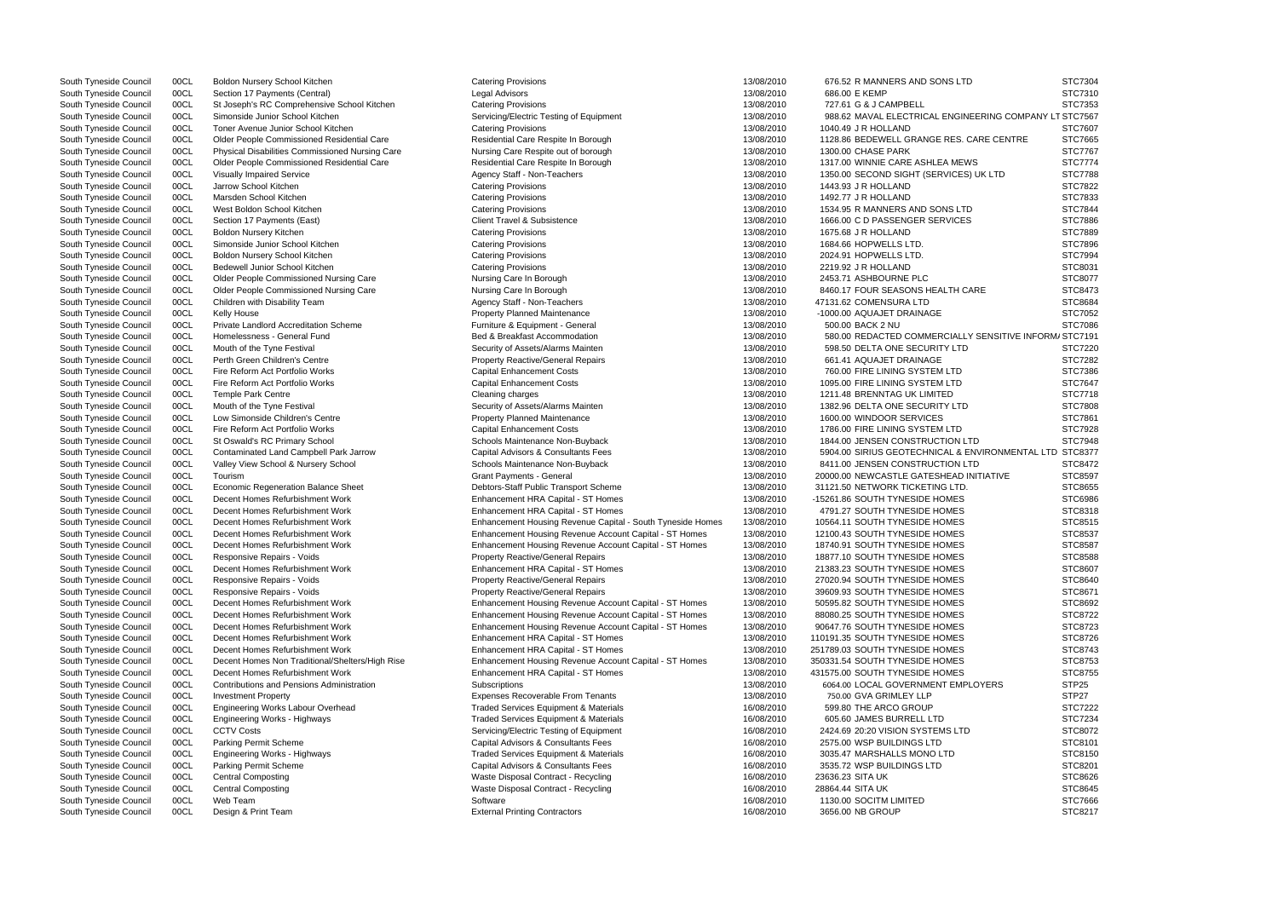| D                                 | STC7304        |
|-----------------------------------|----------------|
|                                   | STC7310        |
|                                   | STC7353        |
| <b>IEERING COMPANY LT STC7567</b> |                |
|                                   | STC7607        |
| CARE CENTRE                       | STC7665        |
|                                   | STC7767        |
| ٧S                                | STC7774        |
| ) UK LTD                          | <b>STC7788</b> |
|                                   | STC7822        |
|                                   | STC7833        |
| D                                 | STC7844        |
| Ś                                 | STC7886        |
|                                   | STC7889        |
|                                   | STC7896        |
|                                   | STC7994        |
|                                   | STC8031        |
|                                   | STC8077        |
| <b>ARE</b>                        | STC8473        |
|                                   | STC8684        |
|                                   | STC7052        |
|                                   | STC7086        |
| Y SENSITIVE INFORM/STC7191        |                |
|                                   | STC7220        |
|                                   | <b>STC7282</b> |
|                                   |                |
|                                   | STC7386        |
|                                   | STC7647        |
|                                   | STC7718        |
|                                   | <b>STC7808</b> |
|                                   | STC7861        |
|                                   | STC7928        |
| .TD                               | STC7948        |
| <b>ENVIRONMENTAL LTD</b>          | STC8377        |
| TD.                               | STC8472        |
| <b>INITIATIVE</b>                 | STC8597        |
|                                   | STC8655        |
|                                   | STC6986        |
|                                   | STC8318        |
|                                   | STC8515        |
|                                   | STC8537        |
|                                   | STC8587        |
|                                   | STC8588        |
|                                   | STC8607        |
|                                   | STC8640        |
|                                   | STC8671        |
|                                   | STC8692        |
|                                   | STC8722        |
|                                   | STC8723        |
|                                   | STC8726        |
|                                   | STC8743        |
|                                   | STC8753        |
|                                   | STC8755        |
| <b>LOYERS</b>                     | STP25          |
|                                   | STP27          |
|                                   | STC7222        |
|                                   | STC7234        |
| )                                 | STC8072        |
|                                   | STC8101        |
|                                   | STC8150        |
|                                   | STC8201        |
|                                   | STC8626        |
|                                   | STC8645        |
|                                   | STC7666        |
|                                   | STC8217        |

South Tyneside Council 00CL Boldon Nursery School Kitchen Catering Provisions Catering Provisions 13/08/2010 676.52 R MANNERS AND SONS LTI South Tyneside Council 00CL Section 17 Payments (Central) Company Central Central Central Central Central Central Central Central Central Central Central Central Central Central StC7310 686.00 E KEMP South Tyneside Council 00CL St Joseph's RC Comprehensive School Kitchen Catering Provisions 13/08/2010 727.61 G & J CAMPBELL South Tyneside Council 00CL Simonside Junior School Kitchen Servicing/Electric Testing of Equipment 13/08/2010 988.62 MAVAL ELECTRICAL ENGIN South Tyneside Council COOL Toner Avenue Junior School Kitchen Catering Provisions Catering Provisions 2008/2010 1040.49 J R HOLLAND STC7607 South Tyneside Council 00CL Older People Commissioned Residential Care Residential Care Respite In Borough 13/08/2010 1128.86 BEDEWELL GRANGE RES. South Tyneside Council 00CL Physical Disabilities Commissioned Nursing Care Nursing Care Respite out of borough 13/08/2010 1300.00 CHASE PARK South Tyneside Council 00CL Older People Commissioned Residential Care Residential Care Respite In Borough 13/08/2010 1317.00 WINNIE CARE ASHLEA MEV South Tyneside Council 00CL Visually Impaired Service **Agency Staff - Non-Teachers** Agency Staff - Non-Teachers 13/08/2010 1350.00 SECOND SIGHT (SERVICES South Tyneside Council COOCL Jarrow School Kitchen Catering Provisions Catering Provisions 13/08/2010 1443.93 J R HOLLAND STC7822 South Tyneside Council COOCL Marsden School Kitchen Catering Provisions Catering Provisions 13/08/2010 1492.77 J R HOLLAND STC7833 South Tyneside Council 00CL West Boldon School Kitchen Catering Provisions Catering Provisions 13/08/2010 1534.95 R MANNERS AND SONS LTITUS CONSIDER SCHOOL SCHOOL SECTION CONSIDER STRUICE:<br>Client Travel & Subsistence Counc South Tyneside Council 00CL Section 17 Payments (Fast) Client Travel & Subsistence 13/08/2010 1666.00 C D PASSENGER SERVICES South Tyneside Council COOCL Boldon Nursery Kitchen Catering Provisions Catering Provisions 13/08/2010 1675.68 J R HOLLAND STC7889 South Tyneside Council 00CL Simonside Junior School Kitchen Catering Provisions Catering Provisions 13/08/2010 1684.66 HOPWELLS LTD. South Tyneside Council 00CL Boldon Nursery School Kitchen Catering Provisions Catering Provisions 13/08/2010 2024.91 HOPWELLS LTD. South Tyneside Council 00CL Bedewell Junior School Kitchen Catering Provisions Catering Provisions 13/08/2010 2219.92 J R HOLLAND South Tyneside Council 00CL Older People Commissioned Nursing Care Nursing Care In Borough 13/08/2010 2453.71 ASHBOURNE PLC South Tyneside Council 00CL Older People Commissioned Nursing Care Nursing Care In Borough 13/08/2010 8460.17 FOUR SEASONS HEALTH CARE South Tyneside Council COOL Children with Disability Team Agency Staff - Non-Teachers 2000 13/08/2010 47131.62 COMENSURA LTD STC8684 South Tyneside Council 00CL Kelly House Property Planned Maintenance 13/08/2010 -1000.00 AQUAJET DRAINAGE STC7052 South Tyneside Council 00CL Private Landlord Accreditation Scheme Furniture & Equipment - General 13/08/2010 500.00 BACK 2 NU South Tyneside Council 00CL Homelessness - General Fund Bed & Breakfast Accommodation 13/08/2010 580.00 REDACTED COMMERCIALL South Tyneside Council 00CL Mouth of the Tyne Festival Security of Assets/Alarms Mainten 13/08/2010 598.50 DELTA ONE SECURITY LTD South Tyneside Council 00CL Perth Green Children's Centre **Property Reactive/General Repairs** 13/08/2010 661.41 AQUAJET DRAINAGE South Tyneside Council 00CL Fire Reform Act Portfolio Works Capital Enhancement Costs 13/08/2010 760.00 FIRE LINING SYSTEM LTD South Tyneside Council 00CL Fire Reform Act Portfolio Works Capital Enhancement Costs 13/08/2010 1095.00 FIRE LINING SYSTEM LTD South Tyneside Council 00CL Temple Park Centre Cleaning Cleaning charges Cleaning charges 13/08/2010 1211.48 BRENNTAG UK LIMITED South Tyneside Council 00CL Mouth of the Tyne Festival Security of Assets/Alarms Mainten 13/08/2010 1382.96 DELTA ONE SECURITY LTD South Tyneside Council 00CL Low Simonside Children's Centre **Property Planned Maintenance** 15/08/2010 1600.00 WINDOOR SERVICES South Tyneside Council COCL Fire Reform Act Portfolio Works Capital Enhancement Costs Capital Enhance Non-Buyback 13/08/2010 1786.00 FIRE LINING SYSTEM LTD State The State State Construction Costs Construction State State South Tyneside Council 00CL St Oswald's RC Primary School **School Schools Maintenance Non-Buyback** 13/08/2010 1844.00 JENSEN CONSTRUCTION LTD SCHOOLS Maintenance Non-Buyback 13/08/2010 1844.00 JENSEN CONSTRUCTION LT South Tyneside Council 00CL Contaminated Land Campbell Park Jarrow Capital Advisors & Consultants Fees 13/08/2010 5904.00 SIRIUS GEOTECHNICAL & E South Tyneside Council 00CL Valley View School & Nursery School School Schools Maintenance Non-Buyback 13/08/2010 8411.00 JENSEN CONSTRUCTION LTD SCHOOLS Naintenance Non-Buyback 13/08/2010 8411.00 JENSEN CONSTRUCTION LTD S South Tyneside Council 00CL Tourism Carries Council 13/08/2010 20000.00 NEWCASTLE GATESHEAD South Tyneside Council 00CL Economic Regeneration Balance Sheet Debtors-Staff Public Transport Scheme 13/08/2010 31121.50 NETWORK TICKETING LTD. South Tyneside Council 00CL Decent Homes Refurbishment Work Enhancement HRA Capital - ST Homes 13/08/2010 -15261.86 SOUTH TYNESIDE HOMES South Tyneside Council 00CL Decent Homes Refurbishment Work Enhancement HRA Capital - ST Homes 13/08/2010 4791.27 SOUTH TYNESIDE HOMES South Tyneside Council 00CL Decent Homes Refurbishment Work Enhancement Housing Revenue Capital - South Tyneside Homes 13/08/2010 10564.11 SOUTH TYNESIDE HOMES South Tyneside Council 00CL Decent Homes Refurbishment Work Enhancement Housing Revenue Account Capital - ST Homes 13/08/2010 12100.43 SOUTH TYNESIDE HOMES South Tyneside Council 00CL Decent Homes Refurbishment Work Enhancement Housing Revenue Account Capital - ST Homes 13/08/2010 18740.91 SOUTH TYNESIDE HOMES South Tyneside Council 00CL Responsive Repairs - Voids external Repairs Property Reactive/General Repairs 13/08/2010 18877.10 SOUTH TYNESIDE HOMES South Tyneside Council 00CL Decent Homes Refurbishment Work Enhancement HRA Capital - ST Homes 13/08/2010 21383.23 SOUTH TYNESIDE HOMES South Tyneside Council 00CL Responsive Repairs - Voids external Repairs Property Reactive/General Repairs 13/08/2010 27020.94 SOUTH TYNESIDE HOMES South Tyneside Council 00CL Responsive Repairs - Voids examples and Property Reactive/General Repairs and the manufacture 13/08/2010 39609.93 SOUTH TYNESIDE HOMES South Tyneside Council 00CL Decent Homes Refurbishment Work Enhancement Housing Revenue Account Capital - ST Homes 13/08/2010 50595.82 SOUTH TYNESIDE HOMES South Tyneside Council 00CL Decent Homes Refurbishment Work Enhancement Housing Revenue Account Capital - ST Homes 13/08/2010 88080.25 SOUTH TYNESIDE HOMES South Tyneside Council 00CL Decent Homes Refurbishment Work Enhancement Housing Revenue Account Capital - ST Homes 13/08/2010 90647.76 SOUTH TYNESIDE HOMES South Tyneside Council 00CL Decent Homes Refurbishment Work Enhancement HRA Capital - ST Homes 13/08/2010 110191.35 SOUTH TYNESIDE HOMES South Tyneside Council 00CL Decent Homes Refurbishment Work Enhancement HRA Capital - ST Homes 13/08/2010 251789.03 SOUTH TYNESIDE HOMES South Tyneside Council 00CL Decent Homes Non Traditional/Shelters/High Rise Enhancement Housing Revenue Account Capital - ST Homes 13/08/2010 350331.54 SOUTH TYNESIDE HOMES South Tyneside Council 00CL Decent Homes Refurbishment Work Enhancement HRA Capital - ST Homes 13/08/2010 431575.00 SOUTH TYNESIDE HOMES South Tyneside Council 00CL Contributions and Pensions Administration Subscriptions Subscriptions 13/08/2010 6064.00 LOCAL GOVERNMENT EMP South Tyneside Council 00CL Investment Property expenses Form Section Expenses Recoverable From Tenants and the 13/08/2010 750.00 GVA GRIMLEY LLP South Tyneside Council 00CL Engineering Works Labour Overhead Traded Services Equipment & Materials 16/08/2010 599.80 THE ARCO GROUP South Tyneside Council 00CL Engineering Works - Highways Traded Services Equipment & Materials 16/08/2010 605.60 JAMES BURRELL LTD South Tyneside Council 00CL CCTV Costs COUNTY Costs Servicing/Electric Testing of Equipment 16/08/2010 2424.69 20:20 VISION SYSTEMS LTD South Tyneside Council 00CL Parking Permit Scheme Capital Capital Advisors & Consultants Fees 16/08/2010 2575.00 WSP BUILDINGS LTD South Tyneside Council 00CL Engineering Works - Highways Traded Services Equipment & Materials 16/08/2010 3035.47 MARSHALLS MONO LTD South Tyneside Council 00CL Parking Permit Scheme Capital Capital Advisors & Consultants Fees 3608/2010 3535.72 WSP BUILDINGS LTD 3535.72 WSP BUILDINGS LTD South Tyneside Council 00CL Central Composting Composting National Contract - Recycling 16/08/2010 23636.23 SITA UK South Tyneside Council 00CL Central Composting Composting Waste Disposal Contract - Recycling 16/08/2010 28864.44 SITA UK South Tyneside Council 00CL Web Team Software 16/08/2010 1130.00 SOCITM LIMITED STC7666 South Tyneside Council 00CL Design & Print Team External Printing Contractors 16/08/2010 3656.00 NB GROUP STC8217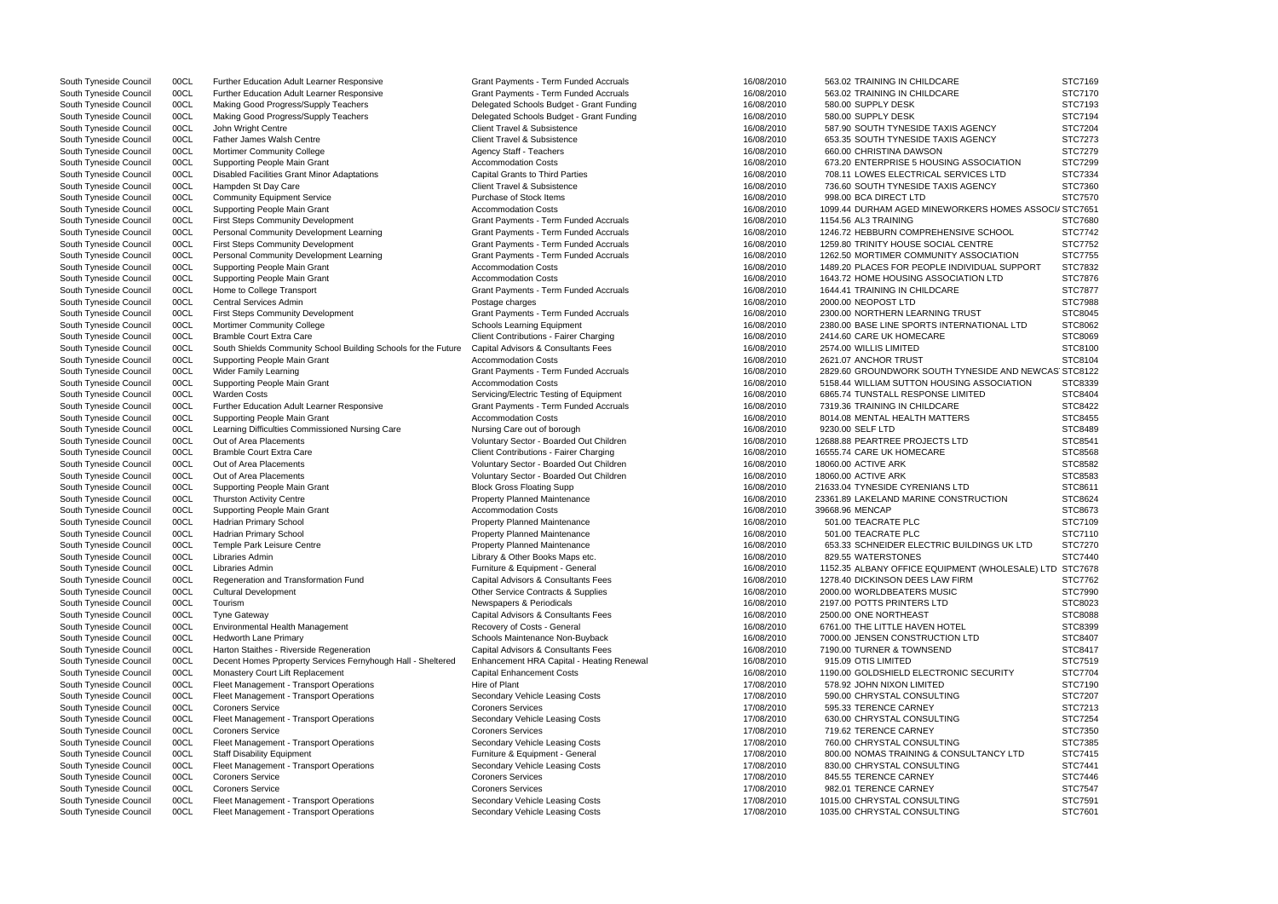| South Tyneside Council | 00CL | <b>Further Education Adult Learner Responsive</b>              | Grant Payments - Term Funded Accruals         | 16/08/2010 | 563.02 TRAINING IN CHILDCARE                            | STC7169        |
|------------------------|------|----------------------------------------------------------------|-----------------------------------------------|------------|---------------------------------------------------------|----------------|
| South Tyneside Council | 00CL | Further Education Adult Learner Responsive                     | <b>Grant Payments - Term Funded Accruals</b>  | 16/08/2010 | 563.02 TRAINING IN CHILDCARE                            | STC7170        |
| South Tyneside Council | 00CL | Making Good Progress/Supply Teachers                           | Delegated Schools Budget - Grant Funding      | 16/08/2010 | 580.00 SUPPLY DESK                                      | STC7193        |
| South Tyneside Council | 00CL | Making Good Progress/Supply Teachers                           | Delegated Schools Budget - Grant Funding      | 16/08/2010 | 580.00 SUPPLY DESK                                      | STC7194        |
| South Tyneside Council | 00CL | John Wright Centre                                             | <b>Client Travel &amp; Subsistence</b>        | 16/08/2010 | 587.90 SOUTH TYNESIDE TAXIS AGENCY                      | <b>STC7204</b> |
| South Tyneside Council | 00CL | Father James Walsh Centre                                      | <b>Client Travel &amp; Subsistence</b>        | 16/08/2010 | 653.35 SOUTH TYNESIDE TAXIS AGENCY                      | STC7273        |
| South Tyneside Council | 00CL | <b>Mortimer Community College</b>                              | Agency Staff - Teachers                       | 16/08/2010 | 660.00 CHRISTINA DAWSON                                 | <b>STC7279</b> |
| South Tyneside Council | 00CL | Supporting People Main Grant                                   | <b>Accommodation Costs</b>                    | 16/08/2010 | 673.20 ENTERPRISE 5 HOUSING ASSOCIATION                 | STC7299        |
| South Tyneside Council | 00CL | <b>Disabled Facilities Grant Minor Adaptations</b>             | <b>Capital Grants to Third Parties</b>        | 16/08/2010 | 708.11 LOWES ELECTRICAL SERVICES LTD                    | STC7334        |
| South Tyneside Council | 00CL | Hampden St Day Care                                            | <b>Client Travel &amp; Subsistence</b>        | 16/08/2010 | 736.60 SOUTH TYNESIDE TAXIS AGENCY                      | <b>STC7360</b> |
| South Tyneside Council | 00CL | <b>Community Equipment Service</b>                             | Purchase of Stock Items                       | 16/08/2010 | 998.00 BCA DIRECT LTD                                   | <b>STC7570</b> |
| South Tyneside Council | 00CL | Supporting People Main Grant                                   | <b>Accommodation Costs</b>                    | 16/08/2010 | 1099.44 DURHAM AGED MINEWORKERS HOMES ASSOCI/ STC7651   |                |
| South Tyneside Council | 00CL | <b>First Steps Community Development</b>                       | Grant Payments - Term Funded Accruals         | 16/08/2010 | 1154.56 AL3 TRAINING                                    | STC7680        |
| South Tyneside Council | 00CL | Personal Community Development Learning                        | Grant Payments - Term Funded Accruals         | 16/08/2010 | 1246.72 HEBBURN COMPREHENSIVE SCHOOL                    | STC7742        |
| South Tyneside Council | 00CL | <b>First Steps Community Development</b>                       | Grant Payments - Term Funded Accruals         | 16/08/2010 | 1259.80 TRINITY HOUSE SOCIAL CENTRE                     | STC7752        |
| South Tyneside Council | 00CL | Personal Community Development Learning                        | Grant Payments - Term Funded Accruals         | 16/08/2010 | 1262.50 MORTIMER COMMUNITY ASSOCIATION                  | STC7755        |
| South Tyneside Council | 00CL | Supporting People Main Grant                                   | <b>Accommodation Costs</b>                    | 16/08/2010 | 1489.20 PLACES FOR PEOPLE INDIVIDUAL SUPPORT            | STC7832        |
|                        |      |                                                                | <b>Accommodation Costs</b>                    |            |                                                         |                |
| South Tyneside Council | 00CL | Supporting People Main Grant                                   |                                               | 16/08/2010 | 1643.72 HOME HOUSING ASSOCIATION LTD                    | STC7876        |
| South Tyneside Council | 00CL | Home to College Transport                                      | Grant Payments - Term Funded Accruals         | 16/08/2010 | 1644.41 TRAINING IN CHILDCARE                           | <b>STC7877</b> |
| South Tyneside Council | 00CL | <b>Central Services Admin</b>                                  | Postage charges                               | 16/08/2010 | 2000.00 NEOPOST LTD                                     | STC7988        |
| South Tyneside Council | 00CL | First Steps Community Development                              | <b>Grant Payments - Term Funded Accruals</b>  | 16/08/2010 | 2300.00 NORTHERN LEARNING TRUST                         | STC8045        |
| South Tyneside Council | 00CL | <b>Mortimer Community College</b>                              | Schools Learning Equipment                    | 16/08/2010 | 2380.00 BASE LINE SPORTS INTERNATIONAL LTD              | STC8062        |
| South Tyneside Council | 00CL | <b>Bramble Court Extra Care</b>                                | <b>Client Contributions - Fairer Charging</b> | 16/08/2010 | 2414.60 CARE UK HOMECARE                                | STC8069        |
| South Tyneside Council | 00CL | South Shields Community School Building Schools for the Future | Capital Advisors & Consultants Fees           | 16/08/2010 | 2574.00 WILLIS LIMITED                                  | STC8100        |
| South Tyneside Council | 00CL | Supporting People Main Grant                                   | <b>Accommodation Costs</b>                    | 16/08/2010 | 2621.07 ANCHOR TRUST                                    | STC8104        |
| South Tyneside Council | 00CL | <b>Wider Family Learning</b>                                   | <b>Grant Payments - Term Funded Accruals</b>  | 16/08/2010 | 2829.60 GROUNDWORK SOUTH TYNESIDE AND NEWCAS STC8122    |                |
| South Tyneside Council | 00CL | Supporting People Main Grant                                   | <b>Accommodation Costs</b>                    | 16/08/2010 | 5158.44 WILLIAM SUTTON HOUSING ASSOCIATION              | STC8339        |
| South Tyneside Council | 00CL | <b>Warden Costs</b>                                            | Servicing/Electric Testing of Equipment       | 16/08/2010 | 6865.74 TUNSTALL RESPONSE LIMITED                       | STC8404        |
| South Tyneside Council | 00CL | Further Education Adult Learner Responsive                     | <b>Grant Payments - Term Funded Accruals</b>  | 16/08/2010 | 7319.36 TRAINING IN CHILDCARE                           | STC8422        |
| South Tyneside Council | 00CL | Supporting People Main Grant                                   | <b>Accommodation Costs</b>                    | 16/08/2010 | 8014.08 MENTAL HEALTH MATTERS                           | STC8455        |
| South Tyneside Council | 00CL | Learning Difficulties Commissioned Nursing Care                | Nursing Care out of borough                   | 16/08/2010 | 9230.00 SELF LTD                                        | <b>STC8489</b> |
| South Tyneside Council | 00CL | Out of Area Placements                                         | Voluntary Sector - Boarded Out Children       | 16/08/2010 | 12688.88 PEARTREE PROJECTS LTD                          | STC8541        |
| South Tyneside Council | 00CL | <b>Bramble Court Extra Care</b>                                | <b>Client Contributions - Fairer Charging</b> | 16/08/2010 | 16555.74 CARE UK HOMECARE                               | STC8568        |
| South Tyneside Council | 00CL | Out of Area Placements                                         | Voluntary Sector - Boarded Out Children       | 16/08/2010 | 18060.00 ACTIVE ARK                                     | STC8582        |
| South Tyneside Council | 00CL | Out of Area Placements                                         | Voluntary Sector - Boarded Out Children       | 16/08/2010 | 18060.00 ACTIVE ARK                                     | STC8583        |
| South Tyneside Council | 00CL | Supporting People Main Grant                                   | <b>Block Gross Floating Supp</b>              | 16/08/2010 | 21633.04 TYNESIDE CYRENIANS LTD                         | STC8611        |
| South Tyneside Council | 00CL | <b>Thurston Activity Centre</b>                                | Property Planned Maintenance                  | 16/08/2010 | 23361.89 LAKELAND MARINE CONSTRUCTION                   | STC8624        |
| South Tyneside Council | 00CL | Supporting People Main Grant                                   | <b>Accommodation Costs</b>                    | 16/08/2010 | 39668.96 MENCAP                                         | STC8673        |
| South Tyneside Council | 00CL | Hadrian Primary School                                         | Property Planned Maintenance                  | 16/08/2010 | 501.00 TEACRATE PLC                                     | STC7109        |
| South Tyneside Council | 00CL | Hadrian Primary School                                         | Property Planned Maintenance                  | 16/08/2010 | 501.00 TEACRATE PLC                                     | STC7110        |
| South Tyneside Council | 00CL | Temple Park Leisure Centre                                     | <b>Property Planned Maintenance</b>           | 16/08/2010 | 653.33 SCHNEIDER ELECTRIC BUILDINGS UK LTD              | <b>STC7270</b> |
| South Tyneside Council | 00CL | Libraries Admin                                                | Library & Other Books Maps etc.               | 16/08/2010 | 829.55 WATERSTONES                                      | STC7440        |
|                        |      |                                                                |                                               |            |                                                         |                |
| South Tyneside Council | 00CL | Libraries Admin                                                | Furniture & Equipment - General               | 16/08/2010 | 1152.35 ALBANY OFFICE EQUIPMENT (WHOLESALE) LTD STC7678 |                |
| South Tyneside Council | 00CL | Regeneration and Transformation Fund                           | Capital Advisors & Consultants Fees           | 16/08/2010 | 1278.40 DICKINSON DEES LAW FIRM                         | STC7762        |
| South Tyneside Council | 00CL | <b>Cultural Development</b>                                    | Other Service Contracts & Supplies            | 16/08/2010 | 2000.00 WORLDBEATERS MUSIC                              | <b>STC7990</b> |
| South Tyneside Council | 00CL | Tourism                                                        | Newspapers & Periodicals                      | 16/08/2010 | 2197.00 POTTS PRINTERS LTD                              | STC8023        |
| South Tyneside Council | 00CL | <b>Tyne Gateway</b>                                            | Capital Advisors & Consultants Fees           | 16/08/2010 | 2500.00 ONE NORTHEAST                                   | STC8088        |
| South Tyneside Council | 00CL | <b>Environmental Health Management</b>                         | Recovery of Costs - General                   | 16/08/2010 | 6761.00 THE LITTLE HAVEN HOTEL                          | <b>STC8399</b> |
| South Tyneside Council | 00CL | <b>Hedworth Lane Primary</b>                                   | Schools Maintenance Non-Buyback               | 16/08/2010 | 7000.00 JENSEN CONSTRUCTION LTD                         | STC8407        |
| South Tyneside Council | 00CL | Harton Staithes - Riverside Regeneration                       | Capital Advisors & Consultants Fees           | 16/08/2010 | 7190.00 TURNER & TOWNSEND                               | STC8417        |
| South Tyneside Council | 00CL | Decent Homes Pproperty Services Fernyhough Hall - Sheltered    | Enhancement HRA Capital - Heating Renewal     | 16/08/2010 | 915.09 OTIS LIMITED                                     | STC7519        |
| South Tyneside Council | 00CL | Monastery Court Lift Replacement                               | <b>Capital Enhancement Costs</b>              | 16/08/2010 | 1190.00 GOLDSHIELD ELECTRONIC SECURITY                  | STC7704        |
| South Tyneside Council | 00CL | Fleet Management - Transport Operations                        | Hire of Plant                                 | 17/08/2010 | 578.92 JOHN NIXON LIMITED                               | STC7190        |
| South Tyneside Council | 00CL | Fleet Management - Transport Operations                        | Secondary Vehicle Leasing Costs               | 17/08/2010 | 590.00 CHRYSTAL CONSULTING                              | STC7207        |
| South Tyneside Council | 00CL | <b>Coroners Service</b>                                        | <b>Coroners Services</b>                      | 17/08/2010 | 595.33 TERENCE CARNEY                                   | STC7213        |
| South Tyneside Council | 00CL | Fleet Management - Transport Operations                        | Secondary Vehicle Leasing Costs               | 17/08/2010 | 630.00 CHRYSTAL CONSULTING                              | STC7254        |
| South Tyneside Council | 00CL | <b>Coroners Service</b>                                        | <b>Coroners Services</b>                      | 17/08/2010 | 719.62 TERENCE CARNEY                                   | STC7350        |
| South Tyneside Council | 00CL | Fleet Management - Transport Operations                        | Secondary Vehicle Leasing Costs               | 17/08/2010 | 760.00 CHRYSTAL CONSULTING                              | STC7385        |
| South Tyneside Council | 00CL | <b>Staff Disability Equipment</b>                              | Furniture & Equipment - General               | 17/08/2010 | 800.00 NOMAS TRAINING & CONSULTANCY LTD                 | STC7415        |
| South Tyneside Council | 00CL | Fleet Management - Transport Operations                        | Secondary Vehicle Leasing Costs               | 17/08/2010 | 830.00 CHRYSTAL CONSULTING                              | STC7441        |
| South Tyneside Council | 00CL | <b>Coroners Service</b>                                        | <b>Coroners Services</b>                      | 17/08/2010 | 845.55 TERENCE CARNEY                                   | STC7446        |
| South Tyneside Council | 00CL | <b>Coroners Service</b>                                        | <b>Coroners Services</b>                      | 17/08/2010 | 982.01 TERENCE CARNEY                                   | STC7547        |
| South Tyneside Council | 00CL | Fleet Management - Transport Operations                        | Secondary Vehicle Leasing Costs               | 17/08/2010 | 1015.00 CHRYSTAL CONSULTING                             | STC7591        |
| South Tyneside Council | 00CL | Fleet Management - Transport Operations                        | Secondary Vehicle Leasing Costs               | 17/08/2010 | 1035.00 CHRYSTAL CONSULTING                             | STC7601        |
|                        |      |                                                                |                                               |            |                                                         |                |

|                            | 21 U U 109     |
|----------------------------|----------------|
|                            | STC7170        |
|                            | STC7193        |
|                            | STC7194        |
| <b>GENCY</b>               | STC7204        |
| <b>GENCY</b>               | STC7273        |
|                            | STC7279        |
| <b>ASSOCIATION</b>         | <b>STC7299</b> |
| <b>ICES LTD</b>            | STC7334        |
| <b>GENCY</b>               | STC7360        |
|                            | STC7570        |
| KERS HOMES ASSOCI/ STC7651 |                |
|                            | STC7680        |
|                            | <b>STC7742</b> |
| <b>VE SCHOOL</b>           |                |
| ENTRE                      | STC7752        |
| <b>SSOCIATION</b>          | STC7755        |
| VIDUAL SUPPORT             | STC7832        |
| <b>TION LTD</b>            | <b>STC7876</b> |
|                            | <b>STC7877</b> |
|                            | <b>STC7988</b> |
| <b>UST</b>                 | STC8045        |
| <b>NATIONAL LTD</b>        | STC8062        |
|                            | STC8069        |
|                            | STC8100        |
|                            | STC8104        |
|                            |                |
| NESIDE AND NEWCAS STC8122  |                |
| <b>G ASSOCIATION</b>       | STC8339        |
| <b>ITED</b>                | STC8404        |
|                            | <b>STC8422</b> |
| S                          | STC8455        |
|                            | STC8489        |
| J                          | STC8541        |
|                            | STC8568        |
|                            | STC8582        |
|                            | STC8583        |
|                            |                |
| ∋                          | STC8611        |
| <b><i>FRUCTION</i></b>     | STC8624        |
|                            | STC8673        |
|                            | STC7109        |
|                            | STC7110        |
| <b>ILDINGS UK LTD</b>      | STC7270        |
|                            | STC7440        |
| NT (WHOLESALE) LTD         | STC7678        |
| М                          | STC7762        |
|                            | STC7990        |
|                            | STC8023        |
|                            | STC8088        |
|                            |                |
|                            | STC8399        |
| TD <sub>-</sub>            | STC8407        |
|                            | STC8417        |
|                            | STC7519        |
| <b>SECURITY</b>            | STC7704        |
|                            | STC7190        |
|                            | STC7207        |
|                            | STC7213        |
|                            | STC7254        |
|                            | STC7350        |
|                            | STC7385        |
|                            |                |
| <b>ULTANCY LTD</b>         | STC7415        |
|                            | STC7441        |
|                            | STC7446        |
|                            | STC7547        |
|                            | STC7591        |
|                            | STC7601        |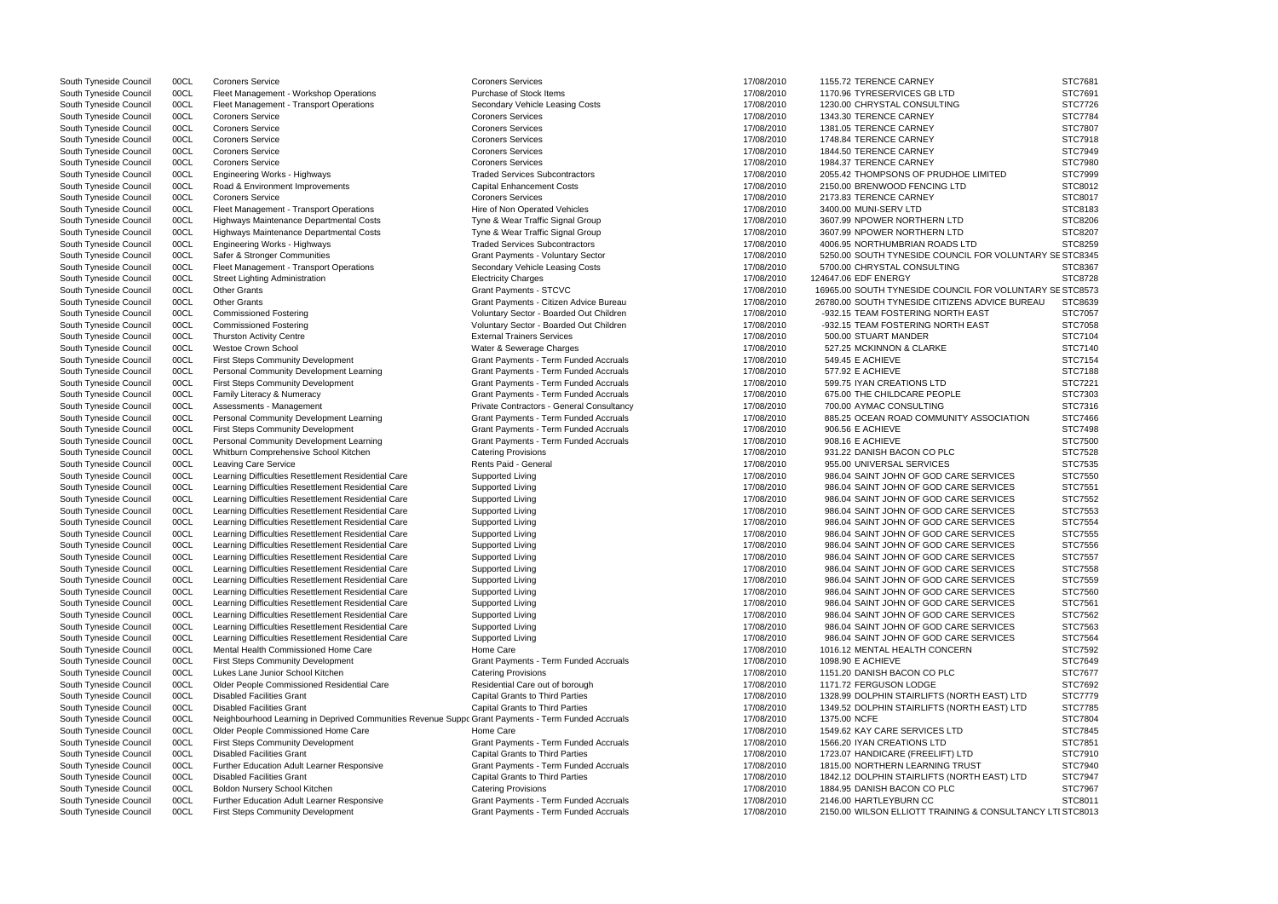|                                        | STC7681        |
|----------------------------------------|----------------|
|                                        | STC7691        |
|                                        | STC7726        |
|                                        | STC7784        |
|                                        | STC7807        |
|                                        | STC7918        |
|                                        | STC7949        |
|                                        |                |
|                                        | STC7980        |
| E LIMITED                              | STC7999        |
|                                        | STC8012        |
|                                        | STC8017        |
|                                        | STC8183        |
|                                        | STC8206        |
|                                        | STC8207        |
| TD                                     | STC8259        |
| L FOR VOLUNTARY SE STC8345             |                |
|                                        | STC8367        |
|                                        | STC8728        |
| L FOR VOLUNTARY SE STC8573             |                |
|                                        |                |
| S ADVICE BUREAU                        | STC8639        |
| <b>EAST</b>                            | STC7057        |
| <b>EAST</b>                            | STC7058        |
|                                        | STC7104        |
|                                        | STC7140        |
|                                        | STC7154        |
|                                        | <b>STC7188</b> |
|                                        | STC7221        |
|                                        |                |
|                                        | STC7303        |
|                                        | STC7316        |
| <b>ASSOCIATION</b>                     | <b>STC7466</b> |
|                                        | <b>STC7498</b> |
|                                        | STC7500        |
|                                        | STC7528        |
|                                        | STC7535        |
| <b>E SERVICES</b>                      | STC7550        |
| <b>SERVICES</b>                        | STC7551        |
| E SERVICES                             | STC7552        |
|                                        | STC7553        |
| E SERVICES<br>E SERVICES<br>E SERVICES | STC7554        |
|                                        | STC7555        |
|                                        |                |
| <b>SERVICES</b>                        | STC7556        |
| <b>SERVICES</b>                        | STC7557        |
| <b>SERVICES</b>                        | STC7558        |
| E SERVICE <mark>S</mark><br>E SERVICES | STC7559        |
|                                        | STC7560        |
| E SERVICES                             | STC7561        |
| E SERVICES                             | STC7562        |
| E SERVICES                             | STC7563        |
| <b>SERVICES</b>                        | STC7564        |
|                                        |                |
| N                                      | STC7592        |
|                                        | STC7649        |
|                                        | STC7677        |
|                                        | STC7692        |
| <b>RTH EAST) LTD</b>                   | STC7779        |
| <b>RTH EAST) LTD</b>                   | <b>STC7785</b> |
|                                        | STC7804        |
|                                        | STC7845        |
|                                        | STC7851        |
| D                                      | STC7910        |
|                                        | STC7940        |
| JST                                    |                |
| <b>RTH EAST) LTD</b>                   | <b>STC7947</b> |
|                                        | STC7967        |
|                                        | STC8011        |
|                                        |                |

| South Tyneside Council                           | 00CL         | <b>Coroners Service</b>                                                                                    | <b>Coroners Services</b>                     | 17/08/2010               | 1155.72 TERENCE CARNEY                                                           | STC7681                   |
|--------------------------------------------------|--------------|------------------------------------------------------------------------------------------------------------|----------------------------------------------|--------------------------|----------------------------------------------------------------------------------|---------------------------|
| South Tyneside Council                           | 00CL         | Fleet Management - Workshop Operations                                                                     | Purchase of Stock Items                      | 17/08/2010               | 1170.96 TYRESERVICES GB LTD                                                      | STC7691                   |
| South Tyneside Council                           | 00CL         | Fleet Management - Transport Operations                                                                    | Secondary Vehicle Leasing Costs              | 17/08/2010               | 1230.00 CHRYSTAL CONSULTING                                                      | STC7726                   |
| South Tyneside Council                           | 00CL         | <b>Coroners Service</b>                                                                                    | <b>Coroners Services</b>                     | 17/08/2010               | 1343.30 TERENCE CARNEY                                                           | <b>STC7784</b>            |
| South Tyneside Council                           | 00CL         | <b>Coroners Service</b>                                                                                    | <b>Coroners Services</b>                     | 17/08/2010               | 1381.05 TERENCE CARNEY                                                           | <b>STC7807</b>            |
| South Tyneside Council                           | 00CL         | <b>Coroners Service</b>                                                                                    | <b>Coroners Services</b>                     | 17/08/2010               | 1748.84 TERENCE CARNEY                                                           | STC7918                   |
| South Tyneside Council                           | 00CL         | <b>Coroners Service</b>                                                                                    | <b>Coroners Services</b>                     | 17/08/2010               | 1844.50 TERENCE CARNEY                                                           | STC7949                   |
| South Tyneside Council                           | 00CL         | <b>Coroners Service</b>                                                                                    | <b>Coroners Services</b>                     | 17/08/2010               | 1984.37 TERENCE CARNEY                                                           | <b>STC7980</b>            |
| South Tyneside Council                           | 00CL         | <b>Engineering Works - Highways</b>                                                                        | <b>Traded Services Subcontractors</b>        | 17/08/2010               | 2055.42 THOMPSONS OF PRUDHOE LIMITED                                             | <b>STC7999</b>            |
| South Tyneside Council                           | 00CL         | Road & Environment Improvements                                                                            | <b>Capital Enhancement Costs</b>             | 17/08/2010               | 2150.00 BRENWOOD FENCING LTD                                                     | STC8012                   |
| South Tyneside Council                           | 00CL         | <b>Coroners Service</b>                                                                                    | <b>Coroners Services</b>                     | 17/08/2010               | 2173.83 TERENCE CARNEY                                                           | STC8017                   |
| South Tyneside Council                           | 00CL         | Fleet Management - Transport Operations                                                                    | Hire of Non Operated Vehicles                | 17/08/2010               | 3400.00 MUNI-SERV LTD                                                            | STC8183                   |
| South Tyneside Council                           | 00CL         | Highways Maintenance Departmental Costs                                                                    | Tyne & Wear Traffic Signal Group             | 17/08/2010               | 3607.99 NPOWER NORTHERN LTD                                                      | STC8206                   |
| South Tyneside Council                           | 00CL         | Highways Maintenance Departmental Costs                                                                    | Tyne & Wear Traffic Signal Group             | 17/08/2010               | 3607.99 NPOWER NORTHERN LTD                                                      | STC8207                   |
| South Tyneside Council                           | 00CL         | Engineering Works - Highways                                                                               | <b>Traded Services Subcontractors</b>        | 17/08/2010               | 4006.95 NORTHUMBRIAN ROADS LTD                                                   | STC8259                   |
| South Tyneside Council                           | 00CL         | Safer & Stronger Communities                                                                               | Grant Payments - Voluntary Sector            | 17/08/2010               | 5250.00 SOUTH TYNESIDE COUNCIL FOR VOLUNTARY SE STC8345                          |                           |
| South Tyneside Council                           | 00CL         | Fleet Management - Transport Operations                                                                    | Secondary Vehicle Leasing Costs              | 17/08/2010               | 5700.00 CHRYSTAL CONSULTING                                                      | STC8367                   |
| South Tyneside Council                           | 00CL         | <b>Street Lighting Administration</b>                                                                      | <b>Electricity Charges</b>                   | 17/08/2010               | 124647.06 EDF ENERGY                                                             | STC8728                   |
| South Tyneside Council                           | 00CL         | <b>Other Grants</b>                                                                                        | <b>Grant Payments - STCVC</b>                | 17/08/2010               | 16965.00 SOUTH TYNESIDE COUNCIL FOR VOLUNTARY SE STC8573                         |                           |
| South Tyneside Council                           | 00CL         | <b>Other Grants</b>                                                                                        | Grant Payments - Citizen Advice Bureau       | 17/08/2010               | 26780.00 SOUTH TYNESIDE CITIZENS ADVICE BUREAU                                   | STC8639                   |
| South Tyneside Council                           | 00CL         | <b>Commissioned Fostering</b>                                                                              | Voluntary Sector - Boarded Out Children      | 17/08/2010               | -932.15 TEAM FOSTERING NORTH EAST                                                | STC7057                   |
| South Tyneside Council                           | 00CL         | <b>Commissioned Fostering</b>                                                                              | Voluntary Sector - Boarded Out Children      | 17/08/2010               | -932.15 TEAM FOSTERING NORTH EAST                                                | STC7058                   |
| South Tyneside Council                           | 00CL         | <b>Thurston Activity Centre</b>                                                                            | <b>External Trainers Services</b>            | 17/08/2010               | 500.00 STUART MANDER                                                             | STC7104                   |
| South Tyneside Council                           | 00CL         | <b>Westoe Crown School</b>                                                                                 | Water & Sewerage Charges                     | 17/08/2010               | 527.25 MCKINNON & CLARKE                                                         | STC7140                   |
| South Tyneside Council                           | 00CL         | <b>First Steps Community Development</b>                                                                   | Grant Payments - Term Funded Accruals        | 17/08/2010               | 549.45 E ACHIEVE                                                                 | STC7154                   |
| South Tyneside Council                           | 00CL         | Personal Community Development Learning                                                                    | <b>Grant Payments - Term Funded Accruals</b> | 17/08/2010               | 577.92 E ACHIEVE                                                                 | <b>STC7188</b>            |
| South Tyneside Council                           | 00CL         | <b>First Steps Community Development</b>                                                                   | <b>Grant Payments - Term Funded Accruals</b> | 17/08/2010               | 599.75 IYAN CREATIONS LTD                                                        | STC7221                   |
| South Tyneside Council                           | 00CL         |                                                                                                            | <b>Grant Payments - Term Funded Accruals</b> | 17/08/2010               | 675.00 THE CHILDCARE PEOPLE                                                      | STC7303                   |
| South Tyneside Council                           | 00CL         | Family Literacy & Numeracy<br>Assessments - Management                                                     | Private Contractors - General Consultancy    | 17/08/2010               | 700.00 AYMAC CONSULTING                                                          | STC7316                   |
| South Tyneside Council                           | 00CL         | Personal Community Development Learning                                                                    | Grant Payments - Term Funded Accruals        | 17/08/2010               | 885.25 OCEAN ROAD COMMUNITY ASSOCIATION                                          | STC7466                   |
| South Tyneside Council                           | 00CL         | <b>First Steps Community Development</b>                                                                   | <b>Grant Payments - Term Funded Accruals</b> | 17/08/2010               | 906.56 E ACHIEVE                                                                 | <b>STC7498</b>            |
| South Tyneside Council                           | 00CL         |                                                                                                            | <b>Grant Payments - Term Funded Accruals</b> | 17/08/2010               | 908.16 E ACHIEVE                                                                 | STC7500                   |
| South Tyneside Council                           | 00CL         | Personal Community Development Learning<br>Whitburn Comprehensive School Kitchen                           | <b>Catering Provisions</b>                   | 17/08/2010               | 931.22 DANISH BACON CO PLC                                                       | <b>STC7528</b>            |
| South Tyneside Council                           | 00CL         |                                                                                                            | Rents Paid - General                         | 17/08/2010               | 955.00 UNIVERSAL SERVICES                                                        | STC7535                   |
|                                                  |              | Leaving Care Service                                                                                       |                                              |                          |                                                                                  |                           |
| South Tyneside Council                           | 00CL<br>00CL | Learning Difficulties Resettlement Residential Care                                                        | Supported Living                             | 17/08/2010               | 986.04 SAINT JOHN OF GOD CARE SERVICES                                           | STC7550<br>STC7551        |
| South Tyneside Council                           | 00CL         | Learning Difficulties Resettlement Residential Care<br>Learning Difficulties Resettlement Residential Care | Supported Living<br>Supported Living         | 17/08/2010<br>17/08/2010 | 986.04 SAINT JOHN OF GOD CARE SERVICES<br>986.04 SAINT JOHN OF GOD CARE SERVICES | STC7552                   |
| South Tyneside Council                           |              |                                                                                                            |                                              |                          | 986.04 SAINT JOHN OF GOD CARE SERVICES                                           |                           |
| South Tyneside Council                           | 00CL         | Learning Difficulties Resettlement Residential Care                                                        | Supported Living                             | 17/08/2010               |                                                                                  | STC7553                   |
| South Tyneside Council                           | 00CL         | Learning Difficulties Resettlement Residential Care                                                        | Supported Living                             | 17/08/2010               | 986.04 SAINT JOHN OF GOD CARE SERVICES<br>986.04 SAINT JOHN OF GOD CARE SERVICES | STC7554<br><b>STC7555</b> |
| South Tyneside Council<br>South Tyneside Council | 00CL         | Learning Difficulties Resettlement Residential Care                                                        | Supported Living                             | 17/08/2010               | 986.04 SAINT JOHN OF GOD CARE SERVICES                                           |                           |
| South Tyneside Council                           | 00CL<br>00CL | Learning Difficulties Resettlement Residential Care<br>Learning Difficulties Resettlement Residential Care | Supported Living                             | 17/08/2010               | 986.04 SAINT JOHN OF GOD CARE SERVICES                                           | STC7556<br><b>STC7557</b> |
|                                                  |              |                                                                                                            | Supported Living                             | 17/08/2010               |                                                                                  |                           |
| South Tyneside Council                           | 00CL         | Learning Difficulties Resettlement Residential Care                                                        | Supported Living                             | 17/08/2010               | 986.04 SAINT JOHN OF GOD CARE SERVICES<br>986.04 SAINT JOHN OF GOD CARE SERVICES | STC7558                   |
| South Tyneside Council                           | 00CL         | Learning Difficulties Resettlement Residential Care                                                        | Supported Living                             | 17/08/2010               |                                                                                  | STC7559                   |
| South Tyneside Council                           | 00CL         | Learning Difficulties Resettlement Residential Care                                                        | Supported Living                             | 17/08/2010               | 986.04 SAINT JOHN OF GOD CARE SERVICES                                           | STC7560                   |
| South Tyneside Council                           | 00CL         | Learning Difficulties Resettlement Residential Care                                                        | Supported Living                             | 17/08/2010               | 986.04 SAINT JOHN OF GOD CARE SERVICES<br>986.04 SAINT JOHN OF GOD CARE SERVICES | STC7561                   |
| South Tyneside Council                           | 00CL         | Learning Difficulties Resettlement Residential Care                                                        | Supported Living                             | 17/08/2010               |                                                                                  | STC7562                   |
| South Tyneside Council                           | 00CL         | Learning Difficulties Resettlement Residential Care                                                        | Supported Living                             | 17/08/2010               | 986.04 SAINT JOHN OF GOD CARE SERVICES                                           | STC7563                   |
| South Tyneside Council                           | 00CL         | Learning Difficulties Resettlement Residential Care                                                        | Supported Living                             | 17/08/2010               | 986.04 SAINT JOHN OF GOD CARE SERVICES                                           | STC7564                   |
| South Tyneside Council                           | 00CL         | Mental Health Commissioned Home Care                                                                       | Home Care                                    | 17/08/2010               | 1016.12 MENTAL HEALTH CONCERN                                                    | STC7592                   |
| South Tyneside Council                           | 00CL         | <b>First Steps Community Development</b>                                                                   | <b>Grant Payments - Term Funded Accruals</b> | 17/08/2010               | 1098.90 E ACHIEVE                                                                | STC7649                   |
| South Tyneside Council                           | 00CL         | Lukes Lane Junior School Kitchen                                                                           | <b>Catering Provisions</b>                   | 17/08/2010               | 1151.20 DANISH BACON CO PLC                                                      | <b>STC7677</b>            |
| South Tyneside Council                           | 00CL         | Older People Commissioned Residential Care                                                                 | Residential Care out of borough              | 17/08/2010               | 1171.72 FERGUSON LODGE                                                           | STC7692                   |
| South Tyneside Council                           | 00CL         | <b>Disabled Facilities Grant</b>                                                                           | <b>Capital Grants to Third Parties</b>       | 17/08/2010               | 1328.99 DOLPHIN STAIRLIFTS (NORTH EAST) LTD                                      | STC7779                   |
| South Tyneside Council                           | 00CL         | <b>Disabled Facilities Grant</b>                                                                           | <b>Capital Grants to Third Parties</b>       | 17/08/2010               | 1349.52 DOLPHIN STAIRLIFTS (NORTH EAST) LTD                                      | STC7785                   |
| South Tyneside Council                           | 00CL         | Neighbourhood Learning in Deprived Communities Revenue Suppc Grant Payments - Term Funded Accruals         |                                              | 17/08/2010               | 1375.00 NCFE                                                                     | STC7804                   |
| South Tyneside Council                           | 00CL         | Older People Commissioned Home Care                                                                        | Home Care                                    | 17/08/2010               | 1549.62 KAY CARE SERVICES LTD                                                    | STC7845                   |
| South Tyneside Council                           | 00CL         | <b>First Steps Community Development</b>                                                                   | Grant Payments - Term Funded Accruals        | 17/08/2010               | 1566.20 IYAN CREATIONS LTD                                                       | STC7851                   |
| South Tyneside Council                           | 00CL         | <b>Disabled Facilities Grant</b>                                                                           | <b>Capital Grants to Third Parties</b>       | 17/08/2010               | 1723.07 HANDICARE (FREELIFT) LTD                                                 | STC7910                   |
| South Tyneside Council                           | 00CL         | <b>Further Education Adult Learner Responsive</b>                                                          | <b>Grant Payments - Term Funded Accruals</b> | 17/08/2010               | 1815.00 NORTHERN LEARNING TRUST                                                  | STC7940                   |
| South Tyneside Council                           | 00CL         | <b>Disabled Facilities Grant</b>                                                                           | <b>Capital Grants to Third Parties</b>       | 17/08/2010               | 1842.12 DOLPHIN STAIRLIFTS (NORTH EAST) LTD                                      | <b>STC7947</b>            |
| South Tyneside Council                           | 00CL         | Boldon Nursery School Kitchen                                                                              | <b>Catering Provisions</b>                   | 17/08/2010               | 1884.95 DANISH BACON CO PLC                                                      | STC7967                   |
| South Tyneside Council                           | 00CL         | Further Education Adult Learner Responsive                                                                 | Grant Payments - Term Funded Accruals        | 17/08/2010               | 2146.00 HARTLEYBURN CC                                                           | STC8011                   |
| South Tyneside Council                           | 00CL         | <b>First Steps Community Development</b>                                                                   | Grant Payments - Term Funded Accruals        | 17/08/2010               | 2150.00 WILSON ELLIOTT TRAINING & CONSULTANCY LTI STC8013                        |                           |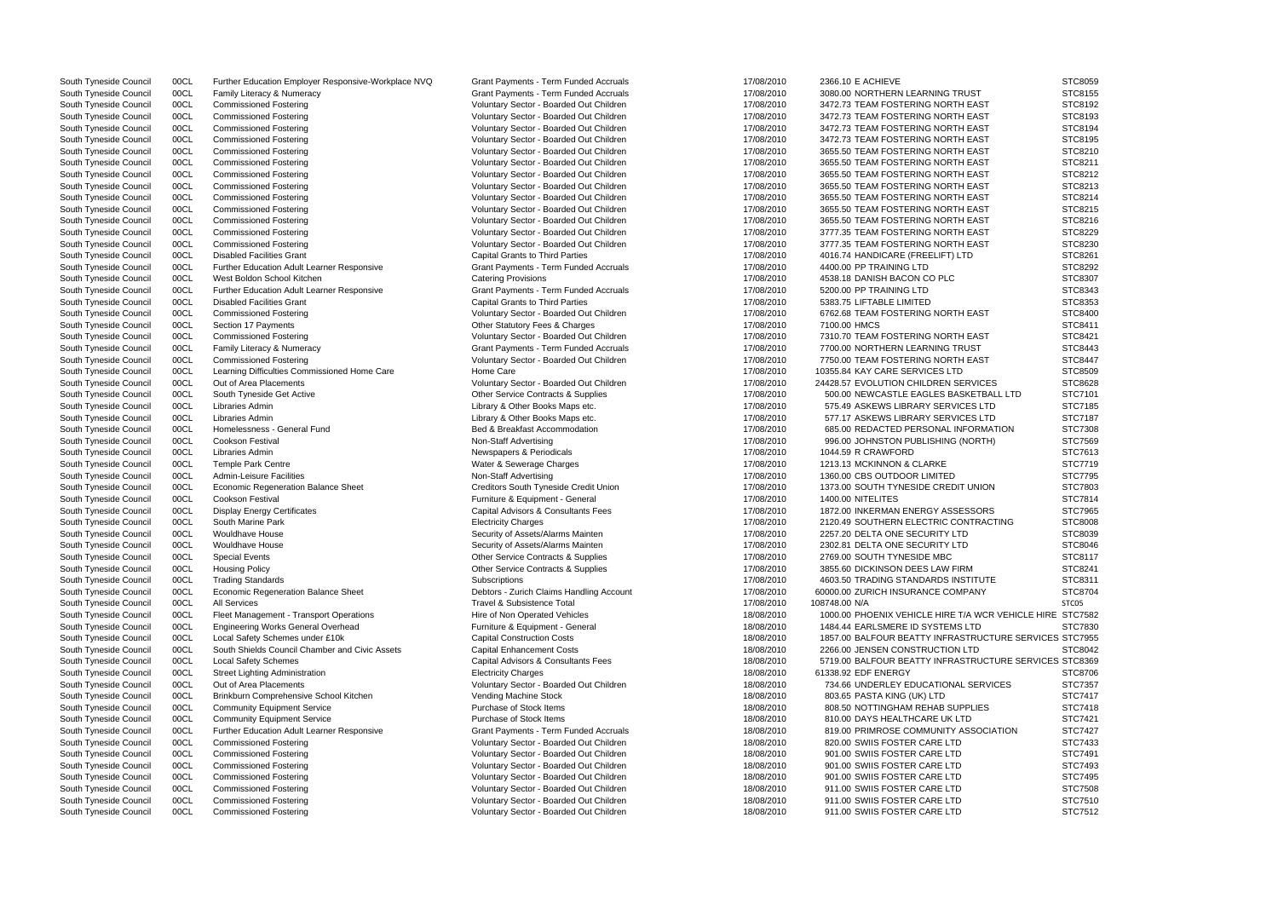| 00CL<br>South Tyneside Council<br><b>Grant Payments - Term Funded Accruals</b><br>17/08/2010<br>3080.00 NORTHERN LEARNING TRUST<br><b>Family Literacy &amp; Numeracy</b><br>00CL<br>Voluntary Sector - Boarded Out Children<br>South Tyneside Council<br><b>Commissioned Fostering</b><br>17/08/2010<br>3472.73 TEAM FOSTERING NORTH EAST<br>00CL<br>3472.73 TEAM FOSTERING NORTH EAST<br>South Tyneside Council<br><b>Commissioned Fostering</b><br>Voluntary Sector - Boarded Out Children<br>17/08/2010<br>00CL<br>South Tyneside Council<br><b>Commissioned Fostering</b><br>Voluntary Sector - Boarded Out Children<br>17/08/2010<br>3472.73 TEAM FOSTERING NORTH EAST<br>00CL<br>17/08/2010<br>South Tyneside Council<br><b>Commissioned Fostering</b><br>Voluntary Sector - Boarded Out Children<br>3472.73 TEAM FOSTERING NORTH EAST<br>00CL<br>South Tyneside Council<br>Voluntary Sector - Boarded Out Children<br>17/08/2010<br>3655.50 TEAM FOSTERING NORTH EAST<br><b>Commissioned Fostering</b><br>00CL<br>Voluntary Sector - Boarded Out Children<br>South Tyneside Council<br><b>Commissioned Fostering</b><br>17/08/2010<br>3655.50 TEAM FOSTERING NORTH EAST<br>00CL<br>17/08/2010<br>3655.50 TEAM FOSTERING NORTH EAST<br>South Tyneside Council<br><b>Commissioned Fostering</b><br>Voluntary Sector - Boarded Out Children<br>South Tyneside Council<br>00CL<br>Voluntary Sector - Boarded Out Children<br>17/08/2010<br>3655.50 TEAM FOSTERING NORTH EAST<br><b>Commissioned Fostering</b><br>00CL<br>17/08/2010<br>South Tyneside Council<br>Voluntary Sector - Boarded Out Children<br>3655.50 TEAM FOSTERING NORTH EAST<br><b>Commissioned Fostering</b><br>00CL<br>South Tyneside Council<br>Voluntary Sector - Boarded Out Children<br>17/08/2010<br>3655.50 TEAM FOSTERING NORTH EAST<br><b>Commissioned Fostering</b><br>00CL<br>Voluntary Sector - Boarded Out Children<br>South Tyneside Council<br><b>Commissioned Fostering</b><br>17/08/2010<br>3655.50 TEAM FOSTERING NORTH EAST<br>00CL<br>Voluntary Sector - Boarded Out Children<br>17/08/2010<br>3777.35 TEAM FOSTERING NORTH EAST<br>South Tyneside Council<br><b>Commissioned Fostering</b><br>South Tyneside Council<br>00CL<br><b>Commissioned Fostering</b><br>Voluntary Sector - Boarded Out Children<br>17/08/2010<br>3777.35 TEAM FOSTERING NORTH EAST<br>00CL<br>17/08/2010<br>South Tyneside Council<br><b>Disabled Facilities Grant</b><br><b>Capital Grants to Third Parties</b><br>4016.74 HANDICARE (FREELIFT) LTD<br>00CL<br>South Tyneside Council<br>Further Education Adult Learner Responsive<br><b>Grant Payments - Term Funded Accruals</b><br>17/08/2010<br>4400.00 PP TRAINING LTD<br>00CL<br>South Tyneside Council<br>West Boldon School Kitchen<br><b>Catering Provisions</b><br>17/08/2010<br>4538.18 DANISH BACON CO PLC<br>00CL<br>17/08/2010<br>South Tyneside Council<br>Further Education Adult Learner Responsive<br><b>Grant Payments - Term Funded Accruals</b><br>5200.00 PP TRAINING LTD<br>00CL<br><b>Capital Grants to Third Parties</b><br>5383.75 LIFTABLE LIMITED<br>South Tyneside Council<br><b>Disabled Facilities Grant</b><br>17/08/2010<br>00CL<br>Voluntary Sector - Boarded Out Children<br>17/08/2010<br>6762.68 TEAM FOSTERING NORTH EAST<br>South Tyneside Council<br><b>Commissioned Fostering</b><br>00CL<br>South Tyneside Council<br>Section 17 Payments<br>Other Statutory Fees & Charges<br>17/08/2010<br>7100.00 HMCS<br>00CL<br>South Tyneside Council<br><b>Commissioned Fostering</b><br>Voluntary Sector - Boarded Out Children<br>17/08/2010<br>7310.70 TEAM FOSTERING NORTH EAST<br>00CL<br>South Tyneside Council<br>Family Literacy & Numeracy<br><b>Grant Payments - Term Funded Accruals</b><br>17/08/2010<br>7700.00 NORTHERN LEARNING TRUST<br>00CL<br>South Tyneside Council<br><b>Commissioned Fostering</b><br>Voluntary Sector - Boarded Out Children<br>17/08/2010<br>7750.00 TEAM FOSTERING NORTH EAST<br>00CL<br>17/08/2010<br>South Tyneside Council<br>Learning Difficulties Commissioned Home Care<br>Home Care<br>10355.84 KAY CARE SERVICES LTD<br>00CL<br>South Tyneside Council<br>Out of Area Placements<br>Voluntary Sector - Boarded Out Children<br>17/08/2010<br>24428.57 EVOLUTION CHILDREN SERVICES<br>00CL<br>South Tyneside Council<br>South Tyneside Get Active<br>Other Service Contracts & Supplies<br>17/08/2010<br>500.00 NEWCASTLE EAGLES BASKETBALL LTD<br>00CL<br>575.49 ASKEWS LIBRARY SERVICES LTD<br>South Tyneside Council<br>Libraries Admin<br>Library & Other Books Maps etc.<br>17/08/2010<br>00CL<br>South Tyneside Council<br>Libraries Admin<br>Library & Other Books Maps etc.<br>17/08/2010<br>577.17 ASKEWS LIBRARY SERVICES LTD<br>00CL<br>Homelessness - General Fund<br>Bed & Breakfast Accommodation<br>17/08/2010<br>South Tyneside Council<br>685.00 REDACTED PERSONAL INFORMATION<br>00CL<br>South Tyneside Council<br><b>Cookson Festival</b><br>Non-Staff Advertising<br>17/08/2010<br>996.00 JOHNSTON PUBLISHING (NORTH)<br>00CL<br>South Tyneside Council<br>Libraries Admin<br>Newspapers & Periodicals<br>17/08/2010<br>1044.59 R CRAWFORD<br>00CL<br>Water & Sewerage Charges<br>South Tyneside Council<br><b>Temple Park Centre</b><br>17/08/2010<br>1213.13 MCKINNON & CLARKE<br>00CL<br>Non-Staff Advertising<br>South Tyneside Council<br><b>Admin-Leisure Facilities</b><br>17/08/2010<br>1360.00 CBS OUTDOOR LIMITED<br>00CL<br>1373.00 SOUTH TYNESIDE CREDIT UNION<br>South Tyneside Council<br><b>Economic Regeneration Balance Sheet</b><br>Creditors South Tyneside Credit Union<br>17/08/2010<br>00CL<br>South Tyneside Council<br><b>Cookson Festival</b><br>Furniture & Equipment - General<br>17/08/2010<br>1400.00 NITELITES<br>00CL<br>South Tyneside Council<br>Capital Advisors & Consultants Fees<br>17/08/2010<br>1872.00 INKERMAN ENERGY ASSESSORS<br><b>Display Energy Certificates</b><br>00CL<br>South Tyneside Council<br>South Marine Park<br><b>Electricity Charges</b><br>17/08/2010<br>2120.49 SOUTHERN ELECTRIC CONTRACTING<br>00CL<br>South Tyneside Council<br><b>Wouldhave House</b><br>Security of Assets/Alarms Mainten<br>17/08/2010<br>2257.20 DELTA ONE SECURITY LTD<br>00CL<br><b>Wouldhave House</b><br>Security of Assets/Alarms Mainten<br>17/08/2010<br>South Tyneside Council<br>2302.81 DELTA ONE SECURITY LTD<br>00CL<br>South Tyneside Council<br>Other Service Contracts & Supplies<br>17/08/2010<br>2769.00 SOUTH TYNESIDE MBC<br><b>Special Events</b><br>00CL<br>South Tyneside Council<br><b>Housing Policy</b><br>Other Service Contracts & Supplies<br>17/08/2010<br>3855.60 DICKINSON DEES LAW FIRM<br>00CL<br>17/08/2010<br>South Tyneside Council<br><b>Trading Standards</b><br>Subscriptions<br>4603.50 TRADING STANDARDS INSTITUTE<br>00CL<br><b>Economic Regeneration Balance Sheet</b><br>Debtors - Zurich Claims Handling Account<br>17/08/2010<br>60000.00 ZURICH INSURANCE COMPANY<br>South Tyneside Council<br>00CL<br>South Tyneside Council<br><b>All Services</b><br><b>Travel &amp; Subsistence Total</b><br>17/08/2010<br>108748.00 N/A<br>00CL<br>1000.00 PHOENIX VEHICLE HIRE T/A WCR VEHICLE HIRE STC7582<br>South Tyneside Council<br>Fleet Management - Transport Operations<br>Hire of Non Operated Vehicles<br>18/08/2010<br>00CL<br>South Tyneside Council<br><b>Engineering Works General Overhead</b><br>Furniture & Equipment - General<br>18/08/2010<br>1484.44 EARLSMERE ID SYSTEMS LTD<br>00CL<br>South Tyneside Council<br>Local Safety Schemes under £10k<br><b>Capital Construction Costs</b><br>18/08/2010<br>00CL<br>South Shields Council Chamber and Civic Assets<br>South Tyneside Council<br><b>Capital Enhancement Costs</b><br>18/08/2010<br>2266.00 JENSEN CONSTRUCTION LTD<br>00CL<br>South Tyneside Council<br><b>Local Safety Schemes</b><br>Capital Advisors & Consultants Fees<br>18/08/2010<br>5719.00 BALFOUR BEATTY INFRASTRUCTURE SERVICES STC8369<br>00CL<br>South Tyneside Council<br><b>Street Lighting Administration</b><br><b>Electricity Charges</b><br>18/08/2010<br>61338.92 EDF ENERGY<br>00CL<br>South Tyneside Council<br>Out of Area Placements<br>Voluntary Sector - Boarded Out Children<br>18/08/2010<br>734.66 UNDERLEY EDUCATIONAL SERVICES<br>00CL<br>South Tyneside Council<br>Brinkburn Comprehensive School Kitchen<br>Vending Machine Stock<br>18/08/2010<br>803.65 PASTA KING (UK) LTD<br>00CL<br>Purchase of Stock Items<br><b>Community Equipment Service</b><br>18/08/2010<br>South Tyneside Council<br>808.50 NOTTINGHAM REHAB SUPPLIES<br>00CL<br>South Tyneside Council<br><b>Community Equipment Service</b><br>Purchase of Stock Items<br>18/08/2010<br>810.00 DAYS HEALTHCARE UK LTD<br>00CL<br>South Tyneside Council<br>Further Education Adult Learner Responsive<br><b>Grant Payments - Term Funded Accruals</b><br>18/08/2010<br>819.00 PRIMROSE COMMUNITY ASSOCIATION<br>00CL<br>South Tyneside Council<br><b>Commissioned Fostering</b><br>Voluntary Sector - Boarded Out Children<br>18/08/2010<br>820.00 SWIIS FOSTER CARE LTD<br>00CL<br>South Tyneside Council<br><b>Commissioned Fostering</b><br>Voluntary Sector - Boarded Out Children<br>18/08/2010<br>901.00 SWIIS FOSTER CARE LTD<br>00CL<br>Voluntary Sector - Boarded Out Children<br>18/08/2010<br>901.00 SWIIS FOSTER CARE LTD<br>South Tyneside Council<br><b>Commissioned Fostering</b><br>00CL<br>South Tyneside Council<br><b>Commissioned Fostering</b><br>Voluntary Sector - Boarded Out Children<br>18/08/2010<br>901.00 SWIIS FOSTER CARE LTD<br>00CL<br>South Tyneside Council<br><b>Commissioned Fostering</b><br>Voluntary Sector - Boarded Out Children<br>18/08/2010<br>911.00 SWIIS FOSTER CARE LTD<br>00CL<br>South Tyneside Council<br><b>Commissioned Fostering</b><br>Voluntary Sector - Boarded Out Children<br>18/08/2010<br>911.00 SWIIS FOSTER CARE LTD | South Tyneside Council | 00CL | Further Education Employer Responsive-Workplace NVQ | <b>Grant Payments - Term Funded Accruals</b> | 17/08/2010 | 2366.10 E ACHIEVE                                      | STC8059        |
|--------------------------------------------------------------------------------------------------------------------------------------------------------------------------------------------------------------------------------------------------------------------------------------------------------------------------------------------------------------------------------------------------------------------------------------------------------------------------------------------------------------------------------------------------------------------------------------------------------------------------------------------------------------------------------------------------------------------------------------------------------------------------------------------------------------------------------------------------------------------------------------------------------------------------------------------------------------------------------------------------------------------------------------------------------------------------------------------------------------------------------------------------------------------------------------------------------------------------------------------------------------------------------------------------------------------------------------------------------------------------------------------------------------------------------------------------------------------------------------------------------------------------------------------------------------------------------------------------------------------------------------------------------------------------------------------------------------------------------------------------------------------------------------------------------------------------------------------------------------------------------------------------------------------------------------------------------------------------------------------------------------------------------------------------------------------------------------------------------------------------------------------------------------------------------------------------------------------------------------------------------------------------------------------------------------------------------------------------------------------------------------------------------------------------------------------------------------------------------------------------------------------------------------------------------------------------------------------------------------------------------------------------------------------------------------------------------------------------------------------------------------------------------------------------------------------------------------------------------------------------------------------------------------------------------------------------------------------------------------------------------------------------------------------------------------------------------------------------------------------------------------------------------------------------------------------------------------------------------------------------------------------------------------------------------------------------------------------------------------------------------------------------------------------------------------------------------------------------------------------------------------------------------------------------------------------------------------------------------------------------------------------------------------------------------------------------------------------------------------------------------------------------------------------------------------------------------------------------------------------------------------------------------------------------------------------------------------------------------------------------------------------------------------------------------------------------------------------------------------------------------------------------------------------------------------------------------------------------------------------------------------------------------------------------------------------------------------------------------------------------------------------------------------------------------------------------------------------------------------------------------------------------------------------------------------------------------------------------------------------------------------------------------------------------------------------------------------------------------------------------------------------------------------------------------------------------------------------------------------------------------------------------------------------------------------------------------------------------------------------------------------------------------------------------------------------------------------------------------------------------------------------------------------------------------------------------------------------------------------------------------------------------------------------------------------------------------------------------------------------------------------------------------------------------------------------------------------------------------------------------------------------------------------------------------------------------------------------------------------------------------------------------------------------------------------------------------------------------------------------------------------------------------------------------------------------------------------------------------------------------------------------------------------------------------------------------------------------------------------------------------------------------------------------------------------------------------------------------------------------------------------------------------------------------------------------------------------------------------------------------------------------------------------------------------------------------------------------------------------------------------------------------------------------------------------------------------------------------------------------------------------------------------------------------------------------------------------------------------------------------------------------------------------------------------------------------------------------------------------------------------------------------------------------------------------------------------------------------------------------------------------------------------------------------------------------------------------------------------------------------------------------------------------------------------------------------------------------------------------------------------------------------------------------------------------------------------------------------------------------------------------------------------------------------------------------------------------------------------------------------------------------------------------------------------------------------------------------------------------------------------------------------------------------------------------------------------------------------------------------------------------------------------------------------------------------------------------------------------------------------------------------------------------------------------------------------------------------------------------------------------------------------------------------------------------------------------------------------------------------------------------------------------------------------------------------------------------------------------------------------------------------------------------------------------------------------------------------------------------------------------------------------------------------------------------------------------------------------------------------------------------------------------------------------------------------------------------------------------------------------------------------------------------------------------------------------------------------------------------------------------------------------------------------------------------------------------------------------------------------------------------------------------------------------------------------------------------------------------------------------------------------------------------------------------------------------------------------------------------------------------------------------------------------------------------------------------------------------------------------------------------------------------------------------------------------------------------------------------------------------------------------------------------------------------------------------------------------------------------------------------------------------------------------------------------------------------------------------------------------------------------------------------------------------------------------------------------------------------------------------------------------------------------------------------------------------------------------------------------------------------------------------------------------------------------------------------------------------------------------------------------------------------------------------|------------------------|------|-----------------------------------------------------|----------------------------------------------|------------|--------------------------------------------------------|----------------|
|                                                                                                                                                                                                                                                                                                                                                                                                                                                                                                                                                                                                                                                                                                                                                                                                                                                                                                                                                                                                                                                                                                                                                                                                                                                                                                                                                                                                                                                                                                                                                                                                                                                                                                                                                                                                                                                                                                                                                                                                                                                                                                                                                                                                                                                                                                                                                                                                                                                                                                                                                                                                                                                                                                                                                                                                                                                                                                                                                                                                                                                                                                                                                                                                                                                                                                                                                                                                                                                                                                                                                                                                                                                                                                                                                                                                                                                                                                                                                                                                                                                                                                                                                                                                                                                                                                                                                                                                                                                                                                                                                                                                                                                                                                                                                                                                                                                                                                                                                                                                                                                                                                                                                                                                                                                                                                                                                                                                                                                                                                                                                                                                                                                                                                                                                                                                                                                                                                                                                                                                                                                                                                                                                                                                                                                                                                                                                                                                                                                                                                                                                                                                                                                                                                                                                                                                                                                                                                                                                                                                                                                                                                                                                                                                                                                                                                                                                                                                                                                                                                                                                                                                                                                                                                                                                                                                                                                                                                                                                                                                                                                                                                                                                                                                                                                                                                                                                                                                                                                                                                                                                                                                                                                                                                                                                                                                                                                                                                                                                                                                                                                                                                                                                                                                                                                                                                                                                                                                                                                                                                                                                                                                                                                                                                                                                                                                                                                                                                                          |                        |      |                                                     |                                              |            |                                                        | STC8155        |
|                                                                                                                                                                                                                                                                                                                                                                                                                                                                                                                                                                                                                                                                                                                                                                                                                                                                                                                                                                                                                                                                                                                                                                                                                                                                                                                                                                                                                                                                                                                                                                                                                                                                                                                                                                                                                                                                                                                                                                                                                                                                                                                                                                                                                                                                                                                                                                                                                                                                                                                                                                                                                                                                                                                                                                                                                                                                                                                                                                                                                                                                                                                                                                                                                                                                                                                                                                                                                                                                                                                                                                                                                                                                                                                                                                                                                                                                                                                                                                                                                                                                                                                                                                                                                                                                                                                                                                                                                                                                                                                                                                                                                                                                                                                                                                                                                                                                                                                                                                                                                                                                                                                                                                                                                                                                                                                                                                                                                                                                                                                                                                                                                                                                                                                                                                                                                                                                                                                                                                                                                                                                                                                                                                                                                                                                                                                                                                                                                                                                                                                                                                                                                                                                                                                                                                                                                                                                                                                                                                                                                                                                                                                                                                                                                                                                                                                                                                                                                                                                                                                                                                                                                                                                                                                                                                                                                                                                                                                                                                                                                                                                                                                                                                                                                                                                                                                                                                                                                                                                                                                                                                                                                                                                                                                                                                                                                                                                                                                                                                                                                                                                                                                                                                                                                                                                                                                                                                                                                                                                                                                                                                                                                                                                                                                                                                                                                                                                                                                          |                        |      |                                                     |                                              |            |                                                        | STC8192        |
|                                                                                                                                                                                                                                                                                                                                                                                                                                                                                                                                                                                                                                                                                                                                                                                                                                                                                                                                                                                                                                                                                                                                                                                                                                                                                                                                                                                                                                                                                                                                                                                                                                                                                                                                                                                                                                                                                                                                                                                                                                                                                                                                                                                                                                                                                                                                                                                                                                                                                                                                                                                                                                                                                                                                                                                                                                                                                                                                                                                                                                                                                                                                                                                                                                                                                                                                                                                                                                                                                                                                                                                                                                                                                                                                                                                                                                                                                                                                                                                                                                                                                                                                                                                                                                                                                                                                                                                                                                                                                                                                                                                                                                                                                                                                                                                                                                                                                                                                                                                                                                                                                                                                                                                                                                                                                                                                                                                                                                                                                                                                                                                                                                                                                                                                                                                                                                                                                                                                                                                                                                                                                                                                                                                                                                                                                                                                                                                                                                                                                                                                                                                                                                                                                                                                                                                                                                                                                                                                                                                                                                                                                                                                                                                                                                                                                                                                                                                                                                                                                                                                                                                                                                                                                                                                                                                                                                                                                                                                                                                                                                                                                                                                                                                                                                                                                                                                                                                                                                                                                                                                                                                                                                                                                                                                                                                                                                                                                                                                                                                                                                                                                                                                                                                                                                                                                                                                                                                                                                                                                                                                                                                                                                                                                                                                                                                                                                                                                                                          |                        |      |                                                     |                                              |            |                                                        | STC8193        |
|                                                                                                                                                                                                                                                                                                                                                                                                                                                                                                                                                                                                                                                                                                                                                                                                                                                                                                                                                                                                                                                                                                                                                                                                                                                                                                                                                                                                                                                                                                                                                                                                                                                                                                                                                                                                                                                                                                                                                                                                                                                                                                                                                                                                                                                                                                                                                                                                                                                                                                                                                                                                                                                                                                                                                                                                                                                                                                                                                                                                                                                                                                                                                                                                                                                                                                                                                                                                                                                                                                                                                                                                                                                                                                                                                                                                                                                                                                                                                                                                                                                                                                                                                                                                                                                                                                                                                                                                                                                                                                                                                                                                                                                                                                                                                                                                                                                                                                                                                                                                                                                                                                                                                                                                                                                                                                                                                                                                                                                                                                                                                                                                                                                                                                                                                                                                                                                                                                                                                                                                                                                                                                                                                                                                                                                                                                                                                                                                                                                                                                                                                                                                                                                                                                                                                                                                                                                                                                                                                                                                                                                                                                                                                                                                                                                                                                                                                                                                                                                                                                                                                                                                                                                                                                                                                                                                                                                                                                                                                                                                                                                                                                                                                                                                                                                                                                                                                                                                                                                                                                                                                                                                                                                                                                                                                                                                                                                                                                                                                                                                                                                                                                                                                                                                                                                                                                                                                                                                                                                                                                                                                                                                                                                                                                                                                                                                                                                                                                                          |                        |      |                                                     |                                              |            |                                                        | STC8194        |
|                                                                                                                                                                                                                                                                                                                                                                                                                                                                                                                                                                                                                                                                                                                                                                                                                                                                                                                                                                                                                                                                                                                                                                                                                                                                                                                                                                                                                                                                                                                                                                                                                                                                                                                                                                                                                                                                                                                                                                                                                                                                                                                                                                                                                                                                                                                                                                                                                                                                                                                                                                                                                                                                                                                                                                                                                                                                                                                                                                                                                                                                                                                                                                                                                                                                                                                                                                                                                                                                                                                                                                                                                                                                                                                                                                                                                                                                                                                                                                                                                                                                                                                                                                                                                                                                                                                                                                                                                                                                                                                                                                                                                                                                                                                                                                                                                                                                                                                                                                                                                                                                                                                                                                                                                                                                                                                                                                                                                                                                                                                                                                                                                                                                                                                                                                                                                                                                                                                                                                                                                                                                                                                                                                                                                                                                                                                                                                                                                                                                                                                                                                                                                                                                                                                                                                                                                                                                                                                                                                                                                                                                                                                                                                                                                                                                                                                                                                                                                                                                                                                                                                                                                                                                                                                                                                                                                                                                                                                                                                                                                                                                                                                                                                                                                                                                                                                                                                                                                                                                                                                                                                                                                                                                                                                                                                                                                                                                                                                                                                                                                                                                                                                                                                                                                                                                                                                                                                                                                                                                                                                                                                                                                                                                                                                                                                                                                                                                                                                          |                        |      |                                                     |                                              |            |                                                        | STC8195        |
|                                                                                                                                                                                                                                                                                                                                                                                                                                                                                                                                                                                                                                                                                                                                                                                                                                                                                                                                                                                                                                                                                                                                                                                                                                                                                                                                                                                                                                                                                                                                                                                                                                                                                                                                                                                                                                                                                                                                                                                                                                                                                                                                                                                                                                                                                                                                                                                                                                                                                                                                                                                                                                                                                                                                                                                                                                                                                                                                                                                                                                                                                                                                                                                                                                                                                                                                                                                                                                                                                                                                                                                                                                                                                                                                                                                                                                                                                                                                                                                                                                                                                                                                                                                                                                                                                                                                                                                                                                                                                                                                                                                                                                                                                                                                                                                                                                                                                                                                                                                                                                                                                                                                                                                                                                                                                                                                                                                                                                                                                                                                                                                                                                                                                                                                                                                                                                                                                                                                                                                                                                                                                                                                                                                                                                                                                                                                                                                                                                                                                                                                                                                                                                                                                                                                                                                                                                                                                                                                                                                                                                                                                                                                                                                                                                                                                                                                                                                                                                                                                                                                                                                                                                                                                                                                                                                                                                                                                                                                                                                                                                                                                                                                                                                                                                                                                                                                                                                                                                                                                                                                                                                                                                                                                                                                                                                                                                                                                                                                                                                                                                                                                                                                                                                                                                                                                                                                                                                                                                                                                                                                                                                                                                                                                                                                                                                                                                                                                                                          |                        |      |                                                     |                                              |            |                                                        | STC8210        |
|                                                                                                                                                                                                                                                                                                                                                                                                                                                                                                                                                                                                                                                                                                                                                                                                                                                                                                                                                                                                                                                                                                                                                                                                                                                                                                                                                                                                                                                                                                                                                                                                                                                                                                                                                                                                                                                                                                                                                                                                                                                                                                                                                                                                                                                                                                                                                                                                                                                                                                                                                                                                                                                                                                                                                                                                                                                                                                                                                                                                                                                                                                                                                                                                                                                                                                                                                                                                                                                                                                                                                                                                                                                                                                                                                                                                                                                                                                                                                                                                                                                                                                                                                                                                                                                                                                                                                                                                                                                                                                                                                                                                                                                                                                                                                                                                                                                                                                                                                                                                                                                                                                                                                                                                                                                                                                                                                                                                                                                                                                                                                                                                                                                                                                                                                                                                                                                                                                                                                                                                                                                                                                                                                                                                                                                                                                                                                                                                                                                                                                                                                                                                                                                                                                                                                                                                                                                                                                                                                                                                                                                                                                                                                                                                                                                                                                                                                                                                                                                                                                                                                                                                                                                                                                                                                                                                                                                                                                                                                                                                                                                                                                                                                                                                                                                                                                                                                                                                                                                                                                                                                                                                                                                                                                                                                                                                                                                                                                                                                                                                                                                                                                                                                                                                                                                                                                                                                                                                                                                                                                                                                                                                                                                                                                                                                                                                                                                                                                                          |                        |      |                                                     |                                              |            |                                                        | STC8211        |
|                                                                                                                                                                                                                                                                                                                                                                                                                                                                                                                                                                                                                                                                                                                                                                                                                                                                                                                                                                                                                                                                                                                                                                                                                                                                                                                                                                                                                                                                                                                                                                                                                                                                                                                                                                                                                                                                                                                                                                                                                                                                                                                                                                                                                                                                                                                                                                                                                                                                                                                                                                                                                                                                                                                                                                                                                                                                                                                                                                                                                                                                                                                                                                                                                                                                                                                                                                                                                                                                                                                                                                                                                                                                                                                                                                                                                                                                                                                                                                                                                                                                                                                                                                                                                                                                                                                                                                                                                                                                                                                                                                                                                                                                                                                                                                                                                                                                                                                                                                                                                                                                                                                                                                                                                                                                                                                                                                                                                                                                                                                                                                                                                                                                                                                                                                                                                                                                                                                                                                                                                                                                                                                                                                                                                                                                                                                                                                                                                                                                                                                                                                                                                                                                                                                                                                                                                                                                                                                                                                                                                                                                                                                                                                                                                                                                                                                                                                                                                                                                                                                                                                                                                                                                                                                                                                                                                                                                                                                                                                                                                                                                                                                                                                                                                                                                                                                                                                                                                                                                                                                                                                                                                                                                                                                                                                                                                                                                                                                                                                                                                                                                                                                                                                                                                                                                                                                                                                                                                                                                                                                                                                                                                                                                                                                                                                                                                                                                                                                          |                        |      |                                                     |                                              |            |                                                        | STC8212        |
|                                                                                                                                                                                                                                                                                                                                                                                                                                                                                                                                                                                                                                                                                                                                                                                                                                                                                                                                                                                                                                                                                                                                                                                                                                                                                                                                                                                                                                                                                                                                                                                                                                                                                                                                                                                                                                                                                                                                                                                                                                                                                                                                                                                                                                                                                                                                                                                                                                                                                                                                                                                                                                                                                                                                                                                                                                                                                                                                                                                                                                                                                                                                                                                                                                                                                                                                                                                                                                                                                                                                                                                                                                                                                                                                                                                                                                                                                                                                                                                                                                                                                                                                                                                                                                                                                                                                                                                                                                                                                                                                                                                                                                                                                                                                                                                                                                                                                                                                                                                                                                                                                                                                                                                                                                                                                                                                                                                                                                                                                                                                                                                                                                                                                                                                                                                                                                                                                                                                                                                                                                                                                                                                                                                                                                                                                                                                                                                                                                                                                                                                                                                                                                                                                                                                                                                                                                                                                                                                                                                                                                                                                                                                                                                                                                                                                                                                                                                                                                                                                                                                                                                                                                                                                                                                                                                                                                                                                                                                                                                                                                                                                                                                                                                                                                                                                                                                                                                                                                                                                                                                                                                                                                                                                                                                                                                                                                                                                                                                                                                                                                                                                                                                                                                                                                                                                                                                                                                                                                                                                                                                                                                                                                                                                                                                                                                                                                                                                                                          |                        |      |                                                     |                                              |            |                                                        | STC8213        |
|                                                                                                                                                                                                                                                                                                                                                                                                                                                                                                                                                                                                                                                                                                                                                                                                                                                                                                                                                                                                                                                                                                                                                                                                                                                                                                                                                                                                                                                                                                                                                                                                                                                                                                                                                                                                                                                                                                                                                                                                                                                                                                                                                                                                                                                                                                                                                                                                                                                                                                                                                                                                                                                                                                                                                                                                                                                                                                                                                                                                                                                                                                                                                                                                                                                                                                                                                                                                                                                                                                                                                                                                                                                                                                                                                                                                                                                                                                                                                                                                                                                                                                                                                                                                                                                                                                                                                                                                                                                                                                                                                                                                                                                                                                                                                                                                                                                                                                                                                                                                                                                                                                                                                                                                                                                                                                                                                                                                                                                                                                                                                                                                                                                                                                                                                                                                                                                                                                                                                                                                                                                                                                                                                                                                                                                                                                                                                                                                                                                                                                                                                                                                                                                                                                                                                                                                                                                                                                                                                                                                                                                                                                                                                                                                                                                                                                                                                                                                                                                                                                                                                                                                                                                                                                                                                                                                                                                                                                                                                                                                                                                                                                                                                                                                                                                                                                                                                                                                                                                                                                                                                                                                                                                                                                                                                                                                                                                                                                                                                                                                                                                                                                                                                                                                                                                                                                                                                                                                                                                                                                                                                                                                                                                                                                                                                                                                                                                                                                                          |                        |      |                                                     |                                              |            |                                                        | STC8214        |
|                                                                                                                                                                                                                                                                                                                                                                                                                                                                                                                                                                                                                                                                                                                                                                                                                                                                                                                                                                                                                                                                                                                                                                                                                                                                                                                                                                                                                                                                                                                                                                                                                                                                                                                                                                                                                                                                                                                                                                                                                                                                                                                                                                                                                                                                                                                                                                                                                                                                                                                                                                                                                                                                                                                                                                                                                                                                                                                                                                                                                                                                                                                                                                                                                                                                                                                                                                                                                                                                                                                                                                                                                                                                                                                                                                                                                                                                                                                                                                                                                                                                                                                                                                                                                                                                                                                                                                                                                                                                                                                                                                                                                                                                                                                                                                                                                                                                                                                                                                                                                                                                                                                                                                                                                                                                                                                                                                                                                                                                                                                                                                                                                                                                                                                                                                                                                                                                                                                                                                                                                                                                                                                                                                                                                                                                                                                                                                                                                                                                                                                                                                                                                                                                                                                                                                                                                                                                                                                                                                                                                                                                                                                                                                                                                                                                                                                                                                                                                                                                                                                                                                                                                                                                                                                                                                                                                                                                                                                                                                                                                                                                                                                                                                                                                                                                                                                                                                                                                                                                                                                                                                                                                                                                                                                                                                                                                                                                                                                                                                                                                                                                                                                                                                                                                                                                                                                                                                                                                                                                                                                                                                                                                                                                                                                                                                                                                                                                                                                          |                        |      |                                                     |                                              |            |                                                        | STC8215        |
|                                                                                                                                                                                                                                                                                                                                                                                                                                                                                                                                                                                                                                                                                                                                                                                                                                                                                                                                                                                                                                                                                                                                                                                                                                                                                                                                                                                                                                                                                                                                                                                                                                                                                                                                                                                                                                                                                                                                                                                                                                                                                                                                                                                                                                                                                                                                                                                                                                                                                                                                                                                                                                                                                                                                                                                                                                                                                                                                                                                                                                                                                                                                                                                                                                                                                                                                                                                                                                                                                                                                                                                                                                                                                                                                                                                                                                                                                                                                                                                                                                                                                                                                                                                                                                                                                                                                                                                                                                                                                                                                                                                                                                                                                                                                                                                                                                                                                                                                                                                                                                                                                                                                                                                                                                                                                                                                                                                                                                                                                                                                                                                                                                                                                                                                                                                                                                                                                                                                                                                                                                                                                                                                                                                                                                                                                                                                                                                                                                                                                                                                                                                                                                                                                                                                                                                                                                                                                                                                                                                                                                                                                                                                                                                                                                                                                                                                                                                                                                                                                                                                                                                                                                                                                                                                                                                                                                                                                                                                                                                                                                                                                                                                                                                                                                                                                                                                                                                                                                                                                                                                                                                                                                                                                                                                                                                                                                                                                                                                                                                                                                                                                                                                                                                                                                                                                                                                                                                                                                                                                                                                                                                                                                                                                                                                                                                                                                                                                                                          |                        |      |                                                     |                                              |            |                                                        |                |
|                                                                                                                                                                                                                                                                                                                                                                                                                                                                                                                                                                                                                                                                                                                                                                                                                                                                                                                                                                                                                                                                                                                                                                                                                                                                                                                                                                                                                                                                                                                                                                                                                                                                                                                                                                                                                                                                                                                                                                                                                                                                                                                                                                                                                                                                                                                                                                                                                                                                                                                                                                                                                                                                                                                                                                                                                                                                                                                                                                                                                                                                                                                                                                                                                                                                                                                                                                                                                                                                                                                                                                                                                                                                                                                                                                                                                                                                                                                                                                                                                                                                                                                                                                                                                                                                                                                                                                                                                                                                                                                                                                                                                                                                                                                                                                                                                                                                                                                                                                                                                                                                                                                                                                                                                                                                                                                                                                                                                                                                                                                                                                                                                                                                                                                                                                                                                                                                                                                                                                                                                                                                                                                                                                                                                                                                                                                                                                                                                                                                                                                                                                                                                                                                                                                                                                                                                                                                                                                                                                                                                                                                                                                                                                                                                                                                                                                                                                                                                                                                                                                                                                                                                                                                                                                                                                                                                                                                                                                                                                                                                                                                                                                                                                                                                                                                                                                                                                                                                                                                                                                                                                                                                                                                                                                                                                                                                                                                                                                                                                                                                                                                                                                                                                                                                                                                                                                                                                                                                                                                                                                                                                                                                                                                                                                                                                                                                                                                                                                          |                        |      |                                                     |                                              |            |                                                        | STC8216        |
|                                                                                                                                                                                                                                                                                                                                                                                                                                                                                                                                                                                                                                                                                                                                                                                                                                                                                                                                                                                                                                                                                                                                                                                                                                                                                                                                                                                                                                                                                                                                                                                                                                                                                                                                                                                                                                                                                                                                                                                                                                                                                                                                                                                                                                                                                                                                                                                                                                                                                                                                                                                                                                                                                                                                                                                                                                                                                                                                                                                                                                                                                                                                                                                                                                                                                                                                                                                                                                                                                                                                                                                                                                                                                                                                                                                                                                                                                                                                                                                                                                                                                                                                                                                                                                                                                                                                                                                                                                                                                                                                                                                                                                                                                                                                                                                                                                                                                                                                                                                                                                                                                                                                                                                                                                                                                                                                                                                                                                                                                                                                                                                                                                                                                                                                                                                                                                                                                                                                                                                                                                                                                                                                                                                                                                                                                                                                                                                                                                                                                                                                                                                                                                                                                                                                                                                                                                                                                                                                                                                                                                                                                                                                                                                                                                                                                                                                                                                                                                                                                                                                                                                                                                                                                                                                                                                                                                                                                                                                                                                                                                                                                                                                                                                                                                                                                                                                                                                                                                                                                                                                                                                                                                                                                                                                                                                                                                                                                                                                                                                                                                                                                                                                                                                                                                                                                                                                                                                                                                                                                                                                                                                                                                                                                                                                                                                                                                                                                                                          |                        |      |                                                     |                                              |            |                                                        | <b>STC8229</b> |
|                                                                                                                                                                                                                                                                                                                                                                                                                                                                                                                                                                                                                                                                                                                                                                                                                                                                                                                                                                                                                                                                                                                                                                                                                                                                                                                                                                                                                                                                                                                                                                                                                                                                                                                                                                                                                                                                                                                                                                                                                                                                                                                                                                                                                                                                                                                                                                                                                                                                                                                                                                                                                                                                                                                                                                                                                                                                                                                                                                                                                                                                                                                                                                                                                                                                                                                                                                                                                                                                                                                                                                                                                                                                                                                                                                                                                                                                                                                                                                                                                                                                                                                                                                                                                                                                                                                                                                                                                                                                                                                                                                                                                                                                                                                                                                                                                                                                                                                                                                                                                                                                                                                                                                                                                                                                                                                                                                                                                                                                                                                                                                                                                                                                                                                                                                                                                                                                                                                                                                                                                                                                                                                                                                                                                                                                                                                                                                                                                                                                                                                                                                                                                                                                                                                                                                                                                                                                                                                                                                                                                                                                                                                                                                                                                                                                                                                                                                                                                                                                                                                                                                                                                                                                                                                                                                                                                                                                                                                                                                                                                                                                                                                                                                                                                                                                                                                                                                                                                                                                                                                                                                                                                                                                                                                                                                                                                                                                                                                                                                                                                                                                                                                                                                                                                                                                                                                                                                                                                                                                                                                                                                                                                                                                                                                                                                                                                                                                                                                          |                        |      |                                                     |                                              |            |                                                        | STC8230        |
|                                                                                                                                                                                                                                                                                                                                                                                                                                                                                                                                                                                                                                                                                                                                                                                                                                                                                                                                                                                                                                                                                                                                                                                                                                                                                                                                                                                                                                                                                                                                                                                                                                                                                                                                                                                                                                                                                                                                                                                                                                                                                                                                                                                                                                                                                                                                                                                                                                                                                                                                                                                                                                                                                                                                                                                                                                                                                                                                                                                                                                                                                                                                                                                                                                                                                                                                                                                                                                                                                                                                                                                                                                                                                                                                                                                                                                                                                                                                                                                                                                                                                                                                                                                                                                                                                                                                                                                                                                                                                                                                                                                                                                                                                                                                                                                                                                                                                                                                                                                                                                                                                                                                                                                                                                                                                                                                                                                                                                                                                                                                                                                                                                                                                                                                                                                                                                                                                                                                                                                                                                                                                                                                                                                                                                                                                                                                                                                                                                                                                                                                                                                                                                                                                                                                                                                                                                                                                                                                                                                                                                                                                                                                                                                                                                                                                                                                                                                                                                                                                                                                                                                                                                                                                                                                                                                                                                                                                                                                                                                                                                                                                                                                                                                                                                                                                                                                                                                                                                                                                                                                                                                                                                                                                                                                                                                                                                                                                                                                                                                                                                                                                                                                                                                                                                                                                                                                                                                                                                                                                                                                                                                                                                                                                                                                                                                                                                                                                                                          |                        |      |                                                     |                                              |            |                                                        | STC8261        |
|                                                                                                                                                                                                                                                                                                                                                                                                                                                                                                                                                                                                                                                                                                                                                                                                                                                                                                                                                                                                                                                                                                                                                                                                                                                                                                                                                                                                                                                                                                                                                                                                                                                                                                                                                                                                                                                                                                                                                                                                                                                                                                                                                                                                                                                                                                                                                                                                                                                                                                                                                                                                                                                                                                                                                                                                                                                                                                                                                                                                                                                                                                                                                                                                                                                                                                                                                                                                                                                                                                                                                                                                                                                                                                                                                                                                                                                                                                                                                                                                                                                                                                                                                                                                                                                                                                                                                                                                                                                                                                                                                                                                                                                                                                                                                                                                                                                                                                                                                                                                                                                                                                                                                                                                                                                                                                                                                                                                                                                                                                                                                                                                                                                                                                                                                                                                                                                                                                                                                                                                                                                                                                                                                                                                                                                                                                                                                                                                                                                                                                                                                                                                                                                                                                                                                                                                                                                                                                                                                                                                                                                                                                                                                                                                                                                                                                                                                                                                                                                                                                                                                                                                                                                                                                                                                                                                                                                                                                                                                                                                                                                                                                                                                                                                                                                                                                                                                                                                                                                                                                                                                                                                                                                                                                                                                                                                                                                                                                                                                                                                                                                                                                                                                                                                                                                                                                                                                                                                                                                                                                                                                                                                                                                                                                                                                                                                                                                                                                                          |                        |      |                                                     |                                              |            |                                                        | STC8292        |
|                                                                                                                                                                                                                                                                                                                                                                                                                                                                                                                                                                                                                                                                                                                                                                                                                                                                                                                                                                                                                                                                                                                                                                                                                                                                                                                                                                                                                                                                                                                                                                                                                                                                                                                                                                                                                                                                                                                                                                                                                                                                                                                                                                                                                                                                                                                                                                                                                                                                                                                                                                                                                                                                                                                                                                                                                                                                                                                                                                                                                                                                                                                                                                                                                                                                                                                                                                                                                                                                                                                                                                                                                                                                                                                                                                                                                                                                                                                                                                                                                                                                                                                                                                                                                                                                                                                                                                                                                                                                                                                                                                                                                                                                                                                                                                                                                                                                                                                                                                                                                                                                                                                                                                                                                                                                                                                                                                                                                                                                                                                                                                                                                                                                                                                                                                                                                                                                                                                                                                                                                                                                                                                                                                                                                                                                                                                                                                                                                                                                                                                                                                                                                                                                                                                                                                                                                                                                                                                                                                                                                                                                                                                                                                                                                                                                                                                                                                                                                                                                                                                                                                                                                                                                                                                                                                                                                                                                                                                                                                                                                                                                                                                                                                                                                                                                                                                                                                                                                                                                                                                                                                                                                                                                                                                                                                                                                                                                                                                                                                                                                                                                                                                                                                                                                                                                                                                                                                                                                                                                                                                                                                                                                                                                                                                                                                                                                                                                                                                          |                        |      |                                                     |                                              |            |                                                        | STC8307        |
|                                                                                                                                                                                                                                                                                                                                                                                                                                                                                                                                                                                                                                                                                                                                                                                                                                                                                                                                                                                                                                                                                                                                                                                                                                                                                                                                                                                                                                                                                                                                                                                                                                                                                                                                                                                                                                                                                                                                                                                                                                                                                                                                                                                                                                                                                                                                                                                                                                                                                                                                                                                                                                                                                                                                                                                                                                                                                                                                                                                                                                                                                                                                                                                                                                                                                                                                                                                                                                                                                                                                                                                                                                                                                                                                                                                                                                                                                                                                                                                                                                                                                                                                                                                                                                                                                                                                                                                                                                                                                                                                                                                                                                                                                                                                                                                                                                                                                                                                                                                                                                                                                                                                                                                                                                                                                                                                                                                                                                                                                                                                                                                                                                                                                                                                                                                                                                                                                                                                                                                                                                                                                                                                                                                                                                                                                                                                                                                                                                                                                                                                                                                                                                                                                                                                                                                                                                                                                                                                                                                                                                                                                                                                                                                                                                                                                                                                                                                                                                                                                                                                                                                                                                                                                                                                                                                                                                                                                                                                                                                                                                                                                                                                                                                                                                                                                                                                                                                                                                                                                                                                                                                                                                                                                                                                                                                                                                                                                                                                                                                                                                                                                                                                                                                                                                                                                                                                                                                                                                                                                                                                                                                                                                                                                                                                                                                                                                                                                                                          |                        |      |                                                     |                                              |            |                                                        | STC8343        |
|                                                                                                                                                                                                                                                                                                                                                                                                                                                                                                                                                                                                                                                                                                                                                                                                                                                                                                                                                                                                                                                                                                                                                                                                                                                                                                                                                                                                                                                                                                                                                                                                                                                                                                                                                                                                                                                                                                                                                                                                                                                                                                                                                                                                                                                                                                                                                                                                                                                                                                                                                                                                                                                                                                                                                                                                                                                                                                                                                                                                                                                                                                                                                                                                                                                                                                                                                                                                                                                                                                                                                                                                                                                                                                                                                                                                                                                                                                                                                                                                                                                                                                                                                                                                                                                                                                                                                                                                                                                                                                                                                                                                                                                                                                                                                                                                                                                                                                                                                                                                                                                                                                                                                                                                                                                                                                                                                                                                                                                                                                                                                                                                                                                                                                                                                                                                                                                                                                                                                                                                                                                                                                                                                                                                                                                                                                                                                                                                                                                                                                                                                                                                                                                                                                                                                                                                                                                                                                                                                                                                                                                                                                                                                                                                                                                                                                                                                                                                                                                                                                                                                                                                                                                                                                                                                                                                                                                                                                                                                                                                                                                                                                                                                                                                                                                                                                                                                                                                                                                                                                                                                                                                                                                                                                                                                                                                                                                                                                                                                                                                                                                                                                                                                                                                                                                                                                                                                                                                                                                                                                                                                                                                                                                                                                                                                                                                                                                                                                                          |                        |      |                                                     |                                              |            |                                                        | STC8353        |
|                                                                                                                                                                                                                                                                                                                                                                                                                                                                                                                                                                                                                                                                                                                                                                                                                                                                                                                                                                                                                                                                                                                                                                                                                                                                                                                                                                                                                                                                                                                                                                                                                                                                                                                                                                                                                                                                                                                                                                                                                                                                                                                                                                                                                                                                                                                                                                                                                                                                                                                                                                                                                                                                                                                                                                                                                                                                                                                                                                                                                                                                                                                                                                                                                                                                                                                                                                                                                                                                                                                                                                                                                                                                                                                                                                                                                                                                                                                                                                                                                                                                                                                                                                                                                                                                                                                                                                                                                                                                                                                                                                                                                                                                                                                                                                                                                                                                                                                                                                                                                                                                                                                                                                                                                                                                                                                                                                                                                                                                                                                                                                                                                                                                                                                                                                                                                                                                                                                                                                                                                                                                                                                                                                                                                                                                                                                                                                                                                                                                                                                                                                                                                                                                                                                                                                                                                                                                                                                                                                                                                                                                                                                                                                                                                                                                                                                                                                                                                                                                                                                                                                                                                                                                                                                                                                                                                                                                                                                                                                                                                                                                                                                                                                                                                                                                                                                                                                                                                                                                                                                                                                                                                                                                                                                                                                                                                                                                                                                                                                                                                                                                                                                                                                                                                                                                                                                                                                                                                                                                                                                                                                                                                                                                                                                                                                                                                                                                                                                          |                        |      |                                                     |                                              |            |                                                        | <b>STC8400</b> |
|                                                                                                                                                                                                                                                                                                                                                                                                                                                                                                                                                                                                                                                                                                                                                                                                                                                                                                                                                                                                                                                                                                                                                                                                                                                                                                                                                                                                                                                                                                                                                                                                                                                                                                                                                                                                                                                                                                                                                                                                                                                                                                                                                                                                                                                                                                                                                                                                                                                                                                                                                                                                                                                                                                                                                                                                                                                                                                                                                                                                                                                                                                                                                                                                                                                                                                                                                                                                                                                                                                                                                                                                                                                                                                                                                                                                                                                                                                                                                                                                                                                                                                                                                                                                                                                                                                                                                                                                                                                                                                                                                                                                                                                                                                                                                                                                                                                                                                                                                                                                                                                                                                                                                                                                                                                                                                                                                                                                                                                                                                                                                                                                                                                                                                                                                                                                                                                                                                                                                                                                                                                                                                                                                                                                                                                                                                                                                                                                                                                                                                                                                                                                                                                                                                                                                                                                                                                                                                                                                                                                                                                                                                                                                                                                                                                                                                                                                                                                                                                                                                                                                                                                                                                                                                                                                                                                                                                                                                                                                                                                                                                                                                                                                                                                                                                                                                                                                                                                                                                                                                                                                                                                                                                                                                                                                                                                                                                                                                                                                                                                                                                                                                                                                                                                                                                                                                                                                                                                                                                                                                                                                                                                                                                                                                                                                                                                                                                                                                                          |                        |      |                                                     |                                              |            |                                                        | STC8411        |
|                                                                                                                                                                                                                                                                                                                                                                                                                                                                                                                                                                                                                                                                                                                                                                                                                                                                                                                                                                                                                                                                                                                                                                                                                                                                                                                                                                                                                                                                                                                                                                                                                                                                                                                                                                                                                                                                                                                                                                                                                                                                                                                                                                                                                                                                                                                                                                                                                                                                                                                                                                                                                                                                                                                                                                                                                                                                                                                                                                                                                                                                                                                                                                                                                                                                                                                                                                                                                                                                                                                                                                                                                                                                                                                                                                                                                                                                                                                                                                                                                                                                                                                                                                                                                                                                                                                                                                                                                                                                                                                                                                                                                                                                                                                                                                                                                                                                                                                                                                                                                                                                                                                                                                                                                                                                                                                                                                                                                                                                                                                                                                                                                                                                                                                                                                                                                                                                                                                                                                                                                                                                                                                                                                                                                                                                                                                                                                                                                                                                                                                                                                                                                                                                                                                                                                                                                                                                                                                                                                                                                                                                                                                                                                                                                                                                                                                                                                                                                                                                                                                                                                                                                                                                                                                                                                                                                                                                                                                                                                                                                                                                                                                                                                                                                                                                                                                                                                                                                                                                                                                                                                                                                                                                                                                                                                                                                                                                                                                                                                                                                                                                                                                                                                                                                                                                                                                                                                                                                                                                                                                                                                                                                                                                                                                                                                                                                                                                                                                          |                        |      |                                                     |                                              |            |                                                        | STC8421        |
|                                                                                                                                                                                                                                                                                                                                                                                                                                                                                                                                                                                                                                                                                                                                                                                                                                                                                                                                                                                                                                                                                                                                                                                                                                                                                                                                                                                                                                                                                                                                                                                                                                                                                                                                                                                                                                                                                                                                                                                                                                                                                                                                                                                                                                                                                                                                                                                                                                                                                                                                                                                                                                                                                                                                                                                                                                                                                                                                                                                                                                                                                                                                                                                                                                                                                                                                                                                                                                                                                                                                                                                                                                                                                                                                                                                                                                                                                                                                                                                                                                                                                                                                                                                                                                                                                                                                                                                                                                                                                                                                                                                                                                                                                                                                                                                                                                                                                                                                                                                                                                                                                                                                                                                                                                                                                                                                                                                                                                                                                                                                                                                                                                                                                                                                                                                                                                                                                                                                                                                                                                                                                                                                                                                                                                                                                                                                                                                                                                                                                                                                                                                                                                                                                                                                                                                                                                                                                                                                                                                                                                                                                                                                                                                                                                                                                                                                                                                                                                                                                                                                                                                                                                                                                                                                                                                                                                                                                                                                                                                                                                                                                                                                                                                                                                                                                                                                                                                                                                                                                                                                                                                                                                                                                                                                                                                                                                                                                                                                                                                                                                                                                                                                                                                                                                                                                                                                                                                                                                                                                                                                                                                                                                                                                                                                                                                                                                                                                                                          |                        |      |                                                     |                                              |            |                                                        | STC8443        |
|                                                                                                                                                                                                                                                                                                                                                                                                                                                                                                                                                                                                                                                                                                                                                                                                                                                                                                                                                                                                                                                                                                                                                                                                                                                                                                                                                                                                                                                                                                                                                                                                                                                                                                                                                                                                                                                                                                                                                                                                                                                                                                                                                                                                                                                                                                                                                                                                                                                                                                                                                                                                                                                                                                                                                                                                                                                                                                                                                                                                                                                                                                                                                                                                                                                                                                                                                                                                                                                                                                                                                                                                                                                                                                                                                                                                                                                                                                                                                                                                                                                                                                                                                                                                                                                                                                                                                                                                                                                                                                                                                                                                                                                                                                                                                                                                                                                                                                                                                                                                                                                                                                                                                                                                                                                                                                                                                                                                                                                                                                                                                                                                                                                                                                                                                                                                                                                                                                                                                                                                                                                                                                                                                                                                                                                                                                                                                                                                                                                                                                                                                                                                                                                                                                                                                                                                                                                                                                                                                                                                                                                                                                                                                                                                                                                                                                                                                                                                                                                                                                                                                                                                                                                                                                                                                                                                                                                                                                                                                                                                                                                                                                                                                                                                                                                                                                                                                                                                                                                                                                                                                                                                                                                                                                                                                                                                                                                                                                                                                                                                                                                                                                                                                                                                                                                                                                                                                                                                                                                                                                                                                                                                                                                                                                                                                                                                                                                                                                                          |                        |      |                                                     |                                              |            |                                                        | <b>STC8447</b> |
|                                                                                                                                                                                                                                                                                                                                                                                                                                                                                                                                                                                                                                                                                                                                                                                                                                                                                                                                                                                                                                                                                                                                                                                                                                                                                                                                                                                                                                                                                                                                                                                                                                                                                                                                                                                                                                                                                                                                                                                                                                                                                                                                                                                                                                                                                                                                                                                                                                                                                                                                                                                                                                                                                                                                                                                                                                                                                                                                                                                                                                                                                                                                                                                                                                                                                                                                                                                                                                                                                                                                                                                                                                                                                                                                                                                                                                                                                                                                                                                                                                                                                                                                                                                                                                                                                                                                                                                                                                                                                                                                                                                                                                                                                                                                                                                                                                                                                                                                                                                                                                                                                                                                                                                                                                                                                                                                                                                                                                                                                                                                                                                                                                                                                                                                                                                                                                                                                                                                                                                                                                                                                                                                                                                                                                                                                                                                                                                                                                                                                                                                                                                                                                                                                                                                                                                                                                                                                                                                                                                                                                                                                                                                                                                                                                                                                                                                                                                                                                                                                                                                                                                                                                                                                                                                                                                                                                                                                                                                                                                                                                                                                                                                                                                                                                                                                                                                                                                                                                                                                                                                                                                                                                                                                                                                                                                                                                                                                                                                                                                                                                                                                                                                                                                                                                                                                                                                                                                                                                                                                                                                                                                                                                                                                                                                                                                                                                                                                                                          |                        |      |                                                     |                                              |            |                                                        | <b>STC8509</b> |
|                                                                                                                                                                                                                                                                                                                                                                                                                                                                                                                                                                                                                                                                                                                                                                                                                                                                                                                                                                                                                                                                                                                                                                                                                                                                                                                                                                                                                                                                                                                                                                                                                                                                                                                                                                                                                                                                                                                                                                                                                                                                                                                                                                                                                                                                                                                                                                                                                                                                                                                                                                                                                                                                                                                                                                                                                                                                                                                                                                                                                                                                                                                                                                                                                                                                                                                                                                                                                                                                                                                                                                                                                                                                                                                                                                                                                                                                                                                                                                                                                                                                                                                                                                                                                                                                                                                                                                                                                                                                                                                                                                                                                                                                                                                                                                                                                                                                                                                                                                                                                                                                                                                                                                                                                                                                                                                                                                                                                                                                                                                                                                                                                                                                                                                                                                                                                                                                                                                                                                                                                                                                                                                                                                                                                                                                                                                                                                                                                                                                                                                                                                                                                                                                                                                                                                                                                                                                                                                                                                                                                                                                                                                                                                                                                                                                                                                                                                                                                                                                                                                                                                                                                                                                                                                                                                                                                                                                                                                                                                                                                                                                                                                                                                                                                                                                                                                                                                                                                                                                                                                                                                                                                                                                                                                                                                                                                                                                                                                                                                                                                                                                                                                                                                                                                                                                                                                                                                                                                                                                                                                                                                                                                                                                                                                                                                                                                                                                                                                          |                        |      |                                                     |                                              |            |                                                        |                |
|                                                                                                                                                                                                                                                                                                                                                                                                                                                                                                                                                                                                                                                                                                                                                                                                                                                                                                                                                                                                                                                                                                                                                                                                                                                                                                                                                                                                                                                                                                                                                                                                                                                                                                                                                                                                                                                                                                                                                                                                                                                                                                                                                                                                                                                                                                                                                                                                                                                                                                                                                                                                                                                                                                                                                                                                                                                                                                                                                                                                                                                                                                                                                                                                                                                                                                                                                                                                                                                                                                                                                                                                                                                                                                                                                                                                                                                                                                                                                                                                                                                                                                                                                                                                                                                                                                                                                                                                                                                                                                                                                                                                                                                                                                                                                                                                                                                                                                                                                                                                                                                                                                                                                                                                                                                                                                                                                                                                                                                                                                                                                                                                                                                                                                                                                                                                                                                                                                                                                                                                                                                                                                                                                                                                                                                                                                                                                                                                                                                                                                                                                                                                                                                                                                                                                                                                                                                                                                                                                                                                                                                                                                                                                                                                                                                                                                                                                                                                                                                                                                                                                                                                                                                                                                                                                                                                                                                                                                                                                                                                                                                                                                                                                                                                                                                                                                                                                                                                                                                                                                                                                                                                                                                                                                                                                                                                                                                                                                                                                                                                                                                                                                                                                                                                                                                                                                                                                                                                                                                                                                                                                                                                                                                                                                                                                                                                                                                                                                                          |                        |      |                                                     |                                              |            |                                                        | STC8628        |
|                                                                                                                                                                                                                                                                                                                                                                                                                                                                                                                                                                                                                                                                                                                                                                                                                                                                                                                                                                                                                                                                                                                                                                                                                                                                                                                                                                                                                                                                                                                                                                                                                                                                                                                                                                                                                                                                                                                                                                                                                                                                                                                                                                                                                                                                                                                                                                                                                                                                                                                                                                                                                                                                                                                                                                                                                                                                                                                                                                                                                                                                                                                                                                                                                                                                                                                                                                                                                                                                                                                                                                                                                                                                                                                                                                                                                                                                                                                                                                                                                                                                                                                                                                                                                                                                                                                                                                                                                                                                                                                                                                                                                                                                                                                                                                                                                                                                                                                                                                                                                                                                                                                                                                                                                                                                                                                                                                                                                                                                                                                                                                                                                                                                                                                                                                                                                                                                                                                                                                                                                                                                                                                                                                                                                                                                                                                                                                                                                                                                                                                                                                                                                                                                                                                                                                                                                                                                                                                                                                                                                                                                                                                                                                                                                                                                                                                                                                                                                                                                                                                                                                                                                                                                                                                                                                                                                                                                                                                                                                                                                                                                                                                                                                                                                                                                                                                                                                                                                                                                                                                                                                                                                                                                                                                                                                                                                                                                                                                                                                                                                                                                                                                                                                                                                                                                                                                                                                                                                                                                                                                                                                                                                                                                                                                                                                                                                                                                                                                          |                        |      |                                                     |                                              |            |                                                        | STC7101        |
|                                                                                                                                                                                                                                                                                                                                                                                                                                                                                                                                                                                                                                                                                                                                                                                                                                                                                                                                                                                                                                                                                                                                                                                                                                                                                                                                                                                                                                                                                                                                                                                                                                                                                                                                                                                                                                                                                                                                                                                                                                                                                                                                                                                                                                                                                                                                                                                                                                                                                                                                                                                                                                                                                                                                                                                                                                                                                                                                                                                                                                                                                                                                                                                                                                                                                                                                                                                                                                                                                                                                                                                                                                                                                                                                                                                                                                                                                                                                                                                                                                                                                                                                                                                                                                                                                                                                                                                                                                                                                                                                                                                                                                                                                                                                                                                                                                                                                                                                                                                                                                                                                                                                                                                                                                                                                                                                                                                                                                                                                                                                                                                                                                                                                                                                                                                                                                                                                                                                                                                                                                                                                                                                                                                                                                                                                                                                                                                                                                                                                                                                                                                                                                                                                                                                                                                                                                                                                                                                                                                                                                                                                                                                                                                                                                                                                                                                                                                                                                                                                                                                                                                                                                                                                                                                                                                                                                                                                                                                                                                                                                                                                                                                                                                                                                                                                                                                                                                                                                                                                                                                                                                                                                                                                                                                                                                                                                                                                                                                                                                                                                                                                                                                                                                                                                                                                                                                                                                                                                                                                                                                                                                                                                                                                                                                                                                                                                                                                                                          |                        |      |                                                     |                                              |            |                                                        | STC7185        |
|                                                                                                                                                                                                                                                                                                                                                                                                                                                                                                                                                                                                                                                                                                                                                                                                                                                                                                                                                                                                                                                                                                                                                                                                                                                                                                                                                                                                                                                                                                                                                                                                                                                                                                                                                                                                                                                                                                                                                                                                                                                                                                                                                                                                                                                                                                                                                                                                                                                                                                                                                                                                                                                                                                                                                                                                                                                                                                                                                                                                                                                                                                                                                                                                                                                                                                                                                                                                                                                                                                                                                                                                                                                                                                                                                                                                                                                                                                                                                                                                                                                                                                                                                                                                                                                                                                                                                                                                                                                                                                                                                                                                                                                                                                                                                                                                                                                                                                                                                                                                                                                                                                                                                                                                                                                                                                                                                                                                                                                                                                                                                                                                                                                                                                                                                                                                                                                                                                                                                                                                                                                                                                                                                                                                                                                                                                                                                                                                                                                                                                                                                                                                                                                                                                                                                                                                                                                                                                                                                                                                                                                                                                                                                                                                                                                                                                                                                                                                                                                                                                                                                                                                                                                                                                                                                                                                                                                                                                                                                                                                                                                                                                                                                                                                                                                                                                                                                                                                                                                                                                                                                                                                                                                                                                                                                                                                                                                                                                                                                                                                                                                                                                                                                                                                                                                                                                                                                                                                                                                                                                                                                                                                                                                                                                                                                                                                                                                                                                                          |                        |      |                                                     |                                              |            |                                                        | STC7187        |
|                                                                                                                                                                                                                                                                                                                                                                                                                                                                                                                                                                                                                                                                                                                                                                                                                                                                                                                                                                                                                                                                                                                                                                                                                                                                                                                                                                                                                                                                                                                                                                                                                                                                                                                                                                                                                                                                                                                                                                                                                                                                                                                                                                                                                                                                                                                                                                                                                                                                                                                                                                                                                                                                                                                                                                                                                                                                                                                                                                                                                                                                                                                                                                                                                                                                                                                                                                                                                                                                                                                                                                                                                                                                                                                                                                                                                                                                                                                                                                                                                                                                                                                                                                                                                                                                                                                                                                                                                                                                                                                                                                                                                                                                                                                                                                                                                                                                                                                                                                                                                                                                                                                                                                                                                                                                                                                                                                                                                                                                                                                                                                                                                                                                                                                                                                                                                                                                                                                                                                                                                                                                                                                                                                                                                                                                                                                                                                                                                                                                                                                                                                                                                                                                                                                                                                                                                                                                                                                                                                                                                                                                                                                                                                                                                                                                                                                                                                                                                                                                                                                                                                                                                                                                                                                                                                                                                                                                                                                                                                                                                                                                                                                                                                                                                                                                                                                                                                                                                                                                                                                                                                                                                                                                                                                                                                                                                                                                                                                                                                                                                                                                                                                                                                                                                                                                                                                                                                                                                                                                                                                                                                                                                                                                                                                                                                                                                                                                                                                          |                        |      |                                                     |                                              |            |                                                        | STC7308        |
|                                                                                                                                                                                                                                                                                                                                                                                                                                                                                                                                                                                                                                                                                                                                                                                                                                                                                                                                                                                                                                                                                                                                                                                                                                                                                                                                                                                                                                                                                                                                                                                                                                                                                                                                                                                                                                                                                                                                                                                                                                                                                                                                                                                                                                                                                                                                                                                                                                                                                                                                                                                                                                                                                                                                                                                                                                                                                                                                                                                                                                                                                                                                                                                                                                                                                                                                                                                                                                                                                                                                                                                                                                                                                                                                                                                                                                                                                                                                                                                                                                                                                                                                                                                                                                                                                                                                                                                                                                                                                                                                                                                                                                                                                                                                                                                                                                                                                                                                                                                                                                                                                                                                                                                                                                                                                                                                                                                                                                                                                                                                                                                                                                                                                                                                                                                                                                                                                                                                                                                                                                                                                                                                                                                                                                                                                                                                                                                                                                                                                                                                                                                                                                                                                                                                                                                                                                                                                                                                                                                                                                                                                                                                                                                                                                                                                                                                                                                                                                                                                                                                                                                                                                                                                                                                                                                                                                                                                                                                                                                                                                                                                                                                                                                                                                                                                                                                                                                                                                                                                                                                                                                                                                                                                                                                                                                                                                                                                                                                                                                                                                                                                                                                                                                                                                                                                                                                                                                                                                                                                                                                                                                                                                                                                                                                                                                                                                                                                                                          |                        |      |                                                     |                                              |            |                                                        | <b>STC7569</b> |
|                                                                                                                                                                                                                                                                                                                                                                                                                                                                                                                                                                                                                                                                                                                                                                                                                                                                                                                                                                                                                                                                                                                                                                                                                                                                                                                                                                                                                                                                                                                                                                                                                                                                                                                                                                                                                                                                                                                                                                                                                                                                                                                                                                                                                                                                                                                                                                                                                                                                                                                                                                                                                                                                                                                                                                                                                                                                                                                                                                                                                                                                                                                                                                                                                                                                                                                                                                                                                                                                                                                                                                                                                                                                                                                                                                                                                                                                                                                                                                                                                                                                                                                                                                                                                                                                                                                                                                                                                                                                                                                                                                                                                                                                                                                                                                                                                                                                                                                                                                                                                                                                                                                                                                                                                                                                                                                                                                                                                                                                                                                                                                                                                                                                                                                                                                                                                                                                                                                                                                                                                                                                                                                                                                                                                                                                                                                                                                                                                                                                                                                                                                                                                                                                                                                                                                                                                                                                                                                                                                                                                                                                                                                                                                                                                                                                                                                                                                                                                                                                                                                                                                                                                                                                                                                                                                                                                                                                                                                                                                                                                                                                                                                                                                                                                                                                                                                                                                                                                                                                                                                                                                                                                                                                                                                                                                                                                                                                                                                                                                                                                                                                                                                                                                                                                                                                                                                                                                                                                                                                                                                                                                                                                                                                                                                                                                                                                                                                                                                          |                        |      |                                                     |                                              |            |                                                        | STC7613        |
|                                                                                                                                                                                                                                                                                                                                                                                                                                                                                                                                                                                                                                                                                                                                                                                                                                                                                                                                                                                                                                                                                                                                                                                                                                                                                                                                                                                                                                                                                                                                                                                                                                                                                                                                                                                                                                                                                                                                                                                                                                                                                                                                                                                                                                                                                                                                                                                                                                                                                                                                                                                                                                                                                                                                                                                                                                                                                                                                                                                                                                                                                                                                                                                                                                                                                                                                                                                                                                                                                                                                                                                                                                                                                                                                                                                                                                                                                                                                                                                                                                                                                                                                                                                                                                                                                                                                                                                                                                                                                                                                                                                                                                                                                                                                                                                                                                                                                                                                                                                                                                                                                                                                                                                                                                                                                                                                                                                                                                                                                                                                                                                                                                                                                                                                                                                                                                                                                                                                                                                                                                                                                                                                                                                                                                                                                                                                                                                                                                                                                                                                                                                                                                                                                                                                                                                                                                                                                                                                                                                                                                                                                                                                                                                                                                                                                                                                                                                                                                                                                                                                                                                                                                                                                                                                                                                                                                                                                                                                                                                                                                                                                                                                                                                                                                                                                                                                                                                                                                                                                                                                                                                                                                                                                                                                                                                                                                                                                                                                                                                                                                                                                                                                                                                                                                                                                                                                                                                                                                                                                                                                                                                                                                                                                                                                                                                                                                                                                                                          |                        |      |                                                     |                                              |            |                                                        | STC7719        |
|                                                                                                                                                                                                                                                                                                                                                                                                                                                                                                                                                                                                                                                                                                                                                                                                                                                                                                                                                                                                                                                                                                                                                                                                                                                                                                                                                                                                                                                                                                                                                                                                                                                                                                                                                                                                                                                                                                                                                                                                                                                                                                                                                                                                                                                                                                                                                                                                                                                                                                                                                                                                                                                                                                                                                                                                                                                                                                                                                                                                                                                                                                                                                                                                                                                                                                                                                                                                                                                                                                                                                                                                                                                                                                                                                                                                                                                                                                                                                                                                                                                                                                                                                                                                                                                                                                                                                                                                                                                                                                                                                                                                                                                                                                                                                                                                                                                                                                                                                                                                                                                                                                                                                                                                                                                                                                                                                                                                                                                                                                                                                                                                                                                                                                                                                                                                                                                                                                                                                                                                                                                                                                                                                                                                                                                                                                                                                                                                                                                                                                                                                                                                                                                                                                                                                                                                                                                                                                                                                                                                                                                                                                                                                                                                                                                                                                                                                                                                                                                                                                                                                                                                                                                                                                                                                                                                                                                                                                                                                                                                                                                                                                                                                                                                                                                                                                                                                                                                                                                                                                                                                                                                                                                                                                                                                                                                                                                                                                                                                                                                                                                                                                                                                                                                                                                                                                                                                                                                                                                                                                                                                                                                                                                                                                                                                                                                                                                                                                                          |                        |      |                                                     |                                              |            |                                                        | STC7795        |
|                                                                                                                                                                                                                                                                                                                                                                                                                                                                                                                                                                                                                                                                                                                                                                                                                                                                                                                                                                                                                                                                                                                                                                                                                                                                                                                                                                                                                                                                                                                                                                                                                                                                                                                                                                                                                                                                                                                                                                                                                                                                                                                                                                                                                                                                                                                                                                                                                                                                                                                                                                                                                                                                                                                                                                                                                                                                                                                                                                                                                                                                                                                                                                                                                                                                                                                                                                                                                                                                                                                                                                                                                                                                                                                                                                                                                                                                                                                                                                                                                                                                                                                                                                                                                                                                                                                                                                                                                                                                                                                                                                                                                                                                                                                                                                                                                                                                                                                                                                                                                                                                                                                                                                                                                                                                                                                                                                                                                                                                                                                                                                                                                                                                                                                                                                                                                                                                                                                                                                                                                                                                                                                                                                                                                                                                                                                                                                                                                                                                                                                                                                                                                                                                                                                                                                                                                                                                                                                                                                                                                                                                                                                                                                                                                                                                                                                                                                                                                                                                                                                                                                                                                                                                                                                                                                                                                                                                                                                                                                                                                                                                                                                                                                                                                                                                                                                                                                                                                                                                                                                                                                                                                                                                                                                                                                                                                                                                                                                                                                                                                                                                                                                                                                                                                                                                                                                                                                                                                                                                                                                                                                                                                                                                                                                                                                                                                                                                                                                          |                        |      |                                                     |                                              |            |                                                        | STC7803        |
|                                                                                                                                                                                                                                                                                                                                                                                                                                                                                                                                                                                                                                                                                                                                                                                                                                                                                                                                                                                                                                                                                                                                                                                                                                                                                                                                                                                                                                                                                                                                                                                                                                                                                                                                                                                                                                                                                                                                                                                                                                                                                                                                                                                                                                                                                                                                                                                                                                                                                                                                                                                                                                                                                                                                                                                                                                                                                                                                                                                                                                                                                                                                                                                                                                                                                                                                                                                                                                                                                                                                                                                                                                                                                                                                                                                                                                                                                                                                                                                                                                                                                                                                                                                                                                                                                                                                                                                                                                                                                                                                                                                                                                                                                                                                                                                                                                                                                                                                                                                                                                                                                                                                                                                                                                                                                                                                                                                                                                                                                                                                                                                                                                                                                                                                                                                                                                                                                                                                                                                                                                                                                                                                                                                                                                                                                                                                                                                                                                                                                                                                                                                                                                                                                                                                                                                                                                                                                                                                                                                                                                                                                                                                                                                                                                                                                                                                                                                                                                                                                                                                                                                                                                                                                                                                                                                                                                                                                                                                                                                                                                                                                                                                                                                                                                                                                                                                                                                                                                                                                                                                                                                                                                                                                                                                                                                                                                                                                                                                                                                                                                                                                                                                                                                                                                                                                                                                                                                                                                                                                                                                                                                                                                                                                                                                                                                                                                                                                                                          |                        |      |                                                     |                                              |            |                                                        | STC7814        |
|                                                                                                                                                                                                                                                                                                                                                                                                                                                                                                                                                                                                                                                                                                                                                                                                                                                                                                                                                                                                                                                                                                                                                                                                                                                                                                                                                                                                                                                                                                                                                                                                                                                                                                                                                                                                                                                                                                                                                                                                                                                                                                                                                                                                                                                                                                                                                                                                                                                                                                                                                                                                                                                                                                                                                                                                                                                                                                                                                                                                                                                                                                                                                                                                                                                                                                                                                                                                                                                                                                                                                                                                                                                                                                                                                                                                                                                                                                                                                                                                                                                                                                                                                                                                                                                                                                                                                                                                                                                                                                                                                                                                                                                                                                                                                                                                                                                                                                                                                                                                                                                                                                                                                                                                                                                                                                                                                                                                                                                                                                                                                                                                                                                                                                                                                                                                                                                                                                                                                                                                                                                                                                                                                                                                                                                                                                                                                                                                                                                                                                                                                                                                                                                                                                                                                                                                                                                                                                                                                                                                                                                                                                                                                                                                                                                                                                                                                                                                                                                                                                                                                                                                                                                                                                                                                                                                                                                                                                                                                                                                                                                                                                                                                                                                                                                                                                                                                                                                                                                                                                                                                                                                                                                                                                                                                                                                                                                                                                                                                                                                                                                                                                                                                                                                                                                                                                                                                                                                                                                                                                                                                                                                                                                                                                                                                                                                                                                                                                                          |                        |      |                                                     |                                              |            |                                                        | <b>STC7965</b> |
|                                                                                                                                                                                                                                                                                                                                                                                                                                                                                                                                                                                                                                                                                                                                                                                                                                                                                                                                                                                                                                                                                                                                                                                                                                                                                                                                                                                                                                                                                                                                                                                                                                                                                                                                                                                                                                                                                                                                                                                                                                                                                                                                                                                                                                                                                                                                                                                                                                                                                                                                                                                                                                                                                                                                                                                                                                                                                                                                                                                                                                                                                                                                                                                                                                                                                                                                                                                                                                                                                                                                                                                                                                                                                                                                                                                                                                                                                                                                                                                                                                                                                                                                                                                                                                                                                                                                                                                                                                                                                                                                                                                                                                                                                                                                                                                                                                                                                                                                                                                                                                                                                                                                                                                                                                                                                                                                                                                                                                                                                                                                                                                                                                                                                                                                                                                                                                                                                                                                                                                                                                                                                                                                                                                                                                                                                                                                                                                                                                                                                                                                                                                                                                                                                                                                                                                                                                                                                                                                                                                                                                                                                                                                                                                                                                                                                                                                                                                                                                                                                                                                                                                                                                                                                                                                                                                                                                                                                                                                                                                                                                                                                                                                                                                                                                                                                                                                                                                                                                                                                                                                                                                                                                                                                                                                                                                                                                                                                                                                                                                                                                                                                                                                                                                                                                                                                                                                                                                                                                                                                                                                                                                                                                                                                                                                                                                                                                                                                                                          |                        |      |                                                     |                                              |            |                                                        | STC8008        |
|                                                                                                                                                                                                                                                                                                                                                                                                                                                                                                                                                                                                                                                                                                                                                                                                                                                                                                                                                                                                                                                                                                                                                                                                                                                                                                                                                                                                                                                                                                                                                                                                                                                                                                                                                                                                                                                                                                                                                                                                                                                                                                                                                                                                                                                                                                                                                                                                                                                                                                                                                                                                                                                                                                                                                                                                                                                                                                                                                                                                                                                                                                                                                                                                                                                                                                                                                                                                                                                                                                                                                                                                                                                                                                                                                                                                                                                                                                                                                                                                                                                                                                                                                                                                                                                                                                                                                                                                                                                                                                                                                                                                                                                                                                                                                                                                                                                                                                                                                                                                                                                                                                                                                                                                                                                                                                                                                                                                                                                                                                                                                                                                                                                                                                                                                                                                                                                                                                                                                                                                                                                                                                                                                                                                                                                                                                                                                                                                                                                                                                                                                                                                                                                                                                                                                                                                                                                                                                                                                                                                                                                                                                                                                                                                                                                                                                                                                                                                                                                                                                                                                                                                                                                                                                                                                                                                                                                                                                                                                                                                                                                                                                                                                                                                                                                                                                                                                                                                                                                                                                                                                                                                                                                                                                                                                                                                                                                                                                                                                                                                                                                                                                                                                                                                                                                                                                                                                                                                                                                                                                                                                                                                                                                                                                                                                                                                                                                                                                                          |                        |      |                                                     |                                              |            |                                                        | STC8039        |
|                                                                                                                                                                                                                                                                                                                                                                                                                                                                                                                                                                                                                                                                                                                                                                                                                                                                                                                                                                                                                                                                                                                                                                                                                                                                                                                                                                                                                                                                                                                                                                                                                                                                                                                                                                                                                                                                                                                                                                                                                                                                                                                                                                                                                                                                                                                                                                                                                                                                                                                                                                                                                                                                                                                                                                                                                                                                                                                                                                                                                                                                                                                                                                                                                                                                                                                                                                                                                                                                                                                                                                                                                                                                                                                                                                                                                                                                                                                                                                                                                                                                                                                                                                                                                                                                                                                                                                                                                                                                                                                                                                                                                                                                                                                                                                                                                                                                                                                                                                                                                                                                                                                                                                                                                                                                                                                                                                                                                                                                                                                                                                                                                                                                                                                                                                                                                                                                                                                                                                                                                                                                                                                                                                                                                                                                                                                                                                                                                                                                                                                                                                                                                                                                                                                                                                                                                                                                                                                                                                                                                                                                                                                                                                                                                                                                                                                                                                                                                                                                                                                                                                                                                                                                                                                                                                                                                                                                                                                                                                                                                                                                                                                                                                                                                                                                                                                                                                                                                                                                                                                                                                                                                                                                                                                                                                                                                                                                                                                                                                                                                                                                                                                                                                                                                                                                                                                                                                                                                                                                                                                                                                                                                                                                                                                                                                                                                                                                                                                          |                        |      |                                                     |                                              |            |                                                        | STC8046        |
|                                                                                                                                                                                                                                                                                                                                                                                                                                                                                                                                                                                                                                                                                                                                                                                                                                                                                                                                                                                                                                                                                                                                                                                                                                                                                                                                                                                                                                                                                                                                                                                                                                                                                                                                                                                                                                                                                                                                                                                                                                                                                                                                                                                                                                                                                                                                                                                                                                                                                                                                                                                                                                                                                                                                                                                                                                                                                                                                                                                                                                                                                                                                                                                                                                                                                                                                                                                                                                                                                                                                                                                                                                                                                                                                                                                                                                                                                                                                                                                                                                                                                                                                                                                                                                                                                                                                                                                                                                                                                                                                                                                                                                                                                                                                                                                                                                                                                                                                                                                                                                                                                                                                                                                                                                                                                                                                                                                                                                                                                                                                                                                                                                                                                                                                                                                                                                                                                                                                                                                                                                                                                                                                                                                                                                                                                                                                                                                                                                                                                                                                                                                                                                                                                                                                                                                                                                                                                                                                                                                                                                                                                                                                                                                                                                                                                                                                                                                                                                                                                                                                                                                                                                                                                                                                                                                                                                                                                                                                                                                                                                                                                                                                                                                                                                                                                                                                                                                                                                                                                                                                                                                                                                                                                                                                                                                                                                                                                                                                                                                                                                                                                                                                                                                                                                                                                                                                                                                                                                                                                                                                                                                                                                                                                                                                                                                                                                                                                                                          |                        |      |                                                     |                                              |            |                                                        | STC8117        |
|                                                                                                                                                                                                                                                                                                                                                                                                                                                                                                                                                                                                                                                                                                                                                                                                                                                                                                                                                                                                                                                                                                                                                                                                                                                                                                                                                                                                                                                                                                                                                                                                                                                                                                                                                                                                                                                                                                                                                                                                                                                                                                                                                                                                                                                                                                                                                                                                                                                                                                                                                                                                                                                                                                                                                                                                                                                                                                                                                                                                                                                                                                                                                                                                                                                                                                                                                                                                                                                                                                                                                                                                                                                                                                                                                                                                                                                                                                                                                                                                                                                                                                                                                                                                                                                                                                                                                                                                                                                                                                                                                                                                                                                                                                                                                                                                                                                                                                                                                                                                                                                                                                                                                                                                                                                                                                                                                                                                                                                                                                                                                                                                                                                                                                                                                                                                                                                                                                                                                                                                                                                                                                                                                                                                                                                                                                                                                                                                                                                                                                                                                                                                                                                                                                                                                                                                                                                                                                                                                                                                                                                                                                                                                                                                                                                                                                                                                                                                                                                                                                                                                                                                                                                                                                                                                                                                                                                                                                                                                                                                                                                                                                                                                                                                                                                                                                                                                                                                                                                                                                                                                                                                                                                                                                                                                                                                                                                                                                                                                                                                                                                                                                                                                                                                                                                                                                                                                                                                                                                                                                                                                                                                                                                                                                                                                                                                                                                                                                                          |                        |      |                                                     |                                              |            |                                                        |                |
|                                                                                                                                                                                                                                                                                                                                                                                                                                                                                                                                                                                                                                                                                                                                                                                                                                                                                                                                                                                                                                                                                                                                                                                                                                                                                                                                                                                                                                                                                                                                                                                                                                                                                                                                                                                                                                                                                                                                                                                                                                                                                                                                                                                                                                                                                                                                                                                                                                                                                                                                                                                                                                                                                                                                                                                                                                                                                                                                                                                                                                                                                                                                                                                                                                                                                                                                                                                                                                                                                                                                                                                                                                                                                                                                                                                                                                                                                                                                                                                                                                                                                                                                                                                                                                                                                                                                                                                                                                                                                                                                                                                                                                                                                                                                                                                                                                                                                                                                                                                                                                                                                                                                                                                                                                                                                                                                                                                                                                                                                                                                                                                                                                                                                                                                                                                                                                                                                                                                                                                                                                                                                                                                                                                                                                                                                                                                                                                                                                                                                                                                                                                                                                                                                                                                                                                                                                                                                                                                                                                                                                                                                                                                                                                                                                                                                                                                                                                                                                                                                                                                                                                                                                                                                                                                                                                                                                                                                                                                                                                                                                                                                                                                                                                                                                                                                                                                                                                                                                                                                                                                                                                                                                                                                                                                                                                                                                                                                                                                                                                                                                                                                                                                                                                                                                                                                                                                                                                                                                                                                                                                                                                                                                                                                                                                                                                                                                                                                                                          |                        |      |                                                     |                                              |            |                                                        | STC8241        |
|                                                                                                                                                                                                                                                                                                                                                                                                                                                                                                                                                                                                                                                                                                                                                                                                                                                                                                                                                                                                                                                                                                                                                                                                                                                                                                                                                                                                                                                                                                                                                                                                                                                                                                                                                                                                                                                                                                                                                                                                                                                                                                                                                                                                                                                                                                                                                                                                                                                                                                                                                                                                                                                                                                                                                                                                                                                                                                                                                                                                                                                                                                                                                                                                                                                                                                                                                                                                                                                                                                                                                                                                                                                                                                                                                                                                                                                                                                                                                                                                                                                                                                                                                                                                                                                                                                                                                                                                                                                                                                                                                                                                                                                                                                                                                                                                                                                                                                                                                                                                                                                                                                                                                                                                                                                                                                                                                                                                                                                                                                                                                                                                                                                                                                                                                                                                                                                                                                                                                                                                                                                                                                                                                                                                                                                                                                                                                                                                                                                                                                                                                                                                                                                                                                                                                                                                                                                                                                                                                                                                                                                                                                                                                                                                                                                                                                                                                                                                                                                                                                                                                                                                                                                                                                                                                                                                                                                                                                                                                                                                                                                                                                                                                                                                                                                                                                                                                                                                                                                                                                                                                                                                                                                                                                                                                                                                                                                                                                                                                                                                                                                                                                                                                                                                                                                                                                                                                                                                                                                                                                                                                                                                                                                                                                                                                                                                                                                                                                                          |                        |      |                                                     |                                              |            |                                                        | STC8311        |
|                                                                                                                                                                                                                                                                                                                                                                                                                                                                                                                                                                                                                                                                                                                                                                                                                                                                                                                                                                                                                                                                                                                                                                                                                                                                                                                                                                                                                                                                                                                                                                                                                                                                                                                                                                                                                                                                                                                                                                                                                                                                                                                                                                                                                                                                                                                                                                                                                                                                                                                                                                                                                                                                                                                                                                                                                                                                                                                                                                                                                                                                                                                                                                                                                                                                                                                                                                                                                                                                                                                                                                                                                                                                                                                                                                                                                                                                                                                                                                                                                                                                                                                                                                                                                                                                                                                                                                                                                                                                                                                                                                                                                                                                                                                                                                                                                                                                                                                                                                                                                                                                                                                                                                                                                                                                                                                                                                                                                                                                                                                                                                                                                                                                                                                                                                                                                                                                                                                                                                                                                                                                                                                                                                                                                                                                                                                                                                                                                                                                                                                                                                                                                                                                                                                                                                                                                                                                                                                                                                                                                                                                                                                                                                                                                                                                                                                                                                                                                                                                                                                                                                                                                                                                                                                                                                                                                                                                                                                                                                                                                                                                                                                                                                                                                                                                                                                                                                                                                                                                                                                                                                                                                                                                                                                                                                                                                                                                                                                                                                                                                                                                                                                                                                                                                                                                                                                                                                                                                                                                                                                                                                                                                                                                                                                                                                                                                                                                                                                          |                        |      |                                                     |                                              |            |                                                        | STC8704        |
|                                                                                                                                                                                                                                                                                                                                                                                                                                                                                                                                                                                                                                                                                                                                                                                                                                                                                                                                                                                                                                                                                                                                                                                                                                                                                                                                                                                                                                                                                                                                                                                                                                                                                                                                                                                                                                                                                                                                                                                                                                                                                                                                                                                                                                                                                                                                                                                                                                                                                                                                                                                                                                                                                                                                                                                                                                                                                                                                                                                                                                                                                                                                                                                                                                                                                                                                                                                                                                                                                                                                                                                                                                                                                                                                                                                                                                                                                                                                                                                                                                                                                                                                                                                                                                                                                                                                                                                                                                                                                                                                                                                                                                                                                                                                                                                                                                                                                                                                                                                                                                                                                                                                                                                                                                                                                                                                                                                                                                                                                                                                                                                                                                                                                                                                                                                                                                                                                                                                                                                                                                                                                                                                                                                                                                                                                                                                                                                                                                                                                                                                                                                                                                                                                                                                                                                                                                                                                                                                                                                                                                                                                                                                                                                                                                                                                                                                                                                                                                                                                                                                                                                                                                                                                                                                                                                                                                                                                                                                                                                                                                                                                                                                                                                                                                                                                                                                                                                                                                                                                                                                                                                                                                                                                                                                                                                                                                                                                                                                                                                                                                                                                                                                                                                                                                                                                                                                                                                                                                                                                                                                                                                                                                                                                                                                                                                                                                                                                                                          |                        |      |                                                     |                                              |            |                                                        | STC05          |
|                                                                                                                                                                                                                                                                                                                                                                                                                                                                                                                                                                                                                                                                                                                                                                                                                                                                                                                                                                                                                                                                                                                                                                                                                                                                                                                                                                                                                                                                                                                                                                                                                                                                                                                                                                                                                                                                                                                                                                                                                                                                                                                                                                                                                                                                                                                                                                                                                                                                                                                                                                                                                                                                                                                                                                                                                                                                                                                                                                                                                                                                                                                                                                                                                                                                                                                                                                                                                                                                                                                                                                                                                                                                                                                                                                                                                                                                                                                                                                                                                                                                                                                                                                                                                                                                                                                                                                                                                                                                                                                                                                                                                                                                                                                                                                                                                                                                                                                                                                                                                                                                                                                                                                                                                                                                                                                                                                                                                                                                                                                                                                                                                                                                                                                                                                                                                                                                                                                                                                                                                                                                                                                                                                                                                                                                                                                                                                                                                                                                                                                                                                                                                                                                                                                                                                                                                                                                                                                                                                                                                                                                                                                                                                                                                                                                                                                                                                                                                                                                                                                                                                                                                                                                                                                                                                                                                                                                                                                                                                                                                                                                                                                                                                                                                                                                                                                                                                                                                                                                                                                                                                                                                                                                                                                                                                                                                                                                                                                                                                                                                                                                                                                                                                                                                                                                                                                                                                                                                                                                                                                                                                                                                                                                                                                                                                                                                                                                                                                          |                        |      |                                                     |                                              |            |                                                        |                |
|                                                                                                                                                                                                                                                                                                                                                                                                                                                                                                                                                                                                                                                                                                                                                                                                                                                                                                                                                                                                                                                                                                                                                                                                                                                                                                                                                                                                                                                                                                                                                                                                                                                                                                                                                                                                                                                                                                                                                                                                                                                                                                                                                                                                                                                                                                                                                                                                                                                                                                                                                                                                                                                                                                                                                                                                                                                                                                                                                                                                                                                                                                                                                                                                                                                                                                                                                                                                                                                                                                                                                                                                                                                                                                                                                                                                                                                                                                                                                                                                                                                                                                                                                                                                                                                                                                                                                                                                                                                                                                                                                                                                                                                                                                                                                                                                                                                                                                                                                                                                                                                                                                                                                                                                                                                                                                                                                                                                                                                                                                                                                                                                                                                                                                                                                                                                                                                                                                                                                                                                                                                                                                                                                                                                                                                                                                                                                                                                                                                                                                                                                                                                                                                                                                                                                                                                                                                                                                                                                                                                                                                                                                                                                                                                                                                                                                                                                                                                                                                                                                                                                                                                                                                                                                                                                                                                                                                                                                                                                                                                                                                                                                                                                                                                                                                                                                                                                                                                                                                                                                                                                                                                                                                                                                                                                                                                                                                                                                                                                                                                                                                                                                                                                                                                                                                                                                                                                                                                                                                                                                                                                                                                                                                                                                                                                                                                                                                                                                                          |                        |      |                                                     |                                              |            |                                                        | STC7830        |
|                                                                                                                                                                                                                                                                                                                                                                                                                                                                                                                                                                                                                                                                                                                                                                                                                                                                                                                                                                                                                                                                                                                                                                                                                                                                                                                                                                                                                                                                                                                                                                                                                                                                                                                                                                                                                                                                                                                                                                                                                                                                                                                                                                                                                                                                                                                                                                                                                                                                                                                                                                                                                                                                                                                                                                                                                                                                                                                                                                                                                                                                                                                                                                                                                                                                                                                                                                                                                                                                                                                                                                                                                                                                                                                                                                                                                                                                                                                                                                                                                                                                                                                                                                                                                                                                                                                                                                                                                                                                                                                                                                                                                                                                                                                                                                                                                                                                                                                                                                                                                                                                                                                                                                                                                                                                                                                                                                                                                                                                                                                                                                                                                                                                                                                                                                                                                                                                                                                                                                                                                                                                                                                                                                                                                                                                                                                                                                                                                                                                                                                                                                                                                                                                                                                                                                                                                                                                                                                                                                                                                                                                                                                                                                                                                                                                                                                                                                                                                                                                                                                                                                                                                                                                                                                                                                                                                                                                                                                                                                                                                                                                                                                                                                                                                                                                                                                                                                                                                                                                                                                                                                                                                                                                                                                                                                                                                                                                                                                                                                                                                                                                                                                                                                                                                                                                                                                                                                                                                                                                                                                                                                                                                                                                                                                                                                                                                                                                                                                          |                        |      |                                                     |                                              |            | 1857.00 BALFOUR BEATTY INFRASTRUCTURE SERVICES STC7955 |                |
|                                                                                                                                                                                                                                                                                                                                                                                                                                                                                                                                                                                                                                                                                                                                                                                                                                                                                                                                                                                                                                                                                                                                                                                                                                                                                                                                                                                                                                                                                                                                                                                                                                                                                                                                                                                                                                                                                                                                                                                                                                                                                                                                                                                                                                                                                                                                                                                                                                                                                                                                                                                                                                                                                                                                                                                                                                                                                                                                                                                                                                                                                                                                                                                                                                                                                                                                                                                                                                                                                                                                                                                                                                                                                                                                                                                                                                                                                                                                                                                                                                                                                                                                                                                                                                                                                                                                                                                                                                                                                                                                                                                                                                                                                                                                                                                                                                                                                                                                                                                                                                                                                                                                                                                                                                                                                                                                                                                                                                                                                                                                                                                                                                                                                                                                                                                                                                                                                                                                                                                                                                                                                                                                                                                                                                                                                                                                                                                                                                                                                                                                                                                                                                                                                                                                                                                                                                                                                                                                                                                                                                                                                                                                                                                                                                                                                                                                                                                                                                                                                                                                                                                                                                                                                                                                                                                                                                                                                                                                                                                                                                                                                                                                                                                                                                                                                                                                                                                                                                                                                                                                                                                                                                                                                                                                                                                                                                                                                                                                                                                                                                                                                                                                                                                                                                                                                                                                                                                                                                                                                                                                                                                                                                                                                                                                                                                                                                                                                                                          |                        |      |                                                     |                                              |            |                                                        | STC8042        |
|                                                                                                                                                                                                                                                                                                                                                                                                                                                                                                                                                                                                                                                                                                                                                                                                                                                                                                                                                                                                                                                                                                                                                                                                                                                                                                                                                                                                                                                                                                                                                                                                                                                                                                                                                                                                                                                                                                                                                                                                                                                                                                                                                                                                                                                                                                                                                                                                                                                                                                                                                                                                                                                                                                                                                                                                                                                                                                                                                                                                                                                                                                                                                                                                                                                                                                                                                                                                                                                                                                                                                                                                                                                                                                                                                                                                                                                                                                                                                                                                                                                                                                                                                                                                                                                                                                                                                                                                                                                                                                                                                                                                                                                                                                                                                                                                                                                                                                                                                                                                                                                                                                                                                                                                                                                                                                                                                                                                                                                                                                                                                                                                                                                                                                                                                                                                                                                                                                                                                                                                                                                                                                                                                                                                                                                                                                                                                                                                                                                                                                                                                                                                                                                                                                                                                                                                                                                                                                                                                                                                                                                                                                                                                                                                                                                                                                                                                                                                                                                                                                                                                                                                                                                                                                                                                                                                                                                                                                                                                                                                                                                                                                                                                                                                                                                                                                                                                                                                                                                                                                                                                                                                                                                                                                                                                                                                                                                                                                                                                                                                                                                                                                                                                                                                                                                                                                                                                                                                                                                                                                                                                                                                                                                                                                                                                                                                                                                                                                                          |                        |      |                                                     |                                              |            |                                                        |                |
|                                                                                                                                                                                                                                                                                                                                                                                                                                                                                                                                                                                                                                                                                                                                                                                                                                                                                                                                                                                                                                                                                                                                                                                                                                                                                                                                                                                                                                                                                                                                                                                                                                                                                                                                                                                                                                                                                                                                                                                                                                                                                                                                                                                                                                                                                                                                                                                                                                                                                                                                                                                                                                                                                                                                                                                                                                                                                                                                                                                                                                                                                                                                                                                                                                                                                                                                                                                                                                                                                                                                                                                                                                                                                                                                                                                                                                                                                                                                                                                                                                                                                                                                                                                                                                                                                                                                                                                                                                                                                                                                                                                                                                                                                                                                                                                                                                                                                                                                                                                                                                                                                                                                                                                                                                                                                                                                                                                                                                                                                                                                                                                                                                                                                                                                                                                                                                                                                                                                                                                                                                                                                                                                                                                                                                                                                                                                                                                                                                                                                                                                                                                                                                                                                                                                                                                                                                                                                                                                                                                                                                                                                                                                                                                                                                                                                                                                                                                                                                                                                                                                                                                                                                                                                                                                                                                                                                                                                                                                                                                                                                                                                                                                                                                                                                                                                                                                                                                                                                                                                                                                                                                                                                                                                                                                                                                                                                                                                                                                                                                                                                                                                                                                                                                                                                                                                                                                                                                                                                                                                                                                                                                                                                                                                                                                                                                                                                                                                                                          |                        |      |                                                     |                                              |            |                                                        | STC8706        |
|                                                                                                                                                                                                                                                                                                                                                                                                                                                                                                                                                                                                                                                                                                                                                                                                                                                                                                                                                                                                                                                                                                                                                                                                                                                                                                                                                                                                                                                                                                                                                                                                                                                                                                                                                                                                                                                                                                                                                                                                                                                                                                                                                                                                                                                                                                                                                                                                                                                                                                                                                                                                                                                                                                                                                                                                                                                                                                                                                                                                                                                                                                                                                                                                                                                                                                                                                                                                                                                                                                                                                                                                                                                                                                                                                                                                                                                                                                                                                                                                                                                                                                                                                                                                                                                                                                                                                                                                                                                                                                                                                                                                                                                                                                                                                                                                                                                                                                                                                                                                                                                                                                                                                                                                                                                                                                                                                                                                                                                                                                                                                                                                                                                                                                                                                                                                                                                                                                                                                                                                                                                                                                                                                                                                                                                                                                                                                                                                                                                                                                                                                                                                                                                                                                                                                                                                                                                                                                                                                                                                                                                                                                                                                                                                                                                                                                                                                                                                                                                                                                                                                                                                                                                                                                                                                                                                                                                                                                                                                                                                                                                                                                                                                                                                                                                                                                                                                                                                                                                                                                                                                                                                                                                                                                                                                                                                                                                                                                                                                                                                                                                                                                                                                                                                                                                                                                                                                                                                                                                                                                                                                                                                                                                                                                                                                                                                                                                                                                                          |                        |      |                                                     |                                              |            |                                                        | STC7357        |
|                                                                                                                                                                                                                                                                                                                                                                                                                                                                                                                                                                                                                                                                                                                                                                                                                                                                                                                                                                                                                                                                                                                                                                                                                                                                                                                                                                                                                                                                                                                                                                                                                                                                                                                                                                                                                                                                                                                                                                                                                                                                                                                                                                                                                                                                                                                                                                                                                                                                                                                                                                                                                                                                                                                                                                                                                                                                                                                                                                                                                                                                                                                                                                                                                                                                                                                                                                                                                                                                                                                                                                                                                                                                                                                                                                                                                                                                                                                                                                                                                                                                                                                                                                                                                                                                                                                                                                                                                                                                                                                                                                                                                                                                                                                                                                                                                                                                                                                                                                                                                                                                                                                                                                                                                                                                                                                                                                                                                                                                                                                                                                                                                                                                                                                                                                                                                                                                                                                                                                                                                                                                                                                                                                                                                                                                                                                                                                                                                                                                                                                                                                                                                                                                                                                                                                                                                                                                                                                                                                                                                                                                                                                                                                                                                                                                                                                                                                                                                                                                                                                                                                                                                                                                                                                                                                                                                                                                                                                                                                                                                                                                                                                                                                                                                                                                                                                                                                                                                                                                                                                                                                                                                                                                                                                                                                                                                                                                                                                                                                                                                                                                                                                                                                                                                                                                                                                                                                                                                                                                                                                                                                                                                                                                                                                                                                                                                                                                                                                          |                        |      |                                                     |                                              |            |                                                        | STC7417        |
|                                                                                                                                                                                                                                                                                                                                                                                                                                                                                                                                                                                                                                                                                                                                                                                                                                                                                                                                                                                                                                                                                                                                                                                                                                                                                                                                                                                                                                                                                                                                                                                                                                                                                                                                                                                                                                                                                                                                                                                                                                                                                                                                                                                                                                                                                                                                                                                                                                                                                                                                                                                                                                                                                                                                                                                                                                                                                                                                                                                                                                                                                                                                                                                                                                                                                                                                                                                                                                                                                                                                                                                                                                                                                                                                                                                                                                                                                                                                                                                                                                                                                                                                                                                                                                                                                                                                                                                                                                                                                                                                                                                                                                                                                                                                                                                                                                                                                                                                                                                                                                                                                                                                                                                                                                                                                                                                                                                                                                                                                                                                                                                                                                                                                                                                                                                                                                                                                                                                                                                                                                                                                                                                                                                                                                                                                                                                                                                                                                                                                                                                                                                                                                                                                                                                                                                                                                                                                                                                                                                                                                                                                                                                                                                                                                                                                                                                                                                                                                                                                                                                                                                                                                                                                                                                                                                                                                                                                                                                                                                                                                                                                                                                                                                                                                                                                                                                                                                                                                                                                                                                                                                                                                                                                                                                                                                                                                                                                                                                                                                                                                                                                                                                                                                                                                                                                                                                                                                                                                                                                                                                                                                                                                                                                                                                                                                                                                                                                                                          |                        |      |                                                     |                                              |            |                                                        | STC7418        |
|                                                                                                                                                                                                                                                                                                                                                                                                                                                                                                                                                                                                                                                                                                                                                                                                                                                                                                                                                                                                                                                                                                                                                                                                                                                                                                                                                                                                                                                                                                                                                                                                                                                                                                                                                                                                                                                                                                                                                                                                                                                                                                                                                                                                                                                                                                                                                                                                                                                                                                                                                                                                                                                                                                                                                                                                                                                                                                                                                                                                                                                                                                                                                                                                                                                                                                                                                                                                                                                                                                                                                                                                                                                                                                                                                                                                                                                                                                                                                                                                                                                                                                                                                                                                                                                                                                                                                                                                                                                                                                                                                                                                                                                                                                                                                                                                                                                                                                                                                                                                                                                                                                                                                                                                                                                                                                                                                                                                                                                                                                                                                                                                                                                                                                                                                                                                                                                                                                                                                                                                                                                                                                                                                                                                                                                                                                                                                                                                                                                                                                                                                                                                                                                                                                                                                                                                                                                                                                                                                                                                                                                                                                                                                                                                                                                                                                                                                                                                                                                                                                                                                                                                                                                                                                                                                                                                                                                                                                                                                                                                                                                                                                                                                                                                                                                                                                                                                                                                                                                                                                                                                                                                                                                                                                                                                                                                                                                                                                                                                                                                                                                                                                                                                                                                                                                                                                                                                                                                                                                                                                                                                                                                                                                                                                                                                                                                                                                                                                                          |                        |      |                                                     |                                              |            |                                                        |                |
|                                                                                                                                                                                                                                                                                                                                                                                                                                                                                                                                                                                                                                                                                                                                                                                                                                                                                                                                                                                                                                                                                                                                                                                                                                                                                                                                                                                                                                                                                                                                                                                                                                                                                                                                                                                                                                                                                                                                                                                                                                                                                                                                                                                                                                                                                                                                                                                                                                                                                                                                                                                                                                                                                                                                                                                                                                                                                                                                                                                                                                                                                                                                                                                                                                                                                                                                                                                                                                                                                                                                                                                                                                                                                                                                                                                                                                                                                                                                                                                                                                                                                                                                                                                                                                                                                                                                                                                                                                                                                                                                                                                                                                                                                                                                                                                                                                                                                                                                                                                                                                                                                                                                                                                                                                                                                                                                                                                                                                                                                                                                                                                                                                                                                                                                                                                                                                                                                                                                                                                                                                                                                                                                                                                                                                                                                                                                                                                                                                                                                                                                                                                                                                                                                                                                                                                                                                                                                                                                                                                                                                                                                                                                                                                                                                                                                                                                                                                                                                                                                                                                                                                                                                                                                                                                                                                                                                                                                                                                                                                                                                                                                                                                                                                                                                                                                                                                                                                                                                                                                                                                                                                                                                                                                                                                                                                                                                                                                                                                                                                                                                                                                                                                                                                                                                                                                                                                                                                                                                                                                                                                                                                                                                                                                                                                                                                                                                                                                                                          |                        |      |                                                     |                                              |            |                                                        | STC7421        |
|                                                                                                                                                                                                                                                                                                                                                                                                                                                                                                                                                                                                                                                                                                                                                                                                                                                                                                                                                                                                                                                                                                                                                                                                                                                                                                                                                                                                                                                                                                                                                                                                                                                                                                                                                                                                                                                                                                                                                                                                                                                                                                                                                                                                                                                                                                                                                                                                                                                                                                                                                                                                                                                                                                                                                                                                                                                                                                                                                                                                                                                                                                                                                                                                                                                                                                                                                                                                                                                                                                                                                                                                                                                                                                                                                                                                                                                                                                                                                                                                                                                                                                                                                                                                                                                                                                                                                                                                                                                                                                                                                                                                                                                                                                                                                                                                                                                                                                                                                                                                                                                                                                                                                                                                                                                                                                                                                                                                                                                                                                                                                                                                                                                                                                                                                                                                                                                                                                                                                                                                                                                                                                                                                                                                                                                                                                                                                                                                                                                                                                                                                                                                                                                                                                                                                                                                                                                                                                                                                                                                                                                                                                                                                                                                                                                                                                                                                                                                                                                                                                                                                                                                                                                                                                                                                                                                                                                                                                                                                                                                                                                                                                                                                                                                                                                                                                                                                                                                                                                                                                                                                                                                                                                                                                                                                                                                                                                                                                                                                                                                                                                                                                                                                                                                                                                                                                                                                                                                                                                                                                                                                                                                                                                                                                                                                                                                                                                                                                                          |                        |      |                                                     |                                              |            |                                                        | <b>STC7427</b> |
|                                                                                                                                                                                                                                                                                                                                                                                                                                                                                                                                                                                                                                                                                                                                                                                                                                                                                                                                                                                                                                                                                                                                                                                                                                                                                                                                                                                                                                                                                                                                                                                                                                                                                                                                                                                                                                                                                                                                                                                                                                                                                                                                                                                                                                                                                                                                                                                                                                                                                                                                                                                                                                                                                                                                                                                                                                                                                                                                                                                                                                                                                                                                                                                                                                                                                                                                                                                                                                                                                                                                                                                                                                                                                                                                                                                                                                                                                                                                                                                                                                                                                                                                                                                                                                                                                                                                                                                                                                                                                                                                                                                                                                                                                                                                                                                                                                                                                                                                                                                                                                                                                                                                                                                                                                                                                                                                                                                                                                                                                                                                                                                                                                                                                                                                                                                                                                                                                                                                                                                                                                                                                                                                                                                                                                                                                                                                                                                                                                                                                                                                                                                                                                                                                                                                                                                                                                                                                                                                                                                                                                                                                                                                                                                                                                                                                                                                                                                                                                                                                                                                                                                                                                                                                                                                                                                                                                                                                                                                                                                                                                                                                                                                                                                                                                                                                                                                                                                                                                                                                                                                                                                                                                                                                                                                                                                                                                                                                                                                                                                                                                                                                                                                                                                                                                                                                                                                                                                                                                                                                                                                                                                                                                                                                                                                                                                                                                                                                                                          |                        |      |                                                     |                                              |            |                                                        | STC7433        |
|                                                                                                                                                                                                                                                                                                                                                                                                                                                                                                                                                                                                                                                                                                                                                                                                                                                                                                                                                                                                                                                                                                                                                                                                                                                                                                                                                                                                                                                                                                                                                                                                                                                                                                                                                                                                                                                                                                                                                                                                                                                                                                                                                                                                                                                                                                                                                                                                                                                                                                                                                                                                                                                                                                                                                                                                                                                                                                                                                                                                                                                                                                                                                                                                                                                                                                                                                                                                                                                                                                                                                                                                                                                                                                                                                                                                                                                                                                                                                                                                                                                                                                                                                                                                                                                                                                                                                                                                                                                                                                                                                                                                                                                                                                                                                                                                                                                                                                                                                                                                                                                                                                                                                                                                                                                                                                                                                                                                                                                                                                                                                                                                                                                                                                                                                                                                                                                                                                                                                                                                                                                                                                                                                                                                                                                                                                                                                                                                                                                                                                                                                                                                                                                                                                                                                                                                                                                                                                                                                                                                                                                                                                                                                                                                                                                                                                                                                                                                                                                                                                                                                                                                                                                                                                                                                                                                                                                                                                                                                                                                                                                                                                                                                                                                                                                                                                                                                                                                                                                                                                                                                                                                                                                                                                                                                                                                                                                                                                                                                                                                                                                                                                                                                                                                                                                                                                                                                                                                                                                                                                                                                                                                                                                                                                                                                                                                                                                                                                                          |                        |      |                                                     |                                              |            |                                                        | STC7491        |
|                                                                                                                                                                                                                                                                                                                                                                                                                                                                                                                                                                                                                                                                                                                                                                                                                                                                                                                                                                                                                                                                                                                                                                                                                                                                                                                                                                                                                                                                                                                                                                                                                                                                                                                                                                                                                                                                                                                                                                                                                                                                                                                                                                                                                                                                                                                                                                                                                                                                                                                                                                                                                                                                                                                                                                                                                                                                                                                                                                                                                                                                                                                                                                                                                                                                                                                                                                                                                                                                                                                                                                                                                                                                                                                                                                                                                                                                                                                                                                                                                                                                                                                                                                                                                                                                                                                                                                                                                                                                                                                                                                                                                                                                                                                                                                                                                                                                                                                                                                                                                                                                                                                                                                                                                                                                                                                                                                                                                                                                                                                                                                                                                                                                                                                                                                                                                                                                                                                                                                                                                                                                                                                                                                                                                                                                                                                                                                                                                                                                                                                                                                                                                                                                                                                                                                                                                                                                                                                                                                                                                                                                                                                                                                                                                                                                                                                                                                                                                                                                                                                                                                                                                                                                                                                                                                                                                                                                                                                                                                                                                                                                                                                                                                                                                                                                                                                                                                                                                                                                                                                                                                                                                                                                                                                                                                                                                                                                                                                                                                                                                                                                                                                                                                                                                                                                                                                                                                                                                                                                                                                                                                                                                                                                                                                                                                                                                                                                                                                          |                        |      |                                                     |                                              |            |                                                        | STC7493        |
|                                                                                                                                                                                                                                                                                                                                                                                                                                                                                                                                                                                                                                                                                                                                                                                                                                                                                                                                                                                                                                                                                                                                                                                                                                                                                                                                                                                                                                                                                                                                                                                                                                                                                                                                                                                                                                                                                                                                                                                                                                                                                                                                                                                                                                                                                                                                                                                                                                                                                                                                                                                                                                                                                                                                                                                                                                                                                                                                                                                                                                                                                                                                                                                                                                                                                                                                                                                                                                                                                                                                                                                                                                                                                                                                                                                                                                                                                                                                                                                                                                                                                                                                                                                                                                                                                                                                                                                                                                                                                                                                                                                                                                                                                                                                                                                                                                                                                                                                                                                                                                                                                                                                                                                                                                                                                                                                                                                                                                                                                                                                                                                                                                                                                                                                                                                                                                                                                                                                                                                                                                                                                                                                                                                                                                                                                                                                                                                                                                                                                                                                                                                                                                                                                                                                                                                                                                                                                                                                                                                                                                                                                                                                                                                                                                                                                                                                                                                                                                                                                                                                                                                                                                                                                                                                                                                                                                                                                                                                                                                                                                                                                                                                                                                                                                                                                                                                                                                                                                                                                                                                                                                                                                                                                                                                                                                                                                                                                                                                                                                                                                                                                                                                                                                                                                                                                                                                                                                                                                                                                                                                                                                                                                                                                                                                                                                                                                                                                                                          |                        |      |                                                     |                                              |            |                                                        | STC7495        |
|                                                                                                                                                                                                                                                                                                                                                                                                                                                                                                                                                                                                                                                                                                                                                                                                                                                                                                                                                                                                                                                                                                                                                                                                                                                                                                                                                                                                                                                                                                                                                                                                                                                                                                                                                                                                                                                                                                                                                                                                                                                                                                                                                                                                                                                                                                                                                                                                                                                                                                                                                                                                                                                                                                                                                                                                                                                                                                                                                                                                                                                                                                                                                                                                                                                                                                                                                                                                                                                                                                                                                                                                                                                                                                                                                                                                                                                                                                                                                                                                                                                                                                                                                                                                                                                                                                                                                                                                                                                                                                                                                                                                                                                                                                                                                                                                                                                                                                                                                                                                                                                                                                                                                                                                                                                                                                                                                                                                                                                                                                                                                                                                                                                                                                                                                                                                                                                                                                                                                                                                                                                                                                                                                                                                                                                                                                                                                                                                                                                                                                                                                                                                                                                                                                                                                                                                                                                                                                                                                                                                                                                                                                                                                                                                                                                                                                                                                                                                                                                                                                                                                                                                                                                                                                                                                                                                                                                                                                                                                                                                                                                                                                                                                                                                                                                                                                                                                                                                                                                                                                                                                                                                                                                                                                                                                                                                                                                                                                                                                                                                                                                                                                                                                                                                                                                                                                                                                                                                                                                                                                                                                                                                                                                                                                                                                                                                                                                                                                                          |                        |      |                                                     |                                              |            |                                                        | STC7508        |
|                                                                                                                                                                                                                                                                                                                                                                                                                                                                                                                                                                                                                                                                                                                                                                                                                                                                                                                                                                                                                                                                                                                                                                                                                                                                                                                                                                                                                                                                                                                                                                                                                                                                                                                                                                                                                                                                                                                                                                                                                                                                                                                                                                                                                                                                                                                                                                                                                                                                                                                                                                                                                                                                                                                                                                                                                                                                                                                                                                                                                                                                                                                                                                                                                                                                                                                                                                                                                                                                                                                                                                                                                                                                                                                                                                                                                                                                                                                                                                                                                                                                                                                                                                                                                                                                                                                                                                                                                                                                                                                                                                                                                                                                                                                                                                                                                                                                                                                                                                                                                                                                                                                                                                                                                                                                                                                                                                                                                                                                                                                                                                                                                                                                                                                                                                                                                                                                                                                                                                                                                                                                                                                                                                                                                                                                                                                                                                                                                                                                                                                                                                                                                                                                                                                                                                                                                                                                                                                                                                                                                                                                                                                                                                                                                                                                                                                                                                                                                                                                                                                                                                                                                                                                                                                                                                                                                                                                                                                                                                                                                                                                                                                                                                                                                                                                                                                                                                                                                                                                                                                                                                                                                                                                                                                                                                                                                                                                                                                                                                                                                                                                                                                                                                                                                                                                                                                                                                                                                                                                                                                                                                                                                                                                                                                                                                                                                                                                                                                          |                        |      |                                                     |                                              |            |                                                        | STC7510        |
|                                                                                                                                                                                                                                                                                                                                                                                                                                                                                                                                                                                                                                                                                                                                                                                                                                                                                                                                                                                                                                                                                                                                                                                                                                                                                                                                                                                                                                                                                                                                                                                                                                                                                                                                                                                                                                                                                                                                                                                                                                                                                                                                                                                                                                                                                                                                                                                                                                                                                                                                                                                                                                                                                                                                                                                                                                                                                                                                                                                                                                                                                                                                                                                                                                                                                                                                                                                                                                                                                                                                                                                                                                                                                                                                                                                                                                                                                                                                                                                                                                                                                                                                                                                                                                                                                                                                                                                                                                                                                                                                                                                                                                                                                                                                                                                                                                                                                                                                                                                                                                                                                                                                                                                                                                                                                                                                                                                                                                                                                                                                                                                                                                                                                                                                                                                                                                                                                                                                                                                                                                                                                                                                                                                                                                                                                                                                                                                                                                                                                                                                                                                                                                                                                                                                                                                                                                                                                                                                                                                                                                                                                                                                                                                                                                                                                                                                                                                                                                                                                                                                                                                                                                                                                                                                                                                                                                                                                                                                                                                                                                                                                                                                                                                                                                                                                                                                                                                                                                                                                                                                                                                                                                                                                                                                                                                                                                                                                                                                                                                                                                                                                                                                                                                                                                                                                                                                                                                                                                                                                                                                                                                                                                                                                                                                                                                                                                                                                                                          | South Tyneside Council | 00CL | <b>Commissioned Fostering</b>                       | Voluntary Sector - Boarded Out Children      | 18/08/2010 | 911.00 SWIIS FOSTER CARE LTD                           | STC7512        |

|                           | <u>ວ ၊ ပပပ၁၁</u> |
|---------------------------|------------------|
| <b>JST</b>                | STC8155          |
|                           | STC8192          |
| EAST                      |                  |
| EAST                      | STC8193          |
| EAST                      | STC8194          |
| EAST                      | STC8195          |
| EAST                      | STC8210          |
|                           |                  |
| <b>EAST</b>               | STC8211          |
| <b>EAST</b>               | STC8212          |
| <b>EAST</b>               | STC8213          |
| EAST                      | STC8214          |
| <b>EAST</b>               | STC8215          |
|                           |                  |
| EAST                      | STC8216          |
| EAST                      | STC8229          |
| EAST                      | STC8230          |
| D                         | STC8261          |
|                           |                  |
|                           | STC8292          |
|                           | STC8307          |
|                           | STC8343          |
|                           | STC8353          |
| EAST                      | STC8400          |
|                           |                  |
|                           | STC8411          |
| EAST                      | STC8421          |
| JST                       | STC8443          |
| <b>EAST</b>               | STC8447          |
|                           |                  |
|                           | STC8509          |
| <b>RVICES</b>             | STC8628          |
| KETBALL LTD               | STC7101          |
| ES LTD                    | STC7185          |
| ES LTD                    | STC7187          |
|                           |                  |
| ORMATION                  | STC7308          |
| IORTH)                    | STC7569          |
|                           | STC7613          |
|                           | STC7719          |
|                           | STC7795          |
|                           |                  |
| <b>UNION</b>              | STC7803          |
|                           | STC7814          |
| SSORS                     | STC7965          |
| <b>ITRACTING</b>          | STC8008          |
| )                         | STC8039          |
|                           |                  |
| J                         | STC8046          |
|                           | STC8117          |
| Μ                         | STC8241          |
| TITUTE                    | STC8311          |
| <b>ANY</b>                |                  |
|                           | STC8704          |
|                           | STC05            |
| A WCR VEHICLE HIRE        | STC7582          |
| _TD                       | STC7830          |
| TRUCTURE SERVICES STC7955 |                  |
|                           |                  |
| TD.                       | STC8042          |
| <b>TRUCTURE SERVICES</b>  | STC8369          |
|                           | STC8706          |
| <b>SERVICES</b>           | STC7357          |
|                           | STC7417          |
|                           |                  |
| PLIES                     | STC7418          |
| D                         | STC7421          |
| SSOCIATION                | <b>STC7427</b>   |
|                           | STC7433          |
|                           | STC7491          |
|                           |                  |
|                           | STC7493          |
|                           | STC7495          |
|                           | <b>STC7508</b>   |
|                           | STC7510          |
|                           |                  |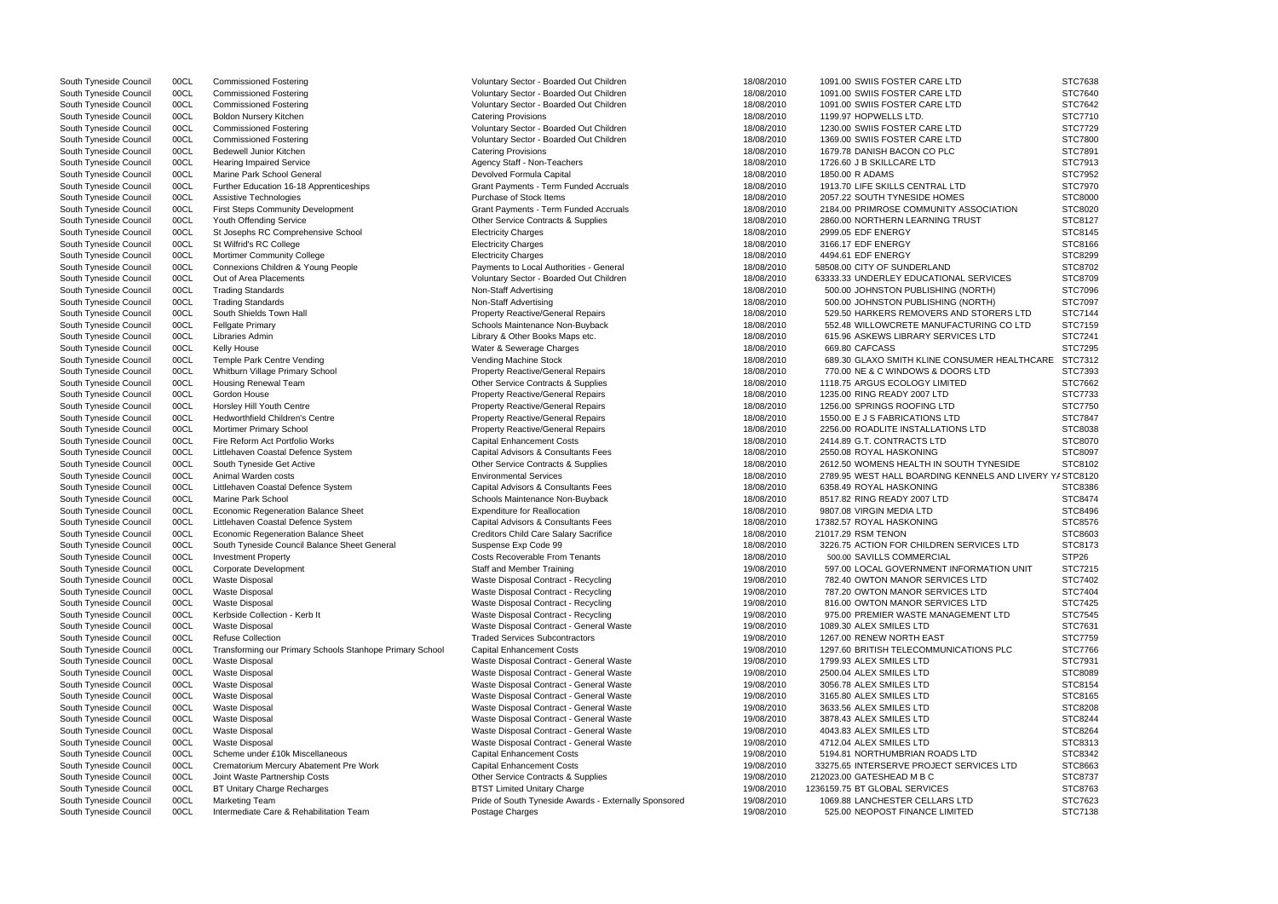South Tyneside Council 00CL Commissioned Fostering values of the Voluntary Sector - Boarded Out Children 18/08/2010 1091.00 SWIIS FOSTER CARE LTD South Tyneside Council 00CL Commissioned Fostering Commissioned Fostering Voluntary Sector - Boarded Out Children 18/08/2010 1091.00 SWIIS FOSTER CARE LTD South Tyneside Council 00CL Commissioned Fostering values of the Voluntary Sector - Boarded Out Children 18/08/2010 1091.00 SWIIS FOSTER CARE LTD South Tyneside Council COOCL Boldon Nursery Kitchen Catering Provisions Catering Provisions 2008/2010 1199.97 HOPWELLS LTD. STC7710 South Tyneside Council 00CL Commissioned Fostering **Suppleman and State Act of Children** 18/08/2010 1230.00 SWIIS FOSTER CARE LTD South Tyneside Council 00CL Commissioned Fostering **National Commissioned Fostering** Voluntary Sector - Boarded Out Children 18/08/2010 1369.00 SWIIS FOSTER CARE LTD South Tyneside Council 00CL Bedewell Junior Kitchen Catering Provisions Catering Provisions 18/08/2010 1679.78 DANISH BACON CO PLC South Tyneside Council 00CL Hearing Impaired Service Agency Staff - Non-Teachers 18/08/2010 1726.60 J B SKILLCARE LTD STC7913 South Tyneside Council 00CL Marine Park School General 2008 2008 Devolved Formula Capital 2008 18/08/2010 1850.00 R ADAMS STC7952 South Tyneside Council 00CL Further Education 16-18 Apprenticeships Grant Payments - Term Funded Accruals 18/08/2010 1913.70 LIFE SKILLS CENTRAL LTD South Tyneside Council 00CL Assistive Technologies **Purchase of Stock Items** Purchase of Stock Items 18/08/2010 2057.22 SOUTH TYNESIDE HOMES South Tyneside Council 00CL First Steps Community Development Grant Payments - Term Funded Accruals 18/08/2010 2184.00 PRIMROSE COMMUNITY AS South Tyneside Council 00CL Youth Offending Service Contracts & Supplies Contracts & Supplies 5 and 18/08/2010 2860.00 NORTHERN LEARNING TRUST STC. South Tyneside Council 00CL St Josephs RC Comprehensive School Electricity Charges 18/08/2010 2999.05 EDF ENERGY South Tyneside Council COOL St Wilfrid's RC College Council STC8166 Electricity Charges Electricity Charges and the state of the state of the state of the STC8166 STC8166 STC8166 STC8166 South Tyneside Council COOL Mortimer Community College And Electricity Charges Electricity Charges 18/08/2010 4494.61 EDF ENERGY STC8299 STC8299 South Tyneside Council 00CL Connexions Children & Young People Payments to Local Authorities - General 18/08/2010 58508.00 CITY OF SUNDERLAND South Tyneside Council 00CL Out of Area Placements Voluntary Sector - Boarded Out Children 18/08/2010 63333.33 UNDERLEY EDUCATIONAL South Tyneside Council 00CL Trading Standards Non-Staff Advertising 18/08/2010 500.00 JOHNSTON PUBLISHING (NORTH) STC70966 18/08/2010 500.00 JOHNSTON PUBLISHING (N South Tyneside Council 00CL Trading Standards Non-Staff Advertising 18/08/2010 500.00 JOHNSTON PUBLISHING (NORTH) STC709797 18/08/2010 500.00 JOHNSTON PUBLISHING (N South Tyneside Council 00CL South Shields Town Hall **Property Reactive/General Repairs** 2008/2010 529.50 HARKERS REMOVERS AND South Tyneside Council 00CL Fellgate Primary Schools Maintenance Non-Buyback 18/08/2010 552.48 WILLOWCRETE MANUFACT South Tyneside Council 00CL Libraries Admin 2000 2010 Library & Other Books Maps etc. 2008/2010 615.96 ASKEWS LIBRARY SERVICE South Tyneside Council COOCL Kelly House Water Metal Mater & Sewerage Charges Mater & Sewerage Charges Mater & Strong Mater & Sewerage Charges Mater & Strong Mater & Strong Mater & Strong Mater & Strong Mater & Strong Mate South Tyneside Council 00CL Temple Park Centre Vending Vending Vending Machine Stock 18/08/2010 689.30 GLAXO SMITH KLINE CONS South Tyneside Council 00CL Whitburn Village Primary School **Property Reactive/General Repairs** 18/08/2010 770.00 NE & C WINDOWS & DOORS South Tyneside Council 00CL Housing Renewal Team **Other Service Contracts & Supplies** 18/08/2010 1118.75 ARGUS ECOLOGY LIMITED South Tyneside Council 00CL Gordon House **Property Reactive/General Repairs** 18/08/2010 1235.00 RING READY 2007 LTD South Tyneside Council 00CL Horsley Hill Youth Centre **Property Reactive/General Repairs** 18/08/2010 1256.00 SPRINGS ROOFING LTD South Tyneside Council 00CL Hedworthfield Children's Centre **Property Reactive/General Repairs** 18/08/2010 1550.00 E J S FABRICATIONS LTD South Tyneside Council 00CL Mortimer Primary School Morks (Section Property Reactive/General Repairs 18/08/2010 18/08/2010 2256.00 ROADLITE INSTALLATIONS South Tyneside Council 00CL Fire Reform Act Portfolio Works (Septent OOCL Fire Reform Act Portfolio Works **Capital Enhancement Costs** Capital Enhancement Costs 18/08/2010 2414.89 G.T. CONTRACTS LTD South Tyneside Council 00CL Littlehaven Coastal Defence System Capital Advisors & Consultants Fees 18/08/2010 2550.08 ROYAL HASKONING South Tyneside Council 00CL South Tyneside Get Active Current Contracts & Supplies Contracts & Supplies 5000 18/08/2010 2612.50 WOMENS HEALTH IN SOUT South Tyneside Council 00CL Animal Warden costs examples and the environmental Services and the material Services of the material Services of the material Services of the material Services of the material Services of the m South Tyneside Council 00CL Littlehaven Coastal Defence System Capital Advisors & Consultants Fees 18/08/2010 6358.49 ROYAL HASKONING Schools Maintenance Non-Buyback Marine Park School Schools Maintenance Non-Buyback 18/08/2010 8517.82 RING READY 2007 LTD South Tyneside Council 00CL Economic Regeneration Balance Sheet Expenditure for Reallocation 18/08/2010 9807.08 VIRGIN MEDIA LTD South Tyneside Council 00CL Littlehaven Coastal Defence System Capital Advisors & Consultants Fees 18/08/2010 17382.57 ROYAL HASKONING STC8576 oocl Economic Regeneration Balance Sheet Creditors Child Care Salary Sacrifice 18/08/2010 21017.29 RSM TENON STC86030 South Tyneside Council 00CL South Tyneside Council Balance Sheet General Suspense Exp Code 99 18/08/2010 3226.75 ACTION FOR CHILDREN SE South Tyneside Council 00CL Investment Property Costs Recoverable From Tenants 18/08/2010 500.00 SAVILLS COMMERCIAL South Tyneside Council 00CL Corporate Development 19/08/2010 597.00 LOCAL GOVERNMENT INFO South Tyneside Council 00CL Waste Disposal Contract - Necessal Contract - Recycling 19/08/2010 782.40 OWTON MANOR SERVICES South Tyneside Council 00CL Waste Disposal Waste Disposal Contract - Recycling 19/08/2010 787.20 OWTON MANOR SERVICES South Tyneside Council 00CL Waste Disposal **Waste Disposal Contract - Recycling** 19/08/2010 816.00 OWTON MANOR SERVICES South Tyneside Council 00CL Kerbside Collection - Kerb It Maste Disposal Contract - Recycling 19/08/2010 975.00 PREMIER WASTE MANAGE South Tyneside Council 00CL Waste Disposal Waste Disposal Contract - General Waste Number 19/08/2010 1089.30 ALEX SMILES LTD South Tyneside Council 00CL Refuse Collection Collection Traded Services Subcontractors 19/08/2010 1267.00 RENEW NORTH EAST South Tyneside Council 00CL Transforming our Primary Schools Stanhope Primary School Capital Enhancement Costs 19/08/2010 19/08/2010 1297.60 BRITISH TELECOMMUNICAT South Tyneside Council 00CL Waste Disposal Waste Disposal Contract - General Waste Number 20/08/2010 1799.93 ALEX SMILES LTD South Tyneside Council 00CL Waste Disposal Waste Disposal Contract - General Waste 19/08/2010 2500.04 ALEX SMILES LTD South Tyneside Council 00CL Waste Disposal Waste Disposal Contract - General Waste Number 2008/2010 3056.78 ALEX SMILES LTD South Tyneside Council 00CL Waste Disposal Waste Disposal Contract - General Waste 19/08/2010 3165.80 ALEX SMILES LTD South Tyneside Council 00CL Waste Disposal Waste Disposal Contract - General Waste 19/08/2010 3633.56 ALEX SMILES LTD South Tyneside Council 00CL Waste Disposal Waste Disposal Contract - General Waste Number 20/08/2010 3878.43 ALEX SMILES LTD South Tyneside Council 00CL Waste Disposal Waste Disposal Contract - General Waste Number 19/08/2010 4043.83 ALEX SMILES LTD South Tyneside Council 00CL Waste Disposal Waste Disposal Contract - General Waste Number 20/08/2010 4712.04 ALEX SMILES LTD South Tyneside Council 00CL Scheme under £10k Miscellaneous Capital Enhancement Costs 19/08/2010 5194.81 NORTHUMBRIAN ROADS LTD STC834234 South Tyneside Council 00CL Crematorium Mercury Abatement Pre Work Capital Enhancement Costs 19/08/2010 33275.65 INTERSERVE PROJECT SERVICES 20010 South Tyneside Council 00CL Joint Waste Partnership Costs Costs Contracts & Supplies Contracts & Supplies 5 and 19/08/2010 212023.00 GATESHEAD M B C South Tyneside Council 00CL BT Unitary Charge Recharges **BTST Limited Unitary Charge 19/08/2010** 1236159.75 BT GLOBAL SERVICES South Tyneside Council 00CL Marketing Team **Pride of South Tyneside Awards - Externally Sponsored** 19/08/2010 1069.88 LANCHESTER CELLARS LT South Tyneside Council 00CL Intermediate Care & Rehabilitation Team Postage Charges 19/08/2010 525.00 NEOPOST FINANCE LIMITE

| STC7638                     |
|-----------------------------|
| STC7640                     |
| STC7642                     |
| STC7710                     |
| STC7729                     |
| STC7800                     |
| STC7891                     |
| STC7913                     |
| STC7952                     |
| STC7970                     |
| STC8000                     |
| STC8020                     |
|                             |
| STC8127                     |
| STC8145                     |
| STC8166                     |
| STC8299                     |
| STC8702                     |
| STC8709                     |
| <b>STC7096</b>              |
| STC7097                     |
| STC7144                     |
| STC7159                     |
| STC7241                     |
| <b>STC7295</b>              |
|                             |
| STC7312                     |
| STC7393                     |
| STC7662                     |
| STC7733                     |
| STC7750                     |
| STC7847                     |
| STC8038                     |
| STC8070                     |
| STC8097                     |
| STC8102                     |
| NNELS AND LIVERY Y/ STC8120 |
|                             |
| STC8386                     |
| STC8474                     |
| STC8496                     |
| STC8576                     |
| STC8603                     |
|                             |
| STC8173                     |
| STP26                       |
|                             |
| STC7215                     |
| STC7402                     |
| STC7404                     |
| STC7425                     |
| STC7545                     |
| STC7631                     |
| STC7759                     |
| STC7766                     |
| STC7931                     |
| STC8089                     |
| STC8154                     |
| STC8165                     |
| STC8208                     |
|                             |
| STC8244                     |
| STC8264                     |
| STC8313                     |
| STC8342                     |
| STC8663                     |
| STC8737                     |
| STC8763                     |
| STC7623<br>STC7138          |
|                             |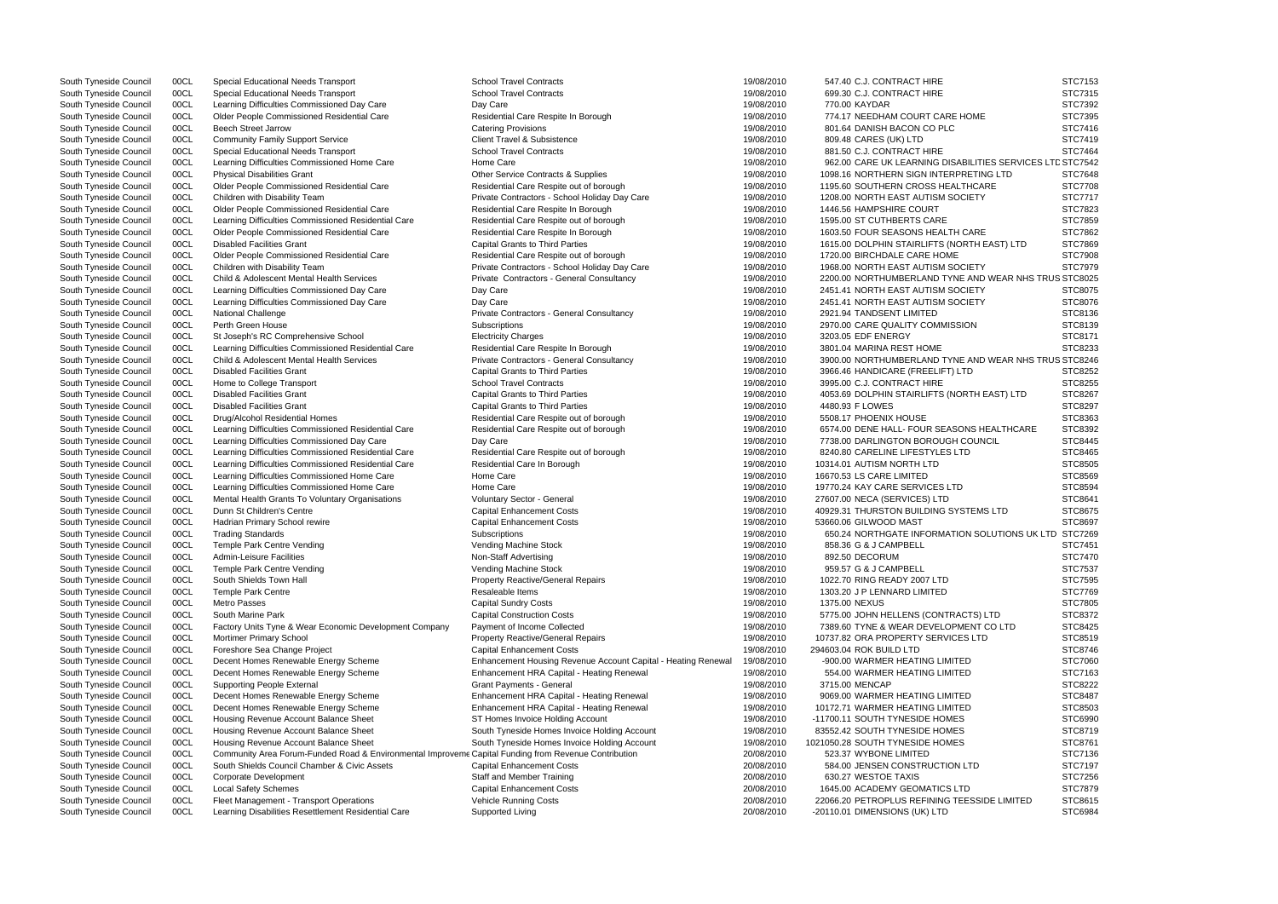|                                     | ১। ৬७। ১১      |
|-------------------------------------|----------------|
|                                     | STC7315        |
|                                     | STC7392        |
|                                     |                |
| ОМЕ                                 | STC7395        |
|                                     | STC7416        |
|                                     | STC7419        |
|                                     |                |
|                                     | STC7464        |
| <b>ILITIES SERVICES LTD STC7542</b> |                |
| <b>ETING LTD</b>                    | STC7648        |
|                                     |                |
| HCARE                               | STC7708        |
| <b>IETY</b>                         | STC7717        |
|                                     | STC7823        |
|                                     | STC7859        |
|                                     |                |
| <b>ARE</b>                          | STC7862        |
| <b>TH EAST) LTD</b>                 | STC7869        |
|                                     | STC7908        |
|                                     |                |
| <b>IETY</b>                         | STC7979        |
| AND WEAR NHS TRUS STC8025           |                |
| <b>IETY</b>                         | STC8075        |
|                                     |                |
| IETY                                | STC8076        |
|                                     | STC8136        |
| ЭN                                  | STC8139        |
|                                     |                |
|                                     | STC8171        |
|                                     | STC8233        |
| AND WEAR NHS TRUS STC8246           |                |
|                                     |                |
| D                                   | STC8252        |
|                                     | STC8255        |
| <b>TH EAST) LTD</b>                 | STC8267        |
|                                     |                |
|                                     | STC8297        |
|                                     | STC8363        |
| <b>\S HEALTHCARE</b>                | STC8392        |
|                                     |                |
| OUNCIL                              | STC8445        |
| C                                   | STC8465        |
|                                     |                |
|                                     | STC8505        |
|                                     | STC8569        |
|                                     | STC8594        |
|                                     | STC8641        |
|                                     |                |
| <b>TEMS LTD</b>                     | STC8675        |
|                                     | STC8697        |
| N SOLUTIONS UK LTD STC7269          |                |
|                                     |                |
|                                     | STC7451        |
|                                     | STC7470        |
|                                     | <b>STC7537</b> |
|                                     |                |
|                                     | STC7595        |
|                                     | STC7769        |
|                                     | STC7805        |
|                                     |                |
| TS) LTD                             | STC8372        |
| <b>ENT CO LTD</b>                   | STC8425        |
| <b>LTD</b>                          | STC8519        |
|                                     |                |
|                                     | STC8746        |
|                                     | STC7060        |
| כ<br>כ                              | STC7163        |
|                                     |                |
|                                     | STC8222        |
|                                     | STC8487        |
| כ<br>כ                              | STC8503        |
|                                     |                |
|                                     | STC6990        |
|                                     | STC8719        |
|                                     | STC8761        |
|                                     |                |
|                                     |                |
| TD.                                 | STC7136        |
|                                     |                |
|                                     | STC7197        |
|                                     | STC7256        |
| J                                   | STC7879        |
| <b>SSIDE LIMITED</b>                | STC8615        |
|                                     | STC6984        |

| South Tyneside Council | 00CL | Special Educational Needs Transport                                                                  | <b>School Travel Contracts</b>                                | 19/08/2010 | 547.40 C.J. CONTRACT HIRE                                 | STC7153        |
|------------------------|------|------------------------------------------------------------------------------------------------------|---------------------------------------------------------------|------------|-----------------------------------------------------------|----------------|
| South Tyneside Council | 00CL | <b>Special Educational Needs Transport</b>                                                           | <b>School Travel Contracts</b>                                | 19/08/2010 | 699.30 C.J. CONTRACT HIRE                                 | STC7315        |
| South Tyneside Council | 00CL | Learning Difficulties Commissioned Day Care                                                          | Day Care                                                      | 19/08/2010 | 770.00 KAYDAR                                             | STC7392        |
| South Tyneside Council | 00CL | Older People Commissioned Residential Care                                                           | Residential Care Respite In Borough                           | 19/08/2010 | 774.17 NEEDHAM COURT CARE HOME                            | STC7395        |
| South Tyneside Council | 00CL | <b>Beech Street Jarrow</b>                                                                           | <b>Catering Provisions</b>                                    | 19/08/2010 | 801.64 DANISH BACON CO PLC                                | STC7416        |
| South Tyneside Council | 00CL | <b>Community Family Support Service</b>                                                              | <b>Client Travel &amp; Subsistence</b>                        | 19/08/2010 | 809.48 CARES (UK) LTD                                     | STC7419        |
| South Tyneside Council | 00CL | <b>Special Educational Needs Transport</b>                                                           | <b>School Travel Contracts</b>                                | 19/08/2010 | 881.50 C.J. CONTRACT HIRE                                 | STC7464        |
| South Tyneside Council | 00CL | Learning Difficulties Commissioned Home Care                                                         | Home Care                                                     | 19/08/2010 | 962.00 CARE UK LEARNING DISABILITIES SERVICES LTD STC7542 |                |
| South Tyneside Council | 00CL | <b>Physical Disabilities Grant</b>                                                                   | Other Service Contracts & Supplies                            | 19/08/2010 | 1098.16 NORTHERN SIGN INTERPRETING LTD                    | STC7648        |
| South Tyneside Council | 00CL | Older People Commissioned Residential Care                                                           | Residential Care Respite out of borough                       | 19/08/2010 | 1195.60 SOUTHERN CROSS HEALTHCARE                         | <b>STC7708</b> |
| South Tyneside Council | 00CL | Children with Disability Team                                                                        | Private Contractors - School Holiday Day Care                 | 19/08/2010 | 1208.00 NORTH EAST AUTISM SOCIETY                         | <b>STC7717</b> |
| South Tyneside Council | 00CL | Older People Commissioned Residential Care                                                           | Residential Care Respite In Borough                           | 19/08/2010 | 1446.56 HAMPSHIRE COURT                                   | STC7823        |
| South Tyneside Council | 00CL | Learning Difficulties Commissioned Residential Care                                                  | Residential Care Respite out of borough                       | 19/08/2010 | 1595.00 ST CUTHBERTS CARE                                 | <b>STC7859</b> |
| South Tyneside Council | 00CL | Older People Commissioned Residential Care                                                           | Residential Care Respite In Borough                           | 19/08/2010 | 1603.50 FOUR SEASONS HEALTH CARE                          | STC7862        |
|                        |      |                                                                                                      |                                                               |            |                                                           |                |
| South Tyneside Council | 00CL | <b>Disabled Facilities Grant</b>                                                                     | <b>Capital Grants to Third Parties</b>                        | 19/08/2010 | 1615.00 DOLPHIN STAIRLIFTS (NORTH EAST) LTD               | <b>STC7869</b> |
| South Tyneside Council | 00CL | Older People Commissioned Residential Care                                                           | Residential Care Respite out of borough                       | 19/08/2010 | 1720.00 BIRCHDALE CARE HOME                               | STC7908        |
| South Tyneside Council | 00CL | Children with Disability Team                                                                        | Private Contractors - School Holiday Day Care                 | 19/08/2010 | 1968.00 NORTH EAST AUTISM SOCIETY                         | <b>STC7979</b> |
| South Tyneside Council | 00CL | Child & Adolescent Mental Health Services                                                            | Private Contractors - General Consultancy                     | 19/08/2010 | 2200.00 NORTHUMBERLAND TYNE AND WEAR NHS TRUS STC8025     |                |
| South Tyneside Council | 00CL | Learning Difficulties Commissioned Day Care                                                          | Day Care                                                      | 19/08/2010 | 2451.41 NORTH EAST AUTISM SOCIETY                         | STC8075        |
| South Tyneside Council | 00CL | Learning Difficulties Commissioned Day Care                                                          | Day Care                                                      | 19/08/2010 | 2451.41 NORTH EAST AUTISM SOCIETY                         | STC8076        |
| South Tyneside Council | 00CL | National Challenge                                                                                   | Private Contractors - General Consultancy                     | 19/08/2010 | 2921.94 TANDSENT LIMITED                                  | STC8136        |
| South Tyneside Council | 00CL | Perth Green House                                                                                    | Subscriptions                                                 | 19/08/2010 | 2970.00 CARE QUALITY COMMISSION                           | STC8139        |
| South Tyneside Council | 00CL | St Joseph's RC Comprehensive School                                                                  | <b>Electricity Charges</b>                                    | 19/08/2010 | 3203.05 EDF ENERGY                                        | STC8171        |
| South Tyneside Council | 00CL | Learning Difficulties Commissioned Residential Care                                                  | Residential Care Respite In Borough                           | 19/08/2010 | 3801.04 MARINA REST HOME                                  | STC8233        |
| South Tyneside Council | 00CL | Child & Adolescent Mental Health Services                                                            | Private Contractors - General Consultancy                     | 19/08/2010 | 3900.00 NORTHUMBERLAND TYNE AND WEAR NHS TRUS STC8246     |                |
| South Tyneside Council | 00CL | <b>Disabled Facilities Grant</b>                                                                     | <b>Capital Grants to Third Parties</b>                        | 19/08/2010 | 3966.46 HANDICARE (FREELIFT) LTD                          | STC8252        |
| South Tyneside Council | 00CL | Home to College Transport                                                                            | <b>School Travel Contracts</b>                                | 19/08/2010 | 3995.00 C.J. CONTRACT HIRE                                | STC8255        |
| South Tyneside Council | 00CL | <b>Disabled Facilities Grant</b>                                                                     | <b>Capital Grants to Third Parties</b>                        | 19/08/2010 | 4053.69 DOLPHIN STAIRLIFTS (NORTH EAST) LTD               | STC8267        |
| South Tyneside Council | 00CL | <b>Disabled Facilities Grant</b>                                                                     | <b>Capital Grants to Third Parties</b>                        | 19/08/2010 | 4480.93 F LOWES                                           | STC8297        |
| South Tyneside Council | 00CL | Drug/Alcohol Residential Homes                                                                       | Residential Care Respite out of borough                       | 19/08/2010 | 5508.17 PHOENIX HOUSE                                     | STC8363        |
|                        |      |                                                                                                      |                                                               |            | 6574.00 DENE HALL- FOUR SEASONS HEALTHCARE                | STC8392        |
| South Tyneside Council | 00CL | Learning Difficulties Commissioned Residential Care                                                  | Residential Care Respite out of borough                       | 19/08/2010 |                                                           |                |
| South Tyneside Council | 00CL | Learning Difficulties Commissioned Day Care                                                          | Day Care                                                      | 19/08/2010 | 7738.00 DARLINGTON BOROUGH COUNCIL                        | STC8445        |
| South Tyneside Council | 00CL | Learning Difficulties Commissioned Residential Care                                                  | Residential Care Respite out of borough                       | 19/08/2010 | 8240.80 CARELINE LIFESTYLES LTD                           | STC8465        |
| South Tyneside Council | 00CL | Learning Difficulties Commissioned Residential Care                                                  | Residential Care In Borough                                   | 19/08/2010 | 10314.01 AUTISM NORTH LTD                                 | STC8505        |
| South Tyneside Council | 00CL | Learning Difficulties Commissioned Home Care                                                         | Home Care                                                     | 19/08/2010 | 16670.53 LS CARE LIMITED                                  | STC8569        |
| South Tyneside Council | 00CL | Learning Difficulties Commissioned Home Care                                                         | Home Care                                                     | 19/08/2010 | 19770.24 KAY CARE SERVICES LTD                            | STC8594        |
| South Tyneside Council | 00CL | Mental Health Grants To Voluntary Organisations                                                      | Voluntary Sector - General                                    | 19/08/2010 | 27607.00 NECA (SERVICES) LTD                              | STC8641        |
| South Tyneside Council | 00CL | Dunn St Children's Centre                                                                            | <b>Capital Enhancement Costs</b>                              | 19/08/2010 | 40929.31 THURSTON BUILDING SYSTEMS LTD                    | STC8675        |
| South Tyneside Council | 00CL | Hadrian Primary School rewire                                                                        | <b>Capital Enhancement Costs</b>                              | 19/08/2010 | 53660.06 GILWOOD MAST                                     | STC8697        |
| South Tyneside Council | 00CL | <b>Trading Standards</b>                                                                             | Subscriptions                                                 | 19/08/2010 | 650.24 NORTHGATE INFORMATION SOLUTIONS UK LTD             | STC7269        |
| South Tyneside Council | 00CL | Temple Park Centre Vending                                                                           | <b>Vending Machine Stock</b>                                  | 19/08/2010 | 858.36 G & J CAMPBELL                                     | STC7451        |
| South Tyneside Council | 00CL | <b>Admin-Leisure Facilities</b>                                                                      | Non-Staff Advertising                                         | 19/08/2010 | 892.50 DECORUM                                            | STC7470        |
| South Tyneside Council | 00CL | Temple Park Centre Vending                                                                           | <b>Vending Machine Stock</b>                                  | 19/08/2010 | 959.57 G & J CAMPBELL                                     | STC7537        |
| South Tyneside Council | 00CL | South Shields Town Hall                                                                              | <b>Property Reactive/General Repairs</b>                      | 19/08/2010 | 1022.70 RING READY 2007 LTD                               | STC7595        |
| South Tyneside Council | 00CL | <b>Temple Park Centre</b>                                                                            | Resaleable Items                                              | 19/08/2010 | 1303.20 J P LENNARD LIMITED                               | STC7769        |
| South Tyneside Council | 00CL | <b>Metro Passes</b>                                                                                  | <b>Capital Sundry Costs</b>                                   | 19/08/2010 | 1375.00 NEXUS                                             | STC7805        |
| South Tyneside Council |      | South Marine Park                                                                                    |                                                               |            |                                                           | STC8372        |
|                        | 00CL |                                                                                                      | <b>Capital Construction Costs</b>                             | 19/08/2010 | 5775.00 JOHN HELLENS (CONTRACTS) LTD                      |                |
| South Tyneside Council | 00CL | Factory Units Tyne & Wear Economic Development Company                                               | Payment of Income Collected                                   | 19/08/2010 | 7389.60 TYNE & WEAR DEVELOPMENT CO LTD                    | STC8425        |
| South Tyneside Council | 00CL | <b>Mortimer Primary School</b>                                                                       | <b>Property Reactive/General Repairs</b>                      | 19/08/2010 | 10737.82 ORA PROPERTY SERVICES LTD                        | STC8519        |
| South Tyneside Council | 00CL | Foreshore Sea Change Project                                                                         | <b>Capital Enhancement Costs</b>                              | 19/08/2010 | 294603.04 ROK BUILD LTD                                   | STC8746        |
| South Tyneside Council | 00CL | Decent Homes Renewable Energy Scheme                                                                 | Enhancement Housing Revenue Account Capital - Heating Renewal | 19/08/2010 | -900.00 WARMER HEATING LIMITED                            | STC7060        |
| South Tyneside Council | 00CL | Decent Homes Renewable Energy Scheme                                                                 | Enhancement HRA Capital - Heating Renewal                     | 19/08/2010 | 554.00 WARMER HEATING LIMITED                             | STC7163        |
| South Tyneside Council | 00CL | <b>Supporting People External</b>                                                                    | <b>Grant Payments - General</b>                               | 19/08/2010 | 3715.00 MENCAP                                            | STC8222        |
| South Tyneside Council | 00CL | Decent Homes Renewable Energy Scheme                                                                 | Enhancement HRA Capital - Heating Renewal                     | 19/08/2010 | 9069.00 WARMER HEATING LIMITED                            | STC8487        |
| South Tyneside Council | 00CL | Decent Homes Renewable Energy Scheme                                                                 | Enhancement HRA Capital - Heating Renewal                     | 19/08/2010 | 10172.71 WARMER HEATING LIMITED                           | STC8503        |
| South Tyneside Council | 00CL | Housing Revenue Account Balance Sheet                                                                | ST Homes Invoice Holding Account                              | 19/08/2010 | -11700.11 SOUTH TYNESIDE HOMES                            | STC6990        |
| South Tyneside Council | 00CL | Housing Revenue Account Balance Sheet                                                                | South Tyneside Homes Invoice Holding Account                  | 19/08/2010 | 83552.42 SOUTH TYNESIDE HOMES                             | STC8719        |
| South Tyneside Council | 00CL | Housing Revenue Account Balance Sheet                                                                | South Tyneside Homes Invoice Holding Account                  | 19/08/2010 | 1021050.28 SOUTH TYNESIDE HOMES                           | STC8761        |
| South Tyneside Council | 00CL | Community Area Forum-Funded Road & Environmental Improveme Capital Funding from Revenue Contribution |                                                               | 20/08/2010 | 523.37 WYBONE LIMITED                                     | STC7136        |
| South Tyneside Council | 00CL | South Shields Council Chamber & Civic Assets                                                         | <b>Capital Enhancement Costs</b>                              | 20/08/2010 | 584.00 JENSEN CONSTRUCTION LTD                            | STC7197        |
| South Tyneside Council | 00CL | Corporate Development                                                                                | Staff and Member Training                                     | 20/08/2010 | 630.27 WESTOE TAXIS                                       | STC7256        |
|                        |      |                                                                                                      |                                                               |            |                                                           | <b>STC7879</b> |
| South Tyneside Council | 00CL | <b>Local Safety Schemes</b>                                                                          | <b>Capital Enhancement Costs</b>                              | 20/08/2010 | 1645.00 ACADEMY GEOMATICS LTD                             |                |
| South Tyneside Council | 00CL | Fleet Management - Transport Operations                                                              | Vehicle Running Costs                                         | 20/08/2010 | 22066.20 PETROPLUS REFINING TEESSIDE LIMITED              | STC8615        |
| South Tyneside Council | 00CL | Learning Disabilities Resettlement Residential Care                                                  | Supported Living                                              | 20/08/2010 | -20110.01 DIMENSIONS (UK) LTD                             | STC6984        |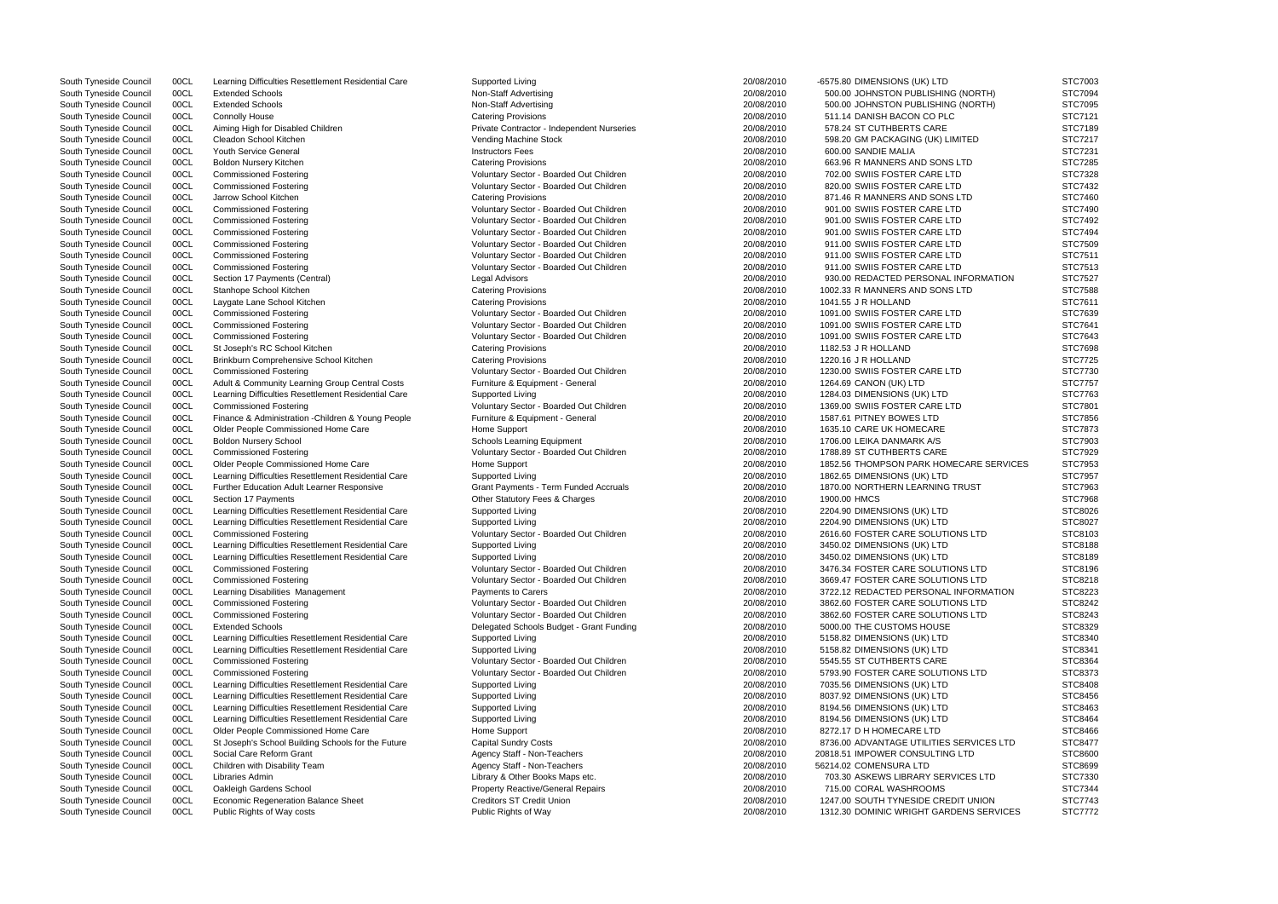| South Tyneside Council | 00CL | Learning Difficulties Resettlement Residential Care | Supported Living                             | 20/08/2010 | -6575.80 DIMENSIONS (UK) LTD             | SIC7003        |
|------------------------|------|-----------------------------------------------------|----------------------------------------------|------------|------------------------------------------|----------------|
| South Tyneside Council | 00CL | <b>Extended Schools</b>                             | Non-Staff Advertising                        | 20/08/2010 | 500.00 JOHNSTON PUBLISHING (NORTH)       | STC7094        |
| South Tyneside Council | 00CL | <b>Extended Schools</b>                             | Non-Staff Advertising                        | 20/08/2010 | 500.00 JOHNSTON PUBLISHING (NORTH)       | STC7095        |
| South Tyneside Council | 00CL | <b>Connolly House</b>                               | <b>Catering Provisions</b>                   | 20/08/2010 | 511.14 DANISH BACON CO PLC               | STC7121        |
| South Tyneside Council | 00CL | Aiming High for Disabled Children                   | Private Contractor - Independent Nurseries   | 20/08/2010 | 578.24 ST CUTHBERTS CARE                 | STC7189        |
| South Tyneside Council | 00CL | Cleadon School Kitchen                              | Vending Machine Stock                        | 20/08/2010 | 598.20 GM PACKAGING (UK) LIMITED         | STC7217        |
|                        |      |                                                     |                                              |            |                                          |                |
| South Tyneside Council | 00CL | <b>Youth Service General</b>                        | <b>Instructors Fees</b>                      | 20/08/2010 | 600.00 SANDIE MALIA                      | STC7231        |
| South Tyneside Council | 00CL | Boldon Nursery Kitchen                              | <b>Catering Provisions</b>                   | 20/08/2010 | 663.96 R MANNERS AND SONS LTD            | STC7285        |
| South Tyneside Council | 00CL | <b>Commissioned Fostering</b>                       | Voluntary Sector - Boarded Out Children      | 20/08/2010 | 702.00 SWIIS FOSTER CARE LTD             | STC7328        |
| South Tyneside Council | 00CL | <b>Commissioned Fostering</b>                       | Voluntary Sector - Boarded Out Children      | 20/08/2010 | 820.00 SWIIS FOSTER CARE LTD             | STC7432        |
| South Tyneside Council | 00CL | Jarrow School Kitchen                               | <b>Catering Provisions</b>                   | 20/08/2010 | 871.46 R MANNERS AND SONS LTD            | STC7460        |
| South Tyneside Council | 00CL | <b>Commissioned Fostering</b>                       | Voluntary Sector - Boarded Out Children      | 20/08/2010 | 901.00 SWIIS FOSTER CARE LTD             | STC7490        |
| South Tyneside Council | 00CL | <b>Commissioned Fostering</b>                       | Voluntary Sector - Boarded Out Children      | 20/08/2010 | 901.00 SWIIS FOSTER CARE LTD             | STC7492        |
| South Tyneside Council | 00CL | <b>Commissioned Fostering</b>                       | Voluntary Sector - Boarded Out Children      | 20/08/2010 | 901.00 SWIIS FOSTER CARE LTD             | STC7494        |
|                        | 00CL |                                                     | Voluntary Sector - Boarded Out Children      | 20/08/2010 | 911.00 SWIIS FOSTER CARE LTD             | <b>STC7509</b> |
| South Tyneside Council |      | <b>Commissioned Fostering</b>                       |                                              |            |                                          |                |
| South Tyneside Council | 00CL | <b>Commissioned Fostering</b>                       | Voluntary Sector - Boarded Out Children      | 20/08/2010 | 911.00 SWIIS FOSTER CARE LTD             | STC7511        |
| South Tyneside Council | 00CL | <b>Commissioned Fostering</b>                       | Voluntary Sector - Boarded Out Children      | 20/08/2010 | 911.00 SWIIS FOSTER CARE LTD             | STC7513        |
| South Tyneside Council | 00CL | Section 17 Payments (Central)                       | Legal Advisors                               | 20/08/2010 | 930.00 REDACTED PERSONAL INFORMATION     | STC7527        |
| South Tyneside Council | 00CL | Stanhope School Kitchen                             | <b>Catering Provisions</b>                   | 20/08/2010 | 1002.33 R MANNERS AND SONS LTD           | STC7588        |
| South Tyneside Council | 00CL | Laygate Lane School Kitchen                         | <b>Catering Provisions</b>                   | 20/08/2010 | 1041.55 J R HOLLAND                      | STC7611        |
| South Tyneside Council | 00CL | <b>Commissioned Fostering</b>                       | Voluntary Sector - Boarded Out Children      | 20/08/2010 | 1091.00 SWIIS FOSTER CARE LTD            | STC7639        |
| South Tyneside Council | 00CL | <b>Commissioned Fostering</b>                       | Voluntary Sector - Boarded Out Children      | 20/08/2010 | 1091.00 SWIIS FOSTER CARE LTD            | STC7641        |
| South Tyneside Council | 00CL | <b>Commissioned Fostering</b>                       | Voluntary Sector - Boarded Out Children      | 20/08/2010 | 1091.00 SWIIS FOSTER CARE LTD            | STC7643        |
|                        |      |                                                     |                                              |            |                                          |                |
| South Tyneside Council | 00CL | St Joseph's RC School Kitchen                       | <b>Catering Provisions</b>                   | 20/08/2010 | 1182.53 J R HOLLAND                      | STC7698        |
| South Tyneside Council | 00CL | Brinkburn Comprehensive School Kitchen              | <b>Catering Provisions</b>                   | 20/08/2010 | 1220.16 J R HOLLAND                      | STC7725        |
| South Tyneside Council | 00CL | <b>Commissioned Fostering</b>                       | Voluntary Sector - Boarded Out Children      | 20/08/2010 | 1230.00 SWIIS FOSTER CARE LTD            | STC7730        |
| South Tyneside Council | 00CL | Adult & Community Learning Group Central Costs      | Furniture & Equipment - General              | 20/08/2010 | 1264.69 CANON (UK) LTD                   | <b>STC7757</b> |
| South Tyneside Council | 00CL | Learning Difficulties Resettlement Residential Care | Supported Living                             | 20/08/2010 | 1284.03 DIMENSIONS (UK) LTD              | STC7763        |
| South Tyneside Council | 00CL | <b>Commissioned Fostering</b>                       | Voluntary Sector - Boarded Out Children      | 20/08/2010 | 1369.00 SWIIS FOSTER CARE LTD            | STC7801        |
| South Tyneside Council | 00CL | Finance & Administration - Children & Young People  | Furniture & Equipment - General              | 20/08/2010 | 1587.61 PITNEY BOWES LTD                 | STC7856        |
| South Tyneside Council | 00CL | Older People Commissioned Home Care                 | Home Support                                 | 20/08/2010 | 1635.10 CARE UK HOMECARE                 | STC7873        |
| South Tyneside Council | 00CL | <b>Boldon Nursery School</b>                        | Schools Learning Equipment                   | 20/08/2010 | 1706.00 LEIKA DANMARK A/S                | STC7903        |
|                        |      |                                                     |                                              |            |                                          |                |
| South Tyneside Council | 00CL | <b>Commissioned Fostering</b>                       | Voluntary Sector - Boarded Out Children      | 20/08/2010 | 1788.89 ST CUTHBERTS CARE                | <b>STC7929</b> |
| South Tyneside Council | 00CL | Older People Commissioned Home Care                 | Home Support                                 | 20/08/2010 | 1852.56 THOMPSON PARK HOMECARE SERVICES  | STC7953        |
| South Tyneside Council | 00CL | Learning Difficulties Resettlement Residential Care | Supported Living                             | 20/08/2010 | 1862.65 DIMENSIONS (UK) LTD              | <b>STC7957</b> |
| South Tyneside Council | 00CL | Further Education Adult Learner Responsive          | <b>Grant Payments - Term Funded Accruals</b> | 20/08/2010 | 1870.00 NORTHERN LEARNING TRUST          | STC7963        |
| South Tyneside Council | 00CL | Section 17 Payments                                 | Other Statutory Fees & Charges               | 20/08/2010 | 1900.00 HMCS                             | STC7968        |
| South Tyneside Council | 00CL | Learning Difficulties Resettlement Residential Care | Supported Living                             | 20/08/2010 | 2204.90 DIMENSIONS (UK) LTD              | STC8026        |
| South Tyneside Council | 00CL | Learning Difficulties Resettlement Residential Care | Supported Living                             | 20/08/2010 | 2204.90 DIMENSIONS (UK) LTD              | STC8027        |
| South Tyneside Council | 00CL | <b>Commissioned Fostering</b>                       | Voluntary Sector - Boarded Out Children      | 20/08/2010 | 2616.60 FOSTER CARE SOLUTIONS LTD        | STC8103        |
| South Tyneside Council | 00CL | Learning Difficulties Resettlement Residential Care | Supported Living                             | 20/08/2010 | 3450.02 DIMENSIONS (UK) LTD              | STC8188        |
|                        |      | Learning Difficulties Resettlement Residential Care | Supported Living                             |            |                                          | <b>STC8189</b> |
| South Tyneside Council | 00CL |                                                     |                                              | 20/08/2010 | 3450.02 DIMENSIONS (UK) LTD              |                |
| South Tyneside Council | 00CL | <b>Commissioned Fostering</b>                       | Voluntary Sector - Boarded Out Children      | 20/08/2010 | 3476.34 FOSTER CARE SOLUTIONS LTD        | STC8196        |
| South Tyneside Council | 00CL | <b>Commissioned Fostering</b>                       | Voluntary Sector - Boarded Out Children      | 20/08/2010 | 3669.47 FOSTER CARE SOLUTIONS LTD        | STC8218        |
| South Tyneside Council | 00CL | Learning Disabilities Management                    | Payments to Carers                           | 20/08/2010 | 3722.12 REDACTED PERSONAL INFORMATION    | STC8223        |
| South Tyneside Council | 00CL | <b>Commissioned Fostering</b>                       | Voluntary Sector - Boarded Out Children      | 20/08/2010 | 3862.60 FOSTER CARE SOLUTIONS LTD        | STC8242        |
| South Tyneside Council | 00CL | <b>Commissioned Fostering</b>                       | Voluntary Sector - Boarded Out Children      | 20/08/2010 | 3862.60 FOSTER CARE SOLUTIONS LTD        | STC8243        |
| South Tyneside Council | 00CL | <b>Extended Schools</b>                             | Delegated Schools Budget - Grant Funding     | 20/08/2010 | 5000.00 THE CUSTOMS HOUSE                | <b>STC8329</b> |
| South Tyneside Council | 00CL | Learning Difficulties Resettlement Residential Care | Supported Living                             | 20/08/2010 | 5158.82 DIMENSIONS (UK) LTD              | <b>STC8340</b> |
| South Tyneside Council | 00CL | Learning Difficulties Resettlement Residential Care | Supported Living                             | 20/08/2010 | 5158.82 DIMENSIONS (UK) LTD              | STC8341        |
|                        |      |                                                     |                                              |            |                                          |                |
| South Tyneside Council | 00CL | <b>Commissioned Fostering</b>                       | Voluntary Sector - Boarded Out Children      | 20/08/2010 | 5545.55 ST CUTHBERTS CARE                | STC8364        |
| South Tyneside Council | 00CL | <b>Commissioned Fostering</b>                       | Voluntary Sector - Boarded Out Children      | 20/08/2010 | 5793.90 FOSTER CARE SOLUTIONS LTD        | STC8373        |
| South Tyneside Council | 00CL | Learning Difficulties Resettlement Residential Care | Supported Living                             | 20/08/2010 | 7035.56 DIMENSIONS (UK) LTD              | STC8408        |
| South Tyneside Council | 00CL | Learning Difficulties Resettlement Residential Care | Supported Living                             | 20/08/2010 | 8037.92 DIMENSIONS (UK) LTD              | STC8456        |
| South Tyneside Council | 00CL | Learning Difficulties Resettlement Residential Care | Supported Living                             | 20/08/2010 | 8194.56 DIMENSIONS (UK) LTD              | STC8463        |
| South Tyneside Council | 00CL | Learning Difficulties Resettlement Residential Care | Supported Living                             | 20/08/2010 | 8194.56 DIMENSIONS (UK) LTD              | STC8464        |
| South Tyneside Council | 00CL | Older People Commissioned Home Care                 | Home Support                                 | 20/08/2010 | 8272.17 D H HOMECARE LTD                 | STC8466        |
| South Tyneside Council | 00CL | St Joseph's School Building Schools for the Future  | <b>Capital Sundry Costs</b>                  | 20/08/2010 | 8736.00 ADVANTAGE UTILITIES SERVICES LTD | STC8477        |
| South Tyneside Council | 00CL | Social Care Reform Grant                            | Agency Staff - Non-Teachers                  | 20/08/2010 | 20818.51 IMPOWER CONSULTING LTD          | <b>STC8600</b> |
|                        |      |                                                     |                                              |            |                                          |                |
| South Tyneside Council | 00CL | Children with Disability Team                       | Agency Staff - Non-Teachers                  | 20/08/2010 | 56214.02 COMENSURA LTD                   | STC8699        |
| South Tyneside Council | 00CL | Libraries Admin                                     | Library & Other Books Maps etc.              | 20/08/2010 | 703.30 ASKEWS LIBRARY SERVICES LTD       | STC7330        |
| South Tyneside Council | 00CL | Oakleigh Gardens School                             | <b>Property Reactive/General Repairs</b>     | 20/08/2010 | 715.00 CORAL WASHROOMS                   | STC7344        |
| South Tyneside Council | 00CL | <b>Economic Regeneration Balance Sheet</b>          | <b>Creditors ST Credit Union</b>             | 20/08/2010 | 1247.00 SOUTH TYNESIDE CREDIT UNION      | STC7743        |
| South Tyneside Council | 00CL | Public Rights of Way costs                          | Public Rights of Way                         | 20/08/2010 | 1312.30 DOMINIC WRIGHT GARDENS SERVICES  | STC7772        |
|                        |      |                                                     |                                              |            |                                          |                |

|                    | STC7003        |
|--------------------|----------------|
| IORTH)             | STC7094        |
| IORTH)             | STC7095        |
|                    | STC7121        |
|                    | STC7189        |
| ED                 | STC7217        |
|                    | STC7231        |
|                    |                |
| D                  | STC7285        |
|                    | STC7328        |
|                    | STC7432        |
| D                  | STC7460        |
|                    | STC7490        |
|                    | STC7492        |
|                    | <b>STC7494</b> |
|                    | STC7509        |
|                    | STC7511        |
|                    |                |
|                    | STC7513        |
| ORMATION           | STC7527        |
| D                  | <b>STC7588</b> |
|                    | STC7611        |
|                    | STC7639        |
|                    | STC7641        |
|                    | STC7643        |
|                    | <b>STC7698</b> |
|                    | <b>STC7725</b> |
|                    |                |
|                    | STC7730        |
|                    | STC7757        |
|                    | STC7763        |
|                    | STC7801        |
|                    | STC7856        |
|                    | STC7873        |
|                    | STC7903        |
|                    | STC7929        |
| ARE SERVICES       | STC7953        |
|                    |                |
|                    | <b>STC7957</b> |
| <b>JST</b>         | STC7963        |
|                    | STC7968        |
|                    | STC8026        |
|                    | STC8027        |
| <b>LTD</b>         | STC8103        |
|                    | STC8188        |
|                    | STC8189        |
| <b>LTD</b>         |                |
|                    | STC8196        |
| LTD                | STC8218        |
| ORMATION           | STC8223        |
| LTD                | STC8242        |
| LTD                | STC8243        |
|                    | STC8329        |
|                    | STC8340        |
|                    | STC8341        |
|                    | STC8364        |
|                    |                |
| LTD                | STC8373        |
|                    | STC8408        |
|                    | STC8456        |
|                    | STC8463        |
|                    | STC8464        |
|                    | STC8466        |
| <b>RVICES LTD</b>  | STC8477        |
| D.                 | STC8600        |
|                    |                |
|                    | STC8699        |
| ES LTD             | STC7330        |
|                    | STC7344        |
| <b>UNION</b>       | STC7743        |
| <b>IS SERVICES</b> | <b>STC7772</b> |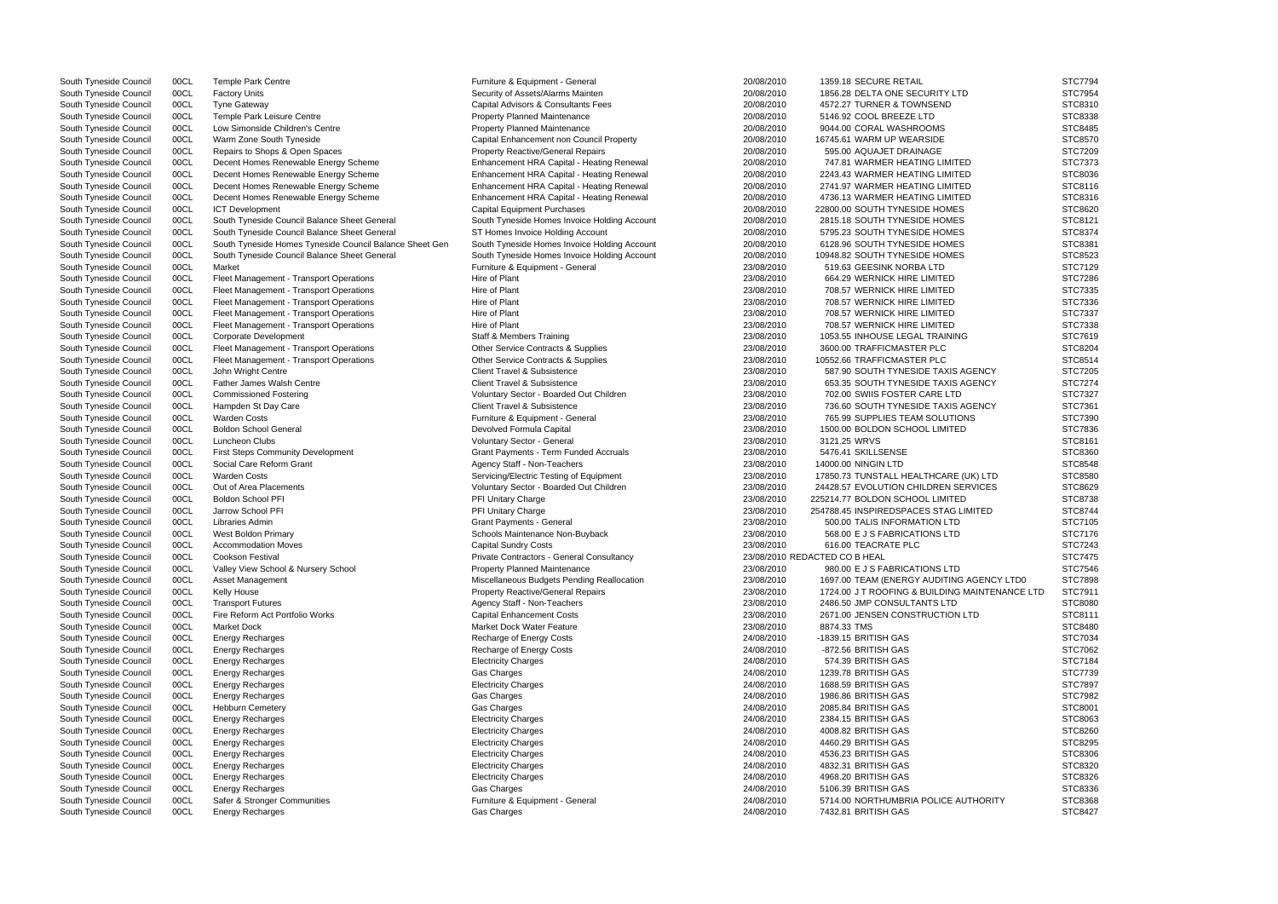| South Tyneside Council | <b>OOCL</b> | Temple Park Centre                                      | Furniture & Equipment - General              | 20/08/2010 | 1359.18 SECURE RETAIL                          | SIC//94        |
|------------------------|-------------|---------------------------------------------------------|----------------------------------------------|------------|------------------------------------------------|----------------|
| South Tyneside Council | 00CL        | <b>Factory Units</b>                                    | Security of Assets/Alarms Mainten            | 20/08/2010 | 1856.28 DELTA ONE SECURITY LTD                 | STC7954        |
| South Tyneside Council | 00CL        | <b>Tyne Gateway</b>                                     | Capital Advisors & Consultants Fees          | 20/08/2010 | 4572.27 TURNER & TOWNSEND                      | STC8310        |
| South Tyneside Council | 00CL        | Temple Park Leisure Centre                              | <b>Property Planned Maintenance</b>          | 20/08/2010 | 5146.92 COOL BREEZE LTD                        | STC8338        |
| South Tyneside Council | 00CL        | Low Simonside Children's Centre                         | <b>Property Planned Maintenance</b>          | 20/08/2010 | 9044.00 CORAL WASHROOMS                        | <b>STC8485</b> |
| South Tyneside Council | 00CL        | Warm Zone South Tyneside                                | Capital Enhancement non Council Property     | 20/08/2010 | 16745.61 WARM UP WEARSIDE                      | <b>STC8570</b> |
| South Tyneside Council | 00CL        | Repairs to Shops & Open Spaces                          | <b>Property Reactive/General Repairs</b>     | 20/08/2010 | 595.00 AQUAJET DRAINAGE                        | <b>STC7209</b> |
| South Tyneside Council | 00CL        | Decent Homes Renewable Energy Scheme                    | Enhancement HRA Capital - Heating Renewal    | 20/08/2010 | 747.81 WARMER HEATING LIMITED                  | STC7373        |
| South Tyneside Council | 00CL        | Decent Homes Renewable Energy Scheme                    | Enhancement HRA Capital - Heating Renewal    | 20/08/2010 | 2243.43 WARMER HEATING LIMITED                 | STC8036        |
| South Tyneside Council | 00CL        | Decent Homes Renewable Energy Scheme                    | Enhancement HRA Capital - Heating Renewal    | 20/08/2010 | 2741.97 WARMER HEATING LIMITED                 | STC8116        |
| South Tyneside Council | 00CL        | Decent Homes Renewable Energy Scheme                    | Enhancement HRA Capital - Heating Renewal    | 20/08/2010 | 4736.13 WARMER HEATING LIMITED                 | STC8316        |
| South Tyneside Council | 00CL        | <b>ICT</b> Development                                  | <b>Capital Equipment Purchases</b>           | 20/08/2010 | 22800.00 SOUTH TYNESIDE HOMES                  | STC8620        |
| South Tyneside Council | 00CL        | South Tyneside Council Balance Sheet General            | South Tyneside Homes Invoice Holding Account | 20/08/2010 | 2815.18 SOUTH TYNESIDE HOMES                   | STC8121        |
| South Tyneside Council | 00CL        | South Tyneside Council Balance Sheet General            | ST Homes Invoice Holding Account             | 20/08/2010 | 5795.23 SOUTH TYNESIDE HOMES                   | STC8374        |
| South Tyneside Council | 00CL        | South Tyneside Homes Tyneside Council Balance Sheet Gen | South Tyneside Homes Invoice Holding Account | 20/08/2010 | 6128.96 SOUTH TYNESIDE HOMES                   | STC8381        |
|                        |             |                                                         |                                              |            |                                                |                |
| South Tyneside Council | 00CL        | South Tyneside Council Balance Sheet General            | South Tyneside Homes Invoice Holding Account | 20/08/2010 | 10948.82 SOUTH TYNESIDE HOMES                  | STC8523        |
| South Tyneside Council | 00CL        | Market                                                  | Furniture & Equipment - General              | 23/08/2010 | 519.63 GEESINK NORBA LTD                       | STC7129        |
| South Tyneside Council | 00CL        | Fleet Management - Transport Operations                 | Hire of Plant                                | 23/08/2010 | 664.29 WERNICK HIRE LIMITED                    | STC7286        |
| South Tyneside Council | 00CL        | Fleet Management - Transport Operations                 | Hire of Plant                                | 23/08/2010 | 708.57 WERNICK HIRE LIMITED                    | STC7335        |
| South Tyneside Council | 00CL        | Fleet Management - Transport Operations                 | Hire of Plant                                | 23/08/2010 | 708.57 WERNICK HIRE LIMITED                    | STC7336        |
| South Tyneside Council | 00CL        | Fleet Management - Transport Operations                 | Hire of Plant                                | 23/08/2010 | 708.57 WERNICK HIRE LIMITED                    | STC7337        |
| South Tyneside Council | 00CL        | Fleet Management - Transport Operations                 | Hire of Plant                                | 23/08/2010 | 708.57 WERNICK HIRE LIMITED                    | STC7338        |
| South Tyneside Council | 00CL        | Corporate Development                                   | Staff & Members Training                     | 23/08/2010 | 1053.55 INHOUSE LEGAL TRAINING                 | STC7619        |
| South Tyneside Council | 00CL        | Fleet Management - Transport Operations                 | Other Service Contracts & Supplies           | 23/08/2010 | 3600.00 TRAFFICMASTER PLC                      | STC8204        |
| South Tyneside Council | 00CL        | Fleet Management - Transport Operations                 | Other Service Contracts & Supplies           | 23/08/2010 | 10552.66 TRAFFICMASTER PLC                     | STC8514        |
| South Tyneside Council | 00CL        | John Wright Centre                                      | <b>Client Travel &amp; Subsistence</b>       | 23/08/2010 | 587.90 SOUTH TYNESIDE TAXIS AGENCY             | STC7205        |
| South Tyneside Council | 00CL        | Father James Walsh Centre                               | Client Travel & Subsistence                  | 23/08/2010 | 653.35 SOUTH TYNESIDE TAXIS AGENCY             | STC7274        |
| South Tyneside Council | 00CL        | <b>Commissioned Fostering</b>                           | Voluntary Sector - Boarded Out Children      | 23/08/2010 | 702.00 SWIIS FOSTER CARE LTD                   | STC7327        |
| South Tyneside Council | 00CL        | Hampden St Day Care                                     | Client Travel & Subsistence                  | 23/08/2010 | 736.60 SOUTH TYNESIDE TAXIS AGENCY             | STC7361        |
| South Tyneside Council | 00CL        | <b>Warden Costs</b>                                     | Furniture & Equipment - General              | 23/08/2010 | 765.99 SUPPLIES TEAM SOLUTIONS                 | STC7390        |
| South Tyneside Council | 00CL        | <b>Boldon School General</b>                            | Devolved Formula Capital                     | 23/08/2010 | 1500.00 BOLDON SCHOOL LIMITED                  | STC7836        |
| South Tyneside Council | 00CL        | <b>Luncheon Clubs</b>                                   | Voluntary Sector - General                   | 23/08/2010 | 3121.25 WRVS                                   | STC8161        |
| South Tyneside Council | 00CL        | <b>First Steps Community Development</b>                | Grant Payments - Term Funded Accruals        | 23/08/2010 | 5476.41 SKILLSENSE                             | <b>STC8360</b> |
|                        | 00CL        | Social Care Reform Grant                                | Agency Staff - Non-Teachers                  | 23/08/2010 | 14000.00 NINGIN LTD                            | STC8548        |
| South Tyneside Council |             | <b>Warden Costs</b>                                     |                                              |            |                                                |                |
| South Tyneside Council | 00CL        |                                                         | Servicing/Electric Testing of Equipment      | 23/08/2010 | 17850.73 TUNSTALL HEALTHCARE (UK) LTD          | <b>STC8580</b> |
| South Tyneside Council | 00CL        | Out of Area Placements                                  | Voluntary Sector - Boarded Out Children      | 23/08/2010 | 24428.57 EVOLUTION CHILDREN SERVICES           | STC8629        |
| South Tyneside Council | 00CL        | <b>Boldon School PFI</b>                                | PFI Unitary Charge                           | 23/08/2010 | 225214.77 BOLDON SCHOOL LIMITED                | STC8738        |
| South Tyneside Council | 00CL        | Jarrow School PFI                                       | PFI Unitary Charge                           | 23/08/2010 | 254788.45 INSPIREDSPACES STAG LIMITED          | STC8744        |
| South Tyneside Council | 00CL        | Libraries Admin                                         | <b>Grant Payments - General</b>              | 23/08/2010 | 500.00 TALIS INFORMATION LTD                   | STC7105        |
| South Tyneside Council | 00CL        | West Boldon Primary                                     | Schools Maintenance Non-Buyback              | 23/08/2010 | 568.00 E J S FABRICATIONS LTD                  | STC7176        |
| South Tyneside Council | 00CL        | <b>Accommodation Moves</b>                              | <b>Capital Sundry Costs</b>                  | 23/08/2010 | 616.00 TEACRATE PLC                            | STC7243        |
| South Tyneside Council | 00CL        | <b>Cookson Festival</b>                                 | Private Contractors - General Consultancy    |            | 23/08/2010 REDACTED CO B HEAL                  | STC7475        |
| South Tyneside Council | 00CL        | Valley View School & Nursery School                     | <b>Property Planned Maintenance</b>          | 23/08/2010 | 980.00 E J S FABRICATIONS LTD                  | STC7546        |
| South Tyneside Council | 00CL        | <b>Asset Management</b>                                 | Miscellaneous Budgets Pending Reallocation   | 23/08/2010 | 1697.00 TEAM (ENERGY AUDITING AGENCY LTD0      | <b>STC7898</b> |
| South Tyneside Council | 00CL        | Kelly House                                             | <b>Property Reactive/General Repairs</b>     | 23/08/2010 | 1724.00 J T ROOFING & BUILDING MAINTENANCE LTD | STC7911        |
| South Tyneside Council | 00CL        | <b>Transport Futures</b>                                | Agency Staff - Non-Teachers                  | 23/08/2010 | 2486.50 JMP CONSULTANTS LTD                    | STC8080        |
| South Tyneside Council | 00CL        | Fire Reform Act Portfolio Works                         | <b>Capital Enhancement Costs</b>             | 23/08/2010 | 2671.00 JENSEN CONSTRUCTION LTD                | STC8111        |
| South Tyneside Council | 00CL        | <b>Market Dock</b>                                      | <b>Market Dock Water Feature</b>             | 23/08/2010 | 8874.33 TMS                                    | <b>STC8480</b> |
| South Tyneside Council | 00CL        | <b>Energy Recharges</b>                                 | Recharge of Energy Costs                     | 24/08/2010 | -1839.15 BRITISH GAS                           | STC7034        |
| South Tyneside Council | 00CL        | <b>Energy Recharges</b>                                 | Recharge of Energy Costs                     | 24/08/2010 | -872.56 BRITISH GAS                            | STC7062        |
| South Tyneside Council | 00CL        | <b>Energy Recharges</b>                                 | <b>Electricity Charges</b>                   | 24/08/2010 | 574.39 BRITISH GAS                             | STC7184        |
| South Tyneside Council | 00CL        | <b>Energy Recharges</b>                                 | Gas Charges                                  | 24/08/2010 | 1239.78 BRITISH GAS                            | STC7739        |
| South Tyneside Council | 00CL        | <b>Energy Recharges</b>                                 | <b>Electricity Charges</b>                   | 24/08/2010 | 1688.59 BRITISH GAS                            | STC7897        |
| South Tyneside Council | 00CL        |                                                         | Gas Charges                                  | 24/08/2010 | 1986.86 BRITISH GAS                            | STC7982        |
|                        |             | <b>Energy Recharges</b>                                 |                                              |            |                                                |                |
| South Tyneside Council | 00CL        | <b>Hebburn Cemetery</b>                                 | <b>Gas Charges</b>                           | 24/08/2010 | 2085.84 BRITISH GAS                            | STC8001        |
| South Tyneside Council | 00CL        | <b>Energy Recharges</b>                                 | <b>Electricity Charges</b>                   | 24/08/2010 | 2384.15 BRITISH GAS                            | STC8063        |
| South Tyneside Council | 00CL        | <b>Energy Recharges</b>                                 | <b>Electricity Charges</b>                   | 24/08/2010 | 4008.82 BRITISH GAS                            | <b>STC8260</b> |
| South Tyneside Council | 00CL        | <b>Energy Recharges</b>                                 | <b>Electricity Charges</b>                   | 24/08/2010 | 4460.29 BRITISH GAS                            | STC8295        |
| South Tyneside Council | 00CL        | <b>Energy Recharges</b>                                 | <b>Electricity Charges</b>                   | 24/08/2010 | 4536.23 BRITISH GAS                            | STC8306        |
| South Tyneside Council | 00CL        | <b>Energy Recharges</b>                                 | <b>Electricity Charges</b>                   | 24/08/2010 | 4832.31 BRITISH GAS                            | <b>STC8320</b> |
| South Tyneside Council | 00CL        | <b>Energy Recharges</b>                                 | <b>Electricity Charges</b>                   | 24/08/2010 | 4968.20 BRITISH GAS                            | STC8326        |
| South Tyneside Council | 00CL        | <b>Energy Recharges</b>                                 | Gas Charges                                  | 24/08/2010 | 5106.39 BRITISH GAS                            | STC8336        |
| South Tyneside Council | 00CL        | Safer & Stronger Communities                            | Furniture & Equipment - General              | 24/08/2010 | 5714.00 NORTHUMBRIA POLICE AUTHORITY           | STC8368        |
| South Tyneside Council | 00CL        | <b>Energy Recharges</b>                                 | Gas Charges                                  | 24/08/2010 | 7432.81 BRITISH GAS                            | STC8427        |
|                        |             |                                                         |                                              |            |                                                |                |

| C                      | STC7954        |
|------------------------|----------------|
|                        | STC8310        |
|                        | STC8338        |
|                        | STC8485        |
|                        | STC8570        |
|                        |                |
|                        | STC7209        |
| D                      | STC7373        |
| D                      | STC8036        |
| D                      | STC8116        |
| D                      | STC8316        |
|                        | STC8620        |
|                        | STC8121        |
|                        | STC8374        |
|                        |                |
|                        | STC8381        |
|                        | STC8523        |
|                        | STC7129        |
|                        | <b>STC7286</b> |
|                        | STC7335        |
|                        | STC7336        |
|                        | STC7337        |
|                        | STC7338        |
| ć                      |                |
|                        | STC7619        |
|                        | STC8204        |
|                        | STC8514        |
| <b>GENCY</b>           | <b>STC7205</b> |
| <b>GENCY</b>           | STC7274        |
|                        | STC7327        |
| GENCY                  | STC7361        |
| ٧S                     | STC7390        |
|                        | STC7836        |
|                        | STC8161        |
|                        |                |
|                        | STC8360        |
|                        | STC8548        |
| UK) LTD                | STC8580        |
| <b>RVICES</b>          | STC8629        |
|                        | STC8738        |
| <b>MITED</b>           | STC8744        |
|                        | STC7105        |
|                        | STC7176        |
|                        | STC7243        |
|                        |                |
|                        | <b>STC7475</b> |
|                        | STC7546        |
| <b>AGENCY LTD0</b>     | STC7898        |
| <b>MAINTENANCE LTD</b> | STC7911        |
|                        | STC8080        |
| _TD                    | STC8111        |
|                        | STC8480        |
|                        | STC7034        |
|                        | STC7062        |
|                        |                |
|                        | STC7184        |
|                        | STC7739        |
|                        | STC7897        |
|                        | STC7982        |
|                        | STC8001        |
|                        | STC8063        |
|                        | STC8260        |
|                        | STC8295        |
|                        |                |
|                        | STC8306        |
|                        | STC8320        |
|                        | STC8326        |
|                        | STC8336        |
| <b>JTHORITY</b>        | STC8368        |
|                        | STC8427        |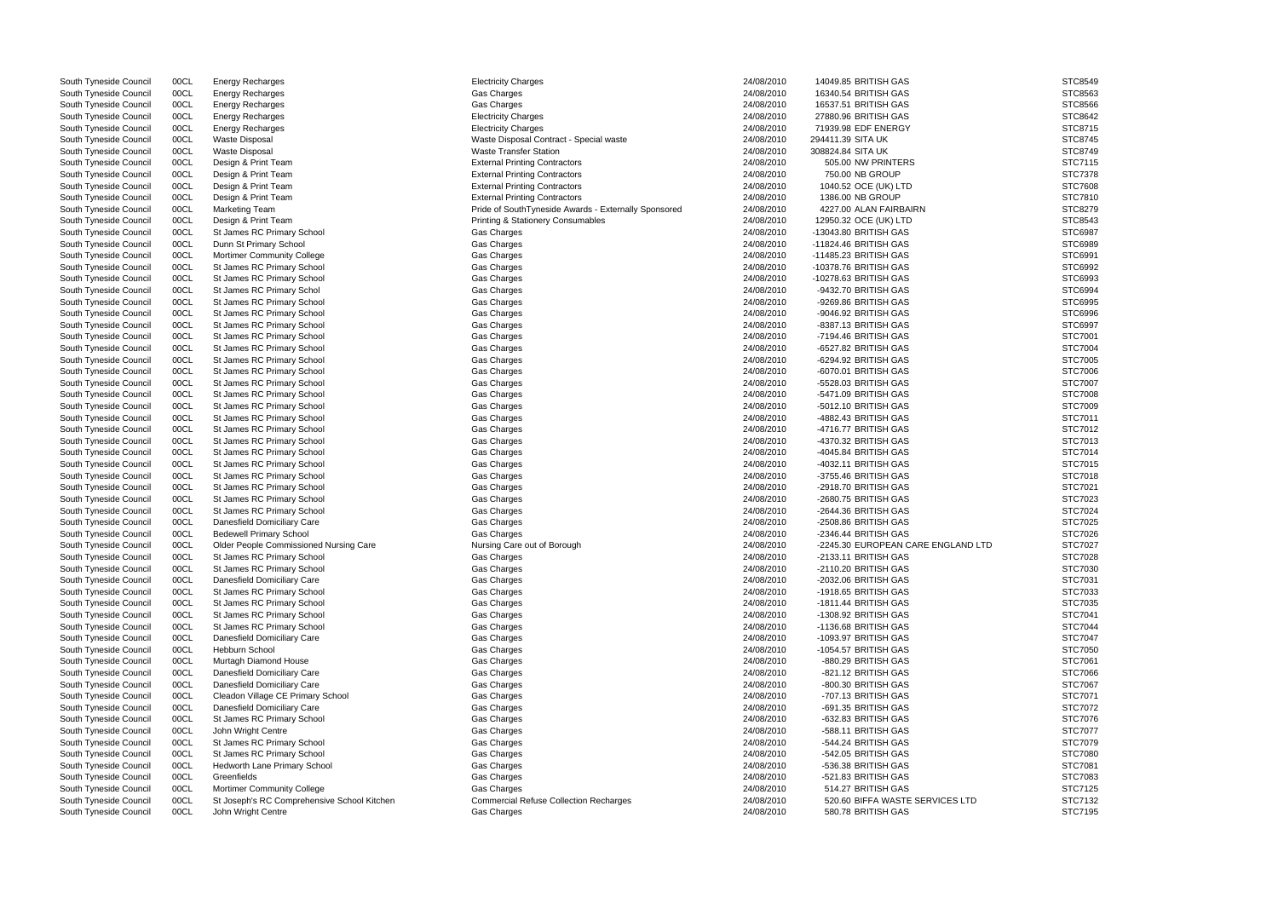| South Tyneside Council | 00CL | <b>Energy Recharges</b>           |
|------------------------|------|-----------------------------------|
| South Tyneside Council | 00CL | <b>Energy Recharges</b>           |
| South Tyneside Council | 00CL | <b>Energy Recharges</b>           |
| South Tyneside Council | 00CL | <b>Energy Recharges</b>           |
| South Tyneside Council | 00CL | <b>Energy Recharges</b>           |
| South Tyneside Council | 00CL | <b>Waste Disposal</b>             |
| South Tyneside Council | 00CL | <b>Waste Disposal</b>             |
| South Tyneside Council | 00CL | Design & Print Team               |
|                        |      |                                   |
| South Tyneside Council | 00CL | Design & Print Team               |
| South Tyneside Council | 00CL | Design & Print Team               |
| South Tyneside Council | 00CL | Design & Print Team               |
| South Tyneside Council | 00CL | Marketing Team                    |
| South Tyneside Council | 00CL | Design & Print Team               |
| South Tyneside Council | 00CL | St James RC Primary School        |
| South Tyneside Council | 00CL | Dunn St Primary School            |
| South Tyneside Council | 00CL | Mortimer Community College        |
| South Tyneside Council | 00CL | St James RC Primary School        |
| South Tyneside Council | 00CL | St James RC Primary School        |
| South Tyneside Council | 00CL | St James RC Primary Schol         |
| South Tyneside Council | 00CL | St James RC Primary School        |
| South Tyneside Council | 00CL | St James RC Primary School        |
| South Tyneside Council | 00CL | St James RC Primary School        |
|                        |      |                                   |
| South Tyneside Council | 00CL | St James RC Primary School        |
| South Tyneside Council | 00CL | St James RC Primary School        |
| South Tyneside Council | 00CL | St James RC Primary School        |
| South Tyneside Council | 00CL | St James RC Primary School        |
| South Tyneside Council | 00CL | St James RC Primary School        |
| South Tyneside Council | 00CL | St James RC Primary School        |
| South Tyneside Council | 00CL | St James RC Primary School        |
| South Tyneside Council | 00CL | St James RC Primary School        |
| South Tyneside Council | 00CL | St James RC Primary School        |
| South Tyneside Council | 00CL | St James RC Primary School        |
| South Tyneside Council | 00CL | St James RC Primary School        |
| South Tyneside Council | 00CL | St James RC Primary School        |
| South Tyneside Council | 00CL | St James RC Primary School        |
| South Tyneside Council | 00CL | St James RC Primary School        |
| South Tyneside Council | 00CL | St James RC Primary School        |
| South Tyneside Council | 00CL | St James RC Primary School        |
| South Tyneside Council | 00CL | Danesfield Domiciliary Care       |
| South Tyneside Council | 00CL | <b>Bedewell Primary School</b>    |
| South Tyneside Council | 00CL | Older People Commissioned Nursing |
| South Tyneside Council | 00CL | St James RC Primary School        |
| South Tyneside Council | 00CL | St James RC Primary School        |
|                        |      |                                   |
| South Tyneside Council | 00CL | Danesfield Domiciliary Care       |
| South Tyneside Council | 00CL | St James RC Primary School        |
| South Tyneside Council | 00CL | St James RC Primary School        |
| South Tyneside Council | 00CL | St James RC Primary School        |
| South Tyneside Council | 00CL | St James RC Primary School        |
| South Tyneside Council | 00CL | Danesfield Domiciliary Care       |
| South Tyneside Council | 00CL | <b>Hebburn School</b>             |
| South Tyneside Council | 00CL | Murtagh Diamond House             |
| South Tyneside Council | 00CL | Danesfield Domiciliary Care       |
| South Tyneside Council | 00CL | Danesfield Domiciliary Care       |
| South Tyneside Council | 00CL | Cleadon Village CE Primary School |
| South Tyneside Council | 00CL | Danesfield Domiciliary Care       |
| South Tyneside Council | 00CL | St James RC Primary School        |
| South Tyneside Council | 00CL | John Wright Centre                |
| South Tyneside Council | 00CL | St James RC Primary School        |
| South Tyneside Council | 00CL | St James RC Primary School        |
| South Tyneside Council | 00CL | Hedworth Lane Primary School      |
| South Tyneside Council | 00CL | Greenfields                       |
|                        |      |                                   |
| South Tyneside Council | 00CL | Mortimer Community College        |
| South Tyneside Council | 00CL | St Joseph's RC Comprehensive Scho |
| South Tyneside Council | 00CL | John Wright Centre                |
|                        |      |                                   |

| South Tyneside Council | 00CL | <b>Energy Recharges</b>                       | <b>Electricity Charges</b>                           | 24/08/2010 | 14049.85 BRITISH GAS               | STC8549            |
|------------------------|------|-----------------------------------------------|------------------------------------------------------|------------|------------------------------------|--------------------|
| South Tyneside Council | 00CL | <b>Energy Recharges</b>                       | Gas Charges                                          | 24/08/2010 | 16340.54 BRITISH GAS               | STC8563            |
| South Tyneside Council | 00CL | <b>Energy Recharges</b>                       | Gas Charges                                          | 24/08/2010 | 16537.51 BRITISH GAS               | STC8566            |
| South Tyneside Council | 00CL | <b>Energy Recharges</b>                       | <b>Electricity Charges</b>                           | 24/08/2010 | 27880.96 BRITISH GAS               | STC8642            |
| South Tyneside Council | 00CL | <b>Energy Recharges</b>                       | <b>Electricity Charges</b>                           | 24/08/2010 | 71939.98 EDF ENERGY                | STC8715            |
| South Tyneside Council | 00CL | <b>Waste Disposal</b>                         | Waste Disposal Contract - Special waste              | 24/08/2010 | 294411.39 SITA UK                  | STC8745            |
| South Tyneside Council | 00CL | <b>Waste Disposal</b>                         | <b>Waste Transfer Station</b>                        | 24/08/2010 | 308824.84 SITA UK                  | STC8749            |
| South Tyneside Council | 00CL | Design & Print Team                           | <b>External Printing Contractors</b>                 | 24/08/2010 | 505.00 NW PRINTERS                 | STC7115            |
| South Tyneside Council | 00CL | Design & Print Team                           | <b>External Printing Contractors</b>                 | 24/08/2010 | 750.00 NB GROUP                    | STC7378            |
| South Tyneside Council | 00CL | Design & Print Team                           | <b>External Printing Contractors</b>                 | 24/08/2010 | 1040.52 OCE (UK) LTD               | STC7608            |
| South Tyneside Council | 00CL | Design & Print Team                           | <b>External Printing Contractors</b>                 | 24/08/2010 | 1386.00 NB GROUP                   | STC7810            |
| South Tyneside Council | 00CL |                                               | Pride of SouthTyneside Awards - Externally Sponsored | 24/08/2010 | 4227.00 ALAN FAIRBAIRN             | STC8279            |
|                        |      | <b>Marketing Team</b><br>Design & Print Team  |                                                      |            | 12950.32 OCE (UK) LTD              |                    |
| South Tyneside Council | 00CL |                                               | <b>Printing &amp; Stationery Consumables</b>         | 24/08/2010 |                                    | STC8543<br>STC6987 |
| South Tyneside Council | 00CL | St James RC Primary School                    | Gas Charges                                          | 24/08/2010 | -13043.80 BRITISH GAS              |                    |
| South Tyneside Council | 00CL | Dunn St Primary School                        | Gas Charges                                          | 24/08/2010 | -11824.46 BRITISH GAS              | <b>STC6989</b>     |
| South Tyneside Council | 00CL | Mortimer Community College                    | Gas Charges                                          | 24/08/2010 | -11485.23 BRITISH GAS              | STC6991            |
| South Tyneside Council | 00CL | St James RC Primary School                    | Gas Charges                                          | 24/08/2010 | -10378.76 BRITISH GAS              | STC6992            |
| South Tyneside Council | 00CL | St James RC Primary School                    | Gas Charges                                          | 24/08/2010 | -10278.63 BRITISH GAS              | STC6993            |
| South Tyneside Council | 00CL | St James RC Primary Schol                     | Gas Charges                                          | 24/08/2010 | -9432.70 BRITISH GAS               | STC6994            |
| South Tyneside Council | 00CL | St James RC Primary School                    | Gas Charges                                          | 24/08/2010 | -9269.86 BRITISH GAS               | STC6995            |
| South Tyneside Council | 00CL | St James RC Primary School                    | Gas Charges                                          | 24/08/2010 | -9046.92 BRITISH GAS               | STC6996            |
| South Tyneside Council | 00CL | St James RC Primary School                    | Gas Charges                                          | 24/08/2010 | -8387.13 BRITISH GAS               | STC6997            |
| South Tyneside Council | 00CL | St James RC Primary School                    | Gas Charges                                          | 24/08/2010 | -7194.46 BRITISH GAS               | STC7001            |
| South Tyneside Council | 00CL | St James RC Primary School                    | Gas Charges                                          | 24/08/2010 | -6527.82 BRITISH GAS               | STC7004            |
| South Tyneside Council | 00CL | St James RC Primary School                    | Gas Charges                                          | 24/08/2010 | -6294.92 BRITISH GAS               | STC7005            |
| South Tyneside Council | 00CL | St James RC Primary School                    | Gas Charges                                          | 24/08/2010 | -6070.01 BRITISH GAS               | STC7006            |
| South Tyneside Council | 00CL | St James RC Primary School                    | Gas Charges                                          | 24/08/2010 | -5528.03 BRITISH GAS               | STC7007            |
| South Tyneside Council | 00CL | St James RC Primary School                    | Gas Charges                                          | 24/08/2010 | -5471.09 BRITISH GAS               | STC7008            |
| South Tyneside Council | 00CL | St James RC Primary School                    | Gas Charges                                          | 24/08/2010 | -5012.10 BRITISH GAS               | <b>STC7009</b>     |
| South Tyneside Council | 00CL | St James RC Primary School                    | Gas Charges                                          | 24/08/2010 | -4882.43 BRITISH GAS               | STC7011            |
| South Tyneside Council | 00CL | St James RC Primary School                    | Gas Charges                                          | 24/08/2010 | -4716.77 BRITISH GAS               | STC7012            |
| South Tyneside Council | 00CL | St James RC Primary School                    | Gas Charges                                          | 24/08/2010 | -4370.32 BRITISH GAS               | STC7013            |
| South Tyneside Council | 00CL | St James RC Primary School                    | Gas Charges                                          | 24/08/2010 | -4045.84 BRITISH GAS               | STC7014            |
| South Tyneside Council | 00CL | St James RC Primary School                    | Gas Charges                                          | 24/08/2010 | -4032.11 BRITISH GAS               | STC7015            |
| South Tyneside Council | 00CL | St James RC Primary School                    | Gas Charges                                          | 24/08/2010 | -3755.46 BRITISH GAS               | STC7018            |
| South Tyneside Council | 00CL | St James RC Primary School                    | Gas Charges                                          | 24/08/2010 | -2918.70 BRITISH GAS               | STC7021            |
| South Tyneside Council | 00CL | St James RC Primary School                    | Gas Charges                                          | 24/08/2010 | -2680.75 BRITISH GAS               | STC7023            |
| South Tyneside Council | 00CL | St James RC Primary School                    | Gas Charges                                          | 24/08/2010 | -2644.36 BRITISH GAS               | STC7024            |
| South Tyneside Council | 00CL | Danesfield Domiciliary Care                   | Gas Charges                                          | 24/08/2010 | -2508.86 BRITISH GAS               | STC7025            |
| South Tyneside Council | 00CL | <b>Bedewell Primary School</b>                | Gas Charges                                          | 24/08/2010 | -2346.44 BRITISH GAS               | STC7026            |
| South Tyneside Council | 00CL | <b>Older People Commissioned Nursing Care</b> |                                                      | 24/08/2010 | -2245.30 EUROPEAN CARE ENGLAND LTD | STC7027            |
| South Tyneside Council |      | St James RC Primary School                    | Nursing Care out of Borough<br>Gas Charges           | 24/08/2010 | -2133.11 BRITISH GAS               | STC7028            |
|                        | 00CL |                                               |                                                      |            | -2110.20 BRITISH GAS               |                    |
| South Tyneside Council | 00CL | St James RC Primary School                    | Gas Charges                                          | 24/08/2010 |                                    | STC7030            |
| South Tyneside Council | 00CL | Danesfield Domiciliary Care                   | Gas Charges                                          | 24/08/2010 | -2032.06 BRITISH GAS               | STC7031            |
| South Tyneside Council | 00CL | St James RC Primary School                    | Gas Charges                                          | 24/08/2010 | -1918.65 BRITISH GAS               | STC7033            |
| South Tyneside Council | 00CL | St James RC Primary School                    | Gas Charges                                          | 24/08/2010 | -1811.44 BRITISH GAS               | STC7035            |
| South Tyneside Council | 00CL | St James RC Primary School                    | Gas Charges                                          | 24/08/2010 | -1308.92 BRITISH GAS               | STC7041            |
| South Tyneside Council | 00CL | St James RC Primary School                    | Gas Charges                                          | 24/08/2010 | -1136.68 BRITISH GAS               | STC7044            |
| South Tyneside Council | 00CL | Danesfield Domiciliary Care                   | Gas Charges                                          | 24/08/2010 | -1093.97 BRITISH GAS               | STC7047            |
| South Tyneside Council | 00CL | Hebburn School                                | Gas Charges                                          | 24/08/2010 | -1054.57 BRITISH GAS               | STC7050            |
| South Tyneside Council | 00CL | Murtagh Diamond House                         | Gas Charges                                          | 24/08/2010 | -880.29 BRITISH GAS                | STC7061            |
| South Tyneside Council | 00CL | Danesfield Domiciliary Care                   | Gas Charges                                          | 24/08/2010 | -821.12 BRITISH GAS                | STC7066            |
| South Tyneside Council | 00CL | Danesfield Domiciliary Care                   | Gas Charges                                          | 24/08/2010 | -800.30 BRITISH GAS                | STC7067            |
| South Tyneside Council | 00CL | Cleadon Village CE Primary School             | Gas Charges                                          | 24/08/2010 | -707.13 BRITISH GAS                | STC7071            |
| South Tyneside Council | 00CL | Danesfield Domiciliary Care                   | Gas Charges                                          | 24/08/2010 | -691.35 BRITISH GAS                | STC7072            |
| South Tyneside Council | 00CL | St James RC Primary School                    | Gas Charges                                          | 24/08/2010 | -632.83 BRITISH GAS                | STC7076            |
| South Tyneside Council | 00CL | John Wright Centre                            | Gas Charges                                          | 24/08/2010 | -588.11 BRITISH GAS                | STC7077            |
| South Tyneside Council | 00CL | St James RC Primary School                    | Gas Charges                                          | 24/08/2010 | -544.24 BRITISH GAS                | <b>STC7079</b>     |
| South Tyneside Council | 00CL | St James RC Primary School                    | Gas Charges                                          | 24/08/2010 | -542.05 BRITISH GAS                | <b>STC7080</b>     |
| South Tyneside Council | 00CL | Hedworth Lane Primary School                  | Gas Charges                                          | 24/08/2010 | -536.38 BRITISH GAS                | STC7081            |
| South Tyneside Council | 00CL | Greenfields                                   | Gas Charges                                          | 24/08/2010 | -521.83 BRITISH GAS                | STC7083            |
| South Tyneside Council | 00CL | Mortimer Community College                    | Gas Charges                                          | 24/08/2010 | 514.27 BRITISH GAS                 | STC7125            |
| South Tyneside Council | 00CL | St Joseph's RC Comprehensive School Kitchen   | <b>Commercial Refuse Collection Recharges</b>        | 24/08/2010 | 520.60 BIFFA WASTE SERVICES LTD    | STC7132            |
| South Tyneside Council | 00CL | John Wright Centre                            | Gas Charges                                          | 24/08/2010 | 580.78 BRITISH GAS                 | STC7195            |
|                        |      |                                               |                                                      |            |                                    |                    |

| STC8549                             |
|-------------------------------------|
|                                     |
| C8563<br>ST                         |
|                                     |
| C8566<br>Ī                          |
| C8642                               |
| 2.<br>Ī                             |
| 28715<br>;<br>ί<br>Ţ                |
|                                     |
| C8745<br>:<br>š<br>T                |
|                                     |
| C8749<br>S.<br>ı                    |
|                                     |
| C7115<br>Ī                          |
|                                     |
| 27378<br>Ϊ<br>3<br>T                |
| C7608<br>;<br>T<br>΄                |
|                                     |
| 27810<br>΄<br>:<br>š<br>T           |
|                                     |
| C8279<br>ST                         |
|                                     |
| C8543<br>T                          |
|                                     |
| 36987<br>3<br>$\mathcal{C}$<br>T    |
|                                     |
| 6989<br>3<br>ί<br>I                 |
| C6991                               |
| š<br>:<br>T                         |
| C6992<br>ST                         |
|                                     |
| C6993<br>T                          |
|                                     |
| C6994<br>S.<br>Ţ                    |
|                                     |
| C6995<br>ì<br>T                     |
|                                     |
| C6996<br>2<br>9<br>T                |
|                                     |
| C6997<br>ST                         |
|                                     |
| C7001<br>I                          |
| 27004<br>3<br>Ω<br>Ţ                |
|                                     |
| C7005<br>ś<br>T                     |
|                                     |
| 27006<br>9<br>ì<br>T                |
|                                     |
| C7007<br>ST                         |
|                                     |
| S.<br>C7008<br>T                    |
|                                     |
| C7009<br>S.<br>Ţ                    |
|                                     |
| C7011<br>ì<br>T                     |
| 7012<br>έ<br>9<br>(<br>Ţ            |
|                                     |
|                                     |
|                                     |
| 7013<br>S.<br>Ό<br>T                |
|                                     |
| 27014<br>Ó<br>I                     |
|                                     |
| 27015<br>Ω<br>3<br>Ţ                |
| ;<br>T                              |
| C7018                               |
| ;7021<br>3<br>$\mathcal{C}$<br>I    |
|                                     |
| 7023<br>S.<br>ί<br>Ţ                |
|                                     |
| C7024<br>Ţ                          |
|                                     |
| STC7025                             |
|                                     |
| TC7026<br>ς<br>š                    |
| .<br>C<br>$\mathbf{s}$<br>Ţ         |
| 7027                                |
| STC7028                             |
|                                     |
| STC7030                             |
|                                     |
|                                     |
| STC7031<br>ï                        |
|                                     |
| TC7033<br>T <sup>2</sup><br>S,<br>T |
| C7035                               |
| STC7041                             |
|                                     |
| STC7044                             |
|                                     |
| STC7047                             |
| ς<br>ï                              |
| TC7050                              |
| $\mathbf{s}$                        |
| TC7061                              |
| STC7066                             |
|                                     |
| STC7067                             |
|                                     |
|                                     |
| STC7071                             |
| TC7072<br>2<br>s                    |
|                                     |
| TC7076<br>S                         |
|                                     |
| STC7077                             |
| STC7079                             |
|                                     |
|                                     |
| STC7080                             |
| TC7081<br>s<br>š                    |
|                                     |
| TC7083<br>S                         |
|                                     |
| STC7125                             |
|                                     |
| STC7132<br>STC7195                  |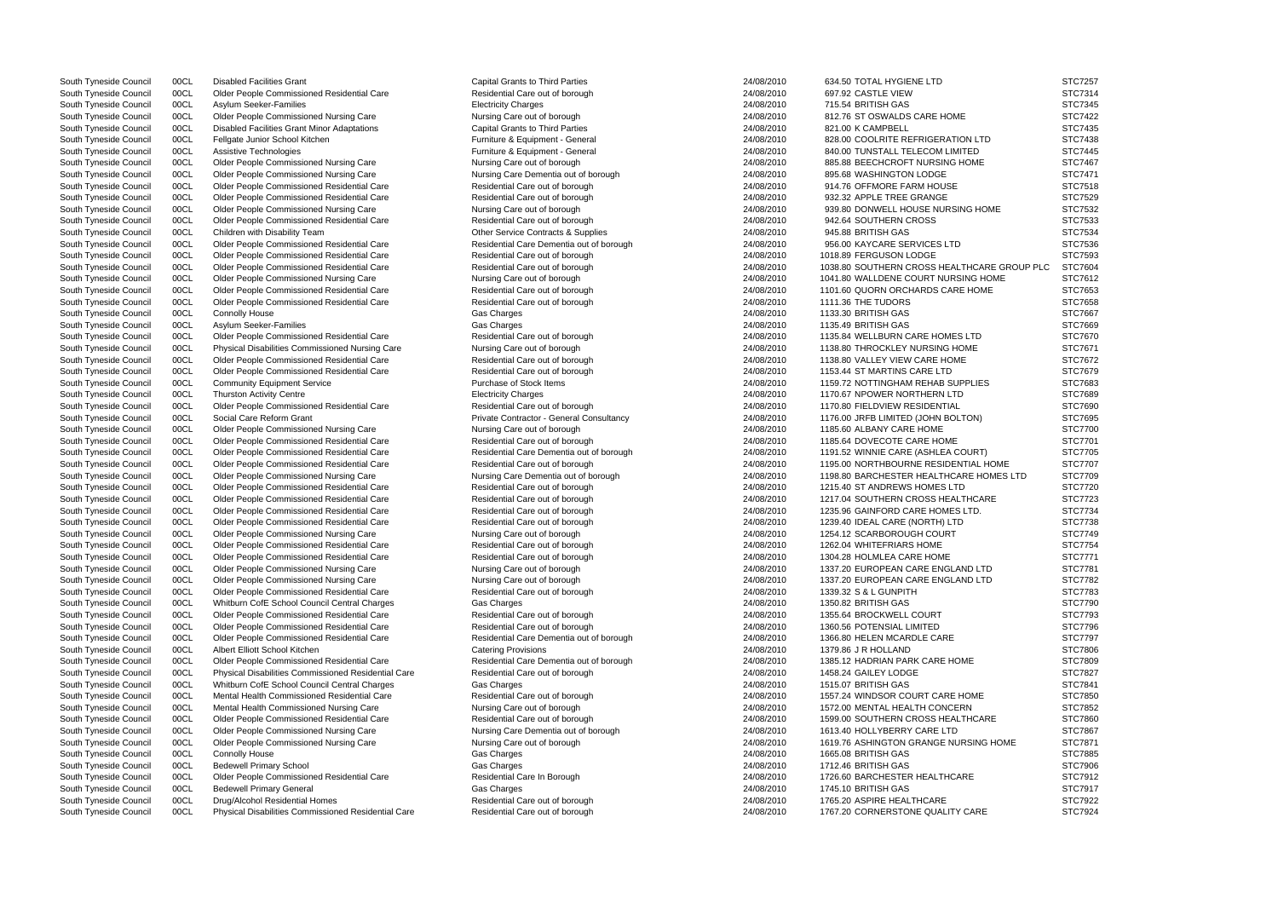South Tyneside Council COOCL Disabled Facilities Grant Capital Grants to Third Parties Capital Grants to Third Parties 24/08/2010 634.50 TOTAL HYGIENE LTD STC7257 South Tyneside Council 00CL Older People Commissioned Residential Care Residential Care out of borough 24/08/2010 697.92 CASTLE VIEW South Tyneside Council COOCL Asylum Seeker-Families (STC7345 Electricity Charges 24/08/2010 715.54 BRITISH GAS STC7345 South Tyneside Council 00CL Older People Commissioned Nursing Care Nursing Care out of borough 24/08/2010 812.76 ST OSWALDS CARE HOME South Tyneside Council 00CL Disabled Facilities Grant Minor Adaptations Capital Grants to Third Parties 24/08/2010 821.00 K CAMPBELL South Tyneside Council 00CL Fellgate Junior School Kitchen Furniture & Equipment - General 24/08/2010 828.00 COOLRITE REFRIGERATION South Tyneside Council 00CL Assistive Technologies **Furniture & Equipment - General** 24/08/2010 840.00 TUNSTALL TELECOM LIMIT South Tyneside Council 00CL Older People Commissioned Nursing Care Nursing Care out of borough 24/08/2010 885.88 BEECHCROFT NURSING HOME STC South Tyneside Council 00CL Older People Commissioned Nursing Care Nursing Care Dementia out of borough 24/08/2010 895.68 WASHINGTON LODGE South Tyneside Council 00CL Older People Commissioned Residential Care Residential Care Residential Care out of borough 24/08/2010 914.76 OFFMORE FARM HOUSE South Tyneside Council 00CL Older People Commissioned Residential Care Residential Care Residential Care out of borough 24/08/2010 932.32 APPLE TREE GRANGE South Tyneside Council 00CL Older People Commissioned Nursing Care Nursing Care out of borough 24/08/2010 939.80 DONWELL HOUSE NURSING South Tyneside Council 00CL Older People Commissioned Residential Care Residential Care Residential Care Residential Care Residential Care Residential Care out of borough 24/08/2010 942.64 SOUTHERN CROSS South Tyneside Council 00CL Children with Disability Team Other Service Contracts & Supplies 24/08/2010 945.88 BRITISH GAS South Tyneside Council 00CL Older People Commissioned Residential Care Residential Care Residential Care Dementia out of borough 24/08/2010 956.00 KAYCARE SERVICES LTD South Tyneside Council 00CL Older People Commissioned Residential Care Residential Care Residential Care Residential Care Residential Care Residential Care Corough 24/08/2010 1018.89 FERGUSON LODGE South Tyneside Council 00CL Older People Commissioned Residential Care Residential Care Residential Care Residential Care Residential Care Residential Care out of borough 24/08/2010 1038.80 SOUTHERN CROSS HEALTI South Tyneside Council 00CL Older People Commissioned Nursing Care Nursing Care Nursing Care out of borough 24/08/2010 1041.80 WALLDENE COURT NURSIN South Tyneside Council 00CL Older People Commissioned Residential Care Residential Care Residential Care and of borough 24/08/2010 1101.60 QUORN ORCHARDS CARE South Tyneside Council 00CL Older People Commissioned Residential Care Residential Care out of borough 24/08/2010 1111.36 THE TUDORS South Tyneside Council 00CL Connolly House Gas Charges 24/08/2010 1133.30 BRITISH GAS STC7667 South Tyneside Council 00CL Asylum Seeker-Families Gas Charges 24/08/2010 1135.49 BRITISH GAS STC7669 South Tyneside Council 00CL Older People Commissioned Residential Care Residential Care Residential Care out of borough 24/08/2010 1135.84 WELLBURN CARE HOMES South Tyneside Council 00CL Physical Disabilities Commissioned Nursing Care Nursing Care Nursing Care out of borough 24/08/2010 1138.80 THROCKLEY NURSING HOME South Tyneside Council 00CL Older People Commissioned Residential Care Residential Care Residential Care out of borough 24/08/2010 1138.80 VALLEY VIEW CARE HOME South Tyneside Council 00CL Older People Commissioned Residential Care Residential Care Residential Care out of borough 24/08/2010 1153.44 ST MARTINS CARE LTD South Tyneside Council 00CL Community Equipment Service **Purchase of Stock Items** 24/08/2010 1159.72 NOTTINGHAM REHAB SUPI South Tyneside Council 00CL Thurston Activity Centre **Electricity Charges** Electricity Charges 24/08/2010 1170.67 NPOWER NORTHERN LTD South Tyneside Council 00CL Older People Commissioned Residential Care Residential Care Residential Care out of borough 24/08/2010 1170.80 FIELDVIEW RESIDENTIAL South Tyneside Council 00CL Social Care Reform Grant Consultance Contractor - General Consultancy 24/08/2010 1176.00 JRFB LIMITED (JOHN BOLTON) South Tyneside Council 00CL Older People Commissioned Nursing Care Nursing Care out of borough 24/08/2010 1185.60 ALBANY CARE HOME South Tyneside Council 00CL Older People Commissioned Residential Care Residential Care Residential Care out of borough 24/08/2010 1185.64 DOVECOTE CARE HOME South Tyneside Council 00CL Older People Commissioned Residential Care Residential Care Residential Care Dementia out of borough 24/08/2010 1191.52 WINNIE CARE (ASHLEA CO South Tyneside Council 00CL Older People Commissioned Residential Care Residential Care Residential Care Residential Care Residential Care Residential Care out of borough 24/08/2010 1195.00 NORTHBOURNE RESIDENT South Tyneside Council 00CL Older People Commissioned Nursing Care Nursing Care Nursing Care Dementia out of borough 24/08/2010 1198.80 BARCHESTER HEALTHCAR South Tyneside Council 00CL Older People Commissioned Residential Care Residential Care Residential Care out of borough 24/08/2010 1215.40 ST ANDREWS HOMES LTD South Tyneside Council 00CL Older People Commissioned Residential Care Residential Care Residential Care out of borough 24/08/2010 1217.04 SOUTHERN CROSS HEALTI South Tyneside Council 00CL Older People Commissioned Residential Care Residential Care Residential Care Residential Care Residential Care Residential Care out of borough 24/08/2010 1235.96 GAINFORD CARE HOMES L South Tyneside Council 00CL Older People Commissioned Residential Care Residential Care Residential Care out of borough 24/08/2010 1239.40 IDEAL CARE (NORTH) LTD South Tyneside Council 00CL Older People Commissioned Nursing Care Nursing Care out of borough 24/08/2010 1254.12 SCARBOROUGH COURT South Tyneside Council 00CL Older People Commissioned Residential Care Residential Care Residential Care out of borough 24/08/2010 1262.04 WHITEFRIARS HOME South Tyneside Council 00CL Older People Commissioned Residential Care Residential Care Residential Care out of borough 24/08/2010 1304.28 HOLMLEA CARE HOME South Tyneside Council 00CL Older People Commissioned Nursing Care Nursing Care Nursing Care out of borough 24/08/2010 1337.20 EUROPEAN CARE ENGLAN South Tyneside Council COOCL Colder People Commissioned Nursing Care Mursing Care out of borough and the material care out of borough 24/08/2010 1337.20 EUROPEAN CARE ENGLAN<br>South Tyneside Council COOCL Colder People Commi OOCL Older People Commissioned Residential Care Residential Care out of borough 24/08/2010 1339.32 S & L GUNPITH South Tyneside Council 00CL Whitburn CofE School Council Central Charges Gas Charges Case Charges 24/08/2010 1350.82 BRITISH GAS South Tyneside Council 00CL Older People Commissioned Residential Care Residential Care Residential Care out of borough 24/08/2010 1355.64 BROCKWELL COURT South Tyneside Council 00CL Older People Commissioned Residential Care Residential Care Residential Care out of borough 24/08/2010 1360.56 POTENSIAL LIMITED South Tyneside Council 00CL Older People Commissioned Residential Care Residential Care Residential Care Dementia out of borough 24/08/2010 1366.80 HELEN MCARDLE CARE South Tyneside Council COOCL Albert Elliott School Kitchen Catering Provisions Catering Provisions 24/08/2010 1379.86 J R HOLLAND STC7806 South Tyneside Council 00CL Older People Commissioned Residential Care Residential Care Residential Care Residential Care Residential Care Dementia out of borough 24/08/2010 1385.12 HADRIAN PARK CARE HOM South Tyneside Council 00CL Physical Disabilities Commissioned Residential Care Residential Care out of borough 24/08/2010 1458.24 GAILEY LODGE South Tyneside Council 00CL Whitburn CofE School Council Central Charges Gas Charges Case Charges 24/08/2010 1515.07 BRITISH GAS South Tyneside Council 00CL Mental Health Commissioned Residential Care Residential Care Residential Care out of borough 24/08/2010 1557.24 WINDSOR COURT CARE HO South Tyneside Council 00CL Mental Health Commissioned Nursing Care Mursing Care Nursing Care out of borough 24/08/2010 1572.00 MENTAL HEALTH CONCERN South Tyneside Council 00CL Older People Commissioned Residential Care Residential Care Residential Care Residential Care Residential Care Residential Care out of borough 24/08/2010 1599.00 SOUTHERN CROSS HEALTH South Tyneside Council 00CL Older People Commissioned Nursing Care Nursing Care Dementia out of borough 24/08/2010 1613.40 HOLLYBERRY CARE LTD South Tyneside Council 00CL Older People Commissioned Nursing Care Nursing Care Nursing Care out of borough 24/08/2010 1619.76 ASHINGTON GRANGE NUR South Tyneside Council 00CL Connolly House Gas Charges 24/08/2010 1665.08 BRITISH GAS STC7885 South Tyneside Council 00CL Bedewell Primary School Gas Charges 24/08/2010 1712.46 BRITISH GAS STC7906 South Tyneside Council 00CL Older People Commissioned Residential Care Residential Care Residential Care In Borough 24/08/2010 1726.60 BARCHESTER HEALTHCAR South Tyneside Council COOCL Bedewell Primary General Controlled Gas Charges Cass Charges 24/08/2010 1745.10 BRITISH GAS STC7917 South Tyneside Council 00CL Drug/Alcohol Residential Homes Residential Care out of borough 24/08/2010 1765.20 ASPIRE HEALTHCARE South Tyneside Council 00CL Physical Disabilities Commissioned Residential Care Residential Care out of borough 24/08/2010 1767.20 CORNERSTONE QUALITY CARE STC7924

|                    | 51 U Z57       |
|--------------------|----------------|
|                    | STC7314        |
|                    | STC7345        |
|                    | <b>STC7422</b> |
|                    | STC7435        |
| N LTD              | STC7438        |
|                    |                |
| ED                 | STC7445        |
| <b>OME</b>         | <b>STC7467</b> |
|                    | STC7471        |
|                    | STC7518        |
|                    | STC7529        |
| <b>G HOME</b>      | STC7532        |
|                    | STC7533        |
|                    |                |
|                    | STC7534        |
|                    | STC7536        |
|                    | STC7593        |
| HCARE GROUP PLC    | STC7604        |
| <b>NG HOME</b>     | STC7612        |
| <b>HOME</b>        | STC7653        |
|                    | STC7658        |
|                    |                |
|                    | STC7667        |
|                    | STC7669        |
| LTD                | <b>STC7670</b> |
| MЕ                 | STC7671        |
|                    | STC7672        |
|                    | STC7679        |
| PLIES              | STC7683        |
|                    |                |
|                    | <b>STC7689</b> |
|                    | STC7690        |
| ON)                | STC7695        |
|                    | STC7700        |
|                    | STC7701        |
| URT)               | STC7705        |
| <b>IAL HOME</b>    | <b>STC7707</b> |
|                    |                |
| <b>E HOMES LTD</b> | STC7709        |
|                    | STC7720        |
| HCARE              | STC7723        |
| TD.                | STC7734        |
|                    | <b>STC7738</b> |
|                    | STC7749        |
|                    | STC7754        |
|                    |                |
|                    | STC7771        |
| <b>DLTD</b>        | STC7781        |
| <b>DLTD</b>        | STC7782        |
|                    | STC7783        |
|                    | STC7790        |
|                    | STC7793        |
|                    | <b>STC7796</b> |
|                    |                |
|                    | <b>STC7797</b> |
|                    | STC7806        |
| IΕ                 | STC7809        |
|                    | STC7827        |
|                    | STC7841        |
| <b>OME</b>         | STC7850        |
| N                  |                |
|                    | STC7852        |
| <b>HCARE</b>       | STC7860        |
|                    | STC7867        |
| <b>SING HOME</b>   | STC7871        |
|                    | <b>STC7885</b> |
|                    | STC7906        |
| łЕ                 | STC7912        |
|                    |                |
|                    | STC7917        |
|                    | STC7922        |
| <b>ARF</b>         | STC7924        |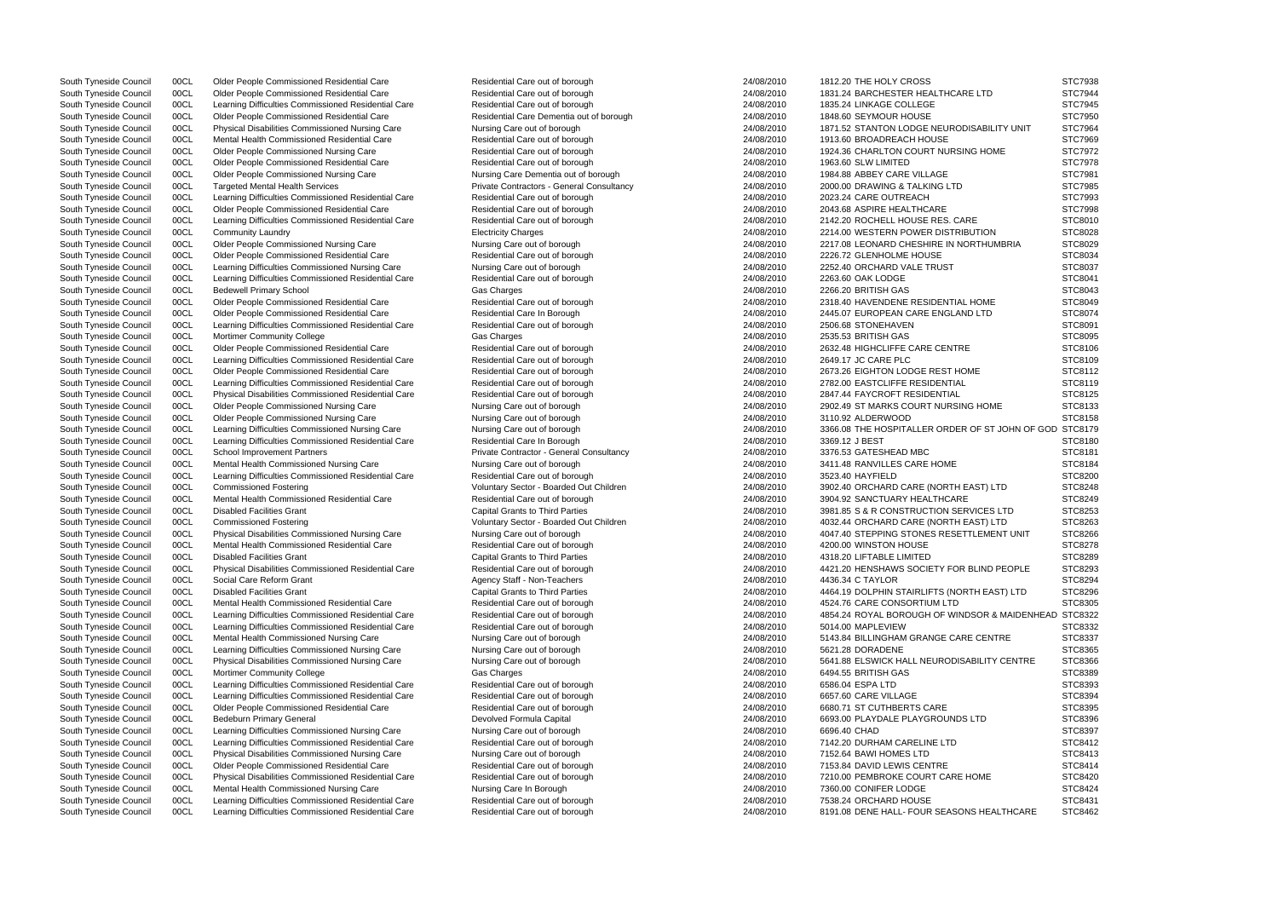South Tyneside Council 00CL Older People Commissioned Residential Care Residential Care Residential Care out of borough 24/08/2010 1812.20 THE HOLY CROSS South Tyneside Council 00CL Older People Commissioned Residential Care Residential Care Residential Care out of borough 24/08/2010 1831.24 BARCHESTER HEALTHCAR South Tyneside Council 00CL Learning Difficulties Commissioned Residential Care Residential Care Residential Care COLLEGE STC794/08/2010 1835.24 LINKAGE COLLEGE South Tyneside Council 00CL Older People Commissioned Residential Care Residential Care Residential Care Dementia out of borough 24/08/2010 1848.60 SEYMOUR HOUSE South Tyneside Council 00CL Physical Disabilities Commissioned Nursing Care Nursing Care out of borough 24/08/2010 1871.52 STANTON LODGE NEUROD South Tyneside Council 00CL Mental Health Commissioned Residential Care Residential Care Residential Care out of borough 24/08/2010 1913.60 BROADREACH HOUSE South Tyneside Council 00CL Older People Commissioned Nursing Care Residential Care out of borough 24/08/2010 1924.36 CHARLTON COURT NURSIN South Tyneside Council 00CL Older People Commissioned Residential Care Residential Care out of borough 24/08/2010 1963.60 SLW LIMITED South Tyneside Council 00CL Older People Commissioned Nursing Care Nursing Care Nursing Care Dementia out of borough 24/08/2010 1984.88 ABBEY CARE VILLAGE South Tyneside Council 00CL Targeted Mental Health Services example 24/08/2010 2000.00 DRAWING & TALKING LTD State Contractors - General Consultancy 24/08/2010 2000.00 DRAWING & TALKING LTD South Tyneside Council 00CL Learning Difficulties Commissioned Residential Care Residential Care Residential Care Residential Care Residential Care out of borough 24/08/2010 2023.24 CARE OUTREACH South Tyneside Council 00CL Older People Commissioned Residential Care Residential Care Residential Care Residential Care Residential Care Residential Care out of borough 24/08/2010 2043.68 ASPIRE HEALTHCARE South Tyneside Council 00CL Learning Difficulties Commissioned Residential Care Residential Care Residential Care Residential Care Residential Care Residential Care Council 24/08/2010 2142.20 ROCHELL HOUSE RES. CARE South Tyneside Council 00CL Community Laundry Community Charges Electricity Charges 24/08/2010 2214.00 WESTERN POWER DISTRIB South Tyneside Council 00CL Older People Commissioned Nursing Care 2012 Nursing Care out of borough 24/08/2010 2217.08 LEONARD CHESHIRE IN NC South Tyneside Council 00CL Older People Commissioned Residential Care Residential Care Residential Care out of borough 24/08/2010 2226.72 GLENHOLME HOUSE South Tyneside Council 00CL Learning Difficulties Commissioned Nursing Care Nursing Care out of borough 24/08/2010 2252.40 ORCHARD VALE TRUST South Tyneside Council 00CL Learning Difficulties Commissioned Residential Care Residential Care out of borough 24/08/2010 2263.60 OAK LODGE South Tyneside Council 00CL Bedewell Primary School Gas Charges 24/08/2010 2266.20 BRITISH GAS STC8043 South Tyneside Council 00CL Older People Commissioned Residential Care Residential Care Residential Care Residential Care Residential Care Residential Care out of borough 24/08/2010 2318.40 HAVENDENE RESIDENTIAL South Tyneside Council 00CL Older People Commissioned Residential Care Residential Care Residential Care In Borough 24/08/2010 2445.07 EUROPEAN CARE ENGLAN South Tyneside Council 00CL Learning Difficulties Commissioned Residential Care Residential Care Residential Care out of borough 24/08/2010 2506.68 STONEHAVEN South Tyneside Council 00CL Mortimer Community College Gas Charges Gas Charges 24/08/2010 2535.53 BRITISH GAS South Tyneside Council 00CL Older People Commissioned Residential Care Residential Care Residential Care out of borough 24/08/2010 2632.48 HIGHCLIFFE CARE CENTRE South Tyneside Council 00CL Learning Difficulties Commissioned Residential Care Residential Care out of borough 2008/2010 24/08/2010 2649.17 JC CARE PLC South Tyneside Council 00CL Older People Commissioned Residential Care Residential Care Residential Care out of borough 24/08/2010 2673.26 EIGHTON LODGE REST HO South Tyneside Council 00CL Learning Difficulties Commissioned Residential Care Residential Care Residential Care Residential Care Residential Care Residential Care and of borough 24/08/2010 2782.00 EASTCLIFFE RESIDENTIAL South Tyneside Council 00CL Physical Disabilities Commissioned Residential Care Residential Care Residential Care Residential Care Residential Care out of borough 24/08/2010 2847.44 FAYCROFT RESIDENTIAL South Tyneside Council 00CL Older People Commissioned Nursing Care Nursing Care out of borough 24/08/2010 2902.49 ST MARKS COURT NURSIN South Tyneside Council 00CL Older People Commissioned Nursing Care Nursing Care out of borough 24/08/2010 3110.92 ALDERWOOD South Tyneside Council 00CL Learning Difficulties Commissioned Nursing Care Mursing Care out of borough 24/08/2010 3366.08 THE HOSPITALLER ORDER South Tyneside Council 00CL Learning Difficulties Commissioned Residential Ca oocl Learning Difficulties Commissioned Residential Care Residential Care In Borough 24/08/2010 3369.12 J BEST South Tyneside Council 00CL School Improvement Partners example and the Private Contractor - General Consultancy 24/08/2010 3376.53 GATESHEAD MBC South Tyneside Council 00CL Mental Health Commissioned Nursing Care Nursing Care out of borough 24/08/2010 3411.48 RANVILLES CARE HOME South Tyneside Council 00CL Learning Difficulties Commissioned Residential Care Residential Care Residential Care Residential Care Residential Care Council 24/08/2010 3523.40 HAYFIELD South Tyneside Council 00CL Commissioned Fostering values of the Voluntary Sector - Boarded Out Children 24/08/2010 3902.40 ORCHARD CARE (NORTH E South Tyneside Council 00CL Mental Health Commissioned Residential Care Residential Care Residential Care out of borough 24/08/2010 3904.92 SANCTUARY HEALTHCARE South Tyneside Council 00CL Disabled Facilities Grant Capital Grants to Third Parties Capital Grants to Third Parties 24/08/2010 3981.85 S & R CONSTRUCTION SER South Tyneside Council 00CL Commissioned Fostering Care Mursing Care Voluntary Sector - Boarded Out Children 24/08/2010 4032.44 ORCHARD CARE (NORTH E<br>South Tyneside Council 00CL Physical Disabilities Commissioned Nursing C OOCL Physical Disabilities Commissioned Nursing Care Nursing Care out of borough 24/08/2010 4047.40 STEPPING STONES RESET South Tyneside Council 00CL Mental Health Commissioned Residential Care Residential Care Residential Care out of borough 24/08/2010 4200.00 WINSTON HOUSE South Tyneside Council 00CL Disabled Facilities Grant Capital Grants to Third Parties 24/08/2010 4318.20 LIFTABLE LIMITED South Tyneside Council 00CL Physical Disabilities Commissioned Residential Care Residential Care Residential Care Residential Care Residential Care out of borough 24/08/2010 4421.20 HENSHAWS SOCIETY FOR South Tyneside Council 00CL Social Care Reform Grant Agency Staff - Non-Teachers 24/08/2010 4436.34 C TAYLOR South Tyneside Council 00CL Disabled Facilities Grant Capital Capital Grants to Third Parties 24/08/2010 4464.19 DOLPHIN STAIRLIFTS (NOR South Tyneside Council 00CL Mental Health Commissioned Residential Care Residential Care Residential Care out of borough 24/08/2010 4524.76 CARE CONSORTIUM LTD South Tyneside Council 00CL Learning Difficulties Commissioned Residential Care Residential Care Residential Care Residential Care Residential Care out of borough 24/08/2010 4854.24 ROYAL BOROUGH OF WINDS South Tyneside Council 00CL Learning Difficulties Commissioned Residential Care Residential Care Residential Care out of borough 24/08/2010 5014.00 MAPLEVIEW South Tyneside Council 00CL Mental Health Commissioned Nursing Care Nursing Care Nursing Care out of borough 24/08/2010 5143.84 BILLINGHAM GRANGE CAR South Tyneside Council 00CL Learning Difficulties Commissioned Nursing Care Nursing Care out of borough 24/08/2010 5621.28 DORADENE South Tyneside Council 00CL Physical Disabilities Commissioned Nursing Care Nursing Care out of borough 24/08/2010 5641.88 ELSWICK HALL NEURODIS/ South Tyneside Council COOCL Mortimer Community College Gas Charges Gas Charges 24/08/2010 6494.55 BRITISH GAS STC8389 STC8389 South Tyneside Council 00CL Learning Difficulties Commissioned Residential Care Residential Care out of borough 24/08/2010 6586.04 ESPA LTD South Tyneside Council 00CL Learning Difficulties Commissioned Residential Care Residential Care Residential Care out of borough 24/08/2010 6657.60 CARE VILLAGE South Tyneside Council 00CL Older People Commissioned Residential Care Residential Care Residential Care out of borough 24/08/2010 6680.71 ST CUTHBERTS CARE South Tyneside Council 00CL Bedeburn Primary General 2008 2009 2009 Devolved Formula Capital 24/08/2010 24/08/2010 6693.00 PLAYDALE PLAYGROUNDS South Tyneside Council 00CL Learning Difficulties Commissioned Nursing Care Nursing Care out of borough 24/08/2010 6696.40 CHAD South Tyneside Council 00CL Learning Difficulties Commissioned Residential Care Residential Care Residential Care Residential Care Residential Care out of borough 24/08/2010 7142.20 DURHAM CARELINE LTD South Tyneside Council 00CL Physical Disabilities Commissioned Nursing Care Nursing Care Nursing Care out of borough 24/08/2010 7152.64 BAWI HOMES LTD South Tyneside Council 00CL Older People Commissioned Residential Care Residential Care Residential Care Residential Care Residential Care out of borough 24/08/2010 7153.84 DAVID LEWIS CENTRE South Tyneside Council 00CL Physical Disabilities Commissioned Residential Care Residential Care Residential Care Residential Care Residential Care out of borough 24/08/2010 7210.00 PEMBROKE COURT CARE South Tyneside Council 00CL Mental Health Commissioned Nursing Care Nursing Care Nursing Care In Borough 24/08/2010 7360.00 CONIFER LODGE South Tyneside Council 00CL Learning Difficulties Commissioned Residential Care Residential Care Residential Care Residential Care Residential Care Residential Care out of borough 24/08/2010 7538.24 ORCHARD HOUSE South Tyneside Council 00CL Learning Difficulties Commissioned Residential Care Residential Care Residential Care Residential Care Residential Care out of borough 24/08/2010 8191.08 DENE HALL- FOUR SEASONS

|                           | STC7938                   |
|---------------------------|---------------------------|
| <b>ELTD</b>               | STC7944                   |
|                           | STC7945                   |
|                           | STC7950                   |
| <b>JISABILITY UNIT</b>    | STC7964                   |
|                           | STC7969                   |
| <b>NG HOME</b>            | STC7972                   |
|                           | STC7978                   |
|                           | STC7981<br><b>STC7985</b> |
|                           | STC7993                   |
|                           | <b>STC7998</b>            |
| RE                        | STC8010                   |
| <b>BUTION</b>             | STC8028                   |
| <b>DRTHUMBRIA</b>         | STC8029                   |
|                           | STC8034                   |
|                           | STC8037                   |
|                           | STC8041                   |
|                           | STC8043                   |
| HOME                      | STC8049                   |
| <b>DLTD</b>               | STC8074                   |
|                           | STC8091                   |
|                           | STC8095                   |
| Ξ                         | STC8106                   |
|                           | STC8109                   |
| ME                        | STC8112                   |
|                           | STC8119                   |
|                           | STC8125                   |
| <b>IG HOME</b>            | STC8133                   |
|                           | STC8158                   |
| OF ST JOHN OF GOD STC8179 |                           |
|                           | STC8180                   |
|                           | STC8181                   |
|                           | STC8184                   |
|                           | STC8200                   |
| <b>EAST) LTD</b>          | STC8248                   |
| <b>NICES LTD</b>          | STC8249<br>STC8253        |
| <b>AST) LTD</b>           | STC8263                   |
| TLEMENT UNIT              | STC8266                   |
|                           | STC8278                   |
|                           | STC8289                   |
| <b>BLIND PEOPLE</b>       | STC8293                   |
|                           | STC8294                   |
| <b>RTH EAST) LTD</b>      | STC8296                   |
|                           | STC8305                   |
| DSOR & MAIDENHEAD STC8322 |                           |
|                           | STC8332                   |
| <b>E CENTRE</b>           | STC8337                   |
|                           | STC8365                   |
| <b>ABILITY CENTRE</b>     | STC8366                   |
|                           | STC8389                   |
|                           | STC8393                   |
|                           | STC8394                   |
|                           | STC8395                   |
| LTD                       | STC8396                   |
|                           | STC8397                   |
|                           | STC8412                   |
|                           | STC8413                   |
|                           | STC8414                   |
| номе                      | STC8420                   |
|                           | STC8424<br>STC8431        |
| <b>NS HEALTHCARE</b>      | STC8462                   |
|                           |                           |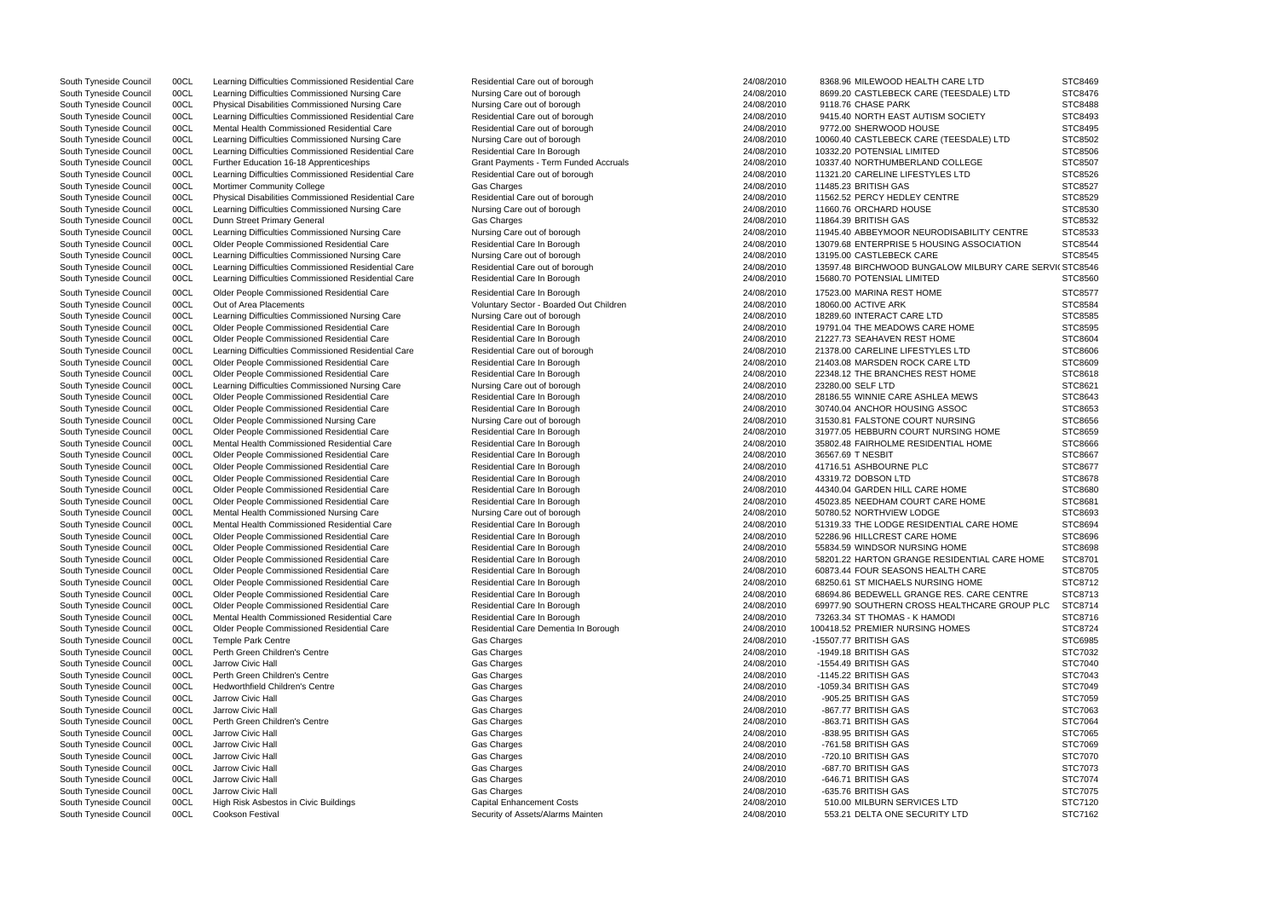South Tyneside Council 00CL Learning Difficulties Commissioned Residential Care Residential Care Residential Care Residential Care Residential Care Residential Care Cut of borough 24/08/2010 8368.96 MILEWOOD HEALTH CARE South Tyneside Council 00CL Learning Difficulties Commissioned Nursing Care Nursing Care out of borough 24/08/2010 8699.20 CASTLEBECK CARE (TEESI South Tyneside Council 00CL Physical Disabilities Commissioned Nursing Care Nursing Care out of borough 24/08/2010 9118.76 CHASE PARK South Tyneside Council 00CL Learning Difficulties Commissioned Residential Care Residential Care Residential Care Residential Care Residential Care Residential Care out of borough 24/08/2010 9415.40 NORTH EAST AUTISM SOCI South Tyneside Council 00CL Mental Health Commissioned Residential Care Residential Care Residential Care out of borough 24/08/2010 9772.00 SHERWOOD HOUSE South Tyneside Council 00CL Learning Difficulties Commissioned Nursing Care Nursing Care out of borough 24/08/2010 10060.40 CASTLEBECK CARE (TEES South Tyneside Council 00CL Learning Difficulties Commissioned Residential Care Residential Care Residential Care In Borough 24/08/2010 10332.20 POTENSIAL LIMITED South Tyneside Council 00CL Further Education 16-18 Apprenticeships Grant Payments - Term Funded Accruals 24/08/2010 10337.40 NORTHUMBERLAND COLLE South Tyneside Council 00CL Learning Difficulties Commissioned Residential Care Residential Care Residential Care Residential Care Residential Care out of borough 24/08/2010 11321.20 CARELINE LIFESTYLES LTD South Tyneside Council COOL Mortimer Community College Gas Charges Gas Charges Cases Charges 24/08/2010 11485.23 BRITISH GAS STC8527 South Tyneside Council 00CL Physical Disabilities Commissioned Residential Care Residential Care Residential Care Residential Care Residential Care out of borough 24/08/2010 11562.52 PERCY HEDLEY CENTRE South Tyneside Council 00CL Learning Difficulties Commissioned Nursing Care Nursing Care out of borough 24/08/2010 11660.76 ORCHARD HOUSE South Tyneside Council 00CL Dunn Street Primary General Gas Charges 24/08/2010 11864.39 BRITISH GAS STC8532 South Tyneside Council 00CL Learning Difficulties Commissioned Nursing Care Nursing Care out of borough 24/08/2010 11945.40 ABBEYMOOR NEURODISAB South Tyneside Council 00CL Older People Commissioned Residential Care Residential Care Residential Care In Borough 24/08/2010 13079.68 ENTERPRISE 5 HOUSING A South Tyneside Council 00CL Learning Difficulties Commissioned Nursing Care Nursing Care Nursing Care out of borough 24/08/2010 13195.00 CASTLEBECK CARE South Tyneside Council 00CL Learning Difficulties Commissioned Residential Care Residential Care Residential Care Residential Care Residential Care out of borough 24/08/2010 13597.48 BIRCHWOOD BUNGALOW M South Tyneside Council 00CL Learning Difficulties Commissioned Residential Care Residential Care Residential Care Residential Care Residential Care Residential Care 15680.70 POTENSIAL LIMITED South Tyneside Council 00CL Older People Commissioned Residential Care Residential Care In Borough 24/08/2010 17523.00 MARINA REST HOME South Tyneside Council 00CL Out of Area Placements Council Council Council Council Council Council 00CL Out of Area Placements Council Council Voluntary Sector - Boarded Out Children 24/08/2010 18060.00 ACTIVE ARK South Tyneside Council 00CL Learning Difficulties Commissioned Nursing Care Nursing Care out of borough 24/08/2010 18289.60 INTERACT CARE LTD South Tyneside Council 00CL Older People Commissioned Residential Care Residential Care Residential Care In Borough 24/08/2010 19791.04 THE MEADOWS CARE HOM South Tyneside Council 00CL Older People Commissioned Residential Care Residential Care Residential Care In Borough 24/08/2010 21227.73 SEAHAVEN REST HOME South Tyneside Council 00CL Learning Difficulties Commissioned Residential Care Residential Care Residential Care Residential Care Residential Care out of borough 24/08/2010 21378.00 CARELINE LIFESTYLES LTD South Tyneside Council 00CL Older People Commissioned Residential Care Residential Care In Borough 24/08/2010 21403.08 MARSDEN ROCK CARE LTD South Tyneside Council 00CL Older People Commissioned Residential Care Residential Care Residential Care In Borough 24/08/2010 22348.12 THE BRANCHES REST HOM South Tyneside Council 00CL Learning Difficulties Commissioned Nursing Care Nursing Care Nursing Care out of borough 24/08/2010 23280.00 SELF LTD South Tyneside Council 00CL Older People Commissioned Residential Care Residential Care Residential Care In Borough 24/08/2010 28186.55 WINNIE CARE ASHLEA MEV South Tyneside Council 00CL Older People Commissioned Residential Care Residential Care Residential Care In Borough 24/08/2010 30740.04 ANCHOR HOUSING ASSOC South Tyneside Council COOL Colder People Commissioned Nursing Care Mursing Care out of borough Council 24/08/2010 31530.81 FALSTONE COURT NURSING COURT NURSING STEER STEER OUR TO MURSING STEER STEER OUR TO MURSING STEER S South Tyneside Council 00CL Older People Commissioned Residential Care Residential Care Residential Care In Borough 24/08/2010 31977.05 HEBBURN COURT NURSING South Tyneside Council 00CL Mental Health Commissioned Residential Care Residential Care Residential Care Residential Care Residential Care Residential Care In Borough 24/08/2010 35802.48 FAIRHOLME RESIDENTIAL South Tyneside Council 00CL Older People Commissioned Residential Care Residential Care Residential Care In Borough 24/08/2010 36567.69 T NESBIT South Tyneside Council 00CL Older People Commissioned Residential Care Residential Care In Borough 24/08/2010 41716.51 ASHBOURNE PLC South Tyneside Council 00CL Older People Commissioned Residential Care Residential Care In Borough 24/08/2010 43319.72 DOBSON LTD South Tyneside Council COOL Colder People Commissioned Residential Care Commissioned Residential Care Residential Care Residential Care Residential Care Residential Care In Borough 24/08/2010 44340.04 GARDEN HILL CARE HOME South Tyneside Council 00CL Older People Commissioned Residential Care Residential Care Residential Care In Borough 24/08/2010 45023.85 NEEDHAM COURT CARE HO South Tyneside Council 00CL Mental Health Commissioned Nursing Care Nursing Care Nursing Care out of borough 24/08/2010 50780.52 NORTHVIEW LODGE South Tyneside Council 00CL Mental Health Commissioned Residential Care Residential Care Residential Care Residential Care Residential Care Residential Care Residential Care Residential Care Residential Care Residential Ca South Tyneside Council 00CL Older People Commissioned Residential Care Residential Care In Borough 24/08/2010 52286.96 HILLCREST CARE HOME South Tyneside Council 00CL Older People Commissioned Residential Care Residential Care Residential Care In Borough 24/08/2010 55834.59 WINDSOR NURSING HOME South Tyneside Council 00CL Older People Commissioned Residential Care Residential Care Residential Care Residential Care Residential Care Residential Care In Borough 24/08/2010 58201.22 HARTON GRANGE RESIDEI South Tyneside Council 00CL Older People Commissioned Residential Care Residential Care Residential Care In Borough 24/08/2010 60873.44 FOUR SEASONS HEALTH CA South Tyneside Council 00CL Older People Commissioned Residential Care Residential Care Residential Care In Borough 24/08/2010 68250.61 ST MICHAELS NURSING HO South Tyneside Council 00CL Older People Commissioned Residential Care Residential Care Residential Care Residential Care Residential Care Residential Care In Borough 24/08/2010 68694.86 BEDEWELL GRANGE RES. South Tyneside Council 00CL Older People Commissioned Residential Care Residential Care Residential Care In Borough 24/08/2010 69977.90 SOUTHERN CROSS HEALTI South Tyneside Council 00CL Mental Health Commissioned Residential Care Residential Care Residential Care Residential Care Residential Care Residential Care In Borough 24/08/2010 73263.34 ST THOMAS - K HAMODI South Tyneside Council 00CL Older People Commissioned Residential Care Residential Care Residential Care Dementia In Borough 24/08/2010 100418.52 PREMIER NURSING HOMES South Tyneside Council 00CL Temple Park Centre Gas Charges 24/08/2010 -15507.77 BRITISH GAS STC6985 South Tyneside Council 00CL Perth Green Children's Centre Gas Charges 24/08/2010 -1949.18 BRITISH GAS STC7032 South Tyneside Council 00CL Jarrow Civic Hall Gas Charges 24/08/2010 -1554.49 BRITISH GAS STC7040 South Tyneside Council COOCL Perth Green Children's Centre Gas Charges Gas Charges Cass Charges 24/08/2010 -1145.22 BRITISH GAS STC7043 South Tyneside Council 00CL Hedworthfield Children's Centre Gas Charges Gas Charges 24/08/2010 -1059.34 BRITISH GAS South Tyneside Council 00CL Jarrow Civic Hall Gas Charges 24/08/2010 -905.25 BRITISH GAS STC7059 South Tyneside Council 00CL Jarrow Civic Hall Gas Charges 24/08/2010 -867.77 BRITISH GAS STC7063 South Tyneside Council 00CL Perth Green Children's Centre Gas Charges Cas Charges Cas Charges 24/08/2010 -863.71 BRITISH GAS STATISH GAS STATISH GAS STATISH GAS STATISH GAS STATISH GAS STATISH GAS STATISH GAS STATISH GAS S South Tyneside Council 00CL Jarrow Civic Hall Gas Charges 24/08/2010 -838.95 BRITISH GAS STC7065 South Tyneside Council 00CL Jarrow Civic Hall Gas Charges 24/08/2010 -761.58 BRITISH GAS STC7069 South Tyneside Council 00CL Jarrow Civic Hall Gas Charges 24/08/2010 -720.10 BRITISH GAS STC7070 South Tyneside Council 00CL Jarrow Civic Hall Gas Charges 24/08/2010 -687.70 BRITISH GAS STC7073 South Tyneside Council 00CL Jarrow Civic Hall Gas Charges 24/08/2010 -646.71 BRITISH GAS STC7074 South Tyneside Council 00CL Jarrow Civic Hall Gas Charges 24/08/2010 -635.76 BRITISH GAS STC7075 South Tyneside Council 00CL High Risk Asbestos in Civic Buildings Capital Enhancement Costs 24/08/2010 510.00 MILBURN SERVICES LTD South Tyneside Council 00CL Cookson Festival Security of Assets/Alarms Mainten 24/08/2010 553.21 DELTA ONE SECURITY LTD

| <b>LTD</b>                         | STC8469            |
|------------------------------------|--------------------|
| DALE) LTD                          | STC8476            |
|                                    | STC8488            |
| <b>IETY</b>                        | STC8493            |
|                                    | STC8495            |
| DALE) LTD                          | STC8502            |
|                                    | STC8506<br>STC8507 |
| EGE<br>$\overline{)}$              | STC8526            |
|                                    | STC8527            |
|                                    | STC8529            |
|                                    | STC8530            |
|                                    | STC8532            |
| <b>BILITY CENTRE</b>               | STC8533            |
| <b>SSOCIATION</b>                  | STC8544            |
|                                    | STC8545            |
| <b>MILBURY CARE SERVI( STC8546</b> |                    |
|                                    | STC8560            |
|                                    | STC8577            |
|                                    | STC8584            |
|                                    | STC8585            |
| ١F                                 | STC8595            |
|                                    | STC8604            |
| $\mathcal{L}$                      | STC8606            |
|                                    | STC8609            |
| ЛE                                 | STC8618            |
|                                    | STC8621            |
| ΝS                                 | STC8643            |
|                                    | STC8653            |
| JG                                 | STC8656            |
| G HOME                             | STC8659            |
| HOME                               | STC8666            |
|                                    | STC8667            |
|                                    | STC8677            |
|                                    | STC8678            |
| OME                                | STC8680            |
|                                    | STC8681<br>STC8693 |
| CARE HOME                          | STC8694            |
|                                    | STC8696            |
|                                    | STC8698            |
| NTIAL CARE HOME                    | STC8701            |
| <b>ARE</b>                         | STC8705            |
| <b>ME</b>                          | STC8712            |
| CARE CENTRE                        | STC8713            |
| <b>HCARE GROUP PLC</b>             | STC8714            |
|                                    | STC8716            |
| 5                                  | STC8724            |
|                                    | STC6985            |
|                                    | STC7032            |
|                                    | STC7040            |
|                                    | STC7043            |
|                                    | STC7049            |
|                                    | STC7059            |
|                                    | STC7063            |
|                                    | STC7064            |
|                                    | STC7065            |
|                                    | STC7069            |
|                                    | STC7070<br>STC7073 |
|                                    | STC7074            |
|                                    | STC7075            |
|                                    | STC7120            |
|                                    | STC7162            |
|                                    |                    |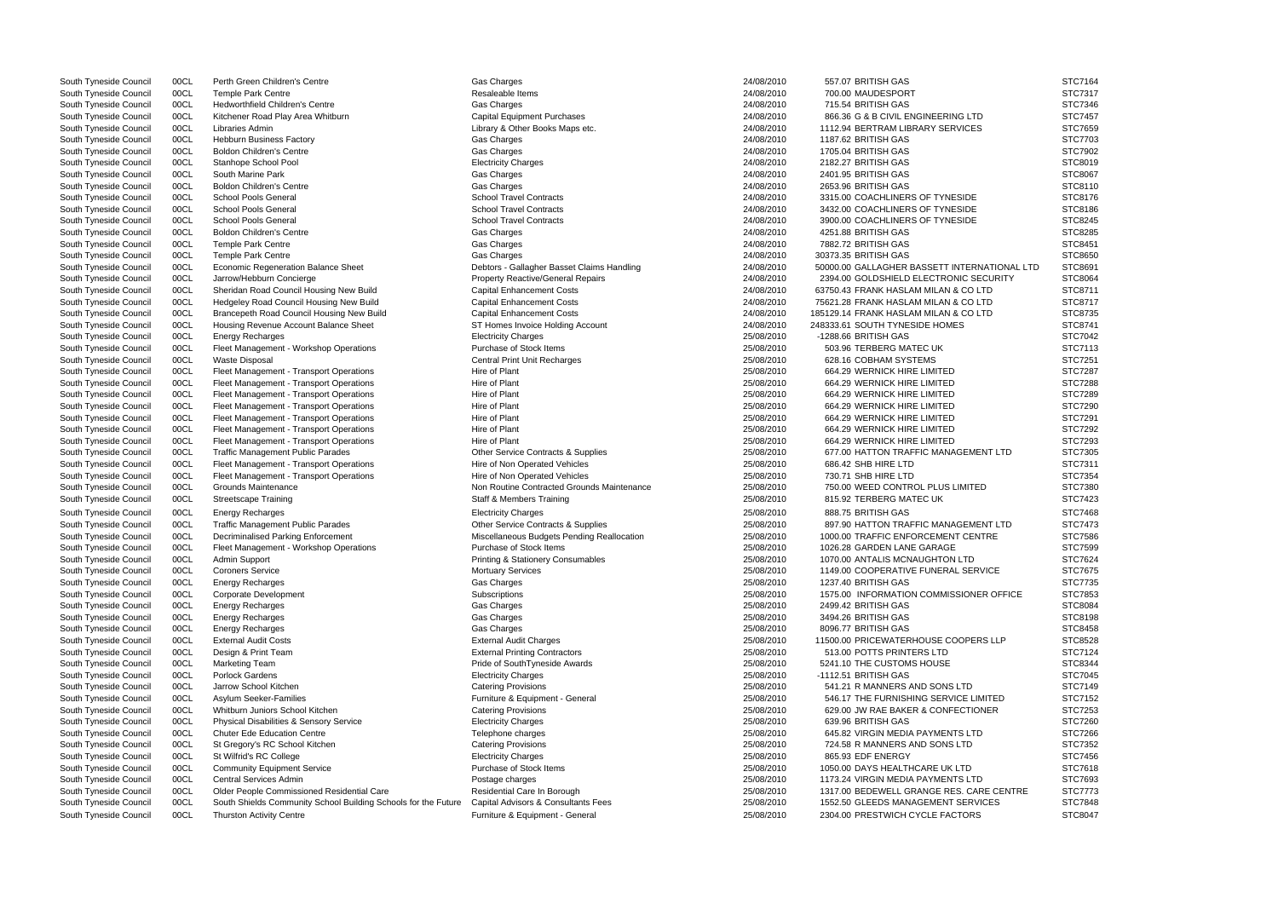South Tyneside Council 00CL Temple Park Centre Resaleable Items 24/08/2010 700.00 MAUDESPORT STC7317 South Tyneside Council 00CL Hedworthfield Children's Centre Gas Charges Charges 24/08/2010 715.54 BRITISH GAS South Tyneside Council 00CL Kitchener Road Play Area Whitburn Capital Equipment Purchases 24/08/2010 866.36 G & B CIVIL ENGINEERING South Tyneside Council 00CL Libraries Admin 2000 2000 2000 2000 Library & Other Books Maps etc. 24/08/2010 24/08/2010 1112.94 BERTRAM LIBRARY SERVICES South Tyneside Council 00CL Hebburn Business Factory Gas Charges 24/08/2010 1187.62 BRITISH GAS STC7703 South Tyneside Council 00CL Boldon Children's Centre Gas Charges 24/08/2010 1705.04 BRITISH GAS STC7902 South Tyneside Council COOCL Stanhope School Pool **Electricity Charges 24/08/2010** 2182.27 BRITISH GAS STC8019 STC8019 South Tyneside Council COOCL South Marine Park Gas Charges Gas Charges Cass Charges 24/08/2010 2401.95 BRITISH GAS STC8067 STC8067 South Tyneside Council COOL Boldon Children's Centre Gas Charges Gas Charges Cass Charges 24/08/2010 2653.96 BRITISH GAS STC8110 South Tyneside Council 00CL School Pools General 2002 School Travel Contracts 24/08/2010 3315.00 COACHLINERS OF TYNESID South Tyneside Council 00CL School Pools General 2008 School Travel Contracts 24/08/2010 3432.00 COACHLINERS OF TYNESIDE South Tyneside Council 00CL School Pools General School Travel Contracts School Travel Contracts 24/08/2010 3900.00 COACHLINERS OF TYNESID South Tyneside Council COOCL Boldon Children's Centre Gas Charges Gas Charges Cass Charges 24/08/2010 4251.88 BRITISH GAS STC8285 South Tyneside Council 00CL Temple Park Centre Gas Charges 24/08/2010 7882.72 BRITISH GAS STC8451 South Tyneside Council 00CL Temple Park Centre Gas Charges 24/08/2010 30373.35 BRITISH GAS STC8650 South Tyneside Council 00CL Economic Regeneration Balance Sheet Debtors - Gallagher Basset Claims Handling 24/08/2010 50000.00 GALLAGHER BASSETT INTE South Tyneside Council 00CL Jarrow/Hebburn Concierge **Property Reactive/General Repairs** 24/08/2010 2394.00 GOLDSHIELD ELECTRONIC South Tyneside Council 00CL Sheridan Road Council Housing New Build Capital Enhancement Costs 24/08/2010 63750.43 FRANK HASLAM MILAN & C South Tyneside Council 00CL Hedgeley Road Council Housing New Build Capital Enhancement Costs 24/08/2010 75621.28 FRANK HASLAM MILAN & C South Tyneside Council 00CL Brancepeth Road Council Housing New Build Capital Enhancement Costs 24/08/2010 185129.14 FRANK HASLAM MILAN & C South Tyneside Council 00CL Housing Revenue Account Balance Sheet ST Homes Invoice Holding Account 24/08/2010 248333.61 SOUTH TYNESIDE HOMES South Tyneside Council 00CL Energy Recharges Electricity Charges 25/08/2010 -1288.66 BRITISH GAS STC7042 South Tyneside Council 00CL Fleet Management - Workshop Operations Purchase of Stock Items 25/08/2010 503.96 TERBERG MATEC UK South Tyneside Council 00CL Waste Disposal Central Central Print Unit Recharges 25/08/2010 628.16 COBHAM SYSTEMS STC7251 South Tyneside Council 00CL Fleet Management - Transport Operations Hire of Plant 25/08/2010 664.29 WERNICK HIRE LIMITED South Tyneside Council 00CL Fleet Management - Transport Operations Hire of Plant Hire of Plant 25/08/2010 664.29 WERNICK HIRE LIMITED South Tyneside Council 00CL Fleet Management - Transport Operations Hire of Plant Hire of Plant 25/08/2010 664.29 WERNICK HIRE LIMITED South Tyneside Council 00CL Fleet Management - Transport Operations Hire of Plant Hire of Plant 25/08/2010 664.29 WERNICK HIRE LIMITED South Tyneside Council 00CL Fleet Management - Transport Operations Hire of Plant 25/08/2010 664.29 WERNICK HIRE LIMITED South Tyneside Council 00CL Fleet Management - Transport Operations Hire of Plant Hire of Plant 25/08/2010 664.29 WERNICK HIRE LIMITED South Tyneside Council 00CL Fleet Management - Transport Operations Hire of Plant 25/08/2010 664.29 WERNICK HIRE LIMITED South Tyneside Council 00CL Traffic Management Public Parades Contracts Contracts & Supplies 25/08/2010 677.00 HATTON TRAFFIC MANAGE South Tyneside Council 00CL Fleet Management - Transport Operations Hire of Non Operated Vehicles 25/08/2010 686.42 SHB HIRE LTD South Tyneside Council 00CL Fleet Management - Transport Operations Hire of Non Operated Vehicles 25/08/2010 730.71 SHB HIRE LTD South Tyneside Council 00CL Grounds Maintenance **Non Routine Contracted Grounds Maintenance** 25/08/2010 750.00 WEED CONTROL PLUS LIM South Tyneside Council 00CL Streetscape Training **Staff & Members Training 25/08/2010** 815.92 TERBERG MATEC UK South Tyneside Council 00CL Energy Recharges Electricity Charges 25/08/2010 888.75 BRITISH GAS STC7468 South Tyneside Council 00CL Traffic Management Public Parades Contracts Contracts & Supplies 25/08/2010 897.90 HATTON TRAFFIC MANAGE South Tyneside Council 00CL Decriminalised Parking Enforcement Miscellaneous Budgets Pending Reallocation 25/08/2010 1000.00 TRAFFIC ENFORCEMENT C South Tyneside Council 00CL Fleet Management - Workshop Operations Purchase of Stock Items 25/08/2010 1026.28 GARDEN LANE GARAGE South Tyneside Council 00CL Admin Support examples Printing & Stationery Consumables 25/08/2010 1070.00 ANTALIS MCNAUGHTON LT South Tyneside Council 00CL Coroners Service 2000 2000 25/08/2010 25/08/2010 1149.00 COOPERATIVE FUNERAL SI South Tyneside Council 00CL Energy Recharges 25/08/2010 1237.40 BRITISH GAS STC7735 South Tyneside Council 00CL Corporate Development 2000 COMMISSION COMMISSIONER Subscriptions 25/08/2010 1575.00 INFORMATION COMMISSION South Tyneside Council 00CL Energy Recharges 25/08/2010 2499.42 BRITISH GAS STC8084 South Tyneside Council 00CL Energy Recharges Gas Charges 25/08/2010 3494.26 BRITISH GAS STC8198 South Tyneside Council 00CL Energy Recharges Gas Charges 25/08/2010 8096.77 BRITISH GAS STC8458 South Tyneside Council 00CL External Audit Costs COOPER External Audit Charges COOPER 25/08/2010 11500.00 PRICEWATERHOUSE COOP<br>South Tyneside Council 00CL Design & Print Team Contraction External Printing Contractors 25/08 South Tyneside Council 00CL Design & Print Team **External Printing Contractors** 25/08/2010 513.00 POTTS PRINTERS LTD South Tyneside Council 00CL Marketing Team **Pride of SouthTyneside Awards** 25/08/2010 5241.10 THE CUSTOMS HOUSE South Tyneside Council COOCL Porlock Gardens (STC7045 Electricity Charges 25/08/2010 -1112.51 BRITISH GAS STC7045 South Tyneside Council 00CL Jarrow School Kitchen Catering Provisions Catering Provisions 25/08/2010 541.21 R MANNERS AND SONS LTI South Tyneside Council 00CL Asylum Seeker-Families **Furniture & Equipment - General** 25/08/2010 546.17 THE FURNISHING SERVICE South Tyneside Council 00CL Whitburn Juniors School Kitchen Catering Provisions Catering Provisions 25/08/2010 629.00 JW RAE BAKER & CONFECT South Tyneside Council 00CL Physical Disabilities & Sensory Service Electricity Charges 25/08/2010 639.96 BRITISH GAS South Tyneside Council 00CL Chuter Ede Education Centre Telephone charges Telephone charges 25/08/2010 645.82 VIRGIN MEDIA PAYMENTS South Tyneside Council 00CL St Gregory's RC School Kitchen Catering Provisions Catering Provisions 25/08/2010 724.58 R MANNERS AND SONS LTI South Tyneside Council 00CL St Wilfrid's RC College Electricity Charges 85.08/2010 865.93 EDF ENERGY STC7456 South Tyneside Council 00CL Community Equipment Service **Purchase of Stock Items** 25/08/2010 1050.00 DAYS HEALTHCARE UK LTI South Tyneside Council 00CL Central Services Admin 2000 2000 2000 Postage charges 25/08/2010 25/08/2010 1173.24 VIRGIN MEDIA PAYMENTS South Tyneside Council 00CL Older People Commissioned Residential Care Residential Care Residential Care Residential Care Residential Care Residential Care In Borough 25/08/2010 1317.00 BEDEWELL GRANGE RES. South Tyneside Council 00CL South Shields Community School Building Schools for the Future Capital Advisors & Consultants Fees 25/08/2010 1552.50 GLEEDS MANAGEMENT SE South Tyneside Council 00CL Thurston Activity Centre **Furniture Activity Centre** Furniture & Equipment - General 25/08/2010 2304.00 PRESTWICH CYCLE FACTORS STC8047

South Tyneside Council 00CL Perth Green Children's Centre Gas Charges 24/08/2010 557.07 BRITISH GAS STC7164

|                  | 51 U / 164<br>STC7317 |
|------------------|-----------------------|
|                  | STC7346               |
| LTD              | <b>STC7457</b>        |
| CES              | STC7659               |
|                  | STC7703               |
|                  | STC7902               |
|                  | STC8019               |
|                  | STC8067               |
|                  | STC8110               |
| DE               | STC8176               |
| DE               | STC8186               |
| DE               | STC8245               |
|                  | <b>STC8285</b>        |
|                  | STC8451               |
|                  | STC8650               |
| ERNATIONAL LTD   | STC8691               |
| SECURITY         | STC8064               |
| O LTD            | STC8711               |
| O LTD            | STC8717               |
| O LTD            | STC8735               |
|                  | STC8741               |
|                  | STC7042               |
|                  | STC7113               |
|                  | STC7251               |
|                  | STC7287               |
|                  | <b>STC7288</b>        |
|                  | <b>STC7289</b>        |
|                  | <b>STC7290</b>        |
|                  | STC7291               |
|                  | <b>STC7292</b>        |
|                  | STC7293               |
| <b>EMENT LTD</b> | STC7305               |
|                  | STC7311               |
|                  | STC7354               |
| <b>ITED</b>      | STC7380               |
|                  | STC7423               |
|                  | <b>STC7468</b>        |
| <b>MENT LTD</b>  | STC7473               |
| <b>ENTRE</b>     | <b>STC7586</b>        |
|                  | <b>STC7599</b>        |
| <sup>-</sup> D   | STC7624               |
| <b>ERVICE</b>    | STC7675               |
|                  | STC7735               |
| ONER OFFICE      | STC7853               |
|                  | STC8084               |
|                  | STC8198               |
|                  | STC8458               |
| PERS LLP         | STC8528               |
|                  | STC7124               |
|                  | STC8344               |
|                  | STC7045               |
| D                | STC7149               |
| <b>LIMITED</b>   | STC7152               |
| TIONER           | STC7253               |
|                  | <b>STC7260</b>        |
| LTD              | <b>STC7266</b>        |
| D                | STC7352               |
|                  | STC7456               |
| D                | STC7618               |
| LTD              | STC7693               |
| CARE CENTRE      | STC7773               |
| <b>RVICES</b>    | STC7848               |
| 2RC              | STC8047               |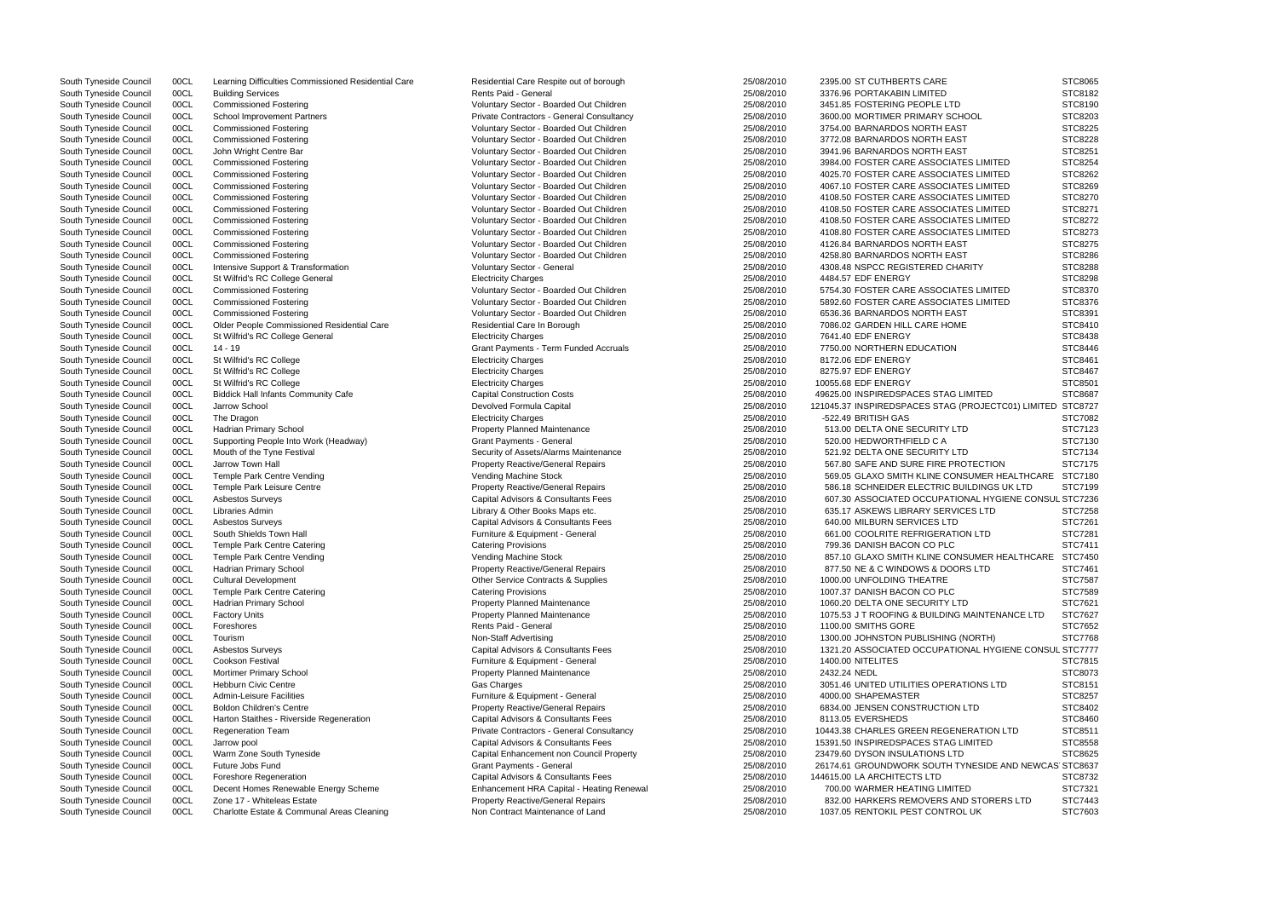|                                  | <u>JI UUUUJ</u> |
|----------------------------------|-----------------|
|                                  | STC8182         |
|                                  | STC8190         |
|                                  |                 |
| OOL                              | STC8203         |
|                                  | STC8225         |
|                                  | STC8228         |
|                                  | STC8251         |
|                                  |                 |
| S LIMITED                        | STC8254         |
| S LIMITED                        | STC8262         |
| S LIMITED                        | STC8269         |
|                                  |                 |
| S LIMITED                        | STC8270         |
| S LIMITED                        | STC8271         |
| S LIMITED                        | STC8272         |
|                                  |                 |
| S LIMITED                        | STC8273         |
|                                  | STC8275         |
|                                  | STC8286         |
| र।TY                             | STC8288         |
|                                  |                 |
|                                  | STC8298         |
| S LIMITED                        | STC8370         |
| S LIMITED                        | STC8376         |
|                                  |                 |
|                                  | STC8391         |
|                                  | STC8410         |
|                                  | STC8438         |
|                                  |                 |
|                                  | STC8446         |
|                                  | STC8461         |
|                                  | STC8467         |
|                                  | STC8501         |
|                                  |                 |
| MITED                            | STC8687         |
| ROJECTC01) LIMITED STC8727       |                 |
|                                  | STC7082         |
|                                  |                 |
|                                  | STC7123         |
|                                  | STC7130         |
|                                  | STC7134         |
| TECTION                          |                 |
|                                  | STC7175         |
| UMER HEALTHCARE                  | STC7180         |
| LDINGS UK LTD                    | STC7199         |
| VAL HYGIENE CONSUL STC7236       |                 |
|                                  |                 |
| ES LTD                           | <b>STC7258</b>  |
|                                  | STC7261         |
| N LTD                            | STC7281         |
|                                  | STC7411         |
|                                  |                 |
| UMER HEALTHCARE                  | STC7450         |
| S LTD                            | STC7461         |
|                                  | STC7587         |
|                                  |                 |
|                                  | STC7589         |
|                                  | STC7621         |
| <b><i>IAINTENANCE LTD</i></b>    | STC7627         |
|                                  | STC7652         |
|                                  |                 |
| IORTH)                           | STC7768         |
| VAL HYGIENE CONSUL STC7777       |                 |
|                                  | STC7815         |
|                                  |                 |
|                                  | STC8073         |
| <b>IONS LTD</b>                  | STC8151         |
|                                  | STC8257         |
| TD.                              |                 |
|                                  | STC8402         |
|                                  | STC8460         |
| <b>RATION LTD</b>                | STC8511         |
| MITED                            | STC8558         |
|                                  |                 |
|                                  | STC8625         |
| <b>NESIDE AND NEWCAS STC8637</b> |                 |
|                                  | STC8732         |
|                                  |                 |
| C                                | STC7321         |
| <b>STORERS LTD</b>               | STC7443         |
|                                  |                 |
| <b>UK</b>                        | STC7603         |

| South Tyneside Council | 00CL | Learning Difficulties Commissioned Residential Care | Residential Care Respite out of borough   | 25/08/2010 | 2395.00 ST CUTHBERTS CARE                              | STC8065        |
|------------------------|------|-----------------------------------------------------|-------------------------------------------|------------|--------------------------------------------------------|----------------|
| South Tyneside Council | 00CL | <b>Building Services</b>                            | Rents Paid - General                      | 25/08/2010 | 3376.96 PORTAKABIN LIMITED                             | STC8182        |
| South Tyneside Council | 00CL | <b>Commissioned Fostering</b>                       | Voluntary Sector - Boarded Out Children   | 25/08/2010 | 3451.85 FOSTERING PEOPLE LTD                           | STC8190        |
| South Tyneside Council | 00CL | <b>School Improvement Partners</b>                  | Private Contractors - General Consultancy | 25/08/2010 | 3600.00 MORTIMER PRIMARY SCHOOL                        | STC8203        |
| South Tyneside Council | 00CL | <b>Commissioned Fostering</b>                       | Voluntary Sector - Boarded Out Children   | 25/08/2010 | 3754.00 BARNARDOS NORTH EAST                           | <b>STC8225</b> |
| South Tyneside Council | 00CL | <b>Commissioned Fostering</b>                       | Voluntary Sector - Boarded Out Children   | 25/08/2010 | 3772.08 BARNARDOS NORTH EAST                           | STC8228        |
| South Tyneside Council | 00CL | John Wright Centre Bar                              | Voluntary Sector - Boarded Out Children   | 25/08/2010 | 3941.96 BARNARDOS NORTH EAST                           | STC8251        |
| South Tyneside Council | 00CL | <b>Commissioned Fostering</b>                       | Voluntary Sector - Boarded Out Children   | 25/08/2010 | 3984.00 FOSTER CARE ASSOCIATES LIMITED                 | STC8254        |
| South Tyneside Council | 00CL | <b>Commissioned Fostering</b>                       | Voluntary Sector - Boarded Out Children   | 25/08/2010 | 4025.70 FOSTER CARE ASSOCIATES LIMITED                 | STC8262        |
|                        |      |                                                     |                                           |            | 4067.10 FOSTER CARE ASSOCIATES LIMITED                 | <b>STC8269</b> |
| South Tyneside Council | 00CL | <b>Commissioned Fostering</b>                       | Voluntary Sector - Boarded Out Children   | 25/08/2010 |                                                        |                |
| South Tyneside Council | 00CL | <b>Commissioned Fostering</b>                       | Voluntary Sector - Boarded Out Children   | 25/08/2010 | 4108.50 FOSTER CARE ASSOCIATES LIMITED                 | <b>STC8270</b> |
| South Tyneside Council | 00CL | <b>Commissioned Fostering</b>                       | Voluntary Sector - Boarded Out Children   | 25/08/2010 | 4108.50 FOSTER CARE ASSOCIATES LIMITED                 | STC8271        |
| South Tyneside Council | 00CL | <b>Commissioned Fostering</b>                       | Voluntary Sector - Boarded Out Children   | 25/08/2010 | 4108.50 FOSTER CARE ASSOCIATES LIMITED                 | STC8272        |
| South Tyneside Council | 00CL | <b>Commissioned Fostering</b>                       | Voluntary Sector - Boarded Out Children   | 25/08/2010 | 4108.80 FOSTER CARE ASSOCIATES LIMITED                 | STC8273        |
| South Tyneside Council | 00CL | <b>Commissioned Fostering</b>                       | Voluntary Sector - Boarded Out Children   | 25/08/2010 | 4126.84 BARNARDOS NORTH EAST                           | <b>STC8275</b> |
| South Tyneside Council | 00CL | <b>Commissioned Fostering</b>                       | Voluntary Sector - Boarded Out Children   | 25/08/2010 | 4258.80 BARNARDOS NORTH EAST                           | STC8286        |
| South Tyneside Council | 00CL | Intensive Support & Transformation                  | Voluntary Sector - General                | 25/08/2010 | 4308.48 NSPCC REGISTERED CHARITY                       | STC8288        |
| South Tyneside Council | 00CL | St Wilfrid's RC College General                     | <b>Electricity Charges</b>                | 25/08/2010 | 4484.57 EDF ENERGY                                     | STC8298        |
| South Tyneside Council | 00CL | <b>Commissioned Fostering</b>                       | Voluntary Sector - Boarded Out Children   | 25/08/2010 | 5754.30 FOSTER CARE ASSOCIATES LIMITED                 | <b>STC8370</b> |
| South Tyneside Council | 00CL | <b>Commissioned Fostering</b>                       | Voluntary Sector - Boarded Out Children   | 25/08/2010 | 5892.60 FOSTER CARE ASSOCIATES LIMITED                 | STC8376        |
| South Tyneside Council | 00CL | <b>Commissioned Fostering</b>                       | Voluntary Sector - Boarded Out Children   | 25/08/2010 | 6536.36 BARNARDOS NORTH EAST                           | STC8391        |
| South Tyneside Council | 00CL | Older People Commissioned Residential Care          | Residential Care In Borough               | 25/08/2010 | 7086.02 GARDEN HILL CARE HOME                          | STC8410        |
| South Tyneside Council | 00CL | St Wilfrid's RC College General                     | <b>Electricity Charges</b>                | 25/08/2010 | 7641.40 EDF ENERGY                                     | STC8438        |
| South Tyneside Council | 00CL | $14 - 19$                                           | Grant Payments - Term Funded Accruals     | 25/08/2010 | 7750.00 NORTHERN EDUCATION                             | STC8446        |
| South Tyneside Council | 00CL | St Wilfrid's RC College                             | <b>Electricity Charges</b>                | 25/08/2010 | 8172.06 EDF ENERGY                                     | STC8461        |
| South Tyneside Council | 00CL | St Wilfrid's RC College                             | <b>Electricity Charges</b>                | 25/08/2010 | 8275.97 EDF ENERGY                                     | STC8467        |
| South Tyneside Council | 00CL | St Wilfrid's RC College                             | <b>Electricity Charges</b>                | 25/08/2010 | 10055.68 EDF ENERGY                                    | STC8501        |
| South Tyneside Council | 00CL | <b>Biddick Hall Infants Community Cafe</b>          | <b>Capital Construction Costs</b>         | 25/08/2010 | 49625.00 INSPIREDSPACES STAG LIMITED                   | STC8687        |
| South Tyneside Council | 00CL | Jarrow School                                       | Devolved Formula Capital                  | 25/08/2010 | 121045.37 INSPIREDSPACES STAG (PROJECTC01) LIMITED     | STC8727        |
| South Tyneside Council | 00CL | The Dragon                                          | <b>Electricity Charges</b>                | 25/08/2010 | -522.49 BRITISH GAS                                    | STC7082        |
| South Tyneside Council | 00CL | Hadrian Primary School                              | <b>Property Planned Maintenance</b>       | 25/08/2010 | 513.00 DELTA ONE SECURITY LTD                          | STC7123        |
| South Tyneside Council | 00CL | Supporting People Into Work (Headway)               | Grant Payments - General                  | 25/08/2010 | 520.00 HEDWORTHFIELD C A                               | STC7130        |
|                        | 00CL | Mouth of the Tyne Festival                          | Security of Assets/Alarms Maintenance     | 25/08/2010 | 521.92 DELTA ONE SECURITY LTD                          | STC7134        |
| South Tyneside Council |      |                                                     |                                           |            |                                                        | STC7175        |
| South Tyneside Council | 00CL | Jarrow Town Hall                                    | <b>Property Reactive/General Repairs</b>  | 25/08/2010 | 567.80 SAFE AND SURE FIRE PROTECTION                   |                |
| South Tyneside Council | 00CL | <b>Temple Park Centre Vending</b>                   | Vending Machine Stock                     | 25/08/2010 | 569.05 GLAXO SMITH KLINE CONSUMER HEALTHCARE           | <b>STC7180</b> |
| South Tyneside Council | 00CL | <b>Temple Park Leisure Centre</b>                   | <b>Property Reactive/General Repairs</b>  | 25/08/2010 | 586.18 SCHNEIDER ELECTRIC BUILDINGS UK LTD             | STC7199        |
| South Tyneside Council | 00CL | <b>Asbestos Surveys</b>                             | Capital Advisors & Consultants Fees       | 25/08/2010 | 607.30 ASSOCIATED OCCUPATIONAL HYGIENE CONSUL STC7236  |                |
| South Tyneside Council | 00CL | Libraries Admin                                     | Library & Other Books Maps etc.           | 25/08/2010 | 635.17 ASKEWS LIBRARY SERVICES LTD                     | STC7258        |
| South Tyneside Council | 00CL | <b>Asbestos Surveys</b>                             | Capital Advisors & Consultants Fees       | 25/08/2010 | 640.00 MILBURN SERVICES LTD                            | STC7261        |
| South Tyneside Council | 00CL | South Shields Town Hall                             | Furniture & Equipment - General           | 25/08/2010 | 661.00 COOLRITE REFRIGERATION LTD                      | STC7281        |
| South Tyneside Council | 00CL | Temple Park Centre Catering                         | <b>Catering Provisions</b>                | 25/08/2010 | 799.36 DANISH BACON CO PLC                             | STC7411        |
| South Tyneside Council | 00CL | <b>Temple Park Centre Vending</b>                   | Vending Machine Stock                     | 25/08/2010 | 857.10 GLAXO SMITH KLINE CONSUMER HEALTHCARE           | <b>STC7450</b> |
| South Tyneside Council | 00CL | Hadrian Primary School                              | <b>Property Reactive/General Repairs</b>  | 25/08/2010 | 877.50 NE & C WINDOWS & DOORS LTD                      | STC7461        |
| South Tyneside Council | 00CL | <b>Cultural Development</b>                         | Other Service Contracts & Supplies        | 25/08/2010 | 1000.00 UNFOLDING THEATRE                              | STC7587        |
| South Tyneside Council | 00CL | Temple Park Centre Catering                         | <b>Catering Provisions</b>                | 25/08/2010 | 1007.37 DANISH BACON CO PLC                            | STC7589        |
| South Tyneside Council | 00CL | <b>Hadrian Primary School</b>                       | <b>Property Planned Maintenance</b>       | 25/08/2010 | 1060.20 DELTA ONE SECURITY LTD                         | STC7621        |
| South Tyneside Council | 00CL | <b>Factory Units</b>                                | <b>Property Planned Maintenance</b>       | 25/08/2010 | 1075.53 J T ROOFING & BUILDING MAINTENANCE LTD         | STC7627        |
| South Tyneside Council | 00CL | Foreshores                                          | Rents Paid - General                      | 25/08/2010 | 1100.00 SMITHS GORE                                    | STC7652        |
| South Tyneside Council | 00CL | Tourism                                             | Non-Staff Advertising                     | 25/08/2010 | 1300.00 JOHNSTON PUBLISHING (NORTH)                    | STC7768        |
| South Tyneside Council | 00CL | <b>Asbestos Surveys</b>                             | Capital Advisors & Consultants Fees       | 25/08/2010 | 1321.20 ASSOCIATED OCCUPATIONAL HYGIENE CONSUL STC7777 |                |
| South Tyneside Council | 00CL | <b>Cookson Festival</b>                             | Furniture & Equipment - General           | 25/08/2010 | 1400.00 NITELITES                                      | STC7815        |
| South Tyneside Council | 00CL | <b>Mortimer Primary School</b>                      | <b>Property Planned Maintenance</b>       | 25/08/2010 | 2432.24 NEDL                                           | STC8073        |
| South Tyneside Council | 00CL | <b>Hebburn Civic Centre</b>                         | Gas Charges                               | 25/08/2010 | 3051.46 UNITED UTILITIES OPERATIONS LTD                | STC8151        |
| South Tyneside Council | 00CL | <b>Admin-Leisure Facilities</b>                     | Furniture & Equipment - General           | 25/08/2010 | 4000.00 SHAPEMASTER                                    | STC8257        |
| South Tyneside Council | 00CL | <b>Boldon Children's Centre</b>                     | <b>Property Reactive/General Repairs</b>  | 25/08/2010 | 6834.00 JENSEN CONSTRUCTION LTD                        | STC8402        |
| South Tyneside Council | 00CL | Harton Staithes - Riverside Regeneration            | Capital Advisors & Consultants Fees       | 25/08/2010 | 8113.05 EVERSHEDS                                      | <b>STC8460</b> |
| South Tyneside Council | 00CL | <b>Regeneration Team</b>                            | Private Contractors - General Consultancy | 25/08/2010 | 10443.38 CHARLES GREEN REGENERATION LTD                | STC8511        |
| South Tyneside Council | 00CL | Jarrow pool                                         | Capital Advisors & Consultants Fees       | 25/08/2010 | 15391.50 INSPIREDSPACES STAG LIMITED                   | STC8558        |
| South Tyneside Council | 00CL | Warm Zone South Tyneside                            | Capital Enhancement non Council Property  | 25/08/2010 | 23479.60 DYSON INSULATIONS LTD                         | STC8625        |
| South Tyneside Council | 00CL | Future Jobs Fund                                    | <b>Grant Payments - General</b>           | 25/08/2010 | 26174.61 GROUNDWORK SOUTH TYNESIDE AND NEWCAS STC8637  |                |
| South Tyneside Council | 00CL | Foreshore Regeneration                              | Capital Advisors & Consultants Fees       | 25/08/2010 | 144615.00 LA ARCHITECTS LTD                            | STC8732        |
| South Tyneside Council | 00CL | Decent Homes Renewable Energy Scheme                |                                           | 25/08/2010 | 700.00 WARMER HEATING LIMITED                          | STC7321        |
| South Tyneside Council | 00CL | Zone 17 - Whiteleas Estate                          | Enhancement HRA Capital - Heating Renewal | 25/08/2010 | 832.00 HARKERS REMOVERS AND STORERS LTD                | STC7443        |
|                        |      |                                                     | <b>Property Reactive/General Repairs</b>  |            |                                                        |                |
| South Tyneside Council | 00CL | Charlotte Estate & Communal Areas Cleaning          | Non Contract Maintenance of Land          | 25/08/2010 | 1037.05 RENTOKIL PEST CONTROL UK                       | STC7603        |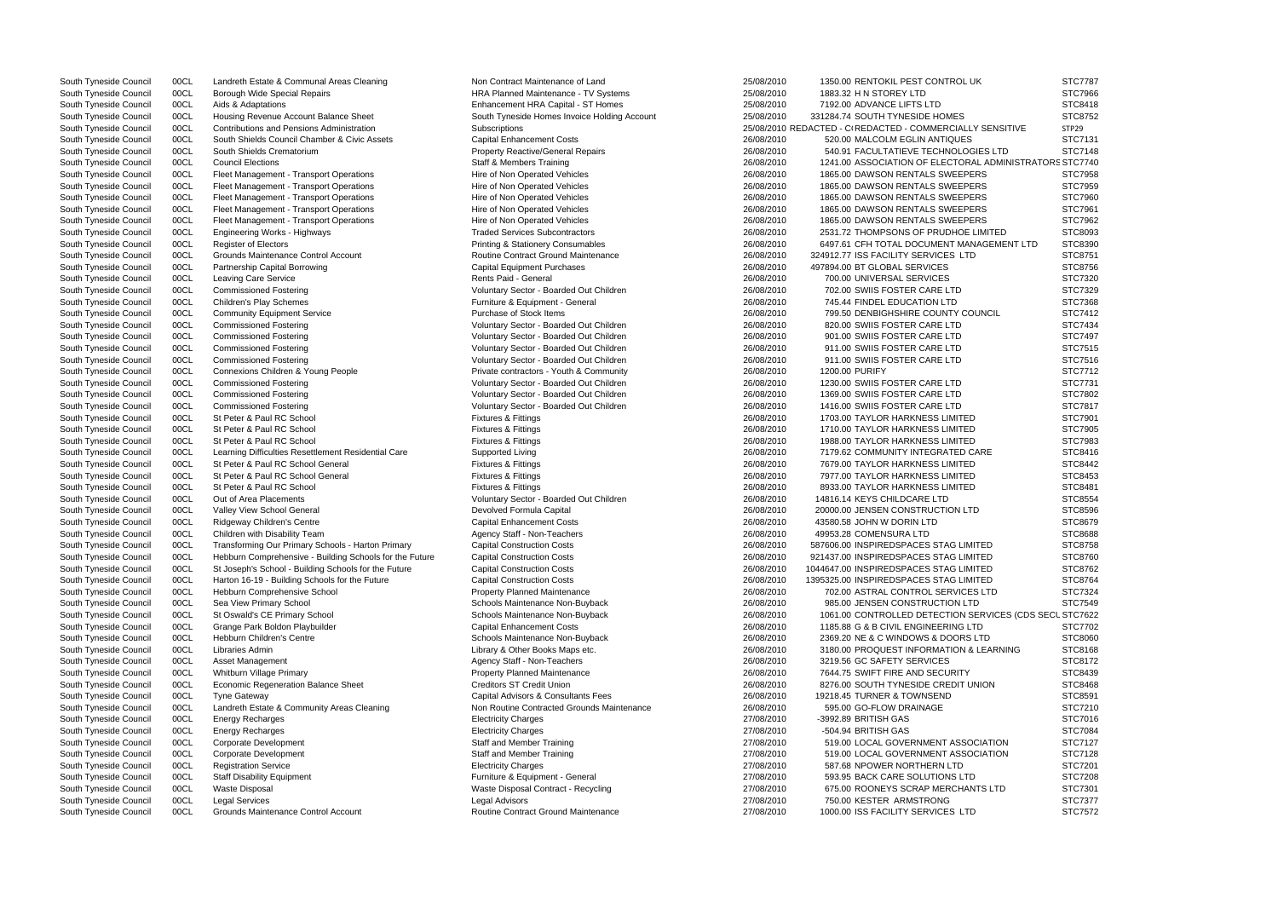| . UK                       | STC7787        |
|----------------------------|----------------|
|                            | STC7966        |
|                            | STC8418        |
|                            | STC8752        |
| LY SENSITIVE               | STP29          |
| S                          | STC7131        |
| <b>GIES LTD</b>            |                |
|                            | STC7148        |
| RAL ADMINISTRATORS STC7740 |                |
| <b>ERS</b>                 | <b>STC7958</b> |
| <b>ERS</b>                 | STC7959        |
| <b>ERS</b>                 | STC7960        |
| <b>ERS</b>                 | STC7961        |
| <b>ERS</b>                 | STC7962        |
| E LIMITED                  | STC8093        |
| <b>NAGEMENT LTD</b>        | STC8390        |
| ГD                         | STC8751        |
|                            |                |
|                            | STC8756        |
|                            | STC7320        |
|                            | STC7329        |
|                            | STC7368        |
| OUNCIL                     | STC7412        |
|                            | STC7434        |
|                            | <b>STC7497</b> |
|                            | STC7515        |
|                            | STC7516        |
|                            |                |
|                            | STC7712        |
|                            | STC7731        |
|                            | STC7802        |
|                            | STC7817        |
| ED                         | STC7901        |
| ED.                        | STC7905        |
| Ð                          | STC7983        |
| CARE                       | STC8416        |
| Đ                          | STC8442        |
| ED                         | STC8453        |
| ED                         |                |
|                            | STC8481        |
|                            | STC8554        |
| .TD                        | STC8596        |
|                            | STC8679        |
|                            | STC8688        |
| MITED                      | STC8758        |
| MITED                      | STC8760        |
| <b>MITED</b>               | STC8762        |
| MITED                      | STC8764        |
| <b>ESLTD</b>               | STC7324        |
| TD.                        | STC7549        |
| SERVICES (CDS SECL STC7622 |                |
|                            |                |
| LTD                        | STC7702        |
| S LTD                      | STC8060        |
| & LEARNING                 | STC8168        |
|                            | STC8172        |
| $\epsilon$                 | STC8439        |
| union                      | STC8468        |
|                            | STC8591        |
|                            | STC7210        |
|                            | STC7016        |
|                            |                |
|                            | STC7084        |
| OCIATION                   | STC7127        |
| <b>OCIATION</b>            | STC7128        |
|                            | STC7201        |
| `D                         | <b>STC7208</b> |
| <b>INTS LTD</b>            | STC7301        |
|                            | STC7377        |
| ГD                         | STC7572        |
|                            |                |

| South Tyneside Council | <b>OOCL</b> | Landreth Estate & Communal Areas Cleaning               | Non Contract Maintenance of Land             | 25/08/2010 | 1350.00 RENTOKIL PEST CONTROL OK                          | 510/181        |
|------------------------|-------------|---------------------------------------------------------|----------------------------------------------|------------|-----------------------------------------------------------|----------------|
| South Tyneside Council | 00CL        | Borough Wide Special Repairs                            | <b>HRA Planned Maintenance - TV Systems</b>  | 25/08/2010 | 1883.32 H N STOREY LTD                                    | STC7966        |
| South Tyneside Council | 00CL        | Aids & Adaptations                                      | Enhancement HRA Capital - ST Homes           | 25/08/2010 | 7192.00 ADVANCE LIFTS LTD                                 | STC8418        |
| South Tyneside Council | 00CL        | Housing Revenue Account Balance Sheet                   | South Tyneside Homes Invoice Holding Account | 25/08/2010 | 331284.74 SOUTH TYNESIDE HOMES                            | STC8752        |
| South Tyneside Council | 00CL        | <b>Contributions and Pensions Administration</b>        | Subscriptions                                |            | 25/08/2010 REDACTED - C(REDACTED - COMMERCIALLY SENSITIVE | STP29          |
| South Tyneside Council | 00CL        | South Shields Council Chamber & Civic Assets            | <b>Capital Enhancement Costs</b>             | 26/08/2010 | 520.00 MALCOLM EGLIN ANTIQUES                             | STC7131        |
| South Tyneside Council | 00CL        | South Shields Crematorium                               | <b>Property Reactive/General Repairs</b>     | 26/08/2010 | 540.91 FACULTATIEVE TECHNOLOGIES LTD                      | STC7148        |
| South Tyneside Council | 00CL        | <b>Council Elections</b>                                | <b>Staff &amp; Members Training</b>          | 26/08/2010 | 1241.00 ASSOCIATION OF ELECTORAL ADMINISTRATORS STC7740   |                |
| South Tyneside Council | 00CL        | Fleet Management - Transport Operations                 | Hire of Non Operated Vehicles                | 26/08/2010 | 1865.00 DAWSON RENTALS SWEEPERS                           | STC7958        |
| South Tyneside Council | 00CL        | Fleet Management - Transport Operations                 | Hire of Non Operated Vehicles                | 26/08/2010 | 1865.00 DAWSON RENTALS SWEEPERS                           | STC7959        |
| South Tyneside Council | 00CL        | Fleet Management - Transport Operations                 | Hire of Non Operated Vehicles                | 26/08/2010 | 1865.00 DAWSON RENTALS SWEEPERS                           | <b>STC7960</b> |
| South Tyneside Council | 00CL        | Fleet Management - Transport Operations                 | Hire of Non Operated Vehicles                | 26/08/2010 | 1865.00 DAWSON RENTALS SWEEPERS                           | STC7961        |
| South Tyneside Council | 00CL        |                                                         | Hire of Non Operated Vehicles                | 26/08/2010 | 1865.00 DAWSON RENTALS SWEEPERS                           | STC7962        |
|                        |             | Fleet Management - Transport Operations                 | <b>Traded Services Subcontractors</b>        |            |                                                           |                |
| South Tyneside Council | 00CL        | <b>Engineering Works - Highways</b>                     |                                              | 26/08/2010 | 2531.72 THOMPSONS OF PRUDHOE LIMITED                      | STC8093        |
| South Tyneside Council | 00CL        | <b>Register of Electors</b>                             | <b>Printing &amp; Stationery Consumables</b> | 26/08/2010 | 6497.61 CFH TOTAL DOCUMENT MANAGEMENT LTD                 | <b>STC8390</b> |
| South Tyneside Council | 00CL        | Grounds Maintenance Control Account                     | Routine Contract Ground Maintenance          | 26/08/2010 | 324912.77 ISS FACILITY SERVICES LTD                       | STC8751        |
| South Tyneside Council | 00CL        | Partnership Capital Borrowing                           | <b>Capital Equipment Purchases</b>           | 26/08/2010 | 497894.00 BT GLOBAL SERVICES                              | STC8756        |
| South Tyneside Council | 00CL        | Leaving Care Service                                    | Rents Paid - General                         | 26/08/2010 | 700.00 UNIVERSAL SERVICES                                 | STC7320        |
| South Tyneside Council | 00CL        | <b>Commissioned Fostering</b>                           | Voluntary Sector - Boarded Out Children      | 26/08/2010 | 702.00 SWIIS FOSTER CARE LTD                              | STC7329        |
| South Tyneside Council | 00CL        | <b>Children's Play Schemes</b>                          | Furniture & Equipment - General              | 26/08/2010 | 745.44 FINDEL EDUCATION LTD                               | STC7368        |
| South Tyneside Council | 00CL        | <b>Community Equipment Service</b>                      | Purchase of Stock Items                      | 26/08/2010 | 799.50 DENBIGHSHIRE COUNTY COUNCIL                        | STC7412        |
| South Tyneside Council | 00CL        | <b>Commissioned Fostering</b>                           | Voluntary Sector - Boarded Out Children      | 26/08/2010 | 820.00 SWIIS FOSTER CARE LTD                              | STC7434        |
| South Tyneside Council | 00CL        | <b>Commissioned Fostering</b>                           | Voluntary Sector - Boarded Out Children      | 26/08/2010 | 901.00 SWIIS FOSTER CARE LTD                              | <b>STC7497</b> |
| South Tyneside Council | 00CL        | <b>Commissioned Fostering</b>                           | Voluntary Sector - Boarded Out Children      | 26/08/2010 | 911.00 SWIIS FOSTER CARE LTD                              | STC7515        |
| South Tyneside Council | 00CL        | <b>Commissioned Fostering</b>                           | Voluntary Sector - Boarded Out Children      | 26/08/2010 | 911.00 SWIIS FOSTER CARE LTD                              | STC7516        |
| South Tyneside Council | 00CL        | Connexions Children & Young People                      | Private contractors - Youth & Community      | 26/08/2010 | 1200.00 PURIFY                                            | STC7712        |
| South Tyneside Council | 00CL        | <b>Commissioned Fostering</b>                           | Voluntary Sector - Boarded Out Children      | 26/08/2010 | 1230.00 SWIIS FOSTER CARE LTD                             | STC7731        |
| South Tyneside Council | 00CL        | <b>Commissioned Fostering</b>                           | Voluntary Sector - Boarded Out Children      | 26/08/2010 | 1369.00 SWIIS FOSTER CARE LTD                             | STC7802        |
| South Tyneside Council | 00CL        | <b>Commissioned Fostering</b>                           | Voluntary Sector - Boarded Out Children      | 26/08/2010 | 1416.00 SWIIS FOSTER CARE LTD                             | STC7817        |
| South Tyneside Council | 00CL        | St Peter & Paul RC School                               | <b>Fixtures &amp; Fittings</b>               | 26/08/2010 | 1703.00 TAYLOR HARKNESS LIMITED                           | STC7901        |
| South Tyneside Council | 00CL        | St Peter & Paul RC School                               | <b>Fixtures &amp; Fittings</b>               | 26/08/2010 | 1710.00 TAYLOR HARKNESS LIMITED                           | STC7905        |
| South Tyneside Council | 00CL        | St Peter & Paul RC School                               | <b>Fixtures &amp; Fittings</b>               | 26/08/2010 | 1988.00 TAYLOR HARKNESS LIMITED                           | STC7983        |
| South Tyneside Council | 00CL        | Learning Difficulties Resettlement Residential Care     | Supported Living                             | 26/08/2010 | 7179.62 COMMUNITY INTEGRATED CARE                         | STC8416        |
| South Tyneside Council | 00CL        | St Peter & Paul RC School General                       | Fixtures & Fittings                          | 26/08/2010 | 7679.00 TAYLOR HARKNESS LIMITED                           | STC8442        |
|                        |             | St Peter & Paul RC School General                       |                                              |            |                                                           |                |
| South Tyneside Council | 00CL        |                                                         | <b>Fixtures &amp; Fittings</b>               | 26/08/2010 | 7977.00 TAYLOR HARKNESS LIMITED                           | STC8453        |
| South Tyneside Council | 00CL        | St Peter & Paul RC School                               | <b>Fixtures &amp; Fittings</b>               | 26/08/2010 | 8933.00 TAYLOR HARKNESS LIMITED                           | STC8481        |
| South Tyneside Council | 00CL        | Out of Area Placements                                  | Voluntary Sector - Boarded Out Children      | 26/08/2010 | 14816.14 KEYS CHILDCARE LTD                               | STC8554        |
| South Tyneside Council | 00CL        | Valley View School General                              | Devolved Formula Capital                     | 26/08/2010 | 20000.00 JENSEN CONSTRUCTION LTD                          | STC8596        |
| South Tyneside Council | 00CL        | Ridgeway Children's Centre                              | <b>Capital Enhancement Costs</b>             | 26/08/2010 | 43580.58 JOHN W DORIN LTD                                 | <b>STC8679</b> |
| South Tyneside Council | 00CL        | Children with Disability Team                           | Agency Staff - Non-Teachers                  | 26/08/2010 | 49953.28 COMENSURA LTD                                    | STC8688        |
| South Tyneside Council | 00CL        | Transforming Our Primary Schools - Harton Primary       | <b>Capital Construction Costs</b>            | 26/08/2010 | 587606.00 INSPIREDSPACES STAG LIMITED                     | STC8758        |
| South Tyneside Council | 00CL        | Hebburn Comprehensive - Building Schools for the Future | <b>Capital Construction Costs</b>            | 26/08/2010 | 921437.00 INSPIREDSPACES STAG LIMITED                     | <b>STC8760</b> |
| South Tyneside Council | 00CL        | St Joseph's School - Building Schools for the Future    | <b>Capital Construction Costs</b>            | 26/08/2010 | 1044647.00 INSPIREDSPACES STAG LIMITED                    | STC8762        |
| South Tyneside Council | 00CL        | Harton 16-19 - Building Schools for the Future          | <b>Capital Construction Costs</b>            | 26/08/2010 | 1395325.00 INSPIREDSPACES STAG LIMITED                    | STC8764        |
| South Tyneside Council | 00CL        | Hebburn Comprehensive School                            | <b>Property Planned Maintenance</b>          | 26/08/2010 | 702.00 ASTRAL CONTROL SERVICES LTD                        | STC7324        |
| South Tyneside Council | 00CL        | Sea View Primary School                                 | Schools Maintenance Non-Buyback              | 26/08/2010 | 985.00 JENSEN CONSTRUCTION LTD                            | <b>STC7549</b> |
| South Tyneside Council | 00CL        | St Oswald's CE Primary School                           | Schools Maintenance Non-Buyback              | 26/08/2010 | 1061.00 CONTROLLED DETECTION SERVICES (CDS SECL STC7622   |                |
| South Tyneside Council | 00CL        | Grange Park Boldon Playbuilder                          | <b>Capital Enhancement Costs</b>             | 26/08/2010 | 1185.88 G & B CIVIL ENGINEERING LTD                       | STC7702        |
| South Tyneside Council | 00CL        | <b>Hebburn Children's Centre</b>                        | Schools Maintenance Non-Buyback              | 26/08/2010 | 2369.20 NE & C WINDOWS & DOORS LTD                        | <b>STC8060</b> |
| South Tyneside Council | 00CL        | Libraries Admin                                         | Library & Other Books Maps etc.              | 26/08/2010 | 3180.00 PROQUEST INFORMATION & LEARNING                   | STC8168        |
| South Tyneside Council | 00CL        | <b>Asset Management</b>                                 | Agency Staff - Non-Teachers                  | 26/08/2010 | 3219.56 GC SAFETY SERVICES                                | STC8172        |
| South Tyneside Council | 00CL        | Whitburn Village Primary                                | <b>Property Planned Maintenance</b>          | 26/08/2010 | 7644.75 SWIFT FIRE AND SECURITY                           | STC8439        |
| South Tyneside Council | 00CL        | Economic Regeneration Balance Sheet                     | <b>Creditors ST Credit Union</b>             | 26/08/2010 | 8276.00 SOUTH TYNESIDE CREDIT UNION                       | STC8468        |
| South Tyneside Council | 00CL        | <b>Tyne Gateway</b>                                     | Capital Advisors & Consultants Fees          | 26/08/2010 | 19218.45 TURNER & TOWNSEND                                | STC8591        |
| South Tyneside Council | 00CL        | Landreth Estate & Community Areas Cleaning              | Non Routine Contracted Grounds Maintenance   | 26/08/2010 | 595.00 GO-FLOW DRAINAGE                                   | STC7210        |
| South Tyneside Council | 00CL        | <b>Energy Recharges</b>                                 | <b>Electricity Charges</b>                   | 27/08/2010 | -3992.89 BRITISH GAS                                      | STC7016        |
| South Tyneside Council | 00CL        | <b>Energy Recharges</b>                                 | <b>Electricity Charges</b>                   | 27/08/2010 | -504.94 BRITISH GAS                                       | STC7084        |
|                        |             |                                                         |                                              |            |                                                           | STC7127        |
| South Tyneside Council | 00CL        | Corporate Development                                   | <b>Staff and Member Training</b>             | 27/08/2010 | 519.00 LOCAL GOVERNMENT ASSOCIATION                       |                |
| South Tyneside Council | 00CL        | Corporate Development                                   | <b>Staff and Member Training</b>             | 27/08/2010 | 519.00 LOCAL GOVERNMENT ASSOCIATION                       | STC7128        |
| South Tyneside Council | 00CL        | <b>Registration Service</b>                             | <b>Electricity Charges</b>                   | 27/08/2010 | 587.68 NPOWER NORTHERN LTD                                | STC7201        |
| South Tyneside Council | 00CL        | <b>Staff Disability Equipment</b>                       | Furniture & Equipment - General              | 27/08/2010 | 593.95 BACK CARE SOLUTIONS LTD                            | STC7208        |
| South Tyneside Council | 00CL        | Waste Disposal                                          | Waste Disposal Contract - Recycling          | 27/08/2010 | 675.00 ROONEYS SCRAP MERCHANTS LTD                        | STC7301        |
| South Tyneside Council | 00CL        | <b>Legal Services</b>                                   | <b>Legal Advisors</b>                        | 27/08/2010 | 750.00 KESTER ARMSTRONG                                   | <b>STC7377</b> |
| South Tyneside Council | 00CL        | Grounds Maintenance Control Account                     | Routine Contract Ground Maintenance          | 27/08/2010 | 1000.00 ISS FACILITY SERVICES LTD                         | STC7572        |
|                        |             |                                                         |                                              |            |                                                           |                |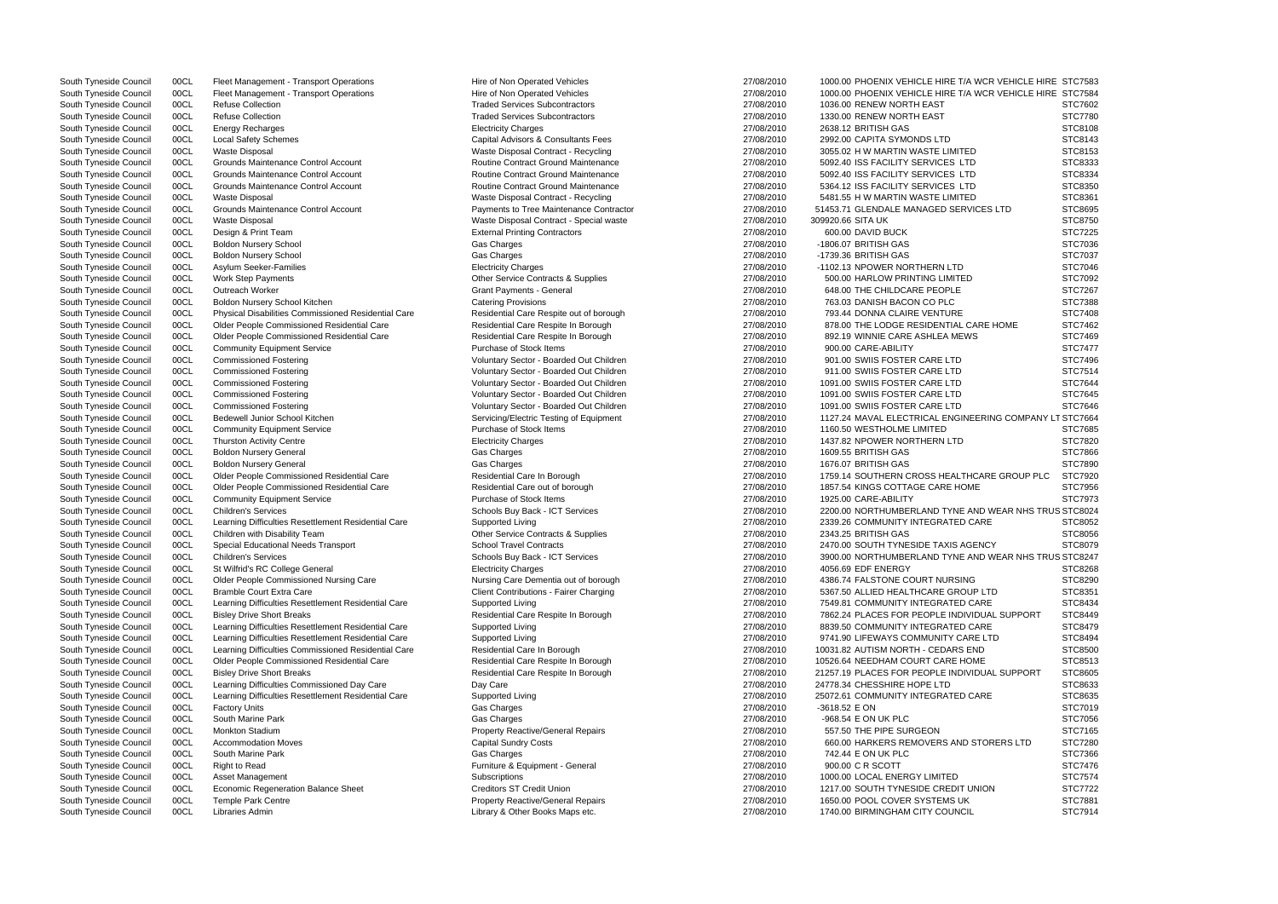| A WCR VEHICLE HIRE STC7583          |                    |
|-------------------------------------|--------------------|
| A WCR VEHICLE HIRE STC7584          |                    |
|                                     | STC7602            |
|                                     | STC7780            |
|                                     | STC8108            |
|                                     | STC8143            |
| ΞD                                  | STC8153            |
| ГD                                  | STC8333            |
| ГD                                  | STC8334            |
| ГD                                  | STC8350            |
| ΞD                                  | STC8361            |
| <b>VICES LTD</b>                    | STC8695            |
|                                     | STC8750            |
|                                     | <b>STC7225</b>     |
|                                     | STC7036            |
|                                     | STC7037            |
|                                     | <b>STC7046</b>     |
| D                                   | STC7092            |
|                                     | STC7267            |
|                                     | STC7388            |
|                                     | STC7408            |
| <b>CARE HOME</b>                    | STC7462            |
| ΝS                                  | STC7469            |
|                                     | <b>STC7477</b>     |
|                                     | STC7496            |
|                                     | STC7514            |
|                                     | STC7644            |
|                                     | STC7645            |
|                                     | STC7646            |
| <b>IEERING COMPANY LT STC7664</b>   |                    |
|                                     | STC7685            |
|                                     | STC7820            |
|                                     | <b>STC7866</b>     |
|                                     | STC7890            |
| <b>HCARE GROUP PLC</b>              | STC7920            |
| ME                                  | STC7956            |
|                                     | STC7973            |
| AND WEAR NHS TRUS STC8024           |                    |
| CARE                                | STC8052            |
|                                     | STC8056            |
| GENCY.<br>AND WEAR NHS TRUS STC8247 | STC8079            |
|                                     |                    |
|                                     | STC8268            |
| ١G                                  | STC8290            |
| UP LTD                              | STC8351            |
| CARE                                | STC8434<br>STC8449 |
| VIDUAL SUPPORT<br>CARE              | STC8479            |
|                                     |                    |
| RE LTD)                             | STC8494            |
| END                                 | STC8500<br>STC8513 |
| OME<br>VIDUAL SUPPORT               | STC8605            |
|                                     | STC8633            |
|                                     |                    |
| CARE                                | STC8635            |
|                                     | STC7019            |
|                                     | STC7056            |
| <b>STORERS LTD</b>                  | STC7165<br>STC7280 |
|                                     | STC7366            |
|                                     | STC7476            |
|                                     | STC7574            |
|                                     | STC7722            |
| <b>UNION</b><br><                   | STC7881            |
| IL                                  | STC7914            |
|                                     |                    |

| South Tyneside Council | <b>OOCL</b> | Fleet Management - Transport Operations             | Hire of Non Operated Vehicles              | 27/08/2010 | 1000.00 PHOENIX VEHICLE HIRE 1/A WCR VEHICLE HIRE STC7583 |                |
|------------------------|-------------|-----------------------------------------------------|--------------------------------------------|------------|-----------------------------------------------------------|----------------|
| South Tyneside Council | 00CL        | Fleet Management - Transport Operations             | Hire of Non Operated Vehicles              | 27/08/2010 | 1000.00 PHOENIX VEHICLE HIRE T/A WCR VEHICLE HIRE STC7584 |                |
| South Tyneside Council | 00CL        | <b>Refuse Collection</b>                            | <b>Traded Services Subcontractors</b>      | 27/08/2010 | 1036.00 RENEW NORTH EAST                                  | STC7602        |
| South Tyneside Council | 00CL        | <b>Refuse Collection</b>                            | <b>Traded Services Subcontractors</b>      | 27/08/2010 | 1330.00 RENEW NORTH EAST                                  | <b>STC7780</b> |
| South Tyneside Council | 00CL        | <b>Energy Recharges</b>                             | <b>Electricity Charges</b>                 | 27/08/2010 | 2638.12 BRITISH GAS                                       | STC8108        |
| South Tyneside Council | 00CL        | <b>Local Safety Schemes</b>                         | Capital Advisors & Consultants Fees        | 27/08/2010 | 2992.00 CAPITA SYMONDS LTD                                | STC8143        |
|                        |             |                                                     |                                            |            |                                                           |                |
| South Tyneside Council | 00CL        | <b>Waste Disposal</b>                               | Waste Disposal Contract - Recycling        | 27/08/2010 | 3055.02 H W MARTIN WASTE LIMITED                          | STC8153        |
| South Tyneside Council | 00CL        | Grounds Maintenance Control Account                 | Routine Contract Ground Maintenance        | 27/08/2010 | 5092.40 ISS FACILITY SERVICES LTD                         | STC8333        |
| South Tyneside Council | 00CL        | Grounds Maintenance Control Account                 | <b>Routine Contract Ground Maintenance</b> | 27/08/2010 | 5092.40 ISS FACILITY SERVICES LTD                         | STC8334        |
| South Tyneside Council | 00CL        | Grounds Maintenance Control Account                 | Routine Contract Ground Maintenance        | 27/08/2010 | 5364.12 ISS FACILITY SERVICES LTD                         | <b>STC8350</b> |
| South Tyneside Council | 00CL        | <b>Waste Disposal</b>                               | Waste Disposal Contract - Recycling        | 27/08/2010 | 5481.55 H W MARTIN WASTE LIMITED                          | STC8361        |
| South Tyneside Council | 00CL        | Grounds Maintenance Control Account                 | Payments to Tree Maintenance Contractor    | 27/08/2010 | 51453.71 GLENDALE MANAGED SERVICES LTD                    | STC8695        |
| South Tyneside Council | 00CL        | <b>Waste Disposal</b>                               | Waste Disposal Contract - Special waste    | 27/08/2010 | 309920.66 SITA UK                                         | STC8750        |
| South Tyneside Council | 00CL        | Design & Print Team                                 | <b>External Printing Contractors</b>       | 27/08/2010 | 600.00 DAVID BUCK                                         | STC7225        |
| South Tyneside Council | 00CL        | <b>Boldon Nursery School</b>                        | Gas Charges                                | 27/08/2010 | -1806.07 BRITISH GAS                                      | STC7036        |
|                        |             |                                                     |                                            |            |                                                           | STC7037        |
| South Tyneside Council | 00CL        | <b>Boldon Nursery School</b>                        | Gas Charges                                | 27/08/2010 | -1739.36 BRITISH GAS                                      |                |
| South Tyneside Council | 00CL        | <b>Asylum Seeker-Families</b>                       | <b>Electricity Charges</b>                 | 27/08/2010 | -1102.13 NPOWER NORTHERN LTD                              | STC7046        |
| South Tyneside Council | 00CL        | <b>Work Step Payments</b>                           | Other Service Contracts & Supplies         | 27/08/2010 | 500.00 HARLOW PRINTING LIMITED                            | STC7092        |
| South Tyneside Council | 00CL        | Outreach Worker                                     | <b>Grant Payments - General</b>            | 27/08/2010 | 648.00 THE CHILDCARE PEOPLE                               | STC7267        |
| South Tyneside Council | 00CL        | Boldon Nursery School Kitchen                       | <b>Catering Provisions</b>                 | 27/08/2010 | 763.03 DANISH BACON CO PLC                                | <b>STC7388</b> |
| South Tyneside Council | 00CL        | Physical Disabilities Commissioned Residential Care | Residential Care Respite out of borough    | 27/08/2010 | 793.44 DONNA CLAIRE VENTURE                               | STC7408        |
| South Tyneside Council | 00CL        | Older People Commissioned Residential Care          | Residential Care Respite In Borough        | 27/08/2010 | 878.00 THE LODGE RESIDENTIAL CARE HOME                    | STC7462        |
| South Tyneside Council | 00CL        | Older People Commissioned Residential Care          | Residential Care Respite In Borough        | 27/08/2010 | 892.19 WINNIE CARE ASHLEA MEWS                            | STC7469        |
| South Tyneside Council | 00CL        | <b>Community Equipment Service</b>                  | Purchase of Stock Items                    | 27/08/2010 | 900.00 CARE-ABILITY                                       | <b>STC7477</b> |
|                        |             |                                                     |                                            |            |                                                           |                |
| South Tyneside Council | 00CL        | <b>Commissioned Fostering</b>                       | Voluntary Sector - Boarded Out Children    | 27/08/2010 | 901.00 SWIIS FOSTER CARE LTD                              | STC7496        |
| South Tyneside Council | 00CL        | <b>Commissioned Fostering</b>                       | Voluntary Sector - Boarded Out Children    | 27/08/2010 | 911.00 SWIIS FOSTER CARE LTD                              | STC7514        |
| South Tyneside Council | 00CL        | <b>Commissioned Fostering</b>                       | Voluntary Sector - Boarded Out Children    | 27/08/2010 | 1091.00 SWIIS FOSTER CARE LTD                             | STC7644        |
| South Tyneside Council | 00CL        | <b>Commissioned Fostering</b>                       | Voluntary Sector - Boarded Out Children    | 27/08/2010 | 1091.00 SWIIS FOSTER CARE LTD                             | STC7645        |
| South Tyneside Council | 00CL        | <b>Commissioned Fostering</b>                       | Voluntary Sector - Boarded Out Children    | 27/08/2010 | 1091.00 SWIIS FOSTER CARE LTD                             | STC7646        |
| South Tyneside Council | 00CL        | Bedewell Junior School Kitchen                      | Servicing/Electric Testing of Equipment    | 27/08/2010 | 1127.24 MAVAL ELECTRICAL ENGINEERING COMPANY LT STC7664   |                |
| South Tyneside Council | 00CL        | <b>Community Equipment Service</b>                  | Purchase of Stock Items                    | 27/08/2010 | 1160.50 WESTHOLME LIMITED                                 | STC7685        |
| South Tyneside Council | 00CL        | <b>Thurston Activity Centre</b>                     | <b>Electricity Charges</b>                 | 27/08/2010 | 1437.82 NPOWER NORTHERN LTD                               | STC7820        |
| South Tyneside Council | 00CL        | <b>Boldon Nursery General</b>                       | Gas Charges                                | 27/08/2010 | 1609.55 BRITISH GAS                                       | STC7866        |
|                        | 00CL        | <b>Boldon Nursery General</b>                       | Gas Charges                                | 27/08/2010 | 1676.07 BRITISH GAS                                       | <b>STC7890</b> |
| South Tyneside Council |             |                                                     |                                            |            |                                                           |                |
| South Tyneside Council | 00CL        | Older People Commissioned Residential Care          | Residential Care In Borough                | 27/08/2010 | 1759.14 SOUTHERN CROSS HEALTHCARE GROUP PLC               | STC7920        |
| South Tyneside Council | 00CL        | Older People Commissioned Residential Care          | Residential Care out of borough            | 27/08/2010 | 1857.54 KINGS COTTAGE CARE HOME                           | STC7956        |
| South Tyneside Council | 00CL        | <b>Community Equipment Service</b>                  | Purchase of Stock Items                    | 27/08/2010 | 1925.00 CARE-ABILITY                                      | STC7973        |
| South Tyneside Council | 00CL        | <b>Children's Services</b>                          | Schools Buy Back - ICT Services            | 27/08/2010 | 2200.00 NORTHUMBERLAND TYNE AND WEAR NHS TRUS STC8024     |                |
| South Tyneside Council | 00CL        | Learning Difficulties Resettlement Residential Care | Supported Living                           | 27/08/2010 | 2339.26 COMMUNITY INTEGRATED CARE                         | STC8052        |
| South Tyneside Council | 00CL        | Children with Disability Team                       | Other Service Contracts & Supplies         | 27/08/2010 | 2343.25 BRITISH GAS                                       | STC8056        |
| South Tyneside Council | 00CL        | Special Educational Needs Transport                 | <b>School Travel Contracts</b>             | 27/08/2010 | 2470.00 SOUTH TYNESIDE TAXIS AGENCY                       | <b>STC8079</b> |
| South Tyneside Council | 00CL        | <b>Children's Services</b>                          | Schools Buy Back - ICT Services            | 27/08/2010 | 3900.00 NORTHUMBERLAND TYNE AND WEAR NHS TRUS STC8247     |                |
| South Tyneside Council | 00CL        | St Wilfrid's RC College General                     | <b>Electricity Charges</b>                 | 27/08/2010 | 4056.69 EDF ENERGY                                        | STC8268        |
| South Tyneside Council | 00CL        | <b>Older People Commissioned Nursing Care</b>       |                                            | 27/08/2010 | 4386.74 FALSTONE COURT NURSING                            | <b>STC8290</b> |
|                        |             |                                                     | Nursing Care Dementia out of borough       |            |                                                           |                |
| South Tyneside Council | 00CL        | <b>Bramble Court Extra Care</b>                     | Client Contributions - Fairer Charging     | 27/08/2010 | 5367.50 ALLIED HEALTHCARE GROUP LTD                       | STC8351        |
| South Tyneside Council | 00CL        | Learning Difficulties Resettlement Residential Care | Supported Living                           | 27/08/2010 | 7549.81 COMMUNITY INTEGRATED CARE                         | STC8434        |
| South Tyneside Council | 00CL        | <b>Bisley Drive Short Breaks</b>                    | Residential Care Respite In Borough        | 27/08/2010 | 7862.24 PLACES FOR PEOPLE INDIVIDUAL SUPPORT              | <b>STC8449</b> |
| South Tyneside Council | 00CL        | Learning Difficulties Resettlement Residential Care | Supported Living                           | 27/08/2010 | 8839.50 COMMUNITY INTEGRATED CARE                         | <b>STC8479</b> |
| South Tyneside Council | 00CL        | Learning Difficulties Resettlement Residential Care | Supported Living                           | 27/08/2010 | 9741.90 LIFEWAYS COMMUNITY CARE LTD                       | STC8494        |
| South Tyneside Council | 00CL        | Learning Difficulties Commissioned Residential Care | Residential Care In Borough                | 27/08/2010 | 10031.82 AUTISM NORTH - CEDARS END                        | <b>STC8500</b> |
| South Tyneside Council | 00CL        | Older People Commissioned Residential Care          | Residential Care Respite In Borough        | 27/08/2010 | 10526.64 NEEDHAM COURT CARE HOME                          | STC8513        |
| South Tyneside Council | 00CL        | <b>Bisley Drive Short Breaks</b>                    | Residential Care Respite In Borough        | 27/08/2010 | 21257.19 PLACES FOR PEOPLE INDIVIDUAL SUPPORT             | STC8605        |
| South Tyneside Council | 00CL        | Learning Difficulties Commissioned Day Care         | Day Care                                   | 27/08/2010 | 24778.34 CHESSHIRE HOPE LTD                               | STC8633        |
|                        |             |                                                     |                                            |            |                                                           |                |
| South Tyneside Council | 00CL        | Learning Difficulties Resettlement Residential Care | Supported Living                           | 27/08/2010 | 25072.61 COMMUNITY INTEGRATED CARE                        | STC8635        |
| South Tyneside Council | 00CL        | <b>Factory Units</b>                                | Gas Charges                                | 27/08/2010 | -3618.52 E ON                                             | STC7019        |
| South Tyneside Council | 00CL        | South Marine Park                                   | Gas Charges                                | 27/08/2010 | -968.54 E ON UK PLC                                       | STC7056        |
| South Tyneside Council | 00CL        | <b>Monkton Stadium</b>                              | <b>Property Reactive/General Repairs</b>   | 27/08/2010 | 557.50 THE PIPE SURGEON                                   | STC7165        |
| South Tyneside Council | 00CL        | <b>Accommodation Moves</b>                          | <b>Capital Sundry Costs</b>                | 27/08/2010 | 660.00 HARKERS REMOVERS AND STORERS LTD                   | <b>STC7280</b> |
| South Tyneside Council | 00CL        | South Marine Park                                   | Gas Charges                                | 27/08/2010 | 742.44 E ON UK PLC                                        | STC7366        |
| South Tyneside Council | 00CL        | <b>Right to Read</b>                                | Furniture & Equipment - General            | 27/08/2010 | 900.00 C R SCOTT                                          | STC7476        |
| South Tyneside Council | 00CL        | Asset Management                                    | Subscriptions                              | 27/08/2010 | 1000.00 LOCAL ENERGY LIMITED                              | STC7574        |
| South Tyneside Council | 00CL        | <b>Economic Regeneration Balance Sheet</b>          | Creditors ST Credit Union                  | 27/08/2010 | 1217.00 SOUTH TYNESIDE CREDIT UNION                       | STC7722        |
| South Tyneside Council | 00CL        | Temple Park Centre                                  | Property Reactive/General Repairs          | 27/08/2010 | 1650.00 POOL COVER SYSTEMS UK                             | STC7881        |
|                        |             |                                                     |                                            |            |                                                           |                |
| South Tyneside Council | 00CL        | Libraries Admin                                     | Library & Other Books Maps etc.            | 27/08/2010 | 1740.00 BIRMINGHAM CITY COUNCIL                           | STC7914        |
|                        |             |                                                     |                                            |            |                                                           |                |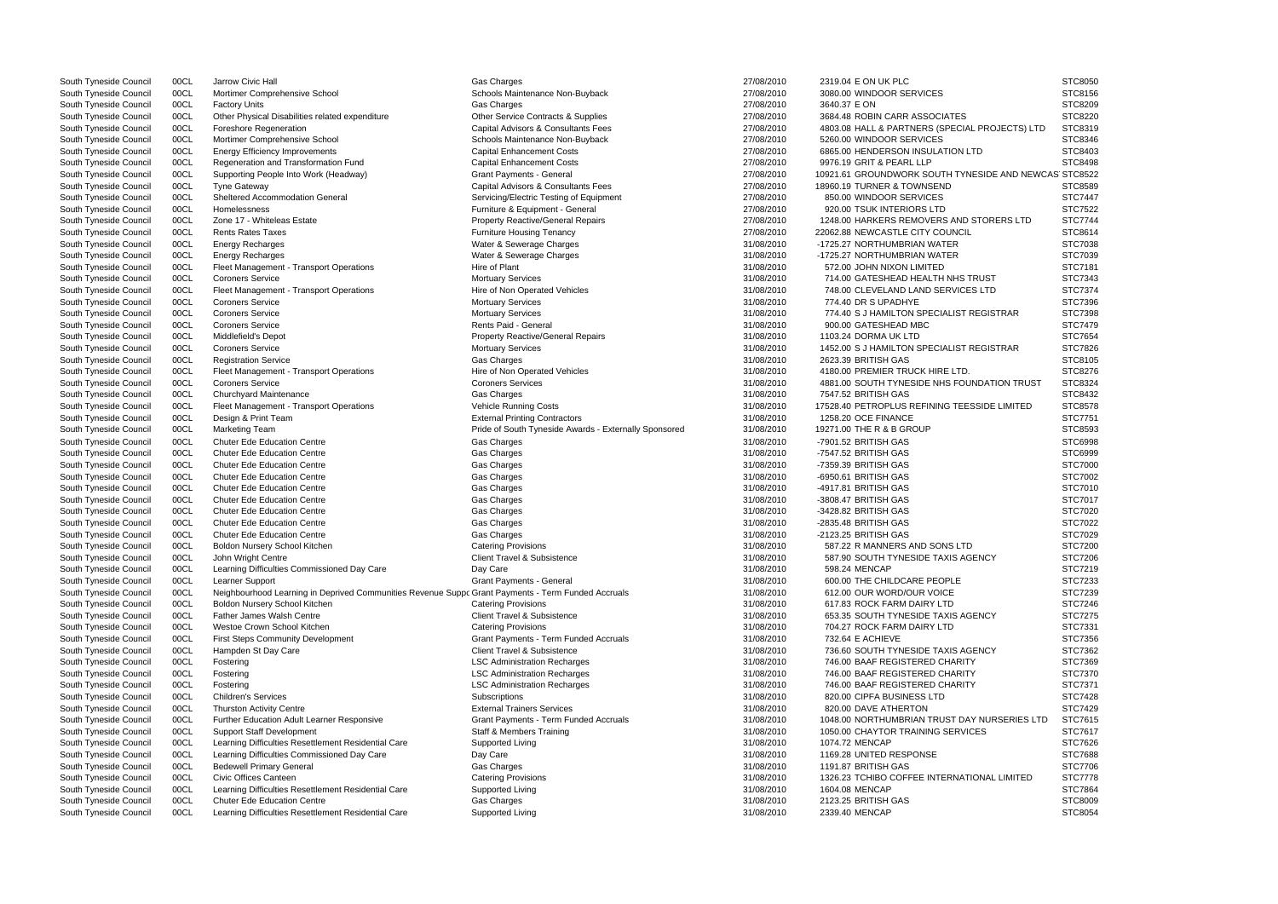| South Tyneside Council | 00CL | Jarrow Civic Hall                                                                                  | Gas Charges                                           | 27/08/2010 | 2319.04 E ON UK PLC                                   | STC8050        |
|------------------------|------|----------------------------------------------------------------------------------------------------|-------------------------------------------------------|------------|-------------------------------------------------------|----------------|
| South Tyneside Council | 00CL | Mortimer Comprehensive School                                                                      | Schools Maintenance Non-Buyback                       | 27/08/2010 | 3080.00 WINDOOR SERVICES                              | STC8156        |
| South Tyneside Council | 00CL | <b>Factory Units</b>                                                                               | Gas Charges                                           | 27/08/2010 | 3640.37 E ON                                          | <b>STC8209</b> |
| South Tyneside Council | 00CL | Other Physical Disabilities related expenditure                                                    | Other Service Contracts & Supplies                    | 27/08/2010 | 3684.48 ROBIN CARR ASSOCIATES                         | <b>STC8220</b> |
| South Tyneside Council | 00CL | <b>Foreshore Regeneration</b>                                                                      | Capital Advisors & Consultants Fees                   | 27/08/2010 | 4803.08 HALL & PARTNERS (SPECIAL PROJECTS) LTD        | STC8319        |
| South Tyneside Council | 00CL | Mortimer Comprehensive School                                                                      | Schools Maintenance Non-Buyback                       | 27/08/2010 | 5260.00 WINDOOR SERVICES                              | STC8346        |
| South Tyneside Council | 00CL | <b>Energy Efficiency Improvements</b>                                                              | <b>Capital Enhancement Costs</b>                      | 27/08/2010 | 6865.00 HENDERSON INSULATION LTD                      | STC8403        |
| South Tyneside Council | 00CL | Regeneration and Transformation Fund                                                               | <b>Capital Enhancement Costs</b>                      | 27/08/2010 | 9976.19 GRIT & PEARL LLP                              | STC8498        |
| South Tyneside Council | 00CL | Supporting People Into Work (Headway)                                                              | <b>Grant Payments - General</b>                       | 27/08/2010 | 10921.61 GROUNDWORK SOUTH TYNESIDE AND NEWCAS STC8522 |                |
| South Tyneside Council | 00CL | <b>Tyne Gateway</b>                                                                                | Capital Advisors & Consultants Fees                   | 27/08/2010 | 18960.19 TURNER & TOWNSEND                            | <b>STC8589</b> |
| South Tyneside Council | 00CL | Sheltered Accommodation General                                                                    | Servicing/Electric Testing of Equipment               | 27/08/2010 | 850.00 WINDOOR SERVICES                               | <b>STC7447</b> |
| South Tyneside Council | 00CL | Homelessness                                                                                       | Furniture & Equipment - General                       | 27/08/2010 | 920.00 TSUK INTERIORS LTD                             | STC7522        |
| South Tyneside Council | 00CL | Zone 17 - Whiteleas Estate                                                                         | Property Reactive/General Repairs                     | 27/08/2010 | 1248.00 HARKERS REMOVERS AND STORERS LTD              | <b>STC7744</b> |
| South Tyneside Council | 00CL | <b>Rents Rates Taxes</b>                                                                           | <b>Furniture Housing Tenancy</b>                      | 27/08/2010 | 22062.88 NEWCASTLE CITY COUNCIL                       | STC8614        |
| South Tyneside Council | 00CL | <b>Energy Recharges</b>                                                                            | Water & Sewerage Charges                              | 31/08/2010 | -1725.27 NORTHUMBRIAN WATER                           | STC7038        |
| South Tyneside Council | 00CL | <b>Energy Recharges</b>                                                                            | Water & Sewerage Charges                              | 31/08/2010 | -1725.27 NORTHUMBRIAN WATER                           | STC7039        |
| South Tyneside Council | 00CL | Fleet Management - Transport Operations                                                            | Hire of Plant                                         | 31/08/2010 | 572.00 JOHN NIXON LIMITED                             | STC7181        |
| South Tyneside Council | 00CL | <b>Coroners Service</b>                                                                            | <b>Mortuary Services</b>                              | 31/08/2010 | 714.00 GATESHEAD HEALTH NHS TRUST                     | STC7343        |
| South Tyneside Council | 00CL | Fleet Management - Transport Operations                                                            | Hire of Non Operated Vehicles                         | 31/08/2010 | 748.00 CLEVELAND LAND SERVICES LTD                    | STC7374        |
| South Tyneside Council | 00CL | <b>Coroners Service</b>                                                                            | <b>Mortuary Services</b>                              | 31/08/2010 | 774.40 DR S UPADHYE                                   | STC7396        |
| South Tyneside Council | 00CL | <b>Coroners Service</b>                                                                            | <b>Mortuary Services</b>                              | 31/08/2010 | 774.40 S J HAMILTON SPECIALIST REGISTRAR              | STC7398        |
| South Tyneside Council | 00CL | <b>Coroners Service</b>                                                                            | Rents Paid - General                                  | 31/08/2010 | 900.00 GATESHEAD MBC                                  | STC7479        |
| South Tyneside Council | 00CL | Middlefield's Depot                                                                                | <b>Property Reactive/General Repairs</b>              | 31/08/2010 | 1103.24 DORMA UK LTD                                  | STC7654        |
| South Tyneside Council | 00CL | <b>Coroners Service</b>                                                                            | <b>Mortuary Services</b>                              | 31/08/2010 | 1452.00 S J HAMILTON SPECIALIST REGISTRAR             | STC7826        |
| South Tyneside Council | 00CL | <b>Registration Service</b>                                                                        | Gas Charges                                           | 31/08/2010 | 2623.39 BRITISH GAS                                   | STC8105        |
| South Tyneside Council | 00CL | Fleet Management - Transport Operations                                                            | Hire of Non Operated Vehicles                         | 31/08/2010 | 4180.00 PREMIER TRUCK HIRE LTD.                       | STC8276        |
| South Tyneside Council | 00CL | <b>Coroners Service</b>                                                                            | <b>Coroners Services</b>                              | 31/08/2010 | 4881.00 SOUTH TYNESIDE NHS FOUNDATION TRUST           | STC8324        |
| South Tyneside Council | 00CL | Churchyard Maintenance                                                                             | Gas Charges                                           | 31/08/2010 | 7547.52 BRITISH GAS                                   | STC8432        |
| South Tyneside Council | 00CL | Fleet Management - Transport Operations                                                            | <b>Vehicle Running Costs</b>                          | 31/08/2010 | 17528.40 PETROPLUS REFINING TEESSIDE LIMITED          | STC8578        |
| South Tyneside Council | 00CL | Design & Print Team                                                                                | <b>External Printing Contractors</b>                  | 31/08/2010 | 1258.20 OCE FINANCE                                   | STC7751        |
| South Tyneside Council | 00CL | <b>Marketing Team</b>                                                                              | Pride of South Tyneside Awards - Externally Sponsored | 31/08/2010 | 19271.00 THE R & B GROUP                              | STC8593        |
| South Tyneside Council | 00CL | <b>Chuter Ede Education Centre</b>                                                                 | Gas Charges                                           | 31/08/2010 | -7901.52 BRITISH GAS                                  | STC6998        |
| South Tyneside Council | 00CL | <b>Chuter Ede Education Centre</b>                                                                 | Gas Charges                                           | 31/08/2010 | -7547.52 BRITISH GAS                                  | <b>STC6999</b> |
| South Tyneside Council | 00CL | <b>Chuter Ede Education Centre</b>                                                                 | Gas Charges                                           | 31/08/2010 | -7359.39 BRITISH GAS                                  | <b>STC7000</b> |
| South Tyneside Council | 00CL | <b>Chuter Ede Education Centre</b>                                                                 | Gas Charges                                           | 31/08/2010 | -6950.61 BRITISH GAS                                  | STC7002        |
| South Tyneside Council | 00CL | <b>Chuter Ede Education Centre</b>                                                                 | Gas Charges                                           | 31/08/2010 | -4917.81 BRITISH GAS                                  | STC7010        |
| South Tyneside Council | 00CL | <b>Chuter Ede Education Centre</b>                                                                 | Gas Charges                                           | 31/08/2010 | -3808.47 BRITISH GAS                                  | STC7017        |
| South Tyneside Council | 00CL | <b>Chuter Ede Education Centre</b>                                                                 | Gas Charges                                           | 31/08/2010 | -3428.82 BRITISH GAS                                  | STC7020        |
| South Tyneside Council | 00CL | <b>Chuter Ede Education Centre</b>                                                                 | Gas Charges                                           | 31/08/2010 | -2835.48 BRITISH GAS                                  | STC7022        |
| South Tyneside Council | 00CL | <b>Chuter Ede Education Centre</b>                                                                 | Gas Charges                                           | 31/08/2010 | -2123.25 BRITISH GAS                                  | STC7029        |
| South Tyneside Council | 00CL | Boldon Nursery School Kitchen                                                                      | <b>Catering Provisions</b>                            | 31/08/2010 | 587.22 R MANNERS AND SONS LTD                         | STC7200        |
| South Tyneside Council | 00CL | John Wright Centre                                                                                 | Client Travel & Subsistence                           | 31/08/2010 | 587.90 SOUTH TYNESIDE TAXIS AGENCY                    | STC7206        |
| South Tyneside Council | 00CL | Learning Difficulties Commissioned Day Care                                                        | Day Care                                              | 31/08/2010 | 598.24 MENCAP                                         | STC7219        |
| South Tyneside Council | 00CL | <b>Learner Support</b>                                                                             | Grant Payments - General                              | 31/08/2010 | 600.00 THE CHILDCARE PEOPLE                           | STC7233        |
| South Tyneside Council | 00CL | Neighbourhood Learning in Deprived Communities Revenue Suppc Grant Payments - Term Funded Accruals |                                                       | 31/08/2010 | 612.00 OUR WORD/OUR VOICE                             | STC7239        |
| South Tyneside Council | 00CL | Boldon Nursery School Kitchen                                                                      | <b>Catering Provisions</b>                            | 31/08/2010 | 617.83 ROCK FARM DAIRY LTD                            | STC7246        |
| South Tyneside Council | 00CL | <b>Father James Walsh Centre</b>                                                                   | <b>Client Travel &amp; Subsistence</b>                | 31/08/2010 | 653.35 SOUTH TYNESIDE TAXIS AGENCY                    | STC7275        |
| South Tyneside Council | 00CL | Westoe Crown School Kitchen                                                                        | <b>Catering Provisions</b>                            | 31/08/2010 | 704.27 ROCK FARM DAIRY LTD                            | STC7331        |
| South Tyneside Council | 00CL | First Steps Community Development                                                                  | Grant Payments - Term Funded Accruals                 | 31/08/2010 | 732.64 E ACHIEVE                                      | STC7356        |
| South Tyneside Council | 00CL | Hampden St Day Care                                                                                | Client Travel & Subsistence                           | 31/08/2010 | 736.60 SOUTH TYNESIDE TAXIS AGENCY                    | STC7362        |
| South Tyneside Council | 00CL | Fostering                                                                                          | <b>LSC Administration Recharges</b>                   | 31/08/2010 | 746.00 BAAF REGISTERED CHARITY                        | STC7369        |
| South Tyneside Council | 00CL | Fostering                                                                                          | <b>LSC Administration Recharges</b>                   | 31/08/2010 | 746.00 BAAF REGISTERED CHARITY                        | <b>STC7370</b> |
| South Tyneside Council | 00CL | Fostering                                                                                          | <b>LSC Administration Recharges</b>                   | 31/08/2010 | 746.00 BAAF REGISTERED CHARITY                        | STC7371        |
| South Tyneside Council | 00CL | <b>Children's Services</b>                                                                         | Subscriptions                                         | 31/08/2010 | 820.00 CIPFA BUSINESS LTD                             | STC7428        |
| South Tyneside Council | 00CL | <b>Thurston Activity Centre</b>                                                                    | <b>External Trainers Services</b>                     | 31/08/2010 | 820.00 DAVE ATHERTON                                  | STC7429        |
| South Tyneside Council | 00CL | Further Education Adult Learner Responsive                                                         | <b>Grant Payments - Term Funded Accruals</b>          | 31/08/2010 | 1048.00 NORTHUMBRIAN TRUST DAY NURSERIES LTD          | STC7615        |
| South Tyneside Council | 00CL | <b>Support Staff Development</b>                                                                   | <b>Staff &amp; Members Training</b>                   | 31/08/2010 | 1050.00 CHAYTOR TRAINING SERVICES                     | STC7617        |
| South Tyneside Council | 00CL | Learning Difficulties Resettlement Residential Care                                                | Supported Living                                      | 31/08/2010 | 1074.72 MENCAP                                        | STC7626        |
| South Tyneside Council | 00CL | Learning Difficulties Commissioned Day Care                                                        | Day Care                                              | 31/08/2010 | 1169.28 UNITED RESPONSE                               | STC7688        |
| South Tyneside Council | 00CL | <b>Bedewell Primary General</b>                                                                    | Gas Charges                                           | 31/08/2010 | 1191.87 BRITISH GAS                                   | STC7706        |
| South Tyneside Council | 00CL | Civic Offices Canteen                                                                              | <b>Catering Provisions</b>                            | 31/08/2010 | 1326.23 TCHIBO COFFEE INTERNATIONAL LIMITED           | STC7778        |
| South Tyneside Council | 00CL | Learning Difficulties Resettlement Residential Care                                                | Supported Living                                      | 31/08/2010 | 1604.08 MENCAP                                        | STC7864        |
| South Tyneside Council | 00CL | <b>Chuter Ede Education Centre</b>                                                                 | Gas Charges                                           | 31/08/2010 | 2123.25 BRITISH GAS                                   | <b>STC8009</b> |
| South Tyneside Council | 00CL | Learning Difficulties Resettlement Residential Care                                                | Supported Living                                      | 31/08/2010 | 2339.40 MENCAP                                        | STC8054        |

|                                         | STC8050        |
|-----------------------------------------|----------------|
| :ES                                     | STC8156        |
|                                         | STC8209        |
| <b>CIATES</b>                           | STC8220        |
| S (SPECIAL PROJECTS) LTD                | STC8319        |
| <b>ES</b>                               | STC8346        |
| <b>JLATION LTD</b>                      | STC8403        |
|                                         | STC8498        |
| <b>DUTH TYNESIDE AND NEWCAS STC8522</b> |                |
| SEND                                    | STC8589        |
| <b>ES</b>                               | STC7447        |
| LTD                                     | STC7522        |
| ERS AND STORERS LTD                     | <b>STC7744</b> |
| COUNCIL                                 | STC8614        |
| <b>VATER</b>                            | STC7038        |
| <b>VATER</b>                            | STC7039        |
| ΈD                                      | STC7181        |
| TH NHS TRUST                            | STC7343        |
| <b>SERVICES LTD</b>                     | STC7374        |
|                                         | STC7396        |
| ECIALIST REGISTRAR                      | STC7398        |
|                                         | <b>STC7479</b> |
|                                         | STC7654        |
| <b>ECIALIST REGISTRAR</b>               | STC7826        |
|                                         | STC8105        |
| HIRE LTD.                               | STC8276        |
| NHS FOUNDATION TRUST                    | STC8324        |
|                                         | STC8432        |
| NING TEESSIDE LIMITED                   | STC8578        |
|                                         | STC7751        |
|                                         | STC8593        |
|                                         | STC6998        |
|                                         | STC6999        |
|                                         | STC7000        |
|                                         | STC7002        |
|                                         | STC7010        |
|                                         | STC7017        |
|                                         | STC7020        |
|                                         | STC7022        |
|                                         | STC7029        |
| SONS LTD                                | STC7200        |
| <b>TAXIS AGENCY</b>                     | STC7206        |
|                                         | STC7219        |
| <b>EOPLE</b>                            | STC7233        |
| /OICE                                   | STC7239        |
| Y LTD                                   | <b>STC7246</b> |
| <b>TAXIS AGENCY</b>                     | <b>STC7275</b> |
| Y LTD                                   | STC7331        |
|                                         | STC7356        |
| <b>TAXIS AGENCY</b>                     | STC7362        |
| <b>D CHARITY</b>                        | STC7369        |
| <b>D CHARITY</b>                        | STC7370        |
| <b>D CHARITY</b>                        | STC7371        |
| TD                                      | <b>STC7428</b> |
|                                         | STC7429        |
| FRUST DAY NURSERIES LTD                 | STC7615        |
| <b>IG SERVICES</b>                      | STC7617        |
|                                         | STC7626        |
| ίE                                      | <b>STC7688</b> |
|                                         | <b>STC7706</b> |
| NTERNATIONAL LIMITED                    | <b>STC7778</b> |
|                                         | STC7864        |
|                                         | STC8009        |
|                                         | STC8054        |
|                                         |                |